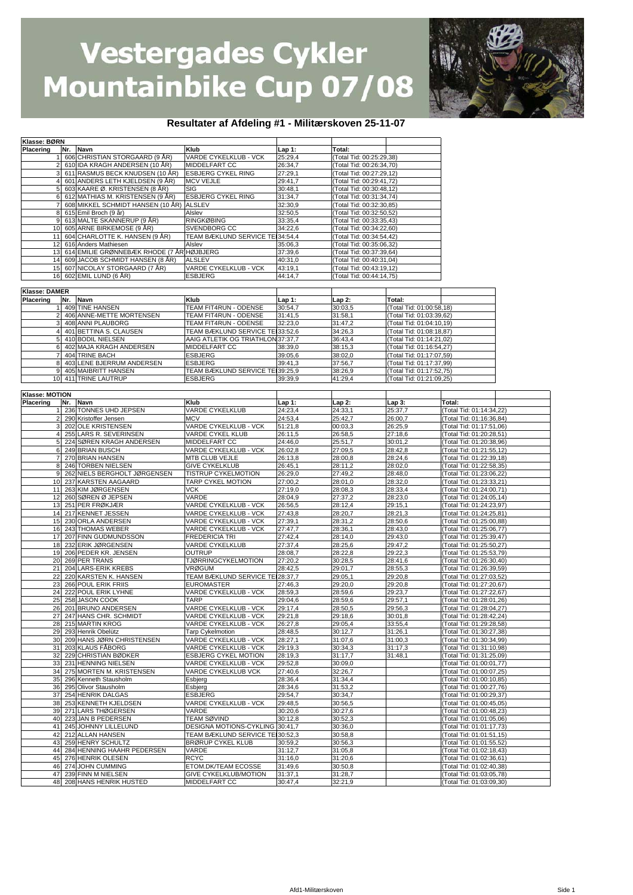

#### **Resultater af Afdeling #1 - Militærskoven 25-11-07**

| Navn<br>Klub<br>Placering<br>Nr.<br>Total:<br>Lap 1:<br>606 CHRISTIAN STORGAARD (9 ÅR)<br>VARDE CYKELKLUB - VCK<br>25:29,4<br>(Total Tid: 00:25:29,38)<br>610 IDA KRAGH ANDERSEN (10 ÅR)<br>MIDDELFART CC<br>26:34,7<br>(Total Tid: 00:26:34.70)<br>611 RASMUS BECK KNUDSEN (10 ÅR)<br><b>ESBJERG CYKEL RING</b><br>27:29,1<br>(Total Tid: 00:27:29,12)<br>601 ANDERS LETH KJELDSEN (9 ÅR)<br><b>MCV VEJLE</b><br>29:41,7<br>(Total Tid: 00:29:41,72)<br>603 KAARE Ø. KRISTENSEN (8 ÅR)<br>SIG<br>30:48,1<br>(Total Tid: 00:30:48,12)<br>5<br>612 MATHIAS M. KRISTENSEN (9 ÅR)<br>6<br><b>ESBJERG CYKEL RING</b><br>31:34,7<br>(Total Tid: 00:31:34,74)<br>608 MIKKEL SCHMIDT HANSEN (10 ÅR) ALSLEV<br>32:30,9<br>(Total Tid: 00:32:30,85)<br>615 Emil Broch (9 år)<br>32:50,5<br>Alslev<br>(Total Tid: 00:32:50,52)<br>613 MALTE SKANNERUP (9 ÅR)<br><b>RINGKØBING</b><br>33:35,4<br>(Total Tid: 00:33:35,43)<br>9<br>10<br>605 ARNE BIRKEMOSE (9 ÅR)<br>SVENDBORG CC<br>34:22,6<br>(Total Tid: 00:34:22,60)<br>604 CHARLOTTE K. HANSEN (9 ÅR)<br>TEAM BÆKLUND SERVICE TE 34:54,4<br>11<br>(Total Tid: 00:34:54,42)<br>12<br>616 Anders Mathiesen<br>Alslev<br>35:06,3<br>(Total Tid: 00:35:06,32)<br>614 EMILIE GRØNNEBÆK RHODE (7 ÅR HØJBJERG<br>13<br>37:39,6<br>(Total Tid: 00:37:39,64)<br>609 JACOB SCHMIDT HANSEN (8 ÅR)<br>14<br><b>ALSLEV</b><br>40:31,0<br>(Total Tid: 00:40:31,04)<br>15<br>VARDE CYKELKLUB - VCK<br>607 NICOLAY STORGAARD (7 ÅR)<br>43:19,1<br>(Total Tid: 00:43:19,12)<br>16<br>602 EMIL LUND (6 ÅR)<br><b>ESBJERG</b><br>44:14,7<br>(Total Tid: 00:44:14,75)<br>Klasse: DAMER<br>Placering<br>Nr.<br>Navn<br>Klub<br>Total:<br>Lap 1:<br>Lap 2:<br>409 TINE HANSEN<br>TEAM FIT4RUN - ODENSE<br>30:54,7<br>30:03,5<br>(Total Tid: 01:00:58,18)<br>406 ANNE-METTE MORTENSEN<br>TEAM FIT4RUN - ODENSE<br>31:41,5<br>31:58,1<br>(Total Tid: 01:03:39,62)<br>408 ANNI PLAUBORG<br>TEAM FIT4RUN - ODENSE<br>32:23,0<br>31:47,2<br>(Total Tid: 01:04:10,19)<br>TEAM BÆKLUND SERVICE TEI33:52,6<br>401 BETTINA S. CLAUSEN<br>34:26,3<br>4 <sub>l</sub><br>(Total Tid: 01:08:18,87)<br>410 BODIL NIELSEN<br>AAIG ATLETIK OG TRIATHLON 37:37,7<br>36:43,4<br>5<br>(Total Tid: 01:14:21,02)<br>402 MAJA KRAGH ANDERSEN<br>MIDDELFART CC<br>38:15,3<br>38:39,0<br>(Total Tid: 01:16:54,27)<br>6<br>404 TRINE BACH<br><b>ESBJERG</b><br>39:05,6<br>38:02,0<br>(Total Tid: 01:17:07,59)<br>403 LENE BJERRUM ANDERSEN<br>37:56,7<br>(Total Tid: 01:17:37.99)<br>8<br><b>ESBJERG</b><br>39:41,3<br>TEAM BÆKLUND SERVICE TEI39:25,9<br>9<br>405 MAIBRITT HANSEN<br>38:26,9<br>(Total Tid: 01:17:52,75)<br>411 TRINE LAUTRUP<br>41:29,4<br>(Total Tid: 01:21:09,25)<br>10<br><b>ESBJERG</b><br>39:39,9<br>Klasse: MOTION<br>Placering<br>Nr.<br>Navn<br>Klub<br>Lap 2:<br>Total:<br>Lap 1:<br>Lap 3:<br>VARDE CYKELKLUB<br>24:23,4<br>24:33,1<br>25:37,7<br>236 TONNES UHD JEPSEN<br>(Total Tid: 01:14:34,22)<br>25:42.7<br>2<br>290 Kristoffer Jensen<br><b>MCV</b><br>24:53,4<br>26:00,7<br>(Total Tid: 01:16:36,84)<br>202 OLE KRISTENSEN<br>00:03,3<br>26:25,9<br>3<br>VARDE CYKELKLUB - VCK<br>51:21,8<br>(Total Tid: 01:17:51,06)<br>255 LARS R. SEVERINSEN<br>VARDE CYKEL KLUB<br>26:11,5<br>26:58,5<br>27:18,6<br>(Total Tid: 01:20:28,51)<br>$\overline{4}$<br>24:46,0<br>30:01,2<br>224 SØREN KRAGH ANDERSEN<br>MIDDELFART CC<br>25:51,7<br>(Total Tid: 01:20:38,96)<br>249 BRIAN BUSCH<br>VARDE CYKELKLUB - VCK<br>26:02,8<br>27:09,5<br>28:42,8<br>(Total Tid: 01:21:55,12)<br>6<br>270 BRIAN HANSEN<br>MTB CLUB VEJLE<br>28:24,6<br>$\overline{7}$<br>26:13,8<br>28:00,8<br>(Total Tid: 01:22:39,18)<br>8 246 TORBEN NIELSEN<br><b>GIVE CYKELKLUB</b><br>26:45,1<br>28:11,2<br>28:02,0<br>(Total Tid: 01:22:58,35)<br>262 NIELS BERGHOLT JØRGENSEN<br>TISTRUP CYKELMOTION<br>27:49,2<br>9<br>26:29,0<br>28:48,0<br>(Total Tid: 01:23:06,22)<br>237 KARSTEN AAGAARD<br>TARP CYKEL MOTION<br>27:00,2<br>28:01,0<br>28:32,0<br>(Total Tid: 01:23:33,21)<br>10<br>11<br>263 KIM JØRGENSEN<br><b>VCK</b><br>27:19,0<br>28:08,3<br>28:33,4<br>(Total Tid: 01:24:00,71)<br>12<br>260 SØREN Ø JEPSEN<br>VARDE<br>28:04,9<br>27:37,2<br>28:23,0<br>(Total Tid: 01:24:05,14)<br>VARDE CYKELKLUB - VCK<br>13<br>251 PER FRØKJÆR<br>26:56,5<br>28:12,4<br>29:15,1<br>(Total Tid: 01:24:23,97)<br>217 KENNET JESSEN<br>14<br>VARDE CYKELKLUB - VCK<br>27:43,8<br>28:20,7<br>28:21,3<br>(Total Tid: 01:24:25,81)<br>15 230 ORLA ANDERSEN<br>VARDE CYKELKLUB - VCK<br>27:39,1<br>28:31,2<br>28:50,6<br>(Total Tid: 01:25:00,88)<br>243 THOMAS WEBER<br>16<br>VARDE CYKELKLUB - VCK<br>27:47,7<br>28:36,1<br>28:43,0<br>(Total Tid: 01:25:06,77)<br>17<br>207 FINN GUDMUNDSSON<br>28:14,0<br>29:43,0<br><b>FREDERICIA TRI</b><br>27:42,4<br>(Total Tid: 01:25:39,47)<br>28:25,6<br>232 ERIK JØRGENSEN<br>VARDE CYKELKLUB<br>27:37,4<br>29:47.2<br>(Total Tid: 01:25:50,27)<br>18<br>206 PEDER KR. JENSEN<br>19<br><b>OUTRUP</b><br>28:08,7<br>28:22,8<br>29:22,3<br>(Total Tid: 01:25:53,79)<br><b>TJØRRINGCYKELMOTION</b><br>20<br>269 PER TRANS<br>30:28,5<br>27:20,2<br>28:41,6<br>(Total Tid: 01:26:30,40)<br>21<br>29:01.7<br>204 LARS-ERIK KREBS<br><b>VRØGUM</b><br>28:55,3<br>(Total Tid: 01:26:39,59)<br>28:42,5<br>220 KARSTEN K. HANSEN<br>TEAM BÆKLUND SERVICE TEI28:37.7<br>22<br>29:05,1<br>29:20,8<br>(Total Tid: 01:27:03,52)<br>23<br>266 POUL ERIK FRIIS<br><b>EUROMASTER</b><br>27:46,3<br>29:20,0<br>29:20,8<br>(Total Tid: 01:27:20,67)<br>222 POUL ERIK LYHNE<br>VARDE CYKELKLUB - VCK<br>29:23,7<br>24<br>28:59,3<br>28:59,6<br>(Total Tid: 01:27:22,67)<br>25<br>258 JASON COOK<br><b>TARP</b><br>29:04,6<br>28:59,6<br>29:57,1<br>(Total Tid: 01:28:01,26)<br>26 201 BRUNO ANDERSEN<br>VARDE CYKELKLUB - VCK<br>29:17,4<br>28:50,5<br>29:56,3<br>(Total Tid: 01:28:04,27)<br>27 247 HANS CHR. SCHMIDT<br>VARDE CYKELKLUB - VCK<br>29:21,8<br>29:18,6<br>30:01,8<br>(Total Tid: 01:28:42,24)<br>28 215 MARTIN KROG<br>VARDE CYKELKLUB - VCK<br>26:27,8<br>29:05,4<br>33:55,4<br>(Total Tid: 01:29:28,58)<br>29 293 Henrik Obelütz<br>30:12,7<br>(Total Tid: 01:30:27,38)<br><b>Tarp Cykelmotion</b><br>28:48,5<br>31:26,1<br>30 209 HANS JØRN CHRISTENSEN<br>VARDE CYKELKLUB - VCK<br>31:07,6<br>28:27,1<br>31:00,3<br>(Total Tid: 01:30:34,99)<br>31 203 KLAUS FÅBORG<br>VARDE CYKELKLUB - VCK<br>29:19,3<br>30:34,3<br>31:17,3<br>(Total Tid: 01:31:10,98)<br>32 229 CHRISTIAN BØDKER<br>ESBJERG CYKEL MOTION<br>31:17,7<br>31:48,1<br>28:19,3<br>(Total Tid: 01:31:25,09)<br>33 231 HENNING NIELSEN<br>VARDE CYKELKLUB - VCK<br>29:52,8<br>30:09,0<br>(Total Tid: 01:00:01,77)<br>34 275 MORTEN M. KRISTENSEN<br>VARDE CYKELKLUB VCK<br>27:40,6<br>32:26,7<br>(Total Tid: 01:00:07,25)<br>296 Kenneth Stausholm<br>28:36,4<br>31:34,4<br>(Total Tid: 01:00:10,85)<br>35<br>Esbjerg<br>36 295 Olivor Stausholm<br>28:34,6<br>31:53,2<br>(Total Tid: 01:00:27,76)<br>Esbjerg<br>37 254 HENRIK DALGAS<br><b>ESBJERG</b><br>29:54,7<br>30:34,7<br>(Total Tid: 01:00:29,37)<br>VARDE CYKELKLUB - VCK<br>38 253 KENNETH KJELDSEN<br>29:48,5<br>30:56,5<br>(Total Tid: 01:00:45,05)<br>39 271 LARS THØGERSEN<br>30:27,6<br>VARDE<br>30:20,6<br>(Total Tid: 01:00:48,23)<br>40 223 JAN B PEDERSEN<br>30:52,3<br>TEAM SØVIND<br>30:12,8<br>(Total Tid: 01:01:05,06)<br>41 245 JOHNNY LILLELUND<br>DESIGNA MOTIONS-CYKLING<br>30:36,0<br>30:41,7<br>(Total Tid: 01:01:17,73)<br>42 212 ALLAN HANSEN<br>TEAM BÆKLUND SERVICE TEI 30:52,3<br>(Total Tid: 01:01:51,15)<br>30:58,8<br>30:56,3<br>259 HENRY SCHULTZ<br><b>BRØRUP CYKEL KLUB</b><br>30:59,2<br>Total Tid: 01:01:55,52)<br>43<br>44 284 HENNING HAAHR PEDERSEN<br>31:05,8<br>VARDE<br>31:12,7<br>(Total Tid: 01:02:18,43)<br><b>RCYC</b><br>276 HENRIK OLESEN<br>31:16,0<br>31:20,6<br>(Total Tid: 01:02:36,61)<br>45<br>ETOM.DK/TEAM ECOSSE<br>46 274 JOHN CUMMING<br>30:50,8<br>31:49,6<br>(Total Tid: 01:02:40,38)<br>47 239 FINN M NIELSEN<br>GIVE CYKELKLUB/MOTION<br>31:37,1<br>31:28,7<br>(Total Tid: 01:03:05,78)<br>48 208 HANS HENRIK HUSTED<br>MIDDELFART CC<br>32:21,9<br>(Total Tid: 01:03:09,30)<br>30:47,4 | Klasse: BØRN |  |  |  |  |
|---------------------------------------------------------------------------------------------------------------------------------------------------------------------------------------------------------------------------------------------------------------------------------------------------------------------------------------------------------------------------------------------------------------------------------------------------------------------------------------------------------------------------------------------------------------------------------------------------------------------------------------------------------------------------------------------------------------------------------------------------------------------------------------------------------------------------------------------------------------------------------------------------------------------------------------------------------------------------------------------------------------------------------------------------------------------------------------------------------------------------------------------------------------------------------------------------------------------------------------------------------------------------------------------------------------------------------------------------------------------------------------------------------------------------------------------------------------------------------------------------------------------------------------------------------------------------------------------------------------------------------------------------------------------------------------------------------------------------------------------------------------------------------------------------------------------------------------------------------------------------------------------------------------------------------------------------------------------------------------------------------------------------------------------------------------------------------------------------------------------------------------------------------------------------------------------------------------------------------------------------------------------------------------------------------------------------------------------------------------------------------------------------------------------------------------------------------------------------------------------------------------------------------------------------------------------------------------------------------------------------------------------------------------------------------------------------------------------------------------------------------------------------------------------------------------------------------------------------------------------------------------------------------------------------------------------------------------------------------------------------------------------------------------------------------------------------------------------------------------------------------------------------------------------------------------------------------------------------------------------------------------------------------------------------------------------------------------------------------------------------------------------------------------------------------------------------------------------------------------------------------------------------------------------------------------------------------------------------------------------------------------------------------------------------------------------------------------------------------------------------------------------------------------------------------------------------------------------------------------------------------------------------------------------------------------------------------------------------------------------------------------------------------------------------------------------------------------------------------------------------------------------------------------------------------------------------------------------------------------------------------------------------------------------------------------------------------------------------------------------------------------------------------------------------------------------------------------------------------------------------------------------------------------------------------------------------------------------------------------------------------------------------------------------------------------------------------------------------------------------------------------------------------------------------------------------------------------------------------------------------------------------------------------------------------------------------------------------------------------------------------------------------------------------------------------------------------------------------------------------------------------------------------------------------------------------------------------------------------------------------------------------------------------------------------------------------------------------------------------------------------------------------------------------------------------------------------------------------------------------------------------------------------------------------------------------------------------------------------------------------------------------------------------------------------------------------------------------------------------------------------------------------------------------------------------------------------------------------------------------------------------------------------------------------------------------------------------------------------------------------------------------------------------------------------------------------------------------------------------------------------------------------------------------------------------------------------------------------------------------------------------------------------------------------------------------------------------------------------------------------------------------------------------------------------------------------------------------------------------------------------------------------------------------------------------------------------------------------------------------------------------------------------------------------------------------------------------------------------------------------------------------------------------------------------------------------------------------------------------------------------------------------------------------------------------------------------------------------------------------------------------------------------------------------------------------------------------------------------------------------------------------------------------------------------------------------------------------------------------------------------------------------------------------------------------------------------------------------------------------------------------------------------------------------------------------------------------------------------------------------------------------------------------------------------------------------------------------------------------------------------------------------------------------------------------------------------------------------------------------------------------------------------------------------------------------------------------------------------------------------------------------------------------------------------------------------------------------------------------------------------------------------------------------------------------------------------------------------------------|--------------|--|--|--|--|
|                                                                                                                                                                                                                                                                                                                                                                                                                                                                                                                                                                                                                                                                                                                                                                                                                                                                                                                                                                                                                                                                                                                                                                                                                                                                                                                                                                                                                                                                                                                                                                                                                                                                                                                                                                                                                                                                                                                                                                                                                                                                                                                                                                                                                                                                                                                                                                                                                                                                                                                                                                                                                                                                                                                                                                                                                                                                                                                                                                                                                                                                                                                                                                                                                                                                                                                                                                                                                                                                                                                                                                                                                                                                                                                                                                                                                                                                                                                                                                                                                                                                                                                                                                                                                                                                                                                                                                                                                                                                                                                                                                                                                                                                                                                                                                                                                                                                                                                                                                                                                                                                                                                                                                                                                                                                                                                                                                                                                                                                                                                                                                                                                                                                                                                                                                                                                                                                                                                                                                                                                                                                                                                                                                                                                                                                                                                                                                                                                                                                                                                                                                                                                                                                                                                                                                                                                                                                                                                                                                                                                                                                                                                                                                                                                                                                                                                                                                                                                                                                                                                                                                                                                                                                                                                                                                                                                                                                                                                                                                                                                                                                                                               |              |  |  |  |  |
|                                                                                                                                                                                                                                                                                                                                                                                                                                                                                                                                                                                                                                                                                                                                                                                                                                                                                                                                                                                                                                                                                                                                                                                                                                                                                                                                                                                                                                                                                                                                                                                                                                                                                                                                                                                                                                                                                                                                                                                                                                                                                                                                                                                                                                                                                                                                                                                                                                                                                                                                                                                                                                                                                                                                                                                                                                                                                                                                                                                                                                                                                                                                                                                                                                                                                                                                                                                                                                                                                                                                                                                                                                                                                                                                                                                                                                                                                                                                                                                                                                                                                                                                                                                                                                                                                                                                                                                                                                                                                                                                                                                                                                                                                                                                                                                                                                                                                                                                                                                                                                                                                                                                                                                                                                                                                                                                                                                                                                                                                                                                                                                                                                                                                                                                                                                                                                                                                                                                                                                                                                                                                                                                                                                                                                                                                                                                                                                                                                                                                                                                                                                                                                                                                                                                                                                                                                                                                                                                                                                                                                                                                                                                                                                                                                                                                                                                                                                                                                                                                                                                                                                                                                                                                                                                                                                                                                                                                                                                                                                                                                                                                                               |              |  |  |  |  |
|                                                                                                                                                                                                                                                                                                                                                                                                                                                                                                                                                                                                                                                                                                                                                                                                                                                                                                                                                                                                                                                                                                                                                                                                                                                                                                                                                                                                                                                                                                                                                                                                                                                                                                                                                                                                                                                                                                                                                                                                                                                                                                                                                                                                                                                                                                                                                                                                                                                                                                                                                                                                                                                                                                                                                                                                                                                                                                                                                                                                                                                                                                                                                                                                                                                                                                                                                                                                                                                                                                                                                                                                                                                                                                                                                                                                                                                                                                                                                                                                                                                                                                                                                                                                                                                                                                                                                                                                                                                                                                                                                                                                                                                                                                                                                                                                                                                                                                                                                                                                                                                                                                                                                                                                                                                                                                                                                                                                                                                                                                                                                                                                                                                                                                                                                                                                                                                                                                                                                                                                                                                                                                                                                                                                                                                                                                                                                                                                                                                                                                                                                                                                                                                                                                                                                                                                                                                                                                                                                                                                                                                                                                                                                                                                                                                                                                                                                                                                                                                                                                                                                                                                                                                                                                                                                                                                                                                                                                                                                                                                                                                                                                               |              |  |  |  |  |
|                                                                                                                                                                                                                                                                                                                                                                                                                                                                                                                                                                                                                                                                                                                                                                                                                                                                                                                                                                                                                                                                                                                                                                                                                                                                                                                                                                                                                                                                                                                                                                                                                                                                                                                                                                                                                                                                                                                                                                                                                                                                                                                                                                                                                                                                                                                                                                                                                                                                                                                                                                                                                                                                                                                                                                                                                                                                                                                                                                                                                                                                                                                                                                                                                                                                                                                                                                                                                                                                                                                                                                                                                                                                                                                                                                                                                                                                                                                                                                                                                                                                                                                                                                                                                                                                                                                                                                                                                                                                                                                                                                                                                                                                                                                                                                                                                                                                                                                                                                                                                                                                                                                                                                                                                                                                                                                                                                                                                                                                                                                                                                                                                                                                                                                                                                                                                                                                                                                                                                                                                                                                                                                                                                                                                                                                                                                                                                                                                                                                                                                                                                                                                                                                                                                                                                                                                                                                                                                                                                                                                                                                                                                                                                                                                                                                                                                                                                                                                                                                                                                                                                                                                                                                                                                                                                                                                                                                                                                                                                                                                                                                                                               |              |  |  |  |  |
|                                                                                                                                                                                                                                                                                                                                                                                                                                                                                                                                                                                                                                                                                                                                                                                                                                                                                                                                                                                                                                                                                                                                                                                                                                                                                                                                                                                                                                                                                                                                                                                                                                                                                                                                                                                                                                                                                                                                                                                                                                                                                                                                                                                                                                                                                                                                                                                                                                                                                                                                                                                                                                                                                                                                                                                                                                                                                                                                                                                                                                                                                                                                                                                                                                                                                                                                                                                                                                                                                                                                                                                                                                                                                                                                                                                                                                                                                                                                                                                                                                                                                                                                                                                                                                                                                                                                                                                                                                                                                                                                                                                                                                                                                                                                                                                                                                                                                                                                                                                                                                                                                                                                                                                                                                                                                                                                                                                                                                                                                                                                                                                                                                                                                                                                                                                                                                                                                                                                                                                                                                                                                                                                                                                                                                                                                                                                                                                                                                                                                                                                                                                                                                                                                                                                                                                                                                                                                                                                                                                                                                                                                                                                                                                                                                                                                                                                                                                                                                                                                                                                                                                                                                                                                                                                                                                                                                                                                                                                                                                                                                                                                                               |              |  |  |  |  |
|                                                                                                                                                                                                                                                                                                                                                                                                                                                                                                                                                                                                                                                                                                                                                                                                                                                                                                                                                                                                                                                                                                                                                                                                                                                                                                                                                                                                                                                                                                                                                                                                                                                                                                                                                                                                                                                                                                                                                                                                                                                                                                                                                                                                                                                                                                                                                                                                                                                                                                                                                                                                                                                                                                                                                                                                                                                                                                                                                                                                                                                                                                                                                                                                                                                                                                                                                                                                                                                                                                                                                                                                                                                                                                                                                                                                                                                                                                                                                                                                                                                                                                                                                                                                                                                                                                                                                                                                                                                                                                                                                                                                                                                                                                                                                                                                                                                                                                                                                                                                                                                                                                                                                                                                                                                                                                                                                                                                                                                                                                                                                                                                                                                                                                                                                                                                                                                                                                                                                                                                                                                                                                                                                                                                                                                                                                                                                                                                                                                                                                                                                                                                                                                                                                                                                                                                                                                                                                                                                                                                                                                                                                                                                                                                                                                                                                                                                                                                                                                                                                                                                                                                                                                                                                                                                                                                                                                                                                                                                                                                                                                                                                               |              |  |  |  |  |
|                                                                                                                                                                                                                                                                                                                                                                                                                                                                                                                                                                                                                                                                                                                                                                                                                                                                                                                                                                                                                                                                                                                                                                                                                                                                                                                                                                                                                                                                                                                                                                                                                                                                                                                                                                                                                                                                                                                                                                                                                                                                                                                                                                                                                                                                                                                                                                                                                                                                                                                                                                                                                                                                                                                                                                                                                                                                                                                                                                                                                                                                                                                                                                                                                                                                                                                                                                                                                                                                                                                                                                                                                                                                                                                                                                                                                                                                                                                                                                                                                                                                                                                                                                                                                                                                                                                                                                                                                                                                                                                                                                                                                                                                                                                                                                                                                                                                                                                                                                                                                                                                                                                                                                                                                                                                                                                                                                                                                                                                                                                                                                                                                                                                                                                                                                                                                                                                                                                                                                                                                                                                                                                                                                                                                                                                                                                                                                                                                                                                                                                                                                                                                                                                                                                                                                                                                                                                                                                                                                                                                                                                                                                                                                                                                                                                                                                                                                                                                                                                                                                                                                                                                                                                                                                                                                                                                                                                                                                                                                                                                                                                                                               |              |  |  |  |  |
|                                                                                                                                                                                                                                                                                                                                                                                                                                                                                                                                                                                                                                                                                                                                                                                                                                                                                                                                                                                                                                                                                                                                                                                                                                                                                                                                                                                                                                                                                                                                                                                                                                                                                                                                                                                                                                                                                                                                                                                                                                                                                                                                                                                                                                                                                                                                                                                                                                                                                                                                                                                                                                                                                                                                                                                                                                                                                                                                                                                                                                                                                                                                                                                                                                                                                                                                                                                                                                                                                                                                                                                                                                                                                                                                                                                                                                                                                                                                                                                                                                                                                                                                                                                                                                                                                                                                                                                                                                                                                                                                                                                                                                                                                                                                                                                                                                                                                                                                                                                                                                                                                                                                                                                                                                                                                                                                                                                                                                                                                                                                                                                                                                                                                                                                                                                                                                                                                                                                                                                                                                                                                                                                                                                                                                                                                                                                                                                                                                                                                                                                                                                                                                                                                                                                                                                                                                                                                                                                                                                                                                                                                                                                                                                                                                                                                                                                                                                                                                                                                                                                                                                                                                                                                                                                                                                                                                                                                                                                                                                                                                                                                                               |              |  |  |  |  |
|                                                                                                                                                                                                                                                                                                                                                                                                                                                                                                                                                                                                                                                                                                                                                                                                                                                                                                                                                                                                                                                                                                                                                                                                                                                                                                                                                                                                                                                                                                                                                                                                                                                                                                                                                                                                                                                                                                                                                                                                                                                                                                                                                                                                                                                                                                                                                                                                                                                                                                                                                                                                                                                                                                                                                                                                                                                                                                                                                                                                                                                                                                                                                                                                                                                                                                                                                                                                                                                                                                                                                                                                                                                                                                                                                                                                                                                                                                                                                                                                                                                                                                                                                                                                                                                                                                                                                                                                                                                                                                                                                                                                                                                                                                                                                                                                                                                                                                                                                                                                                                                                                                                                                                                                                                                                                                                                                                                                                                                                                                                                                                                                                                                                                                                                                                                                                                                                                                                                                                                                                                                                                                                                                                                                                                                                                                                                                                                                                                                                                                                                                                                                                                                                                                                                                                                                                                                                                                                                                                                                                                                                                                                                                                                                                                                                                                                                                                                                                                                                                                                                                                                                                                                                                                                                                                                                                                                                                                                                                                                                                                                                                                               |              |  |  |  |  |
|                                                                                                                                                                                                                                                                                                                                                                                                                                                                                                                                                                                                                                                                                                                                                                                                                                                                                                                                                                                                                                                                                                                                                                                                                                                                                                                                                                                                                                                                                                                                                                                                                                                                                                                                                                                                                                                                                                                                                                                                                                                                                                                                                                                                                                                                                                                                                                                                                                                                                                                                                                                                                                                                                                                                                                                                                                                                                                                                                                                                                                                                                                                                                                                                                                                                                                                                                                                                                                                                                                                                                                                                                                                                                                                                                                                                                                                                                                                                                                                                                                                                                                                                                                                                                                                                                                                                                                                                                                                                                                                                                                                                                                                                                                                                                                                                                                                                                                                                                                                                                                                                                                                                                                                                                                                                                                                                                                                                                                                                                                                                                                                                                                                                                                                                                                                                                                                                                                                                                                                                                                                                                                                                                                                                                                                                                                                                                                                                                                                                                                                                                                                                                                                                                                                                                                                                                                                                                                                                                                                                                                                                                                                                                                                                                                                                                                                                                                                                                                                                                                                                                                                                                                                                                                                                                                                                                                                                                                                                                                                                                                                                                                               |              |  |  |  |  |
|                                                                                                                                                                                                                                                                                                                                                                                                                                                                                                                                                                                                                                                                                                                                                                                                                                                                                                                                                                                                                                                                                                                                                                                                                                                                                                                                                                                                                                                                                                                                                                                                                                                                                                                                                                                                                                                                                                                                                                                                                                                                                                                                                                                                                                                                                                                                                                                                                                                                                                                                                                                                                                                                                                                                                                                                                                                                                                                                                                                                                                                                                                                                                                                                                                                                                                                                                                                                                                                                                                                                                                                                                                                                                                                                                                                                                                                                                                                                                                                                                                                                                                                                                                                                                                                                                                                                                                                                                                                                                                                                                                                                                                                                                                                                                                                                                                                                                                                                                                                                                                                                                                                                                                                                                                                                                                                                                                                                                                                                                                                                                                                                                                                                                                                                                                                                                                                                                                                                                                                                                                                                                                                                                                                                                                                                                                                                                                                                                                                                                                                                                                                                                                                                                                                                                                                                                                                                                                                                                                                                                                                                                                                                                                                                                                                                                                                                                                                                                                                                                                                                                                                                                                                                                                                                                                                                                                                                                                                                                                                                                                                                                                               |              |  |  |  |  |
|                                                                                                                                                                                                                                                                                                                                                                                                                                                                                                                                                                                                                                                                                                                                                                                                                                                                                                                                                                                                                                                                                                                                                                                                                                                                                                                                                                                                                                                                                                                                                                                                                                                                                                                                                                                                                                                                                                                                                                                                                                                                                                                                                                                                                                                                                                                                                                                                                                                                                                                                                                                                                                                                                                                                                                                                                                                                                                                                                                                                                                                                                                                                                                                                                                                                                                                                                                                                                                                                                                                                                                                                                                                                                                                                                                                                                                                                                                                                                                                                                                                                                                                                                                                                                                                                                                                                                                                                                                                                                                                                                                                                                                                                                                                                                                                                                                                                                                                                                                                                                                                                                                                                                                                                                                                                                                                                                                                                                                                                                                                                                                                                                                                                                                                                                                                                                                                                                                                                                                                                                                                                                                                                                                                                                                                                                                                                                                                                                                                                                                                                                                                                                                                                                                                                                                                                                                                                                                                                                                                                                                                                                                                                                                                                                                                                                                                                                                                                                                                                                                                                                                                                                                                                                                                                                                                                                                                                                                                                                                                                                                                                                                               |              |  |  |  |  |
|                                                                                                                                                                                                                                                                                                                                                                                                                                                                                                                                                                                                                                                                                                                                                                                                                                                                                                                                                                                                                                                                                                                                                                                                                                                                                                                                                                                                                                                                                                                                                                                                                                                                                                                                                                                                                                                                                                                                                                                                                                                                                                                                                                                                                                                                                                                                                                                                                                                                                                                                                                                                                                                                                                                                                                                                                                                                                                                                                                                                                                                                                                                                                                                                                                                                                                                                                                                                                                                                                                                                                                                                                                                                                                                                                                                                                                                                                                                                                                                                                                                                                                                                                                                                                                                                                                                                                                                                                                                                                                                                                                                                                                                                                                                                                                                                                                                                                                                                                                                                                                                                                                                                                                                                                                                                                                                                                                                                                                                                                                                                                                                                                                                                                                                                                                                                                                                                                                                                                                                                                                                                                                                                                                                                                                                                                                                                                                                                                                                                                                                                                                                                                                                                                                                                                                                                                                                                                                                                                                                                                                                                                                                                                                                                                                                                                                                                                                                                                                                                                                                                                                                                                                                                                                                                                                                                                                                                                                                                                                                                                                                                                                               |              |  |  |  |  |
|                                                                                                                                                                                                                                                                                                                                                                                                                                                                                                                                                                                                                                                                                                                                                                                                                                                                                                                                                                                                                                                                                                                                                                                                                                                                                                                                                                                                                                                                                                                                                                                                                                                                                                                                                                                                                                                                                                                                                                                                                                                                                                                                                                                                                                                                                                                                                                                                                                                                                                                                                                                                                                                                                                                                                                                                                                                                                                                                                                                                                                                                                                                                                                                                                                                                                                                                                                                                                                                                                                                                                                                                                                                                                                                                                                                                                                                                                                                                                                                                                                                                                                                                                                                                                                                                                                                                                                                                                                                                                                                                                                                                                                                                                                                                                                                                                                                                                                                                                                                                                                                                                                                                                                                                                                                                                                                                                                                                                                                                                                                                                                                                                                                                                                                                                                                                                                                                                                                                                                                                                                                                                                                                                                                                                                                                                                                                                                                                                                                                                                                                                                                                                                                                                                                                                                                                                                                                                                                                                                                                                                                                                                                                                                                                                                                                                                                                                                                                                                                                                                                                                                                                                                                                                                                                                                                                                                                                                                                                                                                                                                                                                                               |              |  |  |  |  |
|                                                                                                                                                                                                                                                                                                                                                                                                                                                                                                                                                                                                                                                                                                                                                                                                                                                                                                                                                                                                                                                                                                                                                                                                                                                                                                                                                                                                                                                                                                                                                                                                                                                                                                                                                                                                                                                                                                                                                                                                                                                                                                                                                                                                                                                                                                                                                                                                                                                                                                                                                                                                                                                                                                                                                                                                                                                                                                                                                                                                                                                                                                                                                                                                                                                                                                                                                                                                                                                                                                                                                                                                                                                                                                                                                                                                                                                                                                                                                                                                                                                                                                                                                                                                                                                                                                                                                                                                                                                                                                                                                                                                                                                                                                                                                                                                                                                                                                                                                                                                                                                                                                                                                                                                                                                                                                                                                                                                                                                                                                                                                                                                                                                                                                                                                                                                                                                                                                                                                                                                                                                                                                                                                                                                                                                                                                                                                                                                                                                                                                                                                                                                                                                                                                                                                                                                                                                                                                                                                                                                                                                                                                                                                                                                                                                                                                                                                                                                                                                                                                                                                                                                                                                                                                                                                                                                                                                                                                                                                                                                                                                                                                               |              |  |  |  |  |
|                                                                                                                                                                                                                                                                                                                                                                                                                                                                                                                                                                                                                                                                                                                                                                                                                                                                                                                                                                                                                                                                                                                                                                                                                                                                                                                                                                                                                                                                                                                                                                                                                                                                                                                                                                                                                                                                                                                                                                                                                                                                                                                                                                                                                                                                                                                                                                                                                                                                                                                                                                                                                                                                                                                                                                                                                                                                                                                                                                                                                                                                                                                                                                                                                                                                                                                                                                                                                                                                                                                                                                                                                                                                                                                                                                                                                                                                                                                                                                                                                                                                                                                                                                                                                                                                                                                                                                                                                                                                                                                                                                                                                                                                                                                                                                                                                                                                                                                                                                                                                                                                                                                                                                                                                                                                                                                                                                                                                                                                                                                                                                                                                                                                                                                                                                                                                                                                                                                                                                                                                                                                                                                                                                                                                                                                                                                                                                                                                                                                                                                                                                                                                                                                                                                                                                                                                                                                                                                                                                                                                                                                                                                                                                                                                                                                                                                                                                                                                                                                                                                                                                                                                                                                                                                                                                                                                                                                                                                                                                                                                                                                                                               |              |  |  |  |  |
|                                                                                                                                                                                                                                                                                                                                                                                                                                                                                                                                                                                                                                                                                                                                                                                                                                                                                                                                                                                                                                                                                                                                                                                                                                                                                                                                                                                                                                                                                                                                                                                                                                                                                                                                                                                                                                                                                                                                                                                                                                                                                                                                                                                                                                                                                                                                                                                                                                                                                                                                                                                                                                                                                                                                                                                                                                                                                                                                                                                                                                                                                                                                                                                                                                                                                                                                                                                                                                                                                                                                                                                                                                                                                                                                                                                                                                                                                                                                                                                                                                                                                                                                                                                                                                                                                                                                                                                                                                                                                                                                                                                                                                                                                                                                                                                                                                                                                                                                                                                                                                                                                                                                                                                                                                                                                                                                                                                                                                                                                                                                                                                                                                                                                                                                                                                                                                                                                                                                                                                                                                                                                                                                                                                                                                                                                                                                                                                                                                                                                                                                                                                                                                                                                                                                                                                                                                                                                                                                                                                                                                                                                                                                                                                                                                                                                                                                                                                                                                                                                                                                                                                                                                                                                                                                                                                                                                                                                                                                                                                                                                                                                                               |              |  |  |  |  |
|                                                                                                                                                                                                                                                                                                                                                                                                                                                                                                                                                                                                                                                                                                                                                                                                                                                                                                                                                                                                                                                                                                                                                                                                                                                                                                                                                                                                                                                                                                                                                                                                                                                                                                                                                                                                                                                                                                                                                                                                                                                                                                                                                                                                                                                                                                                                                                                                                                                                                                                                                                                                                                                                                                                                                                                                                                                                                                                                                                                                                                                                                                                                                                                                                                                                                                                                                                                                                                                                                                                                                                                                                                                                                                                                                                                                                                                                                                                                                                                                                                                                                                                                                                                                                                                                                                                                                                                                                                                                                                                                                                                                                                                                                                                                                                                                                                                                                                                                                                                                                                                                                                                                                                                                                                                                                                                                                                                                                                                                                                                                                                                                                                                                                                                                                                                                                                                                                                                                                                                                                                                                                                                                                                                                                                                                                                                                                                                                                                                                                                                                                                                                                                                                                                                                                                                                                                                                                                                                                                                                                                                                                                                                                                                                                                                                                                                                                                                                                                                                                                                                                                                                                                                                                                                                                                                                                                                                                                                                                                                                                                                                                                               |              |  |  |  |  |
|                                                                                                                                                                                                                                                                                                                                                                                                                                                                                                                                                                                                                                                                                                                                                                                                                                                                                                                                                                                                                                                                                                                                                                                                                                                                                                                                                                                                                                                                                                                                                                                                                                                                                                                                                                                                                                                                                                                                                                                                                                                                                                                                                                                                                                                                                                                                                                                                                                                                                                                                                                                                                                                                                                                                                                                                                                                                                                                                                                                                                                                                                                                                                                                                                                                                                                                                                                                                                                                                                                                                                                                                                                                                                                                                                                                                                                                                                                                                                                                                                                                                                                                                                                                                                                                                                                                                                                                                                                                                                                                                                                                                                                                                                                                                                                                                                                                                                                                                                                                                                                                                                                                                                                                                                                                                                                                                                                                                                                                                                                                                                                                                                                                                                                                                                                                                                                                                                                                                                                                                                                                                                                                                                                                                                                                                                                                                                                                                                                                                                                                                                                                                                                                                                                                                                                                                                                                                                                                                                                                                                                                                                                                                                                                                                                                                                                                                                                                                                                                                                                                                                                                                                                                                                                                                                                                                                                                                                                                                                                                                                                                                                                               |              |  |  |  |  |
|                                                                                                                                                                                                                                                                                                                                                                                                                                                                                                                                                                                                                                                                                                                                                                                                                                                                                                                                                                                                                                                                                                                                                                                                                                                                                                                                                                                                                                                                                                                                                                                                                                                                                                                                                                                                                                                                                                                                                                                                                                                                                                                                                                                                                                                                                                                                                                                                                                                                                                                                                                                                                                                                                                                                                                                                                                                                                                                                                                                                                                                                                                                                                                                                                                                                                                                                                                                                                                                                                                                                                                                                                                                                                                                                                                                                                                                                                                                                                                                                                                                                                                                                                                                                                                                                                                                                                                                                                                                                                                                                                                                                                                                                                                                                                                                                                                                                                                                                                                                                                                                                                                                                                                                                                                                                                                                                                                                                                                                                                                                                                                                                                                                                                                                                                                                                                                                                                                                                                                                                                                                                                                                                                                                                                                                                                                                                                                                                                                                                                                                                                                                                                                                                                                                                                                                                                                                                                                                                                                                                                                                                                                                                                                                                                                                                                                                                                                                                                                                                                                                                                                                                                                                                                                                                                                                                                                                                                                                                                                                                                                                                                                               |              |  |  |  |  |
|                                                                                                                                                                                                                                                                                                                                                                                                                                                                                                                                                                                                                                                                                                                                                                                                                                                                                                                                                                                                                                                                                                                                                                                                                                                                                                                                                                                                                                                                                                                                                                                                                                                                                                                                                                                                                                                                                                                                                                                                                                                                                                                                                                                                                                                                                                                                                                                                                                                                                                                                                                                                                                                                                                                                                                                                                                                                                                                                                                                                                                                                                                                                                                                                                                                                                                                                                                                                                                                                                                                                                                                                                                                                                                                                                                                                                                                                                                                                                                                                                                                                                                                                                                                                                                                                                                                                                                                                                                                                                                                                                                                                                                                                                                                                                                                                                                                                                                                                                                                                                                                                                                                                                                                                                                                                                                                                                                                                                                                                                                                                                                                                                                                                                                                                                                                                                                                                                                                                                                                                                                                                                                                                                                                                                                                                                                                                                                                                                                                                                                                                                                                                                                                                                                                                                                                                                                                                                                                                                                                                                                                                                                                                                                                                                                                                                                                                                                                                                                                                                                                                                                                                                                                                                                                                                                                                                                                                                                                                                                                                                                                                                                               |              |  |  |  |  |
|                                                                                                                                                                                                                                                                                                                                                                                                                                                                                                                                                                                                                                                                                                                                                                                                                                                                                                                                                                                                                                                                                                                                                                                                                                                                                                                                                                                                                                                                                                                                                                                                                                                                                                                                                                                                                                                                                                                                                                                                                                                                                                                                                                                                                                                                                                                                                                                                                                                                                                                                                                                                                                                                                                                                                                                                                                                                                                                                                                                                                                                                                                                                                                                                                                                                                                                                                                                                                                                                                                                                                                                                                                                                                                                                                                                                                                                                                                                                                                                                                                                                                                                                                                                                                                                                                                                                                                                                                                                                                                                                                                                                                                                                                                                                                                                                                                                                                                                                                                                                                                                                                                                                                                                                                                                                                                                                                                                                                                                                                                                                                                                                                                                                                                                                                                                                                                                                                                                                                                                                                                                                                                                                                                                                                                                                                                                                                                                                                                                                                                                                                                                                                                                                                                                                                                                                                                                                                                                                                                                                                                                                                                                                                                                                                                                                                                                                                                                                                                                                                                                                                                                                                                                                                                                                                                                                                                                                                                                                                                                                                                                                                                               |              |  |  |  |  |
|                                                                                                                                                                                                                                                                                                                                                                                                                                                                                                                                                                                                                                                                                                                                                                                                                                                                                                                                                                                                                                                                                                                                                                                                                                                                                                                                                                                                                                                                                                                                                                                                                                                                                                                                                                                                                                                                                                                                                                                                                                                                                                                                                                                                                                                                                                                                                                                                                                                                                                                                                                                                                                                                                                                                                                                                                                                                                                                                                                                                                                                                                                                                                                                                                                                                                                                                                                                                                                                                                                                                                                                                                                                                                                                                                                                                                                                                                                                                                                                                                                                                                                                                                                                                                                                                                                                                                                                                                                                                                                                                                                                                                                                                                                                                                                                                                                                                                                                                                                                                                                                                                                                                                                                                                                                                                                                                                                                                                                                                                                                                                                                                                                                                                                                                                                                                                                                                                                                                                                                                                                                                                                                                                                                                                                                                                                                                                                                                                                                                                                                                                                                                                                                                                                                                                                                                                                                                                                                                                                                                                                                                                                                                                                                                                                                                                                                                                                                                                                                                                                                                                                                                                                                                                                                                                                                                                                                                                                                                                                                                                                                                                                               |              |  |  |  |  |
|                                                                                                                                                                                                                                                                                                                                                                                                                                                                                                                                                                                                                                                                                                                                                                                                                                                                                                                                                                                                                                                                                                                                                                                                                                                                                                                                                                                                                                                                                                                                                                                                                                                                                                                                                                                                                                                                                                                                                                                                                                                                                                                                                                                                                                                                                                                                                                                                                                                                                                                                                                                                                                                                                                                                                                                                                                                                                                                                                                                                                                                                                                                                                                                                                                                                                                                                                                                                                                                                                                                                                                                                                                                                                                                                                                                                                                                                                                                                                                                                                                                                                                                                                                                                                                                                                                                                                                                                                                                                                                                                                                                                                                                                                                                                                                                                                                                                                                                                                                                                                                                                                                                                                                                                                                                                                                                                                                                                                                                                                                                                                                                                                                                                                                                                                                                                                                                                                                                                                                                                                                                                                                                                                                                                                                                                                                                                                                                                                                                                                                                                                                                                                                                                                                                                                                                                                                                                                                                                                                                                                                                                                                                                                                                                                                                                                                                                                                                                                                                                                                                                                                                                                                                                                                                                                                                                                                                                                                                                                                                                                                                                                                               |              |  |  |  |  |
|                                                                                                                                                                                                                                                                                                                                                                                                                                                                                                                                                                                                                                                                                                                                                                                                                                                                                                                                                                                                                                                                                                                                                                                                                                                                                                                                                                                                                                                                                                                                                                                                                                                                                                                                                                                                                                                                                                                                                                                                                                                                                                                                                                                                                                                                                                                                                                                                                                                                                                                                                                                                                                                                                                                                                                                                                                                                                                                                                                                                                                                                                                                                                                                                                                                                                                                                                                                                                                                                                                                                                                                                                                                                                                                                                                                                                                                                                                                                                                                                                                                                                                                                                                                                                                                                                                                                                                                                                                                                                                                                                                                                                                                                                                                                                                                                                                                                                                                                                                                                                                                                                                                                                                                                                                                                                                                                                                                                                                                                                                                                                                                                                                                                                                                                                                                                                                                                                                                                                                                                                                                                                                                                                                                                                                                                                                                                                                                                                                                                                                                                                                                                                                                                                                                                                                                                                                                                                                                                                                                                                                                                                                                                                                                                                                                                                                                                                                                                                                                                                                                                                                                                                                                                                                                                                                                                                                                                                                                                                                                                                                                                                                               |              |  |  |  |  |
|                                                                                                                                                                                                                                                                                                                                                                                                                                                                                                                                                                                                                                                                                                                                                                                                                                                                                                                                                                                                                                                                                                                                                                                                                                                                                                                                                                                                                                                                                                                                                                                                                                                                                                                                                                                                                                                                                                                                                                                                                                                                                                                                                                                                                                                                                                                                                                                                                                                                                                                                                                                                                                                                                                                                                                                                                                                                                                                                                                                                                                                                                                                                                                                                                                                                                                                                                                                                                                                                                                                                                                                                                                                                                                                                                                                                                                                                                                                                                                                                                                                                                                                                                                                                                                                                                                                                                                                                                                                                                                                                                                                                                                                                                                                                                                                                                                                                                                                                                                                                                                                                                                                                                                                                                                                                                                                                                                                                                                                                                                                                                                                                                                                                                                                                                                                                                                                                                                                                                                                                                                                                                                                                                                                                                                                                                                                                                                                                                                                                                                                                                                                                                                                                                                                                                                                                                                                                                                                                                                                                                                                                                                                                                                                                                                                                                                                                                                                                                                                                                                                                                                                                                                                                                                                                                                                                                                                                                                                                                                                                                                                                                                               |              |  |  |  |  |
|                                                                                                                                                                                                                                                                                                                                                                                                                                                                                                                                                                                                                                                                                                                                                                                                                                                                                                                                                                                                                                                                                                                                                                                                                                                                                                                                                                                                                                                                                                                                                                                                                                                                                                                                                                                                                                                                                                                                                                                                                                                                                                                                                                                                                                                                                                                                                                                                                                                                                                                                                                                                                                                                                                                                                                                                                                                                                                                                                                                                                                                                                                                                                                                                                                                                                                                                                                                                                                                                                                                                                                                                                                                                                                                                                                                                                                                                                                                                                                                                                                                                                                                                                                                                                                                                                                                                                                                                                                                                                                                                                                                                                                                                                                                                                                                                                                                                                                                                                                                                                                                                                                                                                                                                                                                                                                                                                                                                                                                                                                                                                                                                                                                                                                                                                                                                                                                                                                                                                                                                                                                                                                                                                                                                                                                                                                                                                                                                                                                                                                                                                                                                                                                                                                                                                                                                                                                                                                                                                                                                                                                                                                                                                                                                                                                                                                                                                                                                                                                                                                                                                                                                                                                                                                                                                                                                                                                                                                                                                                                                                                                                                                               |              |  |  |  |  |
|                                                                                                                                                                                                                                                                                                                                                                                                                                                                                                                                                                                                                                                                                                                                                                                                                                                                                                                                                                                                                                                                                                                                                                                                                                                                                                                                                                                                                                                                                                                                                                                                                                                                                                                                                                                                                                                                                                                                                                                                                                                                                                                                                                                                                                                                                                                                                                                                                                                                                                                                                                                                                                                                                                                                                                                                                                                                                                                                                                                                                                                                                                                                                                                                                                                                                                                                                                                                                                                                                                                                                                                                                                                                                                                                                                                                                                                                                                                                                                                                                                                                                                                                                                                                                                                                                                                                                                                                                                                                                                                                                                                                                                                                                                                                                                                                                                                                                                                                                                                                                                                                                                                                                                                                                                                                                                                                                                                                                                                                                                                                                                                                                                                                                                                                                                                                                                                                                                                                                                                                                                                                                                                                                                                                                                                                                                                                                                                                                                                                                                                                                                                                                                                                                                                                                                                                                                                                                                                                                                                                                                                                                                                                                                                                                                                                                                                                                                                                                                                                                                                                                                                                                                                                                                                                                                                                                                                                                                                                                                                                                                                                                                               |              |  |  |  |  |
|                                                                                                                                                                                                                                                                                                                                                                                                                                                                                                                                                                                                                                                                                                                                                                                                                                                                                                                                                                                                                                                                                                                                                                                                                                                                                                                                                                                                                                                                                                                                                                                                                                                                                                                                                                                                                                                                                                                                                                                                                                                                                                                                                                                                                                                                                                                                                                                                                                                                                                                                                                                                                                                                                                                                                                                                                                                                                                                                                                                                                                                                                                                                                                                                                                                                                                                                                                                                                                                                                                                                                                                                                                                                                                                                                                                                                                                                                                                                                                                                                                                                                                                                                                                                                                                                                                                                                                                                                                                                                                                                                                                                                                                                                                                                                                                                                                                                                                                                                                                                                                                                                                                                                                                                                                                                                                                                                                                                                                                                                                                                                                                                                                                                                                                                                                                                                                                                                                                                                                                                                                                                                                                                                                                                                                                                                                                                                                                                                                                                                                                                                                                                                                                                                                                                                                                                                                                                                                                                                                                                                                                                                                                                                                                                                                                                                                                                                                                                                                                                                                                                                                                                                                                                                                                                                                                                                                                                                                                                                                                                                                                                                                               |              |  |  |  |  |
|                                                                                                                                                                                                                                                                                                                                                                                                                                                                                                                                                                                                                                                                                                                                                                                                                                                                                                                                                                                                                                                                                                                                                                                                                                                                                                                                                                                                                                                                                                                                                                                                                                                                                                                                                                                                                                                                                                                                                                                                                                                                                                                                                                                                                                                                                                                                                                                                                                                                                                                                                                                                                                                                                                                                                                                                                                                                                                                                                                                                                                                                                                                                                                                                                                                                                                                                                                                                                                                                                                                                                                                                                                                                                                                                                                                                                                                                                                                                                                                                                                                                                                                                                                                                                                                                                                                                                                                                                                                                                                                                                                                                                                                                                                                                                                                                                                                                                                                                                                                                                                                                                                                                                                                                                                                                                                                                                                                                                                                                                                                                                                                                                                                                                                                                                                                                                                                                                                                                                                                                                                                                                                                                                                                                                                                                                                                                                                                                                                                                                                                                                                                                                                                                                                                                                                                                                                                                                                                                                                                                                                                                                                                                                                                                                                                                                                                                                                                                                                                                                                                                                                                                                                                                                                                                                                                                                                                                                                                                                                                                                                                                                                               |              |  |  |  |  |
|                                                                                                                                                                                                                                                                                                                                                                                                                                                                                                                                                                                                                                                                                                                                                                                                                                                                                                                                                                                                                                                                                                                                                                                                                                                                                                                                                                                                                                                                                                                                                                                                                                                                                                                                                                                                                                                                                                                                                                                                                                                                                                                                                                                                                                                                                                                                                                                                                                                                                                                                                                                                                                                                                                                                                                                                                                                                                                                                                                                                                                                                                                                                                                                                                                                                                                                                                                                                                                                                                                                                                                                                                                                                                                                                                                                                                                                                                                                                                                                                                                                                                                                                                                                                                                                                                                                                                                                                                                                                                                                                                                                                                                                                                                                                                                                                                                                                                                                                                                                                                                                                                                                                                                                                                                                                                                                                                                                                                                                                                                                                                                                                                                                                                                                                                                                                                                                                                                                                                                                                                                                                                                                                                                                                                                                                                                                                                                                                                                                                                                                                                                                                                                                                                                                                                                                                                                                                                                                                                                                                                                                                                                                                                                                                                                                                                                                                                                                                                                                                                                                                                                                                                                                                                                                                                                                                                                                                                                                                                                                                                                                                                                               |              |  |  |  |  |
|                                                                                                                                                                                                                                                                                                                                                                                                                                                                                                                                                                                                                                                                                                                                                                                                                                                                                                                                                                                                                                                                                                                                                                                                                                                                                                                                                                                                                                                                                                                                                                                                                                                                                                                                                                                                                                                                                                                                                                                                                                                                                                                                                                                                                                                                                                                                                                                                                                                                                                                                                                                                                                                                                                                                                                                                                                                                                                                                                                                                                                                                                                                                                                                                                                                                                                                                                                                                                                                                                                                                                                                                                                                                                                                                                                                                                                                                                                                                                                                                                                                                                                                                                                                                                                                                                                                                                                                                                                                                                                                                                                                                                                                                                                                                                                                                                                                                                                                                                                                                                                                                                                                                                                                                                                                                                                                                                                                                                                                                                                                                                                                                                                                                                                                                                                                                                                                                                                                                                                                                                                                                                                                                                                                                                                                                                                                                                                                                                                                                                                                                                                                                                                                                                                                                                                                                                                                                                                                                                                                                                                                                                                                                                                                                                                                                                                                                                                                                                                                                                                                                                                                                                                                                                                                                                                                                                                                                                                                                                                                                                                                                                                               |              |  |  |  |  |
|                                                                                                                                                                                                                                                                                                                                                                                                                                                                                                                                                                                                                                                                                                                                                                                                                                                                                                                                                                                                                                                                                                                                                                                                                                                                                                                                                                                                                                                                                                                                                                                                                                                                                                                                                                                                                                                                                                                                                                                                                                                                                                                                                                                                                                                                                                                                                                                                                                                                                                                                                                                                                                                                                                                                                                                                                                                                                                                                                                                                                                                                                                                                                                                                                                                                                                                                                                                                                                                                                                                                                                                                                                                                                                                                                                                                                                                                                                                                                                                                                                                                                                                                                                                                                                                                                                                                                                                                                                                                                                                                                                                                                                                                                                                                                                                                                                                                                                                                                                                                                                                                                                                                                                                                                                                                                                                                                                                                                                                                                                                                                                                                                                                                                                                                                                                                                                                                                                                                                                                                                                                                                                                                                                                                                                                                                                                                                                                                                                                                                                                                                                                                                                                                                                                                                                                                                                                                                                                                                                                                                                                                                                                                                                                                                                                                                                                                                                                                                                                                                                                                                                                                                                                                                                                                                                                                                                                                                                                                                                                                                                                                                                               |              |  |  |  |  |
|                                                                                                                                                                                                                                                                                                                                                                                                                                                                                                                                                                                                                                                                                                                                                                                                                                                                                                                                                                                                                                                                                                                                                                                                                                                                                                                                                                                                                                                                                                                                                                                                                                                                                                                                                                                                                                                                                                                                                                                                                                                                                                                                                                                                                                                                                                                                                                                                                                                                                                                                                                                                                                                                                                                                                                                                                                                                                                                                                                                                                                                                                                                                                                                                                                                                                                                                                                                                                                                                                                                                                                                                                                                                                                                                                                                                                                                                                                                                                                                                                                                                                                                                                                                                                                                                                                                                                                                                                                                                                                                                                                                                                                                                                                                                                                                                                                                                                                                                                                                                                                                                                                                                                                                                                                                                                                                                                                                                                                                                                                                                                                                                                                                                                                                                                                                                                                                                                                                                                                                                                                                                                                                                                                                                                                                                                                                                                                                                                                                                                                                                                                                                                                                                                                                                                                                                                                                                                                                                                                                                                                                                                                                                                                                                                                                                                                                                                                                                                                                                                                                                                                                                                                                                                                                                                                                                                                                                                                                                                                                                                                                                                                               |              |  |  |  |  |
|                                                                                                                                                                                                                                                                                                                                                                                                                                                                                                                                                                                                                                                                                                                                                                                                                                                                                                                                                                                                                                                                                                                                                                                                                                                                                                                                                                                                                                                                                                                                                                                                                                                                                                                                                                                                                                                                                                                                                                                                                                                                                                                                                                                                                                                                                                                                                                                                                                                                                                                                                                                                                                                                                                                                                                                                                                                                                                                                                                                                                                                                                                                                                                                                                                                                                                                                                                                                                                                                                                                                                                                                                                                                                                                                                                                                                                                                                                                                                                                                                                                                                                                                                                                                                                                                                                                                                                                                                                                                                                                                                                                                                                                                                                                                                                                                                                                                                                                                                                                                                                                                                                                                                                                                                                                                                                                                                                                                                                                                                                                                                                                                                                                                                                                                                                                                                                                                                                                                                                                                                                                                                                                                                                                                                                                                                                                                                                                                                                                                                                                                                                                                                                                                                                                                                                                                                                                                                                                                                                                                                                                                                                                                                                                                                                                                                                                                                                                                                                                                                                                                                                                                                                                                                                                                                                                                                                                                                                                                                                                                                                                                                                               |              |  |  |  |  |
|                                                                                                                                                                                                                                                                                                                                                                                                                                                                                                                                                                                                                                                                                                                                                                                                                                                                                                                                                                                                                                                                                                                                                                                                                                                                                                                                                                                                                                                                                                                                                                                                                                                                                                                                                                                                                                                                                                                                                                                                                                                                                                                                                                                                                                                                                                                                                                                                                                                                                                                                                                                                                                                                                                                                                                                                                                                                                                                                                                                                                                                                                                                                                                                                                                                                                                                                                                                                                                                                                                                                                                                                                                                                                                                                                                                                                                                                                                                                                                                                                                                                                                                                                                                                                                                                                                                                                                                                                                                                                                                                                                                                                                                                                                                                                                                                                                                                                                                                                                                                                                                                                                                                                                                                                                                                                                                                                                                                                                                                                                                                                                                                                                                                                                                                                                                                                                                                                                                                                                                                                                                                                                                                                                                                                                                                                                                                                                                                                                                                                                                                                                                                                                                                                                                                                                                                                                                                                                                                                                                                                                                                                                                                                                                                                                                                                                                                                                                                                                                                                                                                                                                                                                                                                                                                                                                                                                                                                                                                                                                                                                                                                                               |              |  |  |  |  |
|                                                                                                                                                                                                                                                                                                                                                                                                                                                                                                                                                                                                                                                                                                                                                                                                                                                                                                                                                                                                                                                                                                                                                                                                                                                                                                                                                                                                                                                                                                                                                                                                                                                                                                                                                                                                                                                                                                                                                                                                                                                                                                                                                                                                                                                                                                                                                                                                                                                                                                                                                                                                                                                                                                                                                                                                                                                                                                                                                                                                                                                                                                                                                                                                                                                                                                                                                                                                                                                                                                                                                                                                                                                                                                                                                                                                                                                                                                                                                                                                                                                                                                                                                                                                                                                                                                                                                                                                                                                                                                                                                                                                                                                                                                                                                                                                                                                                                                                                                                                                                                                                                                                                                                                                                                                                                                                                                                                                                                                                                                                                                                                                                                                                                                                                                                                                                                                                                                                                                                                                                                                                                                                                                                                                                                                                                                                                                                                                                                                                                                                                                                                                                                                                                                                                                                                                                                                                                                                                                                                                                                                                                                                                                                                                                                                                                                                                                                                                                                                                                                                                                                                                                                                                                                                                                                                                                                                                                                                                                                                                                                                                                                               |              |  |  |  |  |
|                                                                                                                                                                                                                                                                                                                                                                                                                                                                                                                                                                                                                                                                                                                                                                                                                                                                                                                                                                                                                                                                                                                                                                                                                                                                                                                                                                                                                                                                                                                                                                                                                                                                                                                                                                                                                                                                                                                                                                                                                                                                                                                                                                                                                                                                                                                                                                                                                                                                                                                                                                                                                                                                                                                                                                                                                                                                                                                                                                                                                                                                                                                                                                                                                                                                                                                                                                                                                                                                                                                                                                                                                                                                                                                                                                                                                                                                                                                                                                                                                                                                                                                                                                                                                                                                                                                                                                                                                                                                                                                                                                                                                                                                                                                                                                                                                                                                                                                                                                                                                                                                                                                                                                                                                                                                                                                                                                                                                                                                                                                                                                                                                                                                                                                                                                                                                                                                                                                                                                                                                                                                                                                                                                                                                                                                                                                                                                                                                                                                                                                                                                                                                                                                                                                                                                                                                                                                                                                                                                                                                                                                                                                                                                                                                                                                                                                                                                                                                                                                                                                                                                                                                                                                                                                                                                                                                                                                                                                                                                                                                                                                                                               |              |  |  |  |  |
|                                                                                                                                                                                                                                                                                                                                                                                                                                                                                                                                                                                                                                                                                                                                                                                                                                                                                                                                                                                                                                                                                                                                                                                                                                                                                                                                                                                                                                                                                                                                                                                                                                                                                                                                                                                                                                                                                                                                                                                                                                                                                                                                                                                                                                                                                                                                                                                                                                                                                                                                                                                                                                                                                                                                                                                                                                                                                                                                                                                                                                                                                                                                                                                                                                                                                                                                                                                                                                                                                                                                                                                                                                                                                                                                                                                                                                                                                                                                                                                                                                                                                                                                                                                                                                                                                                                                                                                                                                                                                                                                                                                                                                                                                                                                                                                                                                                                                                                                                                                                                                                                                                                                                                                                                                                                                                                                                                                                                                                                                                                                                                                                                                                                                                                                                                                                                                                                                                                                                                                                                                                                                                                                                                                                                                                                                                                                                                                                                                                                                                                                                                                                                                                                                                                                                                                                                                                                                                                                                                                                                                                                                                                                                                                                                                                                                                                                                                                                                                                                                                                                                                                                                                                                                                                                                                                                                                                                                                                                                                                                                                                                                                               |              |  |  |  |  |
|                                                                                                                                                                                                                                                                                                                                                                                                                                                                                                                                                                                                                                                                                                                                                                                                                                                                                                                                                                                                                                                                                                                                                                                                                                                                                                                                                                                                                                                                                                                                                                                                                                                                                                                                                                                                                                                                                                                                                                                                                                                                                                                                                                                                                                                                                                                                                                                                                                                                                                                                                                                                                                                                                                                                                                                                                                                                                                                                                                                                                                                                                                                                                                                                                                                                                                                                                                                                                                                                                                                                                                                                                                                                                                                                                                                                                                                                                                                                                                                                                                                                                                                                                                                                                                                                                                                                                                                                                                                                                                                                                                                                                                                                                                                                                                                                                                                                                                                                                                                                                                                                                                                                                                                                                                                                                                                                                                                                                                                                                                                                                                                                                                                                                                                                                                                                                                                                                                                                                                                                                                                                                                                                                                                                                                                                                                                                                                                                                                                                                                                                                                                                                                                                                                                                                                                                                                                                                                                                                                                                                                                                                                                                                                                                                                                                                                                                                                                                                                                                                                                                                                                                                                                                                                                                                                                                                                                                                                                                                                                                                                                                                                               |              |  |  |  |  |
|                                                                                                                                                                                                                                                                                                                                                                                                                                                                                                                                                                                                                                                                                                                                                                                                                                                                                                                                                                                                                                                                                                                                                                                                                                                                                                                                                                                                                                                                                                                                                                                                                                                                                                                                                                                                                                                                                                                                                                                                                                                                                                                                                                                                                                                                                                                                                                                                                                                                                                                                                                                                                                                                                                                                                                                                                                                                                                                                                                                                                                                                                                                                                                                                                                                                                                                                                                                                                                                                                                                                                                                                                                                                                                                                                                                                                                                                                                                                                                                                                                                                                                                                                                                                                                                                                                                                                                                                                                                                                                                                                                                                                                                                                                                                                                                                                                                                                                                                                                                                                                                                                                                                                                                                                                                                                                                                                                                                                                                                                                                                                                                                                                                                                                                                                                                                                                                                                                                                                                                                                                                                                                                                                                                                                                                                                                                                                                                                                                                                                                                                                                                                                                                                                                                                                                                                                                                                                                                                                                                                                                                                                                                                                                                                                                                                                                                                                                                                                                                                                                                                                                                                                                                                                                                                                                                                                                                                                                                                                                                                                                                                                                               |              |  |  |  |  |
|                                                                                                                                                                                                                                                                                                                                                                                                                                                                                                                                                                                                                                                                                                                                                                                                                                                                                                                                                                                                                                                                                                                                                                                                                                                                                                                                                                                                                                                                                                                                                                                                                                                                                                                                                                                                                                                                                                                                                                                                                                                                                                                                                                                                                                                                                                                                                                                                                                                                                                                                                                                                                                                                                                                                                                                                                                                                                                                                                                                                                                                                                                                                                                                                                                                                                                                                                                                                                                                                                                                                                                                                                                                                                                                                                                                                                                                                                                                                                                                                                                                                                                                                                                                                                                                                                                                                                                                                                                                                                                                                                                                                                                                                                                                                                                                                                                                                                                                                                                                                                                                                                                                                                                                                                                                                                                                                                                                                                                                                                                                                                                                                                                                                                                                                                                                                                                                                                                                                                                                                                                                                                                                                                                                                                                                                                                                                                                                                                                                                                                                                                                                                                                                                                                                                                                                                                                                                                                                                                                                                                                                                                                                                                                                                                                                                                                                                                                                                                                                                                                                                                                                                                                                                                                                                                                                                                                                                                                                                                                                                                                                                                                               |              |  |  |  |  |
|                                                                                                                                                                                                                                                                                                                                                                                                                                                                                                                                                                                                                                                                                                                                                                                                                                                                                                                                                                                                                                                                                                                                                                                                                                                                                                                                                                                                                                                                                                                                                                                                                                                                                                                                                                                                                                                                                                                                                                                                                                                                                                                                                                                                                                                                                                                                                                                                                                                                                                                                                                                                                                                                                                                                                                                                                                                                                                                                                                                                                                                                                                                                                                                                                                                                                                                                                                                                                                                                                                                                                                                                                                                                                                                                                                                                                                                                                                                                                                                                                                                                                                                                                                                                                                                                                                                                                                                                                                                                                                                                                                                                                                                                                                                                                                                                                                                                                                                                                                                                                                                                                                                                                                                                                                                                                                                                                                                                                                                                                                                                                                                                                                                                                                                                                                                                                                                                                                                                                                                                                                                                                                                                                                                                                                                                                                                                                                                                                                                                                                                                                                                                                                                                                                                                                                                                                                                                                                                                                                                                                                                                                                                                                                                                                                                                                                                                                                                                                                                                                                                                                                                                                                                                                                                                                                                                                                                                                                                                                                                                                                                                                                               |              |  |  |  |  |
|                                                                                                                                                                                                                                                                                                                                                                                                                                                                                                                                                                                                                                                                                                                                                                                                                                                                                                                                                                                                                                                                                                                                                                                                                                                                                                                                                                                                                                                                                                                                                                                                                                                                                                                                                                                                                                                                                                                                                                                                                                                                                                                                                                                                                                                                                                                                                                                                                                                                                                                                                                                                                                                                                                                                                                                                                                                                                                                                                                                                                                                                                                                                                                                                                                                                                                                                                                                                                                                                                                                                                                                                                                                                                                                                                                                                                                                                                                                                                                                                                                                                                                                                                                                                                                                                                                                                                                                                                                                                                                                                                                                                                                                                                                                                                                                                                                                                                                                                                                                                                                                                                                                                                                                                                                                                                                                                                                                                                                                                                                                                                                                                                                                                                                                                                                                                                                                                                                                                                                                                                                                                                                                                                                                                                                                                                                                                                                                                                                                                                                                                                                                                                                                                                                                                                                                                                                                                                                                                                                                                                                                                                                                                                                                                                                                                                                                                                                                                                                                                                                                                                                                                                                                                                                                                                                                                                                                                                                                                                                                                                                                                                                               |              |  |  |  |  |
|                                                                                                                                                                                                                                                                                                                                                                                                                                                                                                                                                                                                                                                                                                                                                                                                                                                                                                                                                                                                                                                                                                                                                                                                                                                                                                                                                                                                                                                                                                                                                                                                                                                                                                                                                                                                                                                                                                                                                                                                                                                                                                                                                                                                                                                                                                                                                                                                                                                                                                                                                                                                                                                                                                                                                                                                                                                                                                                                                                                                                                                                                                                                                                                                                                                                                                                                                                                                                                                                                                                                                                                                                                                                                                                                                                                                                                                                                                                                                                                                                                                                                                                                                                                                                                                                                                                                                                                                                                                                                                                                                                                                                                                                                                                                                                                                                                                                                                                                                                                                                                                                                                                                                                                                                                                                                                                                                                                                                                                                                                                                                                                                                                                                                                                                                                                                                                                                                                                                                                                                                                                                                                                                                                                                                                                                                                                                                                                                                                                                                                                                                                                                                                                                                                                                                                                                                                                                                                                                                                                                                                                                                                                                                                                                                                                                                                                                                                                                                                                                                                                                                                                                                                                                                                                                                                                                                                                                                                                                                                                                                                                                                                               |              |  |  |  |  |
|                                                                                                                                                                                                                                                                                                                                                                                                                                                                                                                                                                                                                                                                                                                                                                                                                                                                                                                                                                                                                                                                                                                                                                                                                                                                                                                                                                                                                                                                                                                                                                                                                                                                                                                                                                                                                                                                                                                                                                                                                                                                                                                                                                                                                                                                                                                                                                                                                                                                                                                                                                                                                                                                                                                                                                                                                                                                                                                                                                                                                                                                                                                                                                                                                                                                                                                                                                                                                                                                                                                                                                                                                                                                                                                                                                                                                                                                                                                                                                                                                                                                                                                                                                                                                                                                                                                                                                                                                                                                                                                                                                                                                                                                                                                                                                                                                                                                                                                                                                                                                                                                                                                                                                                                                                                                                                                                                                                                                                                                                                                                                                                                                                                                                                                                                                                                                                                                                                                                                                                                                                                                                                                                                                                                                                                                                                                                                                                                                                                                                                                                                                                                                                                                                                                                                                                                                                                                                                                                                                                                                                                                                                                                                                                                                                                                                                                                                                                                                                                                                                                                                                                                                                                                                                                                                                                                                                                                                                                                                                                                                                                                                                               |              |  |  |  |  |
|                                                                                                                                                                                                                                                                                                                                                                                                                                                                                                                                                                                                                                                                                                                                                                                                                                                                                                                                                                                                                                                                                                                                                                                                                                                                                                                                                                                                                                                                                                                                                                                                                                                                                                                                                                                                                                                                                                                                                                                                                                                                                                                                                                                                                                                                                                                                                                                                                                                                                                                                                                                                                                                                                                                                                                                                                                                                                                                                                                                                                                                                                                                                                                                                                                                                                                                                                                                                                                                                                                                                                                                                                                                                                                                                                                                                                                                                                                                                                                                                                                                                                                                                                                                                                                                                                                                                                                                                                                                                                                                                                                                                                                                                                                                                                                                                                                                                                                                                                                                                                                                                                                                                                                                                                                                                                                                                                                                                                                                                                                                                                                                                                                                                                                                                                                                                                                                                                                                                                                                                                                                                                                                                                                                                                                                                                                                                                                                                                                                                                                                                                                                                                                                                                                                                                                                                                                                                                                                                                                                                                                                                                                                                                                                                                                                                                                                                                                                                                                                                                                                                                                                                                                                                                                                                                                                                                                                                                                                                                                                                                                                                                                               |              |  |  |  |  |
|                                                                                                                                                                                                                                                                                                                                                                                                                                                                                                                                                                                                                                                                                                                                                                                                                                                                                                                                                                                                                                                                                                                                                                                                                                                                                                                                                                                                                                                                                                                                                                                                                                                                                                                                                                                                                                                                                                                                                                                                                                                                                                                                                                                                                                                                                                                                                                                                                                                                                                                                                                                                                                                                                                                                                                                                                                                                                                                                                                                                                                                                                                                                                                                                                                                                                                                                                                                                                                                                                                                                                                                                                                                                                                                                                                                                                                                                                                                                                                                                                                                                                                                                                                                                                                                                                                                                                                                                                                                                                                                                                                                                                                                                                                                                                                                                                                                                                                                                                                                                                                                                                                                                                                                                                                                                                                                                                                                                                                                                                                                                                                                                                                                                                                                                                                                                                                                                                                                                                                                                                                                                                                                                                                                                                                                                                                                                                                                                                                                                                                                                                                                                                                                                                                                                                                                                                                                                                                                                                                                                                                                                                                                                                                                                                                                                                                                                                                                                                                                                                                                                                                                                                                                                                                                                                                                                                                                                                                                                                                                                                                                                                                               |              |  |  |  |  |
|                                                                                                                                                                                                                                                                                                                                                                                                                                                                                                                                                                                                                                                                                                                                                                                                                                                                                                                                                                                                                                                                                                                                                                                                                                                                                                                                                                                                                                                                                                                                                                                                                                                                                                                                                                                                                                                                                                                                                                                                                                                                                                                                                                                                                                                                                                                                                                                                                                                                                                                                                                                                                                                                                                                                                                                                                                                                                                                                                                                                                                                                                                                                                                                                                                                                                                                                                                                                                                                                                                                                                                                                                                                                                                                                                                                                                                                                                                                                                                                                                                                                                                                                                                                                                                                                                                                                                                                                                                                                                                                                                                                                                                                                                                                                                                                                                                                                                                                                                                                                                                                                                                                                                                                                                                                                                                                                                                                                                                                                                                                                                                                                                                                                                                                                                                                                                                                                                                                                                                                                                                                                                                                                                                                                                                                                                                                                                                                                                                                                                                                                                                                                                                                                                                                                                                                                                                                                                                                                                                                                                                                                                                                                                                                                                                                                                                                                                                                                                                                                                                                                                                                                                                                                                                                                                                                                                                                                                                                                                                                                                                                                                                               |              |  |  |  |  |
|                                                                                                                                                                                                                                                                                                                                                                                                                                                                                                                                                                                                                                                                                                                                                                                                                                                                                                                                                                                                                                                                                                                                                                                                                                                                                                                                                                                                                                                                                                                                                                                                                                                                                                                                                                                                                                                                                                                                                                                                                                                                                                                                                                                                                                                                                                                                                                                                                                                                                                                                                                                                                                                                                                                                                                                                                                                                                                                                                                                                                                                                                                                                                                                                                                                                                                                                                                                                                                                                                                                                                                                                                                                                                                                                                                                                                                                                                                                                                                                                                                                                                                                                                                                                                                                                                                                                                                                                                                                                                                                                                                                                                                                                                                                                                                                                                                                                                                                                                                                                                                                                                                                                                                                                                                                                                                                                                                                                                                                                                                                                                                                                                                                                                                                                                                                                                                                                                                                                                                                                                                                                                                                                                                                                                                                                                                                                                                                                                                                                                                                                                                                                                                                                                                                                                                                                                                                                                                                                                                                                                                                                                                                                                                                                                                                                                                                                                                                                                                                                                                                                                                                                                                                                                                                                                                                                                                                                                                                                                                                                                                                                                                               |              |  |  |  |  |
|                                                                                                                                                                                                                                                                                                                                                                                                                                                                                                                                                                                                                                                                                                                                                                                                                                                                                                                                                                                                                                                                                                                                                                                                                                                                                                                                                                                                                                                                                                                                                                                                                                                                                                                                                                                                                                                                                                                                                                                                                                                                                                                                                                                                                                                                                                                                                                                                                                                                                                                                                                                                                                                                                                                                                                                                                                                                                                                                                                                                                                                                                                                                                                                                                                                                                                                                                                                                                                                                                                                                                                                                                                                                                                                                                                                                                                                                                                                                                                                                                                                                                                                                                                                                                                                                                                                                                                                                                                                                                                                                                                                                                                                                                                                                                                                                                                                                                                                                                                                                                                                                                                                                                                                                                                                                                                                                                                                                                                                                                                                                                                                                                                                                                                                                                                                                                                                                                                                                                                                                                                                                                                                                                                                                                                                                                                                                                                                                                                                                                                                                                                                                                                                                                                                                                                                                                                                                                                                                                                                                                                                                                                                                                                                                                                                                                                                                                                                                                                                                                                                                                                                                                                                                                                                                                                                                                                                                                                                                                                                                                                                                                                               |              |  |  |  |  |
|                                                                                                                                                                                                                                                                                                                                                                                                                                                                                                                                                                                                                                                                                                                                                                                                                                                                                                                                                                                                                                                                                                                                                                                                                                                                                                                                                                                                                                                                                                                                                                                                                                                                                                                                                                                                                                                                                                                                                                                                                                                                                                                                                                                                                                                                                                                                                                                                                                                                                                                                                                                                                                                                                                                                                                                                                                                                                                                                                                                                                                                                                                                                                                                                                                                                                                                                                                                                                                                                                                                                                                                                                                                                                                                                                                                                                                                                                                                                                                                                                                                                                                                                                                                                                                                                                                                                                                                                                                                                                                                                                                                                                                                                                                                                                                                                                                                                                                                                                                                                                                                                                                                                                                                                                                                                                                                                                                                                                                                                                                                                                                                                                                                                                                                                                                                                                                                                                                                                                                                                                                                                                                                                                                                                                                                                                                                                                                                                                                                                                                                                                                                                                                                                                                                                                                                                                                                                                                                                                                                                                                                                                                                                                                                                                                                                                                                                                                                                                                                                                                                                                                                                                                                                                                                                                                                                                                                                                                                                                                                                                                                                                                               |              |  |  |  |  |
|                                                                                                                                                                                                                                                                                                                                                                                                                                                                                                                                                                                                                                                                                                                                                                                                                                                                                                                                                                                                                                                                                                                                                                                                                                                                                                                                                                                                                                                                                                                                                                                                                                                                                                                                                                                                                                                                                                                                                                                                                                                                                                                                                                                                                                                                                                                                                                                                                                                                                                                                                                                                                                                                                                                                                                                                                                                                                                                                                                                                                                                                                                                                                                                                                                                                                                                                                                                                                                                                                                                                                                                                                                                                                                                                                                                                                                                                                                                                                                                                                                                                                                                                                                                                                                                                                                                                                                                                                                                                                                                                                                                                                                                                                                                                                                                                                                                                                                                                                                                                                                                                                                                                                                                                                                                                                                                                                                                                                                                                                                                                                                                                                                                                                                                                                                                                                                                                                                                                                                                                                                                                                                                                                                                                                                                                                                                                                                                                                                                                                                                                                                                                                                                                                                                                                                                                                                                                                                                                                                                                                                                                                                                                                                                                                                                                                                                                                                                                                                                                                                                                                                                                                                                                                                                                                                                                                                                                                                                                                                                                                                                                                                               |              |  |  |  |  |
|                                                                                                                                                                                                                                                                                                                                                                                                                                                                                                                                                                                                                                                                                                                                                                                                                                                                                                                                                                                                                                                                                                                                                                                                                                                                                                                                                                                                                                                                                                                                                                                                                                                                                                                                                                                                                                                                                                                                                                                                                                                                                                                                                                                                                                                                                                                                                                                                                                                                                                                                                                                                                                                                                                                                                                                                                                                                                                                                                                                                                                                                                                                                                                                                                                                                                                                                                                                                                                                                                                                                                                                                                                                                                                                                                                                                                                                                                                                                                                                                                                                                                                                                                                                                                                                                                                                                                                                                                                                                                                                                                                                                                                                                                                                                                                                                                                                                                                                                                                                                                                                                                                                                                                                                                                                                                                                                                                                                                                                                                                                                                                                                                                                                                                                                                                                                                                                                                                                                                                                                                                                                                                                                                                                                                                                                                                                                                                                                                                                                                                                                                                                                                                                                                                                                                                                                                                                                                                                                                                                                                                                                                                                                                                                                                                                                                                                                                                                                                                                                                                                                                                                                                                                                                                                                                                                                                                                                                                                                                                                                                                                                                                               |              |  |  |  |  |
|                                                                                                                                                                                                                                                                                                                                                                                                                                                                                                                                                                                                                                                                                                                                                                                                                                                                                                                                                                                                                                                                                                                                                                                                                                                                                                                                                                                                                                                                                                                                                                                                                                                                                                                                                                                                                                                                                                                                                                                                                                                                                                                                                                                                                                                                                                                                                                                                                                                                                                                                                                                                                                                                                                                                                                                                                                                                                                                                                                                                                                                                                                                                                                                                                                                                                                                                                                                                                                                                                                                                                                                                                                                                                                                                                                                                                                                                                                                                                                                                                                                                                                                                                                                                                                                                                                                                                                                                                                                                                                                                                                                                                                                                                                                                                                                                                                                                                                                                                                                                                                                                                                                                                                                                                                                                                                                                                                                                                                                                                                                                                                                                                                                                                                                                                                                                                                                                                                                                                                                                                                                                                                                                                                                                                                                                                                                                                                                                                                                                                                                                                                                                                                                                                                                                                                                                                                                                                                                                                                                                                                                                                                                                                                                                                                                                                                                                                                                                                                                                                                                                                                                                                                                                                                                                                                                                                                                                                                                                                                                                                                                                                                               |              |  |  |  |  |
|                                                                                                                                                                                                                                                                                                                                                                                                                                                                                                                                                                                                                                                                                                                                                                                                                                                                                                                                                                                                                                                                                                                                                                                                                                                                                                                                                                                                                                                                                                                                                                                                                                                                                                                                                                                                                                                                                                                                                                                                                                                                                                                                                                                                                                                                                                                                                                                                                                                                                                                                                                                                                                                                                                                                                                                                                                                                                                                                                                                                                                                                                                                                                                                                                                                                                                                                                                                                                                                                                                                                                                                                                                                                                                                                                                                                                                                                                                                                                                                                                                                                                                                                                                                                                                                                                                                                                                                                                                                                                                                                                                                                                                                                                                                                                                                                                                                                                                                                                                                                                                                                                                                                                                                                                                                                                                                                                                                                                                                                                                                                                                                                                                                                                                                                                                                                                                                                                                                                                                                                                                                                                                                                                                                                                                                                                                                                                                                                                                                                                                                                                                                                                                                                                                                                                                                                                                                                                                                                                                                                                                                                                                                                                                                                                                                                                                                                                                                                                                                                                                                                                                                                                                                                                                                                                                                                                                                                                                                                                                                                                                                                                                               |              |  |  |  |  |
|                                                                                                                                                                                                                                                                                                                                                                                                                                                                                                                                                                                                                                                                                                                                                                                                                                                                                                                                                                                                                                                                                                                                                                                                                                                                                                                                                                                                                                                                                                                                                                                                                                                                                                                                                                                                                                                                                                                                                                                                                                                                                                                                                                                                                                                                                                                                                                                                                                                                                                                                                                                                                                                                                                                                                                                                                                                                                                                                                                                                                                                                                                                                                                                                                                                                                                                                                                                                                                                                                                                                                                                                                                                                                                                                                                                                                                                                                                                                                                                                                                                                                                                                                                                                                                                                                                                                                                                                                                                                                                                                                                                                                                                                                                                                                                                                                                                                                                                                                                                                                                                                                                                                                                                                                                                                                                                                                                                                                                                                                                                                                                                                                                                                                                                                                                                                                                                                                                                                                                                                                                                                                                                                                                                                                                                                                                                                                                                                                                                                                                                                                                                                                                                                                                                                                                                                                                                                                                                                                                                                                                                                                                                                                                                                                                                                                                                                                                                                                                                                                                                                                                                                                                                                                                                                                                                                                                                                                                                                                                                                                                                                                                               |              |  |  |  |  |
|                                                                                                                                                                                                                                                                                                                                                                                                                                                                                                                                                                                                                                                                                                                                                                                                                                                                                                                                                                                                                                                                                                                                                                                                                                                                                                                                                                                                                                                                                                                                                                                                                                                                                                                                                                                                                                                                                                                                                                                                                                                                                                                                                                                                                                                                                                                                                                                                                                                                                                                                                                                                                                                                                                                                                                                                                                                                                                                                                                                                                                                                                                                                                                                                                                                                                                                                                                                                                                                                                                                                                                                                                                                                                                                                                                                                                                                                                                                                                                                                                                                                                                                                                                                                                                                                                                                                                                                                                                                                                                                                                                                                                                                                                                                                                                                                                                                                                                                                                                                                                                                                                                                                                                                                                                                                                                                                                                                                                                                                                                                                                                                                                                                                                                                                                                                                                                                                                                                                                                                                                                                                                                                                                                                                                                                                                                                                                                                                                                                                                                                                                                                                                                                                                                                                                                                                                                                                                                                                                                                                                                                                                                                                                                                                                                                                                                                                                                                                                                                                                                                                                                                                                                                                                                                                                                                                                                                                                                                                                                                                                                                                                                               |              |  |  |  |  |
|                                                                                                                                                                                                                                                                                                                                                                                                                                                                                                                                                                                                                                                                                                                                                                                                                                                                                                                                                                                                                                                                                                                                                                                                                                                                                                                                                                                                                                                                                                                                                                                                                                                                                                                                                                                                                                                                                                                                                                                                                                                                                                                                                                                                                                                                                                                                                                                                                                                                                                                                                                                                                                                                                                                                                                                                                                                                                                                                                                                                                                                                                                                                                                                                                                                                                                                                                                                                                                                                                                                                                                                                                                                                                                                                                                                                                                                                                                                                                                                                                                                                                                                                                                                                                                                                                                                                                                                                                                                                                                                                                                                                                                                                                                                                                                                                                                                                                                                                                                                                                                                                                                                                                                                                                                                                                                                                                                                                                                                                                                                                                                                                                                                                                                                                                                                                                                                                                                                                                                                                                                                                                                                                                                                                                                                                                                                                                                                                                                                                                                                                                                                                                                                                                                                                                                                                                                                                                                                                                                                                                                                                                                                                                                                                                                                                                                                                                                                                                                                                                                                                                                                                                                                                                                                                                                                                                                                                                                                                                                                                                                                                                                               |              |  |  |  |  |
|                                                                                                                                                                                                                                                                                                                                                                                                                                                                                                                                                                                                                                                                                                                                                                                                                                                                                                                                                                                                                                                                                                                                                                                                                                                                                                                                                                                                                                                                                                                                                                                                                                                                                                                                                                                                                                                                                                                                                                                                                                                                                                                                                                                                                                                                                                                                                                                                                                                                                                                                                                                                                                                                                                                                                                                                                                                                                                                                                                                                                                                                                                                                                                                                                                                                                                                                                                                                                                                                                                                                                                                                                                                                                                                                                                                                                                                                                                                                                                                                                                                                                                                                                                                                                                                                                                                                                                                                                                                                                                                                                                                                                                                                                                                                                                                                                                                                                                                                                                                                                                                                                                                                                                                                                                                                                                                                                                                                                                                                                                                                                                                                                                                                                                                                                                                                                                                                                                                                                                                                                                                                                                                                                                                                                                                                                                                                                                                                                                                                                                                                                                                                                                                                                                                                                                                                                                                                                                                                                                                                                                                                                                                                                                                                                                                                                                                                                                                                                                                                                                                                                                                                                                                                                                                                                                                                                                                                                                                                                                                                                                                                                                               |              |  |  |  |  |
|                                                                                                                                                                                                                                                                                                                                                                                                                                                                                                                                                                                                                                                                                                                                                                                                                                                                                                                                                                                                                                                                                                                                                                                                                                                                                                                                                                                                                                                                                                                                                                                                                                                                                                                                                                                                                                                                                                                                                                                                                                                                                                                                                                                                                                                                                                                                                                                                                                                                                                                                                                                                                                                                                                                                                                                                                                                                                                                                                                                                                                                                                                                                                                                                                                                                                                                                                                                                                                                                                                                                                                                                                                                                                                                                                                                                                                                                                                                                                                                                                                                                                                                                                                                                                                                                                                                                                                                                                                                                                                                                                                                                                                                                                                                                                                                                                                                                                                                                                                                                                                                                                                                                                                                                                                                                                                                                                                                                                                                                                                                                                                                                                                                                                                                                                                                                                                                                                                                                                                                                                                                                                                                                                                                                                                                                                                                                                                                                                                                                                                                                                                                                                                                                                                                                                                                                                                                                                                                                                                                                                                                                                                                                                                                                                                                                                                                                                                                                                                                                                                                                                                                                                                                                                                                                                                                                                                                                                                                                                                                                                                                                                                               |              |  |  |  |  |
|                                                                                                                                                                                                                                                                                                                                                                                                                                                                                                                                                                                                                                                                                                                                                                                                                                                                                                                                                                                                                                                                                                                                                                                                                                                                                                                                                                                                                                                                                                                                                                                                                                                                                                                                                                                                                                                                                                                                                                                                                                                                                                                                                                                                                                                                                                                                                                                                                                                                                                                                                                                                                                                                                                                                                                                                                                                                                                                                                                                                                                                                                                                                                                                                                                                                                                                                                                                                                                                                                                                                                                                                                                                                                                                                                                                                                                                                                                                                                                                                                                                                                                                                                                                                                                                                                                                                                                                                                                                                                                                                                                                                                                                                                                                                                                                                                                                                                                                                                                                                                                                                                                                                                                                                                                                                                                                                                                                                                                                                                                                                                                                                                                                                                                                                                                                                                                                                                                                                                                                                                                                                                                                                                                                                                                                                                                                                                                                                                                                                                                                                                                                                                                                                                                                                                                                                                                                                                                                                                                                                                                                                                                                                                                                                                                                                                                                                                                                                                                                                                                                                                                                                                                                                                                                                                                                                                                                                                                                                                                                                                                                                                                               |              |  |  |  |  |
|                                                                                                                                                                                                                                                                                                                                                                                                                                                                                                                                                                                                                                                                                                                                                                                                                                                                                                                                                                                                                                                                                                                                                                                                                                                                                                                                                                                                                                                                                                                                                                                                                                                                                                                                                                                                                                                                                                                                                                                                                                                                                                                                                                                                                                                                                                                                                                                                                                                                                                                                                                                                                                                                                                                                                                                                                                                                                                                                                                                                                                                                                                                                                                                                                                                                                                                                                                                                                                                                                                                                                                                                                                                                                                                                                                                                                                                                                                                                                                                                                                                                                                                                                                                                                                                                                                                                                                                                                                                                                                                                                                                                                                                                                                                                                                                                                                                                                                                                                                                                                                                                                                                                                                                                                                                                                                                                                                                                                                                                                                                                                                                                                                                                                                                                                                                                                                                                                                                                                                                                                                                                                                                                                                                                                                                                                                                                                                                                                                                                                                                                                                                                                                                                                                                                                                                                                                                                                                                                                                                                                                                                                                                                                                                                                                                                                                                                                                                                                                                                                                                                                                                                                                                                                                                                                                                                                                                                                                                                                                                                                                                                                                               |              |  |  |  |  |
|                                                                                                                                                                                                                                                                                                                                                                                                                                                                                                                                                                                                                                                                                                                                                                                                                                                                                                                                                                                                                                                                                                                                                                                                                                                                                                                                                                                                                                                                                                                                                                                                                                                                                                                                                                                                                                                                                                                                                                                                                                                                                                                                                                                                                                                                                                                                                                                                                                                                                                                                                                                                                                                                                                                                                                                                                                                                                                                                                                                                                                                                                                                                                                                                                                                                                                                                                                                                                                                                                                                                                                                                                                                                                                                                                                                                                                                                                                                                                                                                                                                                                                                                                                                                                                                                                                                                                                                                                                                                                                                                                                                                                                                                                                                                                                                                                                                                                                                                                                                                                                                                                                                                                                                                                                                                                                                                                                                                                                                                                                                                                                                                                                                                                                                                                                                                                                                                                                                                                                                                                                                                                                                                                                                                                                                                                                                                                                                                                                                                                                                                                                                                                                                                                                                                                                                                                                                                                                                                                                                                                                                                                                                                                                                                                                                                                                                                                                                                                                                                                                                                                                                                                                                                                                                                                                                                                                                                                                                                                                                                                                                                                                               |              |  |  |  |  |
|                                                                                                                                                                                                                                                                                                                                                                                                                                                                                                                                                                                                                                                                                                                                                                                                                                                                                                                                                                                                                                                                                                                                                                                                                                                                                                                                                                                                                                                                                                                                                                                                                                                                                                                                                                                                                                                                                                                                                                                                                                                                                                                                                                                                                                                                                                                                                                                                                                                                                                                                                                                                                                                                                                                                                                                                                                                                                                                                                                                                                                                                                                                                                                                                                                                                                                                                                                                                                                                                                                                                                                                                                                                                                                                                                                                                                                                                                                                                                                                                                                                                                                                                                                                                                                                                                                                                                                                                                                                                                                                                                                                                                                                                                                                                                                                                                                                                                                                                                                                                                                                                                                                                                                                                                                                                                                                                                                                                                                                                                                                                                                                                                                                                                                                                                                                                                                                                                                                                                                                                                                                                                                                                                                                                                                                                                                                                                                                                                                                                                                                                                                                                                                                                                                                                                                                                                                                                                                                                                                                                                                                                                                                                                                                                                                                                                                                                                                                                                                                                                                                                                                                                                                                                                                                                                                                                                                                                                                                                                                                                                                                                                                               |              |  |  |  |  |
|                                                                                                                                                                                                                                                                                                                                                                                                                                                                                                                                                                                                                                                                                                                                                                                                                                                                                                                                                                                                                                                                                                                                                                                                                                                                                                                                                                                                                                                                                                                                                                                                                                                                                                                                                                                                                                                                                                                                                                                                                                                                                                                                                                                                                                                                                                                                                                                                                                                                                                                                                                                                                                                                                                                                                                                                                                                                                                                                                                                                                                                                                                                                                                                                                                                                                                                                                                                                                                                                                                                                                                                                                                                                                                                                                                                                                                                                                                                                                                                                                                                                                                                                                                                                                                                                                                                                                                                                                                                                                                                                                                                                                                                                                                                                                                                                                                                                                                                                                                                                                                                                                                                                                                                                                                                                                                                                                                                                                                                                                                                                                                                                                                                                                                                                                                                                                                                                                                                                                                                                                                                                                                                                                                                                                                                                                                                                                                                                                                                                                                                                                                                                                                                                                                                                                                                                                                                                                                                                                                                                                                                                                                                                                                                                                                                                                                                                                                                                                                                                                                                                                                                                                                                                                                                                                                                                                                                                                                                                                                                                                                                                                                               |              |  |  |  |  |
|                                                                                                                                                                                                                                                                                                                                                                                                                                                                                                                                                                                                                                                                                                                                                                                                                                                                                                                                                                                                                                                                                                                                                                                                                                                                                                                                                                                                                                                                                                                                                                                                                                                                                                                                                                                                                                                                                                                                                                                                                                                                                                                                                                                                                                                                                                                                                                                                                                                                                                                                                                                                                                                                                                                                                                                                                                                                                                                                                                                                                                                                                                                                                                                                                                                                                                                                                                                                                                                                                                                                                                                                                                                                                                                                                                                                                                                                                                                                                                                                                                                                                                                                                                                                                                                                                                                                                                                                                                                                                                                                                                                                                                                                                                                                                                                                                                                                                                                                                                                                                                                                                                                                                                                                                                                                                                                                                                                                                                                                                                                                                                                                                                                                                                                                                                                                                                                                                                                                                                                                                                                                                                                                                                                                                                                                                                                                                                                                                                                                                                                                                                                                                                                                                                                                                                                                                                                                                                                                                                                                                                                                                                                                                                                                                                                                                                                                                                                                                                                                                                                                                                                                                                                                                                                                                                                                                                                                                                                                                                                                                                                                                                               |              |  |  |  |  |
|                                                                                                                                                                                                                                                                                                                                                                                                                                                                                                                                                                                                                                                                                                                                                                                                                                                                                                                                                                                                                                                                                                                                                                                                                                                                                                                                                                                                                                                                                                                                                                                                                                                                                                                                                                                                                                                                                                                                                                                                                                                                                                                                                                                                                                                                                                                                                                                                                                                                                                                                                                                                                                                                                                                                                                                                                                                                                                                                                                                                                                                                                                                                                                                                                                                                                                                                                                                                                                                                                                                                                                                                                                                                                                                                                                                                                                                                                                                                                                                                                                                                                                                                                                                                                                                                                                                                                                                                                                                                                                                                                                                                                                                                                                                                                                                                                                                                                                                                                                                                                                                                                                                                                                                                                                                                                                                                                                                                                                                                                                                                                                                                                                                                                                                                                                                                                                                                                                                                                                                                                                                                                                                                                                                                                                                                                                                                                                                                                                                                                                                                                                                                                                                                                                                                                                                                                                                                                                                                                                                                                                                                                                                                                                                                                                                                                                                                                                                                                                                                                                                                                                                                                                                                                                                                                                                                                                                                                                                                                                                                                                                                                                               |              |  |  |  |  |
|                                                                                                                                                                                                                                                                                                                                                                                                                                                                                                                                                                                                                                                                                                                                                                                                                                                                                                                                                                                                                                                                                                                                                                                                                                                                                                                                                                                                                                                                                                                                                                                                                                                                                                                                                                                                                                                                                                                                                                                                                                                                                                                                                                                                                                                                                                                                                                                                                                                                                                                                                                                                                                                                                                                                                                                                                                                                                                                                                                                                                                                                                                                                                                                                                                                                                                                                                                                                                                                                                                                                                                                                                                                                                                                                                                                                                                                                                                                                                                                                                                                                                                                                                                                                                                                                                                                                                                                                                                                                                                                                                                                                                                                                                                                                                                                                                                                                                                                                                                                                                                                                                                                                                                                                                                                                                                                                                                                                                                                                                                                                                                                                                                                                                                                                                                                                                                                                                                                                                                                                                                                                                                                                                                                                                                                                                                                                                                                                                                                                                                                                                                                                                                                                                                                                                                                                                                                                                                                                                                                                                                                                                                                                                                                                                                                                                                                                                                                                                                                                                                                                                                                                                                                                                                                                                                                                                                                                                                                                                                                                                                                                                                               |              |  |  |  |  |
|                                                                                                                                                                                                                                                                                                                                                                                                                                                                                                                                                                                                                                                                                                                                                                                                                                                                                                                                                                                                                                                                                                                                                                                                                                                                                                                                                                                                                                                                                                                                                                                                                                                                                                                                                                                                                                                                                                                                                                                                                                                                                                                                                                                                                                                                                                                                                                                                                                                                                                                                                                                                                                                                                                                                                                                                                                                                                                                                                                                                                                                                                                                                                                                                                                                                                                                                                                                                                                                                                                                                                                                                                                                                                                                                                                                                                                                                                                                                                                                                                                                                                                                                                                                                                                                                                                                                                                                                                                                                                                                                                                                                                                                                                                                                                                                                                                                                                                                                                                                                                                                                                                                                                                                                                                                                                                                                                                                                                                                                                                                                                                                                                                                                                                                                                                                                                                                                                                                                                                                                                                                                                                                                                                                                                                                                                                                                                                                                                                                                                                                                                                                                                                                                                                                                                                                                                                                                                                                                                                                                                                                                                                                                                                                                                                                                                                                                                                                                                                                                                                                                                                                                                                                                                                                                                                                                                                                                                                                                                                                                                                                                                                               |              |  |  |  |  |
|                                                                                                                                                                                                                                                                                                                                                                                                                                                                                                                                                                                                                                                                                                                                                                                                                                                                                                                                                                                                                                                                                                                                                                                                                                                                                                                                                                                                                                                                                                                                                                                                                                                                                                                                                                                                                                                                                                                                                                                                                                                                                                                                                                                                                                                                                                                                                                                                                                                                                                                                                                                                                                                                                                                                                                                                                                                                                                                                                                                                                                                                                                                                                                                                                                                                                                                                                                                                                                                                                                                                                                                                                                                                                                                                                                                                                                                                                                                                                                                                                                                                                                                                                                                                                                                                                                                                                                                                                                                                                                                                                                                                                                                                                                                                                                                                                                                                                                                                                                                                                                                                                                                                                                                                                                                                                                                                                                                                                                                                                                                                                                                                                                                                                                                                                                                                                                                                                                                                                                                                                                                                                                                                                                                                                                                                                                                                                                                                                                                                                                                                                                                                                                                                                                                                                                                                                                                                                                                                                                                                                                                                                                                                                                                                                                                                                                                                                                                                                                                                                                                                                                                                                                                                                                                                                                                                                                                                                                                                                                                                                                                                                                               |              |  |  |  |  |
|                                                                                                                                                                                                                                                                                                                                                                                                                                                                                                                                                                                                                                                                                                                                                                                                                                                                                                                                                                                                                                                                                                                                                                                                                                                                                                                                                                                                                                                                                                                                                                                                                                                                                                                                                                                                                                                                                                                                                                                                                                                                                                                                                                                                                                                                                                                                                                                                                                                                                                                                                                                                                                                                                                                                                                                                                                                                                                                                                                                                                                                                                                                                                                                                                                                                                                                                                                                                                                                                                                                                                                                                                                                                                                                                                                                                                                                                                                                                                                                                                                                                                                                                                                                                                                                                                                                                                                                                                                                                                                                                                                                                                                                                                                                                                                                                                                                                                                                                                                                                                                                                                                                                                                                                                                                                                                                                                                                                                                                                                                                                                                                                                                                                                                                                                                                                                                                                                                                                                                                                                                                                                                                                                                                                                                                                                                                                                                                                                                                                                                                                                                                                                                                                                                                                                                                                                                                                                                                                                                                                                                                                                                                                                                                                                                                                                                                                                                                                                                                                                                                                                                                                                                                                                                                                                                                                                                                                                                                                                                                                                                                                                                               |              |  |  |  |  |
|                                                                                                                                                                                                                                                                                                                                                                                                                                                                                                                                                                                                                                                                                                                                                                                                                                                                                                                                                                                                                                                                                                                                                                                                                                                                                                                                                                                                                                                                                                                                                                                                                                                                                                                                                                                                                                                                                                                                                                                                                                                                                                                                                                                                                                                                                                                                                                                                                                                                                                                                                                                                                                                                                                                                                                                                                                                                                                                                                                                                                                                                                                                                                                                                                                                                                                                                                                                                                                                                                                                                                                                                                                                                                                                                                                                                                                                                                                                                                                                                                                                                                                                                                                                                                                                                                                                                                                                                                                                                                                                                                                                                                                                                                                                                                                                                                                                                                                                                                                                                                                                                                                                                                                                                                                                                                                                                                                                                                                                                                                                                                                                                                                                                                                                                                                                                                                                                                                                                                                                                                                                                                                                                                                                                                                                                                                                                                                                                                                                                                                                                                                                                                                                                                                                                                                                                                                                                                                                                                                                                                                                                                                                                                                                                                                                                                                                                                                                                                                                                                                                                                                                                                                                                                                                                                                                                                                                                                                                                                                                                                                                                                                               |              |  |  |  |  |
|                                                                                                                                                                                                                                                                                                                                                                                                                                                                                                                                                                                                                                                                                                                                                                                                                                                                                                                                                                                                                                                                                                                                                                                                                                                                                                                                                                                                                                                                                                                                                                                                                                                                                                                                                                                                                                                                                                                                                                                                                                                                                                                                                                                                                                                                                                                                                                                                                                                                                                                                                                                                                                                                                                                                                                                                                                                                                                                                                                                                                                                                                                                                                                                                                                                                                                                                                                                                                                                                                                                                                                                                                                                                                                                                                                                                                                                                                                                                                                                                                                                                                                                                                                                                                                                                                                                                                                                                                                                                                                                                                                                                                                                                                                                                                                                                                                                                                                                                                                                                                                                                                                                                                                                                                                                                                                                                                                                                                                                                                                                                                                                                                                                                                                                                                                                                                                                                                                                                                                                                                                                                                                                                                                                                                                                                                                                                                                                                                                                                                                                                                                                                                                                                                                                                                                                                                                                                                                                                                                                                                                                                                                                                                                                                                                                                                                                                                                                                                                                                                                                                                                                                                                                                                                                                                                                                                                                                                                                                                                                                                                                                                                               |              |  |  |  |  |
|                                                                                                                                                                                                                                                                                                                                                                                                                                                                                                                                                                                                                                                                                                                                                                                                                                                                                                                                                                                                                                                                                                                                                                                                                                                                                                                                                                                                                                                                                                                                                                                                                                                                                                                                                                                                                                                                                                                                                                                                                                                                                                                                                                                                                                                                                                                                                                                                                                                                                                                                                                                                                                                                                                                                                                                                                                                                                                                                                                                                                                                                                                                                                                                                                                                                                                                                                                                                                                                                                                                                                                                                                                                                                                                                                                                                                                                                                                                                                                                                                                                                                                                                                                                                                                                                                                                                                                                                                                                                                                                                                                                                                                                                                                                                                                                                                                                                                                                                                                                                                                                                                                                                                                                                                                                                                                                                                                                                                                                                                                                                                                                                                                                                                                                                                                                                                                                                                                                                                                                                                                                                                                                                                                                                                                                                                                                                                                                                                                                                                                                                                                                                                                                                                                                                                                                                                                                                                                                                                                                                                                                                                                                                                                                                                                                                                                                                                                                                                                                                                                                                                                                                                                                                                                                                                                                                                                                                                                                                                                                                                                                                                                               |              |  |  |  |  |
|                                                                                                                                                                                                                                                                                                                                                                                                                                                                                                                                                                                                                                                                                                                                                                                                                                                                                                                                                                                                                                                                                                                                                                                                                                                                                                                                                                                                                                                                                                                                                                                                                                                                                                                                                                                                                                                                                                                                                                                                                                                                                                                                                                                                                                                                                                                                                                                                                                                                                                                                                                                                                                                                                                                                                                                                                                                                                                                                                                                                                                                                                                                                                                                                                                                                                                                                                                                                                                                                                                                                                                                                                                                                                                                                                                                                                                                                                                                                                                                                                                                                                                                                                                                                                                                                                                                                                                                                                                                                                                                                                                                                                                                                                                                                                                                                                                                                                                                                                                                                                                                                                                                                                                                                                                                                                                                                                                                                                                                                                                                                                                                                                                                                                                                                                                                                                                                                                                                                                                                                                                                                                                                                                                                                                                                                                                                                                                                                                                                                                                                                                                                                                                                                                                                                                                                                                                                                                                                                                                                                                                                                                                                                                                                                                                                                                                                                                                                                                                                                                                                                                                                                                                                                                                                                                                                                                                                                                                                                                                                                                                                                                                               |              |  |  |  |  |
|                                                                                                                                                                                                                                                                                                                                                                                                                                                                                                                                                                                                                                                                                                                                                                                                                                                                                                                                                                                                                                                                                                                                                                                                                                                                                                                                                                                                                                                                                                                                                                                                                                                                                                                                                                                                                                                                                                                                                                                                                                                                                                                                                                                                                                                                                                                                                                                                                                                                                                                                                                                                                                                                                                                                                                                                                                                                                                                                                                                                                                                                                                                                                                                                                                                                                                                                                                                                                                                                                                                                                                                                                                                                                                                                                                                                                                                                                                                                                                                                                                                                                                                                                                                                                                                                                                                                                                                                                                                                                                                                                                                                                                                                                                                                                                                                                                                                                                                                                                                                                                                                                                                                                                                                                                                                                                                                                                                                                                                                                                                                                                                                                                                                                                                                                                                                                                                                                                                                                                                                                                                                                                                                                                                                                                                                                                                                                                                                                                                                                                                                                                                                                                                                                                                                                                                                                                                                                                                                                                                                                                                                                                                                                                                                                                                                                                                                                                                                                                                                                                                                                                                                                                                                                                                                                                                                                                                                                                                                                                                                                                                                                                               |              |  |  |  |  |
|                                                                                                                                                                                                                                                                                                                                                                                                                                                                                                                                                                                                                                                                                                                                                                                                                                                                                                                                                                                                                                                                                                                                                                                                                                                                                                                                                                                                                                                                                                                                                                                                                                                                                                                                                                                                                                                                                                                                                                                                                                                                                                                                                                                                                                                                                                                                                                                                                                                                                                                                                                                                                                                                                                                                                                                                                                                                                                                                                                                                                                                                                                                                                                                                                                                                                                                                                                                                                                                                                                                                                                                                                                                                                                                                                                                                                                                                                                                                                                                                                                                                                                                                                                                                                                                                                                                                                                                                                                                                                                                                                                                                                                                                                                                                                                                                                                                                                                                                                                                                                                                                                                                                                                                                                                                                                                                                                                                                                                                                                                                                                                                                                                                                                                                                                                                                                                                                                                                                                                                                                                                                                                                                                                                                                                                                                                                                                                                                                                                                                                                                                                                                                                                                                                                                                                                                                                                                                                                                                                                                                                                                                                                                                                                                                                                                                                                                                                                                                                                                                                                                                                                                                                                                                                                                                                                                                                                                                                                                                                                                                                                                                                               |              |  |  |  |  |
|                                                                                                                                                                                                                                                                                                                                                                                                                                                                                                                                                                                                                                                                                                                                                                                                                                                                                                                                                                                                                                                                                                                                                                                                                                                                                                                                                                                                                                                                                                                                                                                                                                                                                                                                                                                                                                                                                                                                                                                                                                                                                                                                                                                                                                                                                                                                                                                                                                                                                                                                                                                                                                                                                                                                                                                                                                                                                                                                                                                                                                                                                                                                                                                                                                                                                                                                                                                                                                                                                                                                                                                                                                                                                                                                                                                                                                                                                                                                                                                                                                                                                                                                                                                                                                                                                                                                                                                                                                                                                                                                                                                                                                                                                                                                                                                                                                                                                                                                                                                                                                                                                                                                                                                                                                                                                                                                                                                                                                                                                                                                                                                                                                                                                                                                                                                                                                                                                                                                                                                                                                                                                                                                                                                                                                                                                                                                                                                                                                                                                                                                                                                                                                                                                                                                                                                                                                                                                                                                                                                                                                                                                                                                                                                                                                                                                                                                                                                                                                                                                                                                                                                                                                                                                                                                                                                                                                                                                                                                                                                                                                                                                                               |              |  |  |  |  |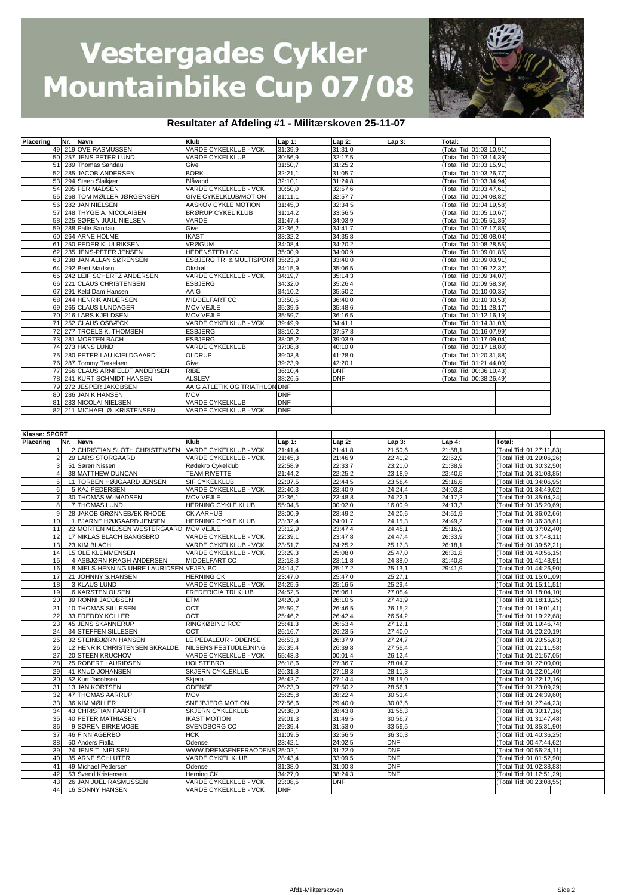

#### **Resultater af Afdeling #1 - Militærskoven 25-11-07**

| Placering        | Nr. Navn                                            | Klub                                           | Lap 1:                | Lap 2:     | $Lap3$ :   | Total:                   |                          |  |
|------------------|-----------------------------------------------------|------------------------------------------------|-----------------------|------------|------------|--------------------------|--------------------------|--|
|                  | 49 219 OVE RASMUSSEN                                | VARDE CYKELKLUB - VCK                          | 31:39,9               | 31:31,0    |            | (Total Tid: 01:03:10,91) |                          |  |
|                  | 50 257 JENS PETER LUND                              | VARDE CYKELKLUB                                | 30:56,9               | 32:17,5    |            | Total Tid: 01:03:14,39)  |                          |  |
|                  |                                                     |                                                |                       |            |            |                          |                          |  |
|                  | 51 289 Thomas Sandau                                | Give                                           | 31:50,7               | 31:25,2    |            | Total Tid: 01:03:15,91)  |                          |  |
| 52               | 285 JACOB ANDERSEN                                  | <b>BORK</b>                                    | 32:21,1               | 31:05,7    |            | (Total Tid: 01:03:26,77) |                          |  |
| 53               | 294 Steen Slaikjær                                  | Blåvand                                        | 32:10,1               | 31:24,8    |            | Total Tid: 01:03:34,94)  |                          |  |
| 54               | 205 PER MADSEN                                      | VARDE CYKELKLUB - VCK                          | 30:50,0               | 32:57,6    |            | (Total Tid: 01:03:47,61) |                          |  |
|                  |                                                     |                                                |                       |            |            |                          |                          |  |
|                  | 55 268 TOM MØLLER JØRGENSEN                         | GIVE CYKELKLUB/MOTION                          | 31:11,1               | 32:57,7    |            | (Total Tid: 01:04:08,82) |                          |  |
| 56               | 282 JAN NIELSEN                                     | AASKOV CYKLE MOTION                            | 31:45,0               | 32:34,5    |            | (Total Tid: 01:04:19,58) |                          |  |
|                  | 57 248 THYGE A. NICOLAISEN                          | <b>BRØRUP CYKEL KLUB</b>                       | 31:14,2               | 33:56,5    |            | (Total Tid: 01:05:10,67) |                          |  |
| 58               | 225 SØREN JUUL NIELSEN                              | VARDE                                          | 31:47,4               | 34:03,9    |            | (Total Tid: 01:05:51,36) |                          |  |
|                  |                                                     |                                                |                       |            |            |                          |                          |  |
| 59               | 288 Palle Sandau                                    | Give                                           | 32:36,2               | 34:41,7    |            | (Total Tid: 01:07:17,85) |                          |  |
| 60               | 264 ARNE HOLME                                      | <b>IKAST</b>                                   | 33:32,2               | 34:35,8    |            | (Total Tid: 01:08:08,04) |                          |  |
| 61               | 250 PEDER K. ULRIKSEN                               | <b>VRØGUM</b>                                  | 34:08,4               | 34:20,2    |            | (Total Tid: 01:08:28,55) |                          |  |
| 62               | 235 JENS-PETER JENSEN                               | HEDENSTED LCK                                  | 35:00,9               | 34:00,9    |            | (Total Tid: 01:09:01,85) |                          |  |
|                  | 238 JAN ALLAN SØRENSEN                              | ESBJERG TRI & MULTISPORT 35:23,9               |                       | 33:40,0    |            |                          |                          |  |
| 63               |                                                     |                                                |                       |            |            | (Total Tid: 01:09:03,91) |                          |  |
|                  | 64 292 Bent Madsen                                  | Oksbøl                                         | 34:15,9               | 35:06,5    |            | (Total Tid: 01:09:22,32) |                          |  |
| 65               | 242 LEIF SCHERTZ ANDERSEN                           | VARDE CYKELKLUB - VCK                          | 34:19,7               | 35:14,3    |            | (Total Tid: 01:09:34,07) |                          |  |
| 66               | 221 CLAUS CHRISTENSEN                               | <b>ESBJERG</b>                                 | 34:32,0               | 35:26,4    |            | (Total Tid: 01:09:58,39) |                          |  |
| 67               | 291 Keld Dam Hansen                                 | AAIG                                           | 34:10,2               | 35:50,2    |            | Total Tid: 01:10:00,35)  |                          |  |
|                  |                                                     |                                                |                       |            |            |                          |                          |  |
|                  | 68 244 HENRIK ANDERSEN                              | MIDDELFART CC                                  | 33:50,5               | 36:40,0    |            | (Total Tid: 01:10:30,53) |                          |  |
|                  | 69 265 CLAUS LUNDAGER                               | <b>MCV VEJLE</b>                               | 35:39,6               | 35:48,6    |            | (Total Tid: 01:11:28,17) |                          |  |
|                  | 70 216 LARS KJELDSEN                                | MCV VEJLE                                      | 35:59,7               | 36:16,5    |            | (Total Tid: 01:12:16,19) |                          |  |
| 71               | 252 CLAUS OSBÆCK                                    | VARDE CYKELKLUB - VCK                          | 39:49,9               | 34:41,1    |            | (Total Tid: 01:14:31,03) |                          |  |
|                  | 72 277 TROELS K. THOMSEN                            | ESBJERG                                        | 38:10,2               | 37:57,8    |            | (Total Tid: 01:16:07,99) |                          |  |
|                  |                                                     |                                                |                       |            |            |                          |                          |  |
| 73               | 281 MORTEN BACH                                     | ESBJERG                                        | 38:05,2               | 39:03,9    |            | (Total Tid: 01:17:09,04) |                          |  |
|                  | 74 273 HANS LUND                                    | VARDE CYKELKLUB                                | 37:08,8               | 40:10,0    |            | (Total Tid: 01:17:18,80) |                          |  |
| 75               | 280 PETER LAU KJELDGAARD                            | <b>OLDRUP</b>                                  | 39:03,8               | 41:28,0    |            | Total Tid: 01:20:31,88)  |                          |  |
|                  | 76 287 Tommy Terkelsen                              | Give                                           | 39:23,9               | 42:20,1    |            | Total Tid: 01:21:44,00)  |                          |  |
|                  |                                                     |                                                |                       |            |            |                          |                          |  |
| 77               | 256 CLAUS ARNFELDT ANDERSEN                         | <b>RIBE</b>                                    | 36:10,4               | <b>DNF</b> |            | Total Tid: 00:36:10,43)  |                          |  |
| 78               | 241 KURT SCHMIDT HANSEN                             | <b>ALSLEV</b>                                  | 38:26,5               | <b>DNF</b> |            | (Total Tid: 00:38:26,49) |                          |  |
| 79               | 272 JESPER JAKOBSEN                                 | AAIG ATLETIK OG TRIATHLON                      | <b>JDNF</b>           |            |            |                          |                          |  |
| 80               | 286 JAN K HANSEN                                    | <b>MCV</b>                                     | DNF                   |            |            |                          |                          |  |
|                  | 81 283 NICOLAI NIELSEN                              | VARDE CYKELKLUB                                | <b>DNF</b>            |            |            |                          |                          |  |
|                  |                                                     |                                                |                       |            |            |                          |                          |  |
|                  | 82 211 MICHAEL Ø. KRISTENSEN                        | VARDE CYKELKLUB - VCK                          | <b>DNF</b>            |            |            |                          |                          |  |
|                  |                                                     |                                                |                       |            |            |                          |                          |  |
|                  |                                                     |                                                |                       |            |            |                          |                          |  |
| Klasse: SPORT    |                                                     |                                                |                       |            |            |                          |                          |  |
|                  | Nr. Navn                                            | Klub                                           |                       |            |            |                          |                          |  |
| <b>Placering</b> |                                                     |                                                | Lap 1:                | Lap 2:     | $Lap3$ :   | Lap 4:                   | Total:                   |  |
|                  | 2 CHRISTIAN SLOTH CHRISTENSEN VARDE CYKELKLUB - VCK |                                                | 21:41,4               | 21:41,8    | 21:50,6    | 21:58,1                  | (Total Tid: 01:27:11,83) |  |
|                  | 29 LARS STORGAARD                                   | VARDE CYKELKLUB - VCK                          | 21:45,3               | 21:46,9    | 22:41,2    | 22:52,9                  | (Total Tid: 01:29:06,26) |  |
|                  |                                                     |                                                |                       |            |            |                          |                          |  |
| 3                |                                                     |                                                |                       |            |            |                          |                          |  |
|                  | 51 Søren Nissen                                     | Rødekro Cykelklub                              | 22:58,9               | 22:33,7    | 23:21,0    | 21:38,9                  | (Total Tid: 01:30:32,50) |  |
| 4                | 38 MATTHEW DUNCAN                                   | <b>TEAM RIVETTE</b>                            | 21:44,2               | 22:25,2    | 23:18,9    | 23:40,5                  | (Total Tid: 01:31:08,85) |  |
|                  | 11 TORBEN HØJGAARD JENSEN                           | <b>SIF CYKELKLUB</b>                           | 22:07,5               | 22:44,5    | 23:58,4    | 25:16,6                  | (Total Tid: 01:34:06,95) |  |
|                  | 5 KAJ PEDERSEN                                      | VARDE CYKELKLUB - VCK                          | 22:40,3               | 23:40,9    | 24:24,4    | 24:03,3                  | (Total Tid: 01:34:49,02) |  |
| 7                |                                                     |                                                |                       |            |            |                          |                          |  |
|                  | 30 THOMAS W. MADSEN                                 | MCV VEJLE                                      | 22:36,1               | 23:48,8    | 24:22,1    | 24:17,2                  | (Total Tid: 01:35:04,24) |  |
| 8                | 7 THOMAS LUND                                       | HERNING CYKLE KLUB                             | 55:04,5               | 00:02,0    | 16:00,9    | 24:13,3                  | (Total Tid: 01:35:20,69) |  |
| 9                | 28 JAKOB GRØNNEBÆK RHODE                            | <b>CK AARHUS</b>                               | 23:00,9               | 23:49,2    | 24:20,6    | 24:51,9                  | (Total Tid: 01:36:02,66) |  |
| 10               | 1 BJARNE HØJGAARD JENSEN                            | HERNING CYKLE KLUB                             | 23:32,4               | 24:01.7    | 24:15,3    | 24:49,2                  | (Total Tid: 01:36:38,61) |  |
|                  |                                                     |                                                |                       |            |            |                          |                          |  |
| 11               | 22 MORTEN MEJSEN WESTERGAARD MCV VEJLE              |                                                | 23:12,9               | 23:47,4    | 24:45,1    | 25:16,9                  | Total Tid: 01:37:02,40)  |  |
| 12               | 17 NIKLAS BLACH BANGSBRO                            | VARDE CYKELKLUB - VCK                          | 22:39,1               | 23:47,8    | 24:47.4    | 26:33,9                  | (Total Tid: 01:37:48,11) |  |
| 13               | 23 KIM BLACH                                        | VARDE CYKELKLUB - VCK                          | 23:51,7               | 24:25,2    | 25:17,3    | 26:18,1                  | Total Tid: 01:39:52,21)  |  |
| 14               | <b>15 OLE KLEMMENSEN</b>                            | VARDE CYKELKLUB - VCK                          | 23:29,3               | 25:08,0    | 25:47,0    | 26:31,8                  | Total Tid: 01:40:56,15)  |  |
| 15               | 4 ASBJØRN KRAGH ANDERSEN                            | MIDDELFART CC                                  | 22:18,3               | 23:11,8    | 24:38,0    | 31:40,8                  | Total Tid: 01:41:48,91)  |  |
| 16               |                                                     |                                                | 24:14,7               |            |            |                          |                          |  |
|                  | 8 NIELS-HENNING UHRE LAURIDSEN VEJEN BC             |                                                |                       | 25:17,2    | 25:13,1    | 29:41,9                  | Total Tid: 01:44:26,90)  |  |
| 17               | 21 JOHNNY S.HANSEN                                  | <b>HERNING CK</b>                              | 23:47,0               | 25:47,0    | 25:27,1    |                          | Total Tid: 01:15:01,09)  |  |
| 18               | 3 KLAUS LUND                                        | VARDE CYKELKLUB - VCK                          | 24:25,6               | 25:16,5    | 25:29,4    |                          | Total Tid: 01:15:11,51)  |  |
| 19               | 6 KARSTEN OLSEN                                     | FREDERICIA TRI KLUB                            | 24:52,5               | 26:06,1    | 27:05,4    |                          | Total Tid: 01:18:04,10)  |  |
| 20               | 39 RONNI JACOBSEN                                   | ETM                                            | 24:20,9               | 26:10,5    | 27:41,9    |                          | (Total Tid: 01:18:13,25) |  |
|                  |                                                     |                                                |                       |            |            |                          |                          |  |
| 21               | 10 THOMAS SILLESEN                                  | OCT                                            | 25:59,7               | 26:46,5    | 26:15,2    |                          | (Total Tid: 01:19:01,41) |  |
| 22               | 33 FREDDY KOLLER                                    | OCT                                            | 25:46,2               | 26:42,4    | 26:54,2    |                          | (Total Tid: 01:19:22,68) |  |
| 23               | 45 JENS SKANNERUP                                   | RINGKØBIND RCC                                 | 25:41,3               | 26:53,4    | 27:12,1    |                          | (Total Tid: 01:19:46,74) |  |
| 24               | 34 STEFFEN SILLESEN                                 | OCT                                            | 26:16,7               | 26:23,5    | 27:40,0    |                          | (Total Tid: 01:20:20,19) |  |
| 25               | 32 STEINBJØRN HANSEN                                | LE PEDALEUR - ODENSE                           | 26:53,3               | 26:37,9    | 27:24,7    |                          | (Total Tid: 01:20:55,83) |  |
|                  |                                                     |                                                |                       |            |            |                          |                          |  |
| 26               | 12 HENRIK CHRISTENSEN SKRALDE                       | NILSENS FESTUDLEJNING                          | 26:35,4               | 26:39,8    | 27:56,4    |                          | (Total Tid: 01:21:11,58) |  |
| 27               | 20 STEEN KRUCHOV                                    | VARDE CYKELKLUB - VCK                          | 55:43,3               | 00:01,4    | 26:12,4    |                          | (Total Tid: 01:21:57,05) |  |
| 28               | 25 ROBERT LAURIDSEN                                 | <b>HOLSTEBRO</b>                               | 26:18,6               | 27:36,7    | 28:04,7    |                          | (Total Tid: 01:22:00,00) |  |
| 29               | 41 KNUD JOHANSEN                                    | <b>SKJERN CYKLEKLUB</b>                        | 26:31,8               | 27:18,3    | 28:11,3    |                          | (Total Tid: 01:22:01,40) |  |
|                  |                                                     |                                                |                       |            |            |                          |                          |  |
| 30               | 52 Kurt Jacobsen                                    | Skjern                                         | 26:42,7               | 27:14,4    | 28:15,0    |                          | (Total Tid: 01:22:12,16) |  |
| 31               | 13 JAN KORTSEN                                      | <b>ODENSE</b>                                  | 26:23,0               | 27:50,2    | 28:56,1    |                          | (Total Tid: 01:23:09,29) |  |
| 32               | 47 THOMAS AARRUP                                    | <b>MCV</b>                                     | 25:25,8               | 28:22,4    | 30:51,4    |                          | (Total Tid: 01:24:39,60) |  |
| 33               | 36 KIM MØLLER                                       | SNEJBJERG MOTION                               | 27:56,6               | 29:40,0    | 30:07.6    |                          | (Total Tid: 01:27:44,23) |  |
|                  |                                                     |                                                |                       |            |            |                          |                          |  |
| 34               | 43 CHRISTIAN FAARTOFT                               | <b>SKJERN CYKLEKLUB</b>                        | 29:38,0               | 28:43,8    | 31:55,3    |                          | (Total Tid: 01:30:17,16) |  |
| 35               | <b>40 PETER MATHIASEN</b>                           | <b>IKAST MOTION</b>                            | 29:01,3               | 31:49,5    | 30:56,7    |                          | (Total Tid: 01:31:47,48) |  |
| 36               | 9 SØREN BIRKEMOSE                                   | SVENDBORG CC                                   | 29:39,4               | 31:53,0    | 33:59,5    |                          | (Total Tid: 01:35:31,90) |  |
| 37               | 46 FINN AGERBO                                      | <b>HCK</b>                                     | 31:09,5               | 32:56,5    | 36:30,3    |                          | (Total Tid: 01:40:36,25) |  |
| 38               | 50 Anders Fialla                                    | Odense                                         | 23:42,1               | 24:02,5    | <b>DNF</b> |                          | (Total Tid: 00:47:44,62) |  |
|                  |                                                     |                                                |                       |            |            |                          |                          |  |
| 39               | 24 JENS T. NIELSEN                                  | WWW.DRENGENEFRAODENSI25:02,1                   |                       | 31:22,0    | <b>DNF</b> |                          | (Total Tid: 00:56:24,11) |  |
| 40               | 35 ARNE SCHLÜTER                                    | VARDE CYKEL KLUB                               | 28:43,4               | 33:09,5    | <b>DNF</b> |                          | Total Tid: 01:01:52,90)  |  |
| 41               | 49 Michael Pedersen                                 | Odense                                         | 31:38,0               | 31:00,8    | <b>DNF</b> |                          | Total Tid: 01:02:38,83)  |  |
| 42               | 53 Svend Kristensen                                 | Herning CK                                     | 34:27,0               | 38:24,3    | <b>DNF</b> |                          | (Total Tid: 01:12:51,29) |  |
|                  |                                                     |                                                |                       |            |            |                          |                          |  |
| 43<br>44         | 26 JAN JUEL RASMUSSEN<br>16 SONNY HANSEN            | VARDE CYKELKLUB - VCK<br>VARDE CYKELKLUB - VCK | 23:08,5<br><b>DNF</b> | <b>DNF</b> |            |                          | (Total Tid: 00:23:08,55) |  |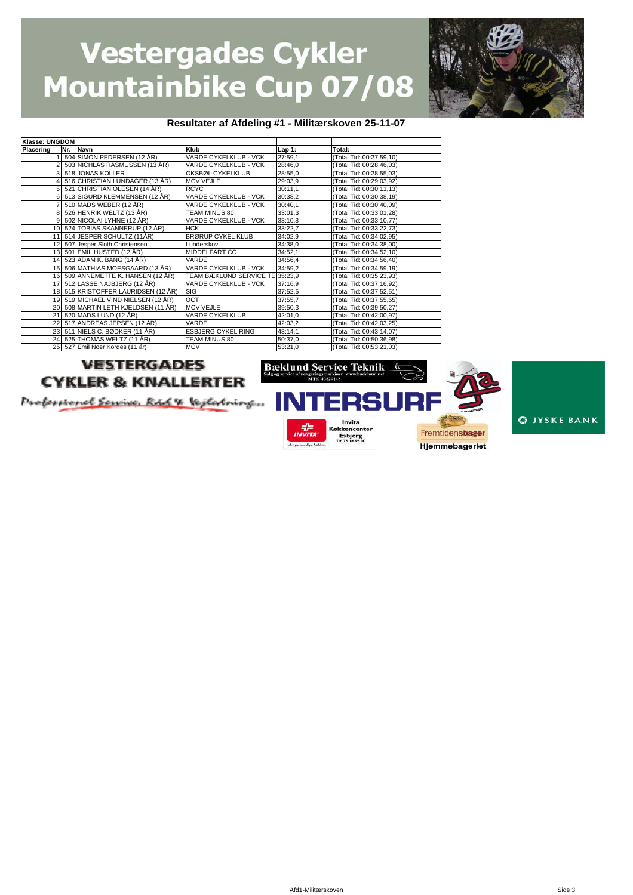

#### **Resultater af Afdeling #1 - Militærskoven 25-11-07**

| Klasse: UNGDOM |     |                                     |                                  |          |                          |
|----------------|-----|-------------------------------------|----------------------------------|----------|--------------------------|
| Placering      | Nr. | Navn                                | Klub                             | $Lap1$ : | Total:                   |
|                |     | 504 SIMON PEDERSEN (12 ÅR)          | VARDE CYKELKLUB - VCK            | 27:59,1  | (Total Tid: 00:27:59,10) |
|                |     | 503 NICHLAS RASMUSSEN (13 ÅR)       | VARDE CYKELKLUB - VCK            | 28:46,0  | (Total Tid: 00:28:46,03) |
|                |     | 518 JONAS KOLLER                    | OKSBØL CYKELKLUB                 | 28:55,0  | (Total Tid: 00:28:55,03) |
|                |     | 516 CHRISTIAN LUNDAGER (13 ÅR)      | <b>MCV VEJLE</b>                 | 29:03,9  | (Total Tid: 00:29:03,92) |
|                |     | 521 CHRISTIAN OLESEN (14 ÅR)        | <b>RCYC</b>                      | 30:11,1  | (Total Tid: 00:30:11,13) |
|                |     | 513 SIGURD KLEMMENSEN (12 ÅR)       | VARDE CYKELKLUB - VCK            | 30:38,2  | (Total Tid: 00:30:38,19) |
|                |     | 510 MADS WEBER (12 ÅR)              | VARDE CYKELKLUB - VCK            | 30:40,1  | (Total Tid: 00:30:40,09) |
|                |     | 526 HENRIK WELTZ (13 ÅR)            | TEAM MINUS 80                    | 33:01,3  | (Total Tid: 00:33:01,28) |
| 9              |     | 502 NICOLAI LYHNE (12 ÅR)           | VARDE CYKELKLUB - VCK            | 33:10,8  | (Total Tid: 00:33:10,77) |
| 10             |     | 524 TOBIAS SKANNERUP (12 ÅR)        | <b>HCK</b>                       | 33:22,7  | (Total Tid: 00:33:22,73) |
| 11             |     | 514 JESPER SCHULTZ (11ÅR)           | <b>BRØRUP CYKEL KLUB</b>         | 34:02,9  | (Total Tid: 00:34:02,95) |
| 12             |     | 507 Jesper Sloth Christensen        | Lunderskov                       | 34:38,0  | (Total Tid: 00:34:38,00) |
|                |     | 13 501 EMIL HUSTED (12 ÅR)          | <b>MIDDELFART CC</b>             | 34:52,1  | (Total Tid: 00:34:52,10) |
|                |     | 14 523 ADAM K. BANG (14 ÅR)         | VARDE                            | 34:56,4  | (Total Tid: 00:34:56,40) |
|                |     | 15 506 MATHIAS MOESGAARD (13 ÅR)    | VARDE CYKELKLUB - VCK            | 34:59,2  | (Total Tid: 00:34:59,19) |
| 16             |     | 509 ANNEMETTE K. HANSEN (12 ÅR)     | TEAM BÆKLUND SERVICE TEI 35:23,9 |          | (Total Tid: 00:35:23,93) |
| 17             |     | 512 LASSE NAJBJERG (12 ÅR)          | VARDE CYKELKLUB - VCK            | 37:16,9  | (Total Tid: 00:37:16,92) |
|                |     | 18 515 KRISTOFFER LAURIDSEN (12 ÅR) | <b>SIG</b>                       | 37:52,5  | (Total Tid: 00:37:52,51) |
|                |     | 19 519 MICHAEL VIND NIELSEN (12 ÅR) | OCT                              | 37:55,7  | (Total Tid: 00:37:55,65) |
|                |     | 20 508 MARTIN LETH KJELDSEN (11 ÅR) | <b>MCV VEJLE</b>                 | 39:50,3  | (Total Tid: 00:39:50,27) |
| 21             |     | 520 MADS LUND (12 ÅR)               | <b>VARDE CYKELKLUB</b>           | 42:01,0  | (Total Tid: 00:42:00,97) |
| 22             |     | 517 ANDREAS JEPSEN (12 ÅR)          | VARDE                            | 42:03,2  | (Total Tid: 00:42:03,25) |
| 23             |     | 511 NIELS C. BØDKER (11 ÅR)         | <b>ESBJERG CYKEL RING</b>        | 43:14,1  | (Total Tid: 00:43:14,07) |
| 24             |     | 525 THOMAS WELTZ (11 ÅR)            | TEAM MINUS 80                    | 50:37,0  | (Total Tid: 00:50:36,98) |
|                |     | 25 527 Emil Noer Kordes (11 år)     | <b>MCV</b>                       | 53:21,0  | (Total Tid: 00:53:21,03) |

#### **VESTERGADES CYKLER & KNALLERTER**

Proformond Scrive, R&S & Vegletoing...



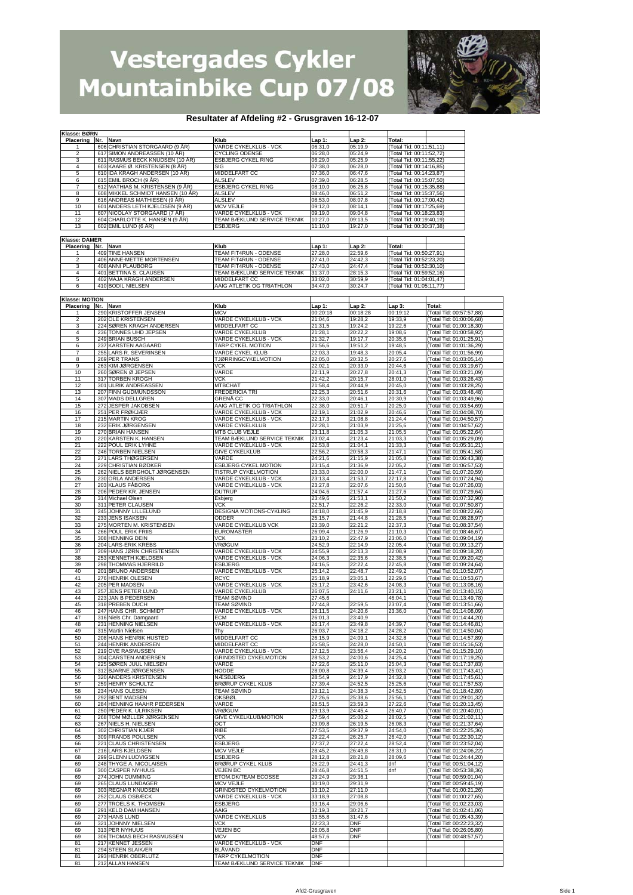

#### **Resultater af Afdeling #2 - Grusgraven 16-12-07**

| Klasse: BØRN                       |            |                                                                   |                                                      |                          |                    |                                                      |                                                      |  |
|------------------------------------|------------|-------------------------------------------------------------------|------------------------------------------------------|--------------------------|--------------------|------------------------------------------------------|------------------------------------------------------|--|
| Placering                          | Nr.<br>606 | Navn<br>CHRISTIAN STORGAARD (9 AR)                                | Klub<br>VARDE CYKELKLUB - VCK                        | Lap 1:<br>06:31,0        | Lap 2:<br>05:19,9  | Total:<br>(Total Tid: 00:11:51,11)                   |                                                      |  |
| 2                                  | 617        | SIMON ANDREASSEN (10 AR)                                          | <b>CYCLING ODENSE</b>                                | 06:28,0                  | 05:24,9            | Total Tid: 00:11:52,72)                              |                                                      |  |
| 3                                  | 611        | RASMUS BECK KNUDSEN (10 AR)                                       | <b>ESBJERG CYKEL RING</b>                            | 06:29,0                  | 05:25,9            | Total Tid: 00:11:55,22)                              |                                                      |  |
| 4<br>5                             | 603        | KAARE Ø. KRISTENSEN (8 ÅR)<br>610 IDA KRAGH ANDERSEN (10 ÅR)      | SIG<br>MIDDELFART CC                                 | 07:38,0<br>07:36,0       | 06:28,0<br>06:47.6 | (Total Tid: 00:14:16,85)<br>(Total Tid: 00:14:23,87) |                                                      |  |
| 6                                  | 615        | EMIL BROCH (9 ÅR)                                                 | <b>ALSLEV</b>                                        | 07:39,0                  | 06:28,5            | (Total Tid: 00:15:07,50)                             |                                                      |  |
| 7<br>8                             | 612        | MATHIAS M. KRISTENSEN (9 AR)<br>608 MIKKEL SCHMIDT HANSEN (10 ÅR) | <b>ESBJERG CYKEL RING</b><br>ALSLEV                  | 08:10,0<br>08:46,0       | 06:25,8<br>06:51,2 | (Total Tid: 00:15:35,88)<br>(Total Tid: 00:15:37,56) |                                                      |  |
| 9                                  |            | 616 ANDREAS MATHIESEN (9 ÅR)                                      | <b>ALSLEV</b>                                        | 08:53,0                  | 08:07,8            | (Total Tid: 00:17:00,42)                             |                                                      |  |
| 10                                 | 601        | ANDERS LETH KJELDSEN (9 AR)                                       | <b>MCV VEJLE</b>                                     | 09:12,0                  | 08:14,1            | (Total Tid: 00:17:25,69)                             |                                                      |  |
| 11<br>12                           |            | 607 NICOLAY STORGAARD (7 ÅR)<br>604 CHARLOTTE K. HANSEN (9 ÅR)    | VARDE CYKELKLUB - VCK<br>TEAM BÆKLUND SERVICE TEKNIK | 09:19,0<br>10:27,0       | 09:04.8<br>09:13,5 | (Total Tid: 00:18:23,83)<br>(Total Tid: 00:19:40,19) |                                                      |  |
| 13                                 |            | 602 EMIL LUND (6 ÅR)                                              | <b>ESBJERG</b>                                       | 11:10,0                  | 19:27,0            | (Total Tid: 00:30:37,38)                             |                                                      |  |
| Klasse: DAMER                      |            |                                                                   |                                                      |                          |                    |                                                      |                                                      |  |
| Placering                          | Nr.        | Navn                                                              | Klub                                                 | Lap 1:                   | Lap 2:             | Total:                                               |                                                      |  |
| 1                                  | 409        | <b>TINE HANSEN</b>                                                | TEAM FIT4RUN - ODENSE<br>TEAM FIT4RUN - ODENSE       | 27:28.0                  | 22:59,6<br>24:42,3 | (Total Tid: 00:50:27,91)                             |                                                      |  |
| $\overline{2}$<br>3                | 408        | 406 ANNE-METTE MORTENSEN<br>ANNI PLAUBORG                         | <b>TEAM FIT4RUN - ODENSE</b>                         | 27:41,0<br>27:43,0       | 24:47,4            | (Total Tid: 00:52:23,20)<br>(Total Tid: 00:52:30,10) |                                                      |  |
| $\overline{4}$                     |            | 401 BETTINA S. CLAUSEN                                            | TEAM BÆKLUND SERVICE TEKNIK                          | 31:37,0                  | 28:15,3            | (Total Tid: 00:59:52,16)                             |                                                      |  |
| 5<br>6                             |            | 402 MAJA KRAGH ANDERSEN<br>410 BODIL NIELSEN                      | MIDDELFART CC<br>AAIG ATLETIK OG TRIATHLON           | 33:02,0<br>34:47,0       | 30:59,9<br>30:24,7 | (Total Tid: 01:04:01,47)<br>(Total Tid: 01:05:11,77) |                                                      |  |
|                                    |            |                                                                   |                                                      |                          |                    |                                                      |                                                      |  |
| <b>Klasse: MOTION</b><br>Placering | Nr.        | Navn                                                              | Klub                                                 | Lap 1:                   | Lap 2:             | Lap 3:                                               | Total:                                               |  |
|                                    |            | 290 KRISTOFFER JENSEN                                             | <b>MCV</b>                                           | 00:20:18                 | 00:18:28           | 00:19:12                                             | (Total Tid: 00:57:57,88)                             |  |
| 2<br>3                             | 224        | 202 OLE KRISTENSEN<br>SØREN KRAGH ANDERSEN                        | VARDE CYKELKLUB - VCK<br>MIDDELFART CC               | 21:04,6<br>21:31,5       | 19:28,2<br>19:24,2 | 19:33,9<br>19:22,6                                   | (Total Tid: 01:00:06,68)<br>Total Tid: 01:00:18,30)  |  |
| $\overline{4}$                     | 236        | TONNES UHD JEPSEN                                                 | VARDE CYKELKLUB                                      | 21:28,1                  | 20:22,2            | 19:08.6                                              | Total Tid: 01:00:58,92)                              |  |
| 5                                  |            | 249 BRIAN BUSCH                                                   | VARDE CYKELKLUB - VCK                                | 21:32.7                  | 19:17,7            | 20:35,6                                              | Total Tid: 01:01:25,91)                              |  |
| 6<br>7                             | 237<br>255 | KARSTEN AAGAARD<br>LARS R. SEVERINSEN                             | TARP CYKEL MOTION<br>VARDE CYKEL KLUB                | 21:56,6<br>22:03,3       | 19:51,2<br>19:48,3 | 19:48,5<br>20:05,4                                   | Total Tid: 01:01:36,29)<br>Total Tid: 01:01:56,99)   |  |
| 8                                  |            | 269 PER TRANS                                                     | <b>TJØRRINGCYKELMOTION</b>                           | 22:05,0                  | 20:32,5            | 20:27,6                                              | Total Tid: 01:03:05,14)                              |  |
| 9<br>10                            |            | 263 KIM JØRGENSEN<br>260 SØREN Ø JEPSEN                           | <b>VCK</b><br>VARDE                                  | 22:02,1<br>22:11,9       | 20:33,0<br>20:27,8 | 20:44,6<br>20:41,3                                   | Total Tid: 01:03:19,67)<br>Total Tid: 01:03:21,09)   |  |
| 11                                 |            | 317 TORBEN KROGH                                                  | <b>VCK</b>                                           | 21:42,2                  | 20:15,7            | 28:01.0                                              | Total Tid: 01:03:26,43)                              |  |
| 12                                 | 301        | <b>ULRIK ANDREASSEN</b>                                           | <b>MTBCHAT</b>                                       | 21:58,4                  | 20:44,9            | 20:45,0                                              | Total Tid: 01:03:28,25)                              |  |
| 13<br>14                           | 207<br>307 | FINN GUDMUNDSSON<br><b>MADS DELLGREN</b>                          | <b>FREDERICIA TRI</b><br><b>GRENĂ CC</b>             | 22:25,3<br>22:33,0       | 20:51,6<br>20:46,1 | 20:31,6<br>20:30,9                                   | (Total Tid: 01:03:48,48)<br>(Total Tid: 01:03:49,96) |  |
| 15                                 | 272        | JESPER JAKOBSEN                                                   | AAIG ATLETIK OG TRIATHLON                            | 22:38,0                  | 20:51,7            | 20:25.0                                              | Total Tid: 01:03:54,69)                              |  |
| 16<br>17                           | 251<br>215 | PER FRØKJÆR<br><b>MARTIN KROG</b>                                 | VARDE CYKELKLUB - VCK<br>VARDE CYKELKLUB - VCK       | 22:19,1<br>22:17,3       | 21:02,9<br>21:08.8 | 20:46,6<br>21:24,4                                   | Total Tid: 01:04:08,70)<br>Total Tid: 01:04:50,57)   |  |
| 18                                 | 232        | ERIK JØRGENSEN                                                    | VARDE CYKELKLUB                                      | 22:28,1                  | 21:03,9            | 21:25,6                                              | Total Tid: 01:04:57,62)                              |  |
| 19                                 | 270        | <b>BRIAN HANSEN</b>                                               | MTB CLUB VEJLE                                       | 23:11,8                  | 21:05,3            | 21:05,5                                              | Total Tid: 01:05:22,64)                              |  |
| 20<br>21                           | 222        | 220 KARSTEN K. HANSEN<br>POUL ERIK LYHNE                          | TEAM BÆKLUND SERVICE TEKNIK<br>VARDE CYKELKLUB - VCK | 23:02,4<br>22:53,8       | 21:23,4<br>21:04,1 | 21:03,3<br>21:33,3                                   | Total Tid: 01:05:29,09)<br>(Total Tid: 01:05:31,21)  |  |
| 22                                 |            | 246 TORBEN NIELSEN                                                | <b>GIVE CYKELKLUB</b>                                | 22:56,2                  | 20:58,3            | 21:47,1                                              | (Total Tid: 01:05:41,58)                             |  |
| 23<br>24                           | 271<br>229 | <b>LARS THØGERSEN</b><br><b>CHRISTIAN BØDKER</b>                  | VARDE<br><b>ESBJERG CYKEL MOTION</b>                 | 24:21,6<br>23:15,4       | 21:15,9<br>21:36,9 | 21:05.8<br>22:05,2                                   | Total Tid: 01:06:43,38)<br>Total Tid: 01:06:57,53)   |  |
| 25                                 | 262        | NIELS BERGHOLT JØRGENSEN                                          | TISTRUP CYKELMOTION                                  | 23:33,0                  | 22:00,0            | 21:47,1                                              | Total Tid: 01:07:20,59)                              |  |
| 26<br>27                           |            | 230 ORLA ANDERSEN<br>203 KLAUS FABORG                             | VARDE CYKELKLUB - VCK<br>VARDE CYKELKLUB - VCK       | 23:13,4<br>23:27,8       | 21:53,7<br>22:07,6 | 22:17,8<br>21:50,6                                   | Total Tid: 01:07:24,94)<br>(Total Tid: 01:07:26,03)  |  |
| 28                                 |            | 206 PEDER KR. JENSEN                                              | OUTRUP                                               | 24:04.6                  | 21:57,4            | 21:27,6                                              | Total Tid: 01:07:29,64)                              |  |
| 29<br>30                           | 311        | 314 Michael Olsen<br>PETER CLAUSEN                                | Esbjerg<br><b>VCK</b>                                | 23:49,6<br>22:51,7       | 21:53,1<br>22:26.2 | 21:50,2<br>22:33,0                                   | Total Tid: 01:07:32,90)<br>Total Tid: 01:07:50,87)   |  |
| 31                                 | 245        | JOHNNY LILLELUND                                                  | DESIGNA MOTIONS-CYKLING                              | 24:18,0                  | 21:45,9            | 22:18,8                                              | Total Tid: 01:08:22,66)                              |  |
| 32<br>33                           |            | 233 JENS ISAKSEN<br>275 MORTEN M. KRISTENSEN                      | <b>ODDER</b><br>VARDE CYKELKLUB VCK                  | 25:15,7<br>23:39,0       | 21:44,8<br>22:21,2 | 21:28,5<br>22:37,3                                   | Total Tid: 01:08:28,97)<br>(Total Tid: 01:08:37,54)  |  |
| 34                                 |            | 266 POUL ERIK FRIIS                                               | <b>EUROMASTER</b>                                    | 26:09,4                  | 21:26,9            | 21:10,3                                              | Total Tid: 01:08:46,67)                              |  |
| 35                                 |            | 308 HENNING DEIN                                                  | <b>VCK</b>                                           | 23:10,2                  | 22:47,9            | 23:06,0                                              | Total Tid: 01:09:04,19)                              |  |
| 36<br>37                           |            | 204 LARS-ERIK KREBS<br>209 HANS JØRN CHRISTENSEN                  | <b>VRØGUM</b><br>VARDE CYKELKLUB - VCK               | 24:52,9<br>24:55,9       | 22:14,9<br>22:13,3 | 22:05,4<br>22:08,9                                   | Total Tid: 01:09:13,27)<br>Total Tid: 01:09:18,20)   |  |
| 38                                 |            | 253 KENNETH KJELDSEN                                              | VARDE CYKELKLUB - VCK                                | 24:06,3                  | 22:35,6            | 22:38,5                                              | (Total Tid: 01:09:20,42)                             |  |
| 39<br>40                           | 298<br>201 | <b>THOMMAS HJERRILD</b><br><b>BRUNO ANDERSEN</b>                  | <b>ESBJERG</b><br>VARDE CYKELKLUB - VCK              | 24:16,5<br>25:14,2       | 22:22,4<br>22:48,7 | 22:45,8<br>22:49,2                                   | (Total Tid: 01:09:24,64)<br>Total Tid: 01:10:52,07)  |  |
| 41                                 | 276        | <b>HENRIK OLESEN</b>                                              | <b>RCYC</b>                                          | 25:18,9                  | 23:05,1            | 22:29,6                                              | Total Tid: 01:10:53,67)                              |  |
| 42<br>43                           | 205<br>257 | PER MADSEN<br>JENS PETER LUND                                     | VARDE CYKELKLUB - VCK<br><b>VARDE CYKELKLUB</b>      | 25:17,2<br>26:07,5       | 23:42,6<br>24:11,6 | 24:08.3<br>23:21,1                                   | Total Tid: 01:13:08,16)<br>Total Tid: 01:13:40,15)   |  |
| 44                                 | 223        | <b>JAN B PEDERSEN</b>                                             | TEAM SØVIND                                          | 27:45,6                  |                    | 46:04,1                                              | (Total Tid: 01:13:49,78)                             |  |
| 45                                 |            | 318 PREBEN DUCH                                                   | <b>TEAM SØVIND</b>                                   | 27:44,8                  | 22:59,5            | 23:07,4                                              | (Total Tid: 01:13:51,66)                             |  |
| 46<br>47                           |            | 247 HANS CHR. SCHMIDT<br>316 Niels Chr. Damgaard                  | VARDE CYKELKLUB - VCK<br><b>ECM</b>                  | 26:11,5<br>26:01,3       | 24:20,6<br>23:40,9 | 23:36,0                                              | (Total Tid: 01:14:08,09)<br>(Total Tid: 01:14:44,20) |  |
| 48                                 |            | 231 HENNING NIELSEN                                               | VARDE CYKELKLUB - VCK                                | 26:17,4                  | 23:49.8            | 24:39,7                                              | (Total Tid: 01:14:46.81)                             |  |
| 49<br>50                           |            | 315 Martin Nielsen<br>208 HANS HENRIK HUSTED                      | Thy<br>MIDDELFART CC                                 | 26:03,7<br>26:15,9       | 24:18,2<br>24:09,1 | 24:28.2<br>24:32,8                                   | Total Tid: 01:14:50,04)<br>Total Tid: 01:14:57,89)   |  |
| 51                                 |            | 244 HENRIK ANDERSEN                                               | MIDDELFART CC                                        | 25:58,5                  | 24:28,0            | 24:50,1                                              | (Total Tid: 01:15:16,53)                             |  |
| 52<br>53                           |            | 219 OVE RASMUSSEN<br>304 CARSTEN ANDERSEN                         | VARDE CYKELKLUB - VCK<br>GRINDSTED CYKELMOTION       | 27:12,5<br>28:53,2       | 23:56,4<br>24:00,6 | 24:20.2<br>24:25,4                                   | (Total Tid: 01:15:29,10)<br>Total Tid: 01:17:19,25)  |  |
| 54                                 | 225        | SØREN JUUL NIELSEN                                                | VARDE                                                | 27:22,6                  | 25:11,0            | 25:04.3                                              | Total Tid: 01:17:37,83)                              |  |
| 55<br>56                           | 312<br>320 | <b>BJARNE JØRGENSEN</b><br>ANDERS KRISTENSEN                      | <b>HODDE</b><br>NÆSBJERG                             | 28:00,8<br>28:54,9       | 24:39,4<br>24:17,9 | 25:03,2<br>24:32,8                                   | Total Tid: 01:17:43,41)<br>Total Tid: 01:17:45,61)   |  |
| 57                                 |            | 259 HENRY SCHULTZ                                                 | <b>BRØRUP CYKEL KLUB</b>                             | 27:39,4                  | 24:52,5            | 25:25,6                                              | Total Tid: 01:17:57,53)                              |  |
| 58                                 |            | 234 HANS OLESEN                                                   | <b>TEAM SØVIND</b>                                   | 29:12,1                  | 24:38,3            | 24:52,5                                              | (Total Tid: 01:18:42,80)                             |  |
| 59<br>60                           |            | 292 BENT MADSEN<br>284 HENNING HAAHR PEDERSEN                     | <b>OKSBØL</b><br>VARDE                               | 27:26,6<br>28:51,5       | 25:38,6<br>23:59,3 | 25:56,1<br>27:22,6                                   | (Total Tid: 01:29:01,32)<br>Total Tid: 01:20:13,45)  |  |
| 61                                 |            | 250 PEDER K. ULRIKSEN                                             | <b>VRØGUM</b>                                        | 29:13,9                  | 24:45,4            | 26:40,7                                              | Total Tid: 01:20:40.01                               |  |
| 62<br>63                           |            | 268 TOM MØLLER JØRGENSEN<br>267 NIELS H. NIELSEN                  | <b>GIVE CYKELKLUB/MOTION</b><br>OCT                  | 27:59,4<br>29:09,8       | 25:00,2<br>26:19,5 | 28:02,5<br>26:08,3                                   | Total Tid: 01:21:02,11)<br>(Total Tid: 01:21:37,64)  |  |
| 64                                 |            | 302 CHRISTIAN KJÆR                                                | <b>RIBE</b>                                          | 27:53,5                  | 29:37,9            | 24:54,0                                              | (Total Tid: 01:22:25,36)                             |  |
| 65<br>66                           | 309<br>221 | FRANDS POULSEN<br><b>CLAUS CHRISTENSEN</b>                        | <b>VCK</b><br><b>ESBJERG</b>                         | 29:22,4<br>27:37,2       | 26:25,7<br>27:22,4 | 26:42,0<br>28:52,4                                   | (Total Tid: 01:22:30,12)<br>Total Tid: 01:23:52,04)  |  |
| 67                                 |            | 216 LARS KJELDSEN                                                 | <b>MCV VEJLE</b>                                     | 28:45,2                  | 26:49,8            | 28:31,0                                              | Total Tid: 01:24:06,22)                              |  |
| 68                                 | 299        | <b>GLENN LUDVIGSEN</b>                                            | <b>ESBJERG</b>                                       | 28:12,8                  | 28:21,8            | 28:09,6                                              | Total Tid: 01:24:44,20)                              |  |
| 69<br>69                           |            | 248 THYGE A. NICOLAISEN<br>300 CASPER NYHUUS                      | <b>BRØRUP CYKEL KLUB</b><br><b>VEJEN BC</b>          | 26:22,9<br>28:46,8       | 24:41,3<br>24:51,5 | dnf<br>dnf                                           | (Total Tid: 00:51:04,12)<br>Total Tid: 00:53:38,36)  |  |
| 69                                 |            | 274 JOHN CUMMING                                                  | ETOM.DK/TEAM ECOSSE                                  | 29:24,9                  | 29:36,1            |                                                      | (Total Tid: 00:59:01,04)                             |  |
| 69<br>69                           | 265        | <b>CLAUS LUNDAGER</b><br>303 REGNAR KNUDSEN                       | <b>MCV VEJLE</b><br><b>GRINDSTED CYKELMOTION</b>     | 30:19,0<br>33:10,2       | 29:31,9<br>27:11,0 |                                                      | (Total Tid: 00:59:45,19)<br>Total Tid: 01:00:21,26)  |  |
| 69                                 | 252        | <b>CLAUS OSBÆCK</b>                                               | VARDE CYKELKLUB - VCK                                | 33:18,9                  | 27:08,8            |                                                      | Total Tid: 01:00:27,65)                              |  |
| 69<br>69                           | 277        | TROELS K. THOMSEN<br>291 KELD DAM HANSEN                          | <b>ESBJERG</b><br>AAIG                               | 33:16,4<br>32:19,3       | 29:06,6<br>30:21,7 |                                                      | (Total Tid: 01:02:23,03)<br>(Total Tid: 01:02:41,06) |  |
| 69                                 |            | 273 HANS LUND                                                     | VARDE CYKELKLUB                                      | 33:55,8                  | 31:47,6            |                                                      | Total Tid: 01:05:43,39)                              |  |
| 69<br>69                           | 321        | JOHNNY NIELSEN<br>313 PER NYHUUS                                  | VCK.<br><b>VEJEN BC</b>                              | 22:23,3<br>26:05,8       | DNF<br><b>DNF</b>  |                                                      | Total Tid: 00:22:23,32)<br>Total Tid: 00:26:05,80)   |  |
| 69                                 |            | 306 THOMAS BECH RASMUSSEN                                         | <b>MCV</b>                                           | 48:57,6                  | <b>DNF</b>         |                                                      | Total Tid: 00:48:57,57)                              |  |
| 81                                 |            | 217 KENNET JESSEN                                                 | VARDE CYKELKLUB - VCK                                | <b>DNF</b>               |                    |                                                      |                                                      |  |
| 81<br>81                           |            | 294 STEEN SLAIKÆR<br>293 HENRIK OBERLÜTZ                          | BLÄVAND<br><b>TARP CYKELMOTION</b>                   | <b>DNF</b><br><b>DNF</b> |                    |                                                      |                                                      |  |
| 81                                 |            | 212 ALLAN HANSEN                                                  | TEAM BÆKLUND SERVICE TEKNIK                          | <b>DNF</b>               |                    |                                                      |                                                      |  |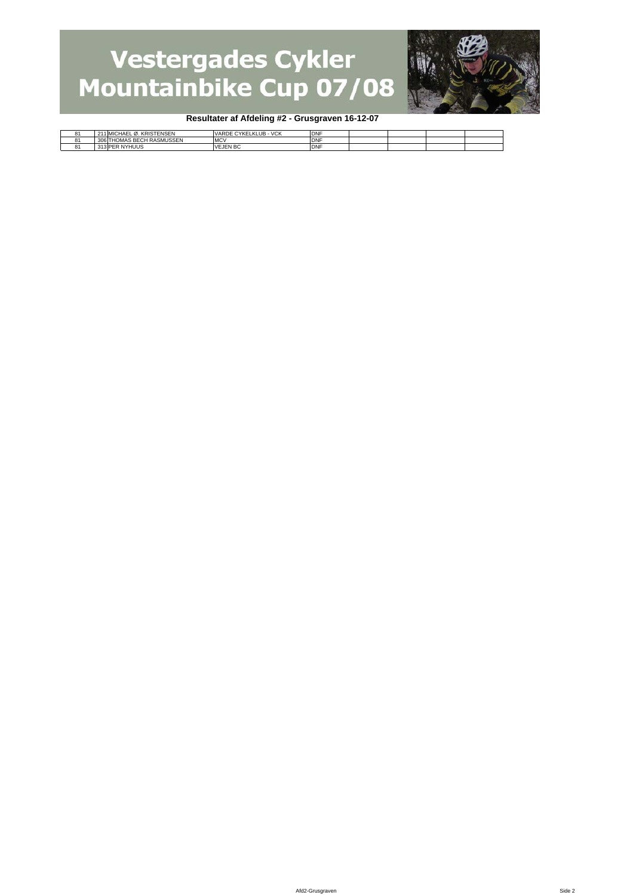

#### **Resultater af Afdeling #2 - Grusgraven 16-12-07**

| HOMAS BECH RASMUSSEN<br>MC <sup>\</sup><br><b>DNF</b><br>$306^\circ$<br>13 PER NYHUUS<br>'EJEN BC<br><b>DNF</b><br>VF.<br>ິ | n, | 1 MICHAEL Ø. KRISTENSEN | <b>VCK</b><br>CYKELKLUB-1<br>VARDE | <b>DNF</b> |  |  |
|-----------------------------------------------------------------------------------------------------------------------------|----|-------------------------|------------------------------------|------------|--|--|
|                                                                                                                             |    |                         |                                    |            |  |  |
|                                                                                                                             |    |                         |                                    |            |  |  |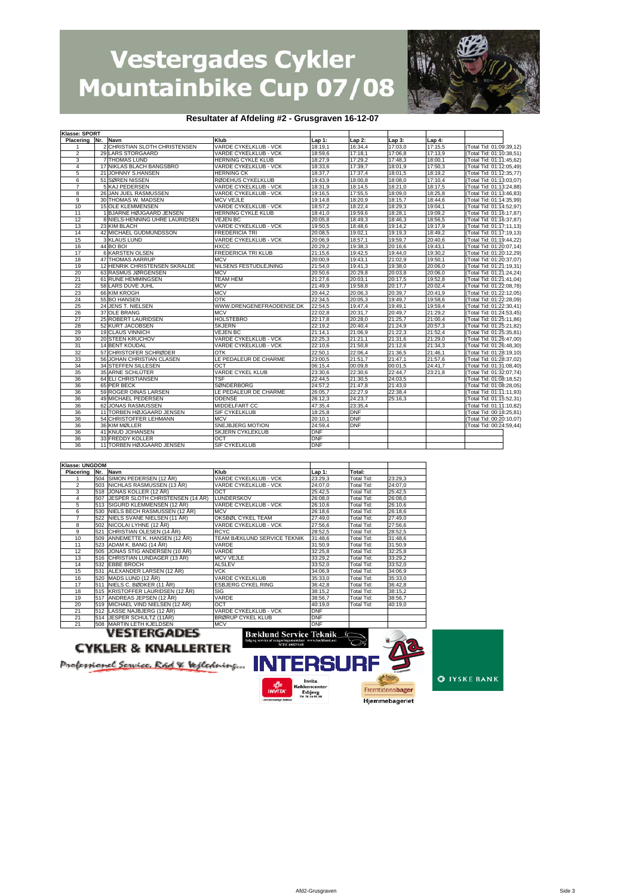

#### **Resultater af Afdeling #2 - Grusgraven 16-12-07**

| Klasse: SPORT      |                                |                              |            |            |         |          |                          |
|--------------------|--------------------------------|------------------------------|------------|------------|---------|----------|--------------------------|
| Placering Nr. Navn |                                | Klub                         | Lap 1:     | Lap 2:     | Lap 3:  | Lap $4:$ |                          |
|                    | 2 CHRISTIAN SLOTH CHRISTENSEN  | VARDE CYKELKLUB - VCK        | 18:19,1    | 16:34,4    | 17:03,0 | 17:15,5  | (Total Tid: 01:09:39,12) |
| $\overline{2}$     | 29 LARS STORGAARD              | VARDE CYKELKLUB - VCK        | 18:59.6    | 17:18.1    | 17:06.8 | 17:13,9  | (Total Tid: 01:10:38,51) |
| 3                  | <b>7 THOMAS LUND</b>           | <b>HERNING CYKLE KLUB</b>    | 18:27,9    | 17:29,2    | 17:48,3 | 18:00,1  | (Total Tid: 01:11:45,62) |
| 4                  | 17 NIKLAS BLACH BANGSBRO       | VARDE CYKELKLUB - VCK        | 18:33,6    | 17:39,7    | 18:01,9 | 17:50,3  | (Total Tid: 01:12:05,49) |
| 5                  | 21 JOHNNY S.HANSEN             | <b>HERNING CK</b>            | 18:37,7    | 17:37,4    | 18:01,5 | 18:19,2  | (Total Tid: 01:12:35,77) |
| 6                  | 51 SØREN NISSEN                | RØDEHUS CYKELKLUB            | 19:43.9    | 18:00,8    | 18:08,0 | 17:10,4  | (Total Tid: 01:13:03,07) |
| 7                  | 5 KAJ PEDERSEN                 | VARDE CYKELKLUB - VCK        | 18:31,9    | 18:14,5    | 18:21,0 | 18:17,5  | (Total Tid: 01:13:24,88) |
| 8                  | 26 JAN JUEL RASMUSSEN          | VARDE CYKELKLUB - VCK        | 19:16,5    | 17:55,5    | 18:09,0 | 18:25,8  | (Total Tid: 01:13:46,83) |
| 9                  | 30 THOMAS W. MADSEN            | <b>MCV VEJLE</b>             | 19:14,8    | 18:20,9    | 18:15,7 | 18:44,6  | (Total Tid: 01:14:35,99) |
| 10                 | <b>15 OLE KLEMMENSEN</b>       | <b>VARDE CYKELKLUB - VCK</b> | 18:57,2    | 18:22,4    | 18:29,3 | 19:04,1  | (Total Tid: 01:14:52,97) |
| 11                 | 1 BJARNE HØJGAARD JENSEN       | <b>HERNING CYKLE KLUB</b>    | 18:41,0    | 19:59,6    | 18:28.1 | 19:09,2  | (Total Tid: 01:16:17,87) |
| 12                 | 8 NIELS-HENNING UHRE LAURIDSEN | <b>VEJEN BC</b>              | 20:05,8    | 18:49,3    | 18:46,3 | 18:56,5  | (Total Tid: 01:16:37,87) |
| 13                 | 23 KIM BLACH                   | VARDE CYKELKLUB - VCK        | 19:50.5    | 18:48,6    | 19:14,2 | 19:17,9  | (Total Tid: 01:17:11,13) |
| 14                 | 42 MICHAEL GUDMUNDSSON         | <b>FREDERICIA TRI</b>        | 20:08.5    | 19:02.1    | 19:19.3 | 18:49,2  | (Total Tid: 01:17:19,13) |
| 15                 | 3 KLAUS LUND                   | VARDE CYKELKLUB - VCK        | 20:06,9    | 18:57,1    | 19:59,7 | 20:40,6  | (Total Tid: 01:19:44,22) |
| 16                 | 44 BO BOI                      | <b>HXCC</b>                  | 20:29,2    | 19:38,3    | 20:16,6 | 19:43,1  | (Total Tid: 01:20:07,14) |
| 17                 | <b>6 KARSTEN OLSEN</b>         | FREDERICIA TRI KLUB          | 21:15,6    | 19:42,5    | 19:44,0 | 19:30,2  | (Total Tid: 01:20:12,29) |
| 18                 | <b>47 THOMAS AARRUP</b>        | <b>MCV</b>                   | 20:00.9    | 19:43.1    | 21:02.9 | 19:50,1  | (Total Tid: 01:20:37,07) |
| 19                 | 12 HENRIK CHRISTENSEN SKRALDE  | NILSENS FESTUDLEJNING        | 21:54.0    | 19:41,3    | 19:38,0 | 20:06,0  | (Total Tid: 01:21:19,31) |
| 20                 | 63 RASMUS JØRGENSEN            | <b>MCV</b>                   | 20:50,6    | 20:29.8    | 20:03.8 | 20:06,0  | (Total Tid: 01:21:24,24) |
| 21                 | 61 RUNE HEMMINGSEN             | TEAM HEM                     | 21:27,6    | 20:03,1    | 20:17,5 | 19:52,8  | (Total Tid: 01:21:41,04) |
| 22                 | 58 LARS DUVE JUHL              | <b>MCV</b>                   | 21:49.9    | 19:58.8    | 20:17.7 | 20:02,4  | (Total Tid: 01:22:08,78) |
| 23                 | 66 KIM KROGH                   | <b>MCV</b>                   | 20:44,2    | 20:06,3    | 20:39,7 | 20:41,9  | (Total Tid: 01:22:12,05) |
| 24                 | 55 BO HANSEN                   | OTK                          | 22:34.5    | 20:05.3    | 19:49.7 | 19:58.6  | (Total Tid: 01:22:28,09) |
| 25                 | 24 JENS T. NIELSEN             | WWW.DRENGENEFRAODENSE.DK     | 22:54,5    | 19:47,4    | 19:49,1 | 19:59,4  | (Total Tid: 01:22:30,41) |
| 26                 | 37 OLE BRANG                   | <b>MCV</b>                   | 22:02.8    | 20:31.7    | 20:49.7 | 21:29,2  | (Total Tid: 01:24:53,45) |
| 27                 | <b>25 ROBERT LAURIDSEN</b>     | HOLSTEBRO                    | 22:17,8    | 20:28,0    | 21:25.7 | 21:00,4  | (Total Tid: 01:25:11,86) |
| 28                 | 52 KURT JACOBSEN               | <b>SKJERN</b>                | 22:19,2    | 20:40.4    | 21:24,9 | 20:57,3  | (Total Tid: 01:25:21,82) |
| 29                 | <b>19 CLAUS VINNICH</b>        | <b>VEJEN BC</b>              | 21:14.1    | 21:06,9    | 21:22.3 | 21:52,4  | (Total Tid: 01:25:35,81) |
| 30                 | <b>20 STEEN KRUCHOV</b>        | VARDE CYKELKLUB - VCK        | 22:25,3    | 21:21,1    | 21:31,6 | 21:29,0  | (Total Tid: 01:26:47,00) |
| 31                 | <b>14 BENT KOUDAL</b>          | VARDE CYKELKLUB - VCK        | 22:10.6    | 21:50.8    | 21:12,6 | 21:34,3  | (Total Tid: 01:26:48,30) |
| 32                 | 57 CHRISTOFER SCHRØDER         | <b>OTK</b>                   | 22:50.1    | 22:06.4    | 21:36,5 | 21:46,1  | (Total Tid: 01:28:19,10) |
| 33                 | 56 JOHAN CHRISTIAN CLASEN      | LE PEDALEUR DE CHARME        | 23:00.5    | 21:51.7    | 21:47.1 | 21:57.6  | (Total Tid: 01:28:37,02) |
| 34                 | 34 STEFFEN SILLESEN            | OCT                          | 06:15,4    | 00:09.8    | 00:01,5 | 24:41.7  | (Total Tid: 01:31:08,40) |
| 35                 | 35 ARNE SCHLÜTER               | VARDE CYKEL KLUB             | 23:30,6    | 22:30,6    | 22:44,7 | 23:21,8  | (Total Tid: 01:32:07,74) |
| 36                 | <b>64 ELI CHRISTIANSEN</b>     | TSF                          | 22:44,5    | 21:30,5    | 24:03,5 |          | (Total Tid: 01:08:18,52) |
| 36                 | 65 PER BECK                    | <b>SØNDERBORG</b>            | 24:57.2    | 21:47.8    | 21:43.0 |          | (Total Tid: 01:08:28,05) |
| 36                 | 59 ROGER OINAS LARSEN          | LE PEDALEUR DE CHARME        | 26:05,7    | 22:27,9    | 22:38,4 |          | (Total Tid: 01:11:11,93) |
| 36                 | 49 MICHAEL PEDERSEN            | <b>ODENSE</b>                | 26:12.3    | 24:23.7    | 25:16,3 |          | (Total Tid: 01:15:52,31) |
| 36                 | 62 JONAS RASMUSSEN             | MIDDELFART CC                | 47:35,4    | 23:35,4    |         |          | (Total Tid: 01:11:10.82) |
| 36                 | 11 TORBEN HØJGAARD JENSEN      | <b>SIF CYKELKLUB</b>         | 18:25,8    | <b>DNF</b> |         |          | (Total Tid: 00:18:25,81) |
| 36                 | 54 CHRISTOFFER LEHMANN         | <b>MCV</b>                   | 20:10.1    | <b>DNF</b> |         |          | (Total Tid: 00:20:10,07) |
| 36                 | 36 KIM MØLLER                  | SNEJBJERG MOTION             | 24:59.4    | <b>DNF</b> |         |          | (Total Tid: 00:24:59,44) |
| 36                 | 41 KNUD JOHANSEN               | <b>SKJERN CYKLEKLUB</b>      | <b>DNF</b> |            |         |          |                          |
| 36                 | 33 FREDDY KOLLER               | OCT                          | <b>DNF</b> |            |         |          |                          |
| 36                 | 11 TORBEN HØJGAARD JENSEN      | <b>SIF CYKELKLUB</b>         | <b>DNF</b> |            |         |          |                          |

| <b>Klasse: UNGDOM</b> |                                               |                                                                                                          |            |                   |         |
|-----------------------|-----------------------------------------------|----------------------------------------------------------------------------------------------------------|------------|-------------------|---------|
| Placering Nr. Navn    |                                               | Klub                                                                                                     | Lap 1:     | Total:            |         |
|                       | 504 SIMON PEDERSEN (12 ÅR)                    | VARDE CYKELKLUB - VCK                                                                                    | 23:29.3    | Total Tid:        | 23:29.3 |
| $\mathfrak{p}$        | 503 NICHLAS RASMUSSEN (13 AR)                 | VARDE CYKELKLUB - VCK                                                                                    | 24:07.0    | Total Tid:        | 24:07.0 |
| 3                     | 518 JONAS KOLLER (12 ÅR)                      | OCT                                                                                                      | 25:42.5    | Total Tid:        | 25:42.5 |
| 4                     | 507 JESPER SLOTH CHRISTENSEN (14 ÅR)          | <b>LUNDERSKOV</b>                                                                                        | 26:08,0    | Total Tid:        | 26:08.0 |
| 5                     | 513 SIGURD KLEMMENSEN (12 AR)                 | VARDE CYKELKLUB - VCK                                                                                    | 26:10.6    | Total Tid:        | 26:10.6 |
| 6                     | 530 NIELS BECH RASMUSSEN (12 ÅR)              | <b>MCV</b>                                                                                               | 26:18,6    | Total Tid:        | 26:18.6 |
|                       | 522 NIELS SVANE NIELSEN (11 ÅR)               | OKSBØL CYKEL TEAM                                                                                        | 27:49.0    | Total Tid:        | 27:49.0 |
| 8                     | 502 NICOLAI LYHNE (12 AR)                     | VARDE CYKELKLUB - VCK                                                                                    | 27:56.6    | Total Tid:        | 27:56.6 |
| 9                     | 521 CHRISTIAN OLESEN (14 ÅR)                  | <b>RCYC</b>                                                                                              | 28:52,5    | Total Tid:        | 28:52,5 |
| 10                    | 509 ANNEMETTE K. HANSEN (12 ÅR)               | TEAM BÆKLUND SERVICE TEKNIK                                                                              | 31:48.6    | Total Tid:        | 31:48.6 |
| 11                    | 523 ADAM K. BANG (14 ÅR)                      | VARDE                                                                                                    | 31:50,9    | Total Tid:        | 31:50,9 |
| 12                    | 505 JONAS STIG ANDERSEN (10 ÅR)               | VARDE                                                                                                    | 32:25.8    | <b>Total Tid:</b> | 32:25.8 |
| 13                    | 516 CHRISTIAN LUNDAGER (13 ÅR)                | <b>MCV VEJLE</b>                                                                                         | 33:29,2    | Total Tid:        | 33:29.2 |
| 14                    | 532 EBBE BROCH                                | <b>ALSLEV</b>                                                                                            | 33:52.0    | Total Tid:        | 33:52.0 |
| 15                    | 531 ALEXANDER LARSEN (12 ÅR)                  | <b>VCK</b>                                                                                               | 34:06.9    | Total Tid:        | 34:06.9 |
| 16                    | 520 MADS LUND (12 AR)                         | <b>VARDE CYKELKLUB</b>                                                                                   | 35:33.0    | Total Tid:        | 35:33.0 |
| 17                    | 511 NIELS C. BØDKER (11 ÅR)                   | <b>ESBJERG CYKEL RING</b>                                                                                | 36:42.8    | Total Tid:        | 36:42.8 |
| 18                    | 515 KRISTOFFER LAURIDSEN (12 ÅR)              | <b>SIG</b>                                                                                               | 38:15.2    | Total Tid:        | 38:15.2 |
| 19                    | 517 ANDREAS JEPSEN (12 AR)                    | <b>VARDE</b>                                                                                             | 38:56.7    | Total Tid:        | 38:56.7 |
| 20                    | 519 MICHAEL VIND NIELSEN (12 ÅR)              | OCT                                                                                                      | 40:19.0    | Total Tid:        | 40:19.0 |
| 21                    | 512 LASSE NAJBJERG (12 ÅR)                    | VARDE CYKELKLUB - VCK                                                                                    | <b>DNF</b> |                   |         |
| 21                    | 514 JESPER SCHULTZ (11AR)                     | <b>BRØRUP CYKEL KLUB</b>                                                                                 | <b>DNF</b> |                   |         |
| 21                    | 508 MARTIN LETH KJELDSEN                      | <b>MCV</b>                                                                                               | <b>DNF</b> |                   |         |
|                       | VESTERGADES<br><b>CYKLER &amp; KNALLERTER</b> | <b>Bæklund Service Teknik</b><br>Salg og service af rengoringsmaskiner www.backlund.net<br>MTH. 40829148 |            | Кc<br>○≍          | 九       |



ncenter

אוencente<br>Esbjerg<br>דו. זו ו זו ס

Fremtidensbager

Hjemmebageriet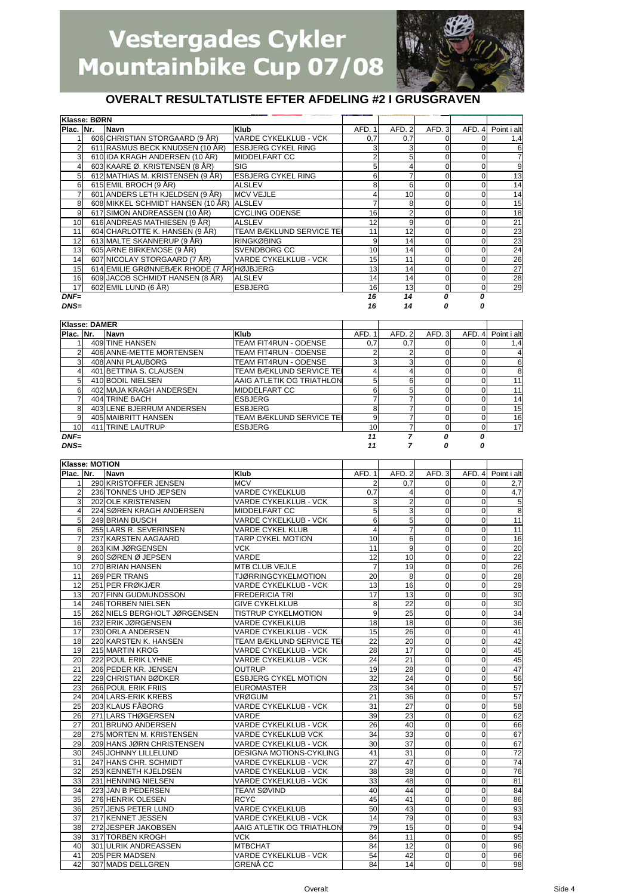

### **OVERALT RESULTATLISTE EFTER AFDELING #2 I GRUSGRAVEN**

|                 | Klasse: BØRN |                                           |                                 |        |        |        |          |                |
|-----------------|--------------|-------------------------------------------|---------------------------------|--------|--------|--------|----------|----------------|
| Plac. Nr.       |              | Navn                                      | <b>Klub</b>                     | AFD. 1 | AFD. 2 | AFD. 3 | AFD. 4   | Point i alt    |
|                 |              | 606 CHRISTIAN STORGAARD (9 ÅR)            | <b>VARDE CYKELKLUB - VCK</b>    | 0,7    | 0,7    |        |          | 1,4            |
|                 |              | 611 RASMUS BECK KNUDSEN (10 ÅR)           | <b>ESBJERG CYKEL RING</b>       |        |        |        |          | 6              |
|                 |              | 610 IDA KRAGH ANDERSEN (10 ÅR)            | <b>IMIDDELFART CC</b>           |        |        | 0      |          | $\overline{7}$ |
|                 |              | 603 KAARE Ø. KRISTENSEN (8 ÅR)            | <b>SIG</b>                      |        |        | 0      |          | 9              |
|                 |              | 612 MATHIAS M. KRISTENSEN (9 ÅR)          | <b>ESBJERG CYKEL RING</b>       | 6      |        | 0      |          | 13             |
| 6               |              | 615 EMIL BROCH (9 ÅR)                     | <b>ALSLEV</b>                   |        | 6      | 0      |          | 14             |
|                 |              | 601 ANDERS LETH KJELDSEN (9 ÅR)           | <b>MCV VEJLE</b>                |        | 10     | 0      |          | 14             |
| 8               |              | 608 MIKKEL SCHMIDT HANSEN (10 ÅR) ALSLEV  |                                 |        | 8      | 0      |          | 15             |
| 9               |              | 617 SIMON ANDREASSEN (10 ÅR)              | <b>CYCLING ODENSE</b>           | 16     |        | 0      |          | 18             |
| 10 <sup>1</sup> |              | 616 ANDREAS MATHIESEN (9 ÅR)              | <b>ALSLEV</b>                   | 12     | 9      | 0      |          | 21             |
| 11              |              | 604 CHARLOTTE K. HANSEN (9 ÅR)            | <b>TEAM BÆKLUND SERVICE TEI</b> | 11     | 12     | 0      |          | 23             |
| 12              |              | 613 MALTE SKANNERUP (9 ÅR)                | <b>RINGKØBING</b>               |        | 14     | 0      |          | 23             |
| 13              |              | 605 ARNE BIRKEMOSE (9 ÅR)                 | SVENDBORG CC                    | 10     | 14     | 0      |          | 24             |
| 14              |              | 607 NICOLAY STORGAARD (7 ÅR)              | <b>VARDE CYKELKLUB - VCK</b>    | 15     | 11     | 0      |          | 26             |
| 15              |              | 614 EMILIE GRØNNEBÆK RHODE (7 ÅR HØJBJERG |                                 | 13     | 14     | 0      |          | 27             |
| 16              |              | 609 JACOB SCHMIDT HANSEN (8 ÅR)           | <b>ALSLEV</b>                   | 14     | 14     | 0      |          | 28             |
| 17              |              | 602 EMIL LUND (6 ÅR)                      | <b>ESBJERG</b>                  | 16     | 13     | 0      | $\Omega$ | 29             |
| $DNF=$          |              |                                           |                                 | 16     | 14     | Ω      | 0        |                |

*DNS= 16 14 0 0*

|                 | Klasse: DAMER |                           |                           |        |        |       |        |             |
|-----------------|---------------|---------------------------|---------------------------|--------|--------|-------|--------|-------------|
| Plac. Nr.       |               | <b>Navn</b>               | Klub                      | AFD. 1 | AFD. 2 | AFD.3 | AFD. 4 | Point i alt |
|                 |               | 409 TINE HANSEN           | TEAM FIT4RUN - ODENSE     | 0,7    | 0,7    |       |        | 1,4         |
|                 |               | 406 ANNE-METTE MORTENSEN  | TEAM FIT4RUN - ODENSE     |        |        |       |        | 4           |
| 3               |               | 408 ANNI PLAUBORG         | TEAM FIT4RUN - ODENSE     | ◠      | 3      |       |        | 6           |
|                 |               | 401 BETTINA S. CLAUSEN    | TEAM BÆKLUND SERVICE TEI  |        |        |       |        | 8           |
| 5               |               | 410 BODIL NIELSEN         | AAIG ATLETIK OG TRIATHLON |        | 6      |       |        | 11          |
| 6               |               | 402 MAJA KRAGH ANDERSEN   | <b>MIDDELFART CC</b>      | ี่ค    | 5      |       |        | 11          |
|                 |               | 404 TRINE BACH            | <b>ESBJERG</b>            |        |        |       |        | 14          |
| 8               |               | 403 LENE BJERRUM ANDERSEN | <b>ESBJERG</b>            | 8      |        |       |        | 15          |
| 9               |               | 405 MAIBRITT HANSEN       | TEAM BÆKLUND SERVICE TEI  |        |        |       |        | 16          |
| 10 <sup>1</sup> |               | 411 TRINE LAUTRUP         | <b>ESBJERG</b>            | 10     |        |       |        | 17          |
| $DNF=$          |               |                           |                           | 11     |        | n     |        |             |
| $DNS=$          |               |                           |                           |        |        |       |        |             |

| Klasse: MOTION |                              |                                |                 |                 |                |                |                 |
|----------------|------------------------------|--------------------------------|-----------------|-----------------|----------------|----------------|-----------------|
| Plac. Nr.      | <b>Navn</b>                  | <b>Klub</b>                    | AFD. 1          | AFD.2           | AFD.3          | AFD. 4         | Point i alt     |
| 1              | 290 KRISTOFFER JENSEN        | <b>MCV</b>                     | 2               | 0.7             | $\Omega$       | $\Omega$       | 2,7             |
| $\overline{2}$ | 236 TONNES UHD JEPSEN        | <b>VARDE CYKELKLUB</b>         | 0.7             | 4               | $\mathbf 0$    | $\Omega$       | 4.7             |
| 3              | 202 OLE KRISTENSEN           | VARDE CYKELKLUB - VCK          | 3               | $\overline{2}$  | $\mathbf 0$    | $\Omega$       | 5               |
| 4              | 224 SØREN KRAGH ANDERSEN     | MIDDELFART CC                  | 5               | 3               | $\mathbf 0$    | $\mathbf{O}$   | $\overline{8}$  |
| 5              | 249 BRIAN BUSCH              | VARDE CYKELKLUB - VCK          | 6               | 5               | $\mathbf 0$    | ō              | 11              |
| 6              | 255 LARS R. SEVERINSEN       | <b>VARDE CYKEL KLUB</b>        | 4               | 7               | $\mathbf 0$    | $\Omega$       | 11              |
| $\overline{7}$ | 237 KARSTEN AAGAARD          | TARP CYKEL MOTION              | 10              | 6               | $\mathbf 0$    | $\mathbf 0$    | 16              |
| 8              | 263 KIM JØRGENSEN            | <b>VCK</b>                     | 11              | 9               | $\mathbf 0$    | $\mathbf 0$    | 20              |
| 9              | 260 SØREN Ø JEPSEN           | VARDE                          | 12              | 10              | $\mathbf 0$    | $\Omega$       | $\overline{22}$ |
| 10             | 270 BRIAN HANSEN             | <b>MTB CLUB VEJLE</b>          | $\overline{7}$  | 19              | $\mathbf 0$    | $\Omega$       | 26              |
| 11             | 269 PER TRANS                | <b>TJØRRINGCYKELMOTION</b>     | 20              | 8               | $\mathbf 0$    | $\Omega$       | 28              |
| 12             | 251 PER FRØKJÆR              | VARDE CYKELKLUB - VCK          | 13              | 16              | $\mathbf 0$    | $\mathbf{O}$   | 29              |
| 13             | 207 FINN GUDMUNDSSON         | <b>FREDERICIA TRI</b>          | 17              | 13              | $\mathbf 0$    | $\Omega$       | 30              |
| 14             | 246 TORBEN NIELSEN           | <b>GIVE CYKELKLUB</b>          | 8               | $\overline{22}$ | $\mathbf 0$    | $\mathbf 0$    | 30              |
| 15             | 262 NIELS BERGHOLT JØRGENSEN | <b>TISTRUP CYKELMOTION</b>     | 9               | $\overline{25}$ | $\mathbf 0$    | ō              | 34              |
| 16             | 232 ERIK JØRGENSEN           | <b>VARDE CYKELKLUB</b>         | 18              | 18              | $\mathbf 0$    | $\Omega$       | 36              |
| 17             | 230 ORLA ANDERSEN            | VARDE CYKELKLUB - VCK          | 15              | 26              | $\mathbf 0$    | $\Omega$       | 41              |
| 18             | 220 KARSTEN K. HANSEN        | TEAM BÆKLUND SERVICE TEI       | 22              | 20              | $\mathbf 0$    | $\overline{0}$ | 42              |
| 19             | 215 MARTIN KROG              | VARDE CYKELKLUB - VCK          | 28              | 17              | $\mathbf 0$    | $\mathbf 0$    | 45              |
| 20             | 222 POUL ERIK LYHNE          | VARDE CYKELKLUB - VCK          | 24              | $\overline{21}$ | $\mathbf 0$    | $\Omega$       | 45              |
| 21             | 206 PEDER KR. JENSEN         | <b>OUTRUP</b>                  | 19              | 28              | $\mathbf 0$    | $\mathbf{O}$   | 47              |
| 22             | 229 CHRISTIAN BØDKER         | <b>ESBJERG CYKEL MOTION</b>    | 32              | $\overline{24}$ | $\mathbf 0$    | $\Omega$       | 56              |
| 23             | <b>266 POUL ERIK FRIIS</b>   | <b>EUROMASTER</b>              | 23              | $\overline{34}$ | $\Omega$       | $\Omega$       | 57              |
| 24             | 204 LARS-ERIK KREBS          | VRØGUM                         | 21              | 36              | $\mathbf 0$    | $\Omega$       | 57              |
| 25             | 203 KLAUS FÅBORG             | VARDE CYKELKLUB - VCK          | 31              | 27              | $\mathbf 0$    | $\mathbf 0$    | 58              |
| 26             | 271 LARS THØGERSEN           | VARDE                          | $\overline{39}$ | 23              | $\mathbf 0$    | ō              | 62              |
| 27             | 201 BRUNO ANDERSEN           | <b>VARDE CYKELKLUB - VCK</b>   | 26              | 40              | $\overline{0}$ | $\mathbf 0$    | 66              |
| 28             | 275 MORTEN M. KRISTENSEN     | VARDE CYKELKLUB VCK            | 34              | 33              | $\mathbf 0$    | $\mathbf 0$    | 67              |
| 29             | 209 HANS JØRN CHRISTENSEN    | VARDE CYKELKLUB - VCK          | 30              | 37              | $\mathbf 0$    | $\mathbf 0$    | 67              |
| 30             | 245 JOHNNY LILLELUND         | <b>DESIGNA MOTIONS-CYKLING</b> | 41              | 31              | $\mathbf 0$    | $\Omega$       | 72              |
| 31             | 247 HANS CHR. SCHMIDT        | VARDE CYKELKLUB - VCK          | 27              | 47              | $\mathbf 0$    | $\Omega$       | 74              |
| 32             | 253 KENNETH KJELDSEN         | VARDE CYKELKLUB - VCK          | 38              | 38              | $\mathbf 0$    | $\mathbf 0$    | 76              |
| 33             | 231 HENNING NIELSEN          | <b>VARDE CYKELKLUB - VCK</b>   | 33              | 48              | $\mathbf 0$    | $\Omega$       | 81              |
| 34             | 223 JAN B PEDERSEN           | <b>TEAM SØVIND</b>             | 40              | 44              | $\mathbf 0$    | $\Omega$       | 84              |
| 35             | 276 HENRIK OLESEN            | <b>RCYC</b>                    | 45              | 41              | $\mathbf 0$    | $\mathbf{O}$   | 86              |
| 36             | 257 JENS PETER LUND          | <b>VARDE CYKELKLUB</b>         | 50              | 43              | $\mathbf 0$    | $\Omega$       | 93              |
| 37             | 217 KENNET JESSEN            | <b>VARDE CYKELKLUB - VCK</b>   | 14              | 79              | $\mathbf 0$    | $\mathbf{O}$   | 93              |
| 38             | 272 JESPER JAKOBSEN          | AAIG ATLETIK OG TRIATHLON      | 79              | 15              | $\mathbf 0$    | $\mathbf 0$    | 94              |
| 39             | 317 TORBEN KROGH             | <b>VCK</b>                     | 84              | 11              | $\overline{0}$ | $\mathbf 0$    | 95              |
| 40             | 301 ULRIK ANDREASSEN         | <b>MTBCHAT</b>                 | 84              | 12              | $\mathbf 0$    | $\Omega$       | 96              |
| 41             | 205 PER MADSEN               | <b>VARDE CYKELKLUB - VCK</b>   | 54              | 42              | $\Omega$       | $\Omega$       | 96              |
| 42             | 307 MADS DELLGREN            | <b>GRENÅ CC</b>                | 84              | 14              | $\overline{0}$ | $\Omega$       | 98              |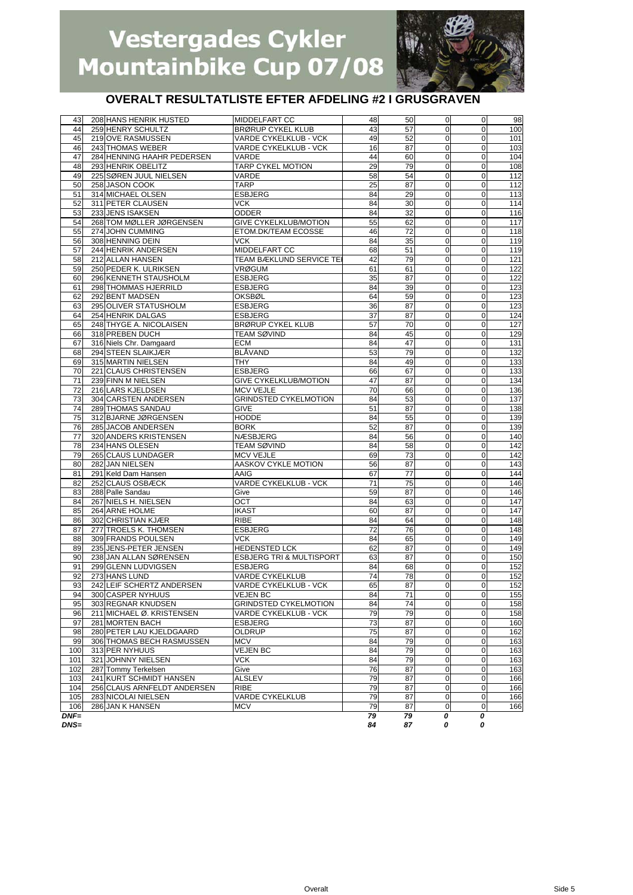

### **OVERALT RESULTATLISTE EFTER AFDELING #2 I GRUSGRAVEN**

| 43     | 208 HANS HENRIK HUSTED      | MIDDELFART CC                       | 48              | 50 | 0              | $\mathbf 0$         | 98               |
|--------|-----------------------------|-------------------------------------|-----------------|----|----------------|---------------------|------------------|
| 44     | 259 HENRY SCHULTZ           | <b>BRØRUP CYKEL KLUB</b>            | 43              | 57 | $\Omega$       | $\Omega$            | 100              |
| 45     | 219 OVE RASMUSSEN           | VARDE CYKELKLUB - VCK               | 49              | 52 | $\mathbf 0$    | $\mathbf 0$         |                  |
|        |                             |                                     |                 |    |                |                     | 101              |
| 46     | 243 THOMAS WEBER            | <b>VARDE CYKELKLUB - VCK</b>        | 16              | 87 | $\mathbf 0$    | $\mathbf{O}$        | 103              |
| 47     | 284 HENNING HAAHR PEDERSEN  | VARDE                               | 44              | 60 | $\mathbf 0$    | $\mathbf 0$         | 104              |
| 48     | 293 HENRIK OBELITZ          | TARP CYKEL MOTION                   | 29              | 79 | $\mathbf 0$    | $\mathbf{O}$        | 108              |
| 49     | 225 SØREN JUUL NIELSEN      | VARDE                               | 58              | 54 | $\mathbf 0$    | $\mathbf 0$         | 112              |
| 50     | 258 JASON COOK              | <b>TARP</b>                         | $\overline{25}$ | 87 | 0              | 0                   | 112              |
| 51     | 314 MICHAEL OLSEN           | ESBJERG                             | 84              | 29 | 0              | 0                   | 113              |
| 52     | 311 PETER CLAUSEN           | <b>VCK</b>                          | 84              | 30 | $\mathbf 0$    | $\mathbf{O}$        | 114              |
| 53     | 233 JENS ISAKSEN            | <b>ODDER</b>                        | 84              | 32 | $\mathbf 0$    | $\mathbf 0$         | 116              |
| 54     | 268 TOM MØLLER JØRGENSEN    | <b>GIVE CYKELKLUB/MOTION</b>        | 55              | 62 | $\mathbf 0$    | $\mathsf{O}\xspace$ | 117              |
| 55     | 274 JOHN CUMMING            | ETOM.DK/TEAM ECOSSE                 | 46              | 72 | 0              | $\mathbf{O}$        | 118              |
|        |                             | <b>VCK</b>                          |                 |    |                |                     | 119              |
| 56     | 308 HENNING DEIN            |                                     | 84              | 35 | $\mathbf 0$    | $\mathbf 0$         |                  |
| 57     | 244 HENRIK ANDERSEN         | MIDDELFART CC                       | 68              | 51 | 0              | 0                   | 119              |
| 58     | 212 ALLAN HANSEN            | TEAM BÆKLUND SERVICE TEI            | 42              | 79 | $\mathbf 0$    | $\mathbf 0$         | 121              |
| 59     | 250 PEDER K. ULRIKSEN       | <b>VRØGUM</b>                       | 61              | 61 | $\mathbf 0$    | $\mathsf{O}\xspace$ | 122              |
| 60     | 296 KENNETH STAUSHOLM       | <b>ESBJERG</b>                      | 35              | 87 | $\mathbf 0$    | $\overline{0}$      | 122              |
| 61     | 298 THOMMAS HJERRILD        | <b>ESBJERG</b>                      | 84              | 39 | $\mathbf 0$    | $\mathbf{O}$        | 123              |
| 62     | 292 BENT MADSEN             | OKSBØL                              | 64              | 59 | $\mathbf 0$    | $\overline{0}$      | 123              |
| 63     | 295 OLIVER STATUSHOLM       | <b>ESBJERG</b>                      | 36              | 87 | 0              | 0                   | 123              |
| 64     | 254 HENRIK DALGAS           | <b>ESBJERG</b>                      | 37              | 87 | 0              | 0                   | 124              |
| 65     | 248 THYGE A. NICOLAISEN     | <b>BRØRUP CYKEL KLUB</b>            | 57              | 70 | $\mathbf 0$    | $\mathbf{O}$        | 127              |
|        |                             |                                     |                 |    |                | $\mathbf 0$         |                  |
| 66     | 318 PREBEN DUCH             | <b>TEAM SØVIND</b>                  | 84              | 45 | $\mathbf 0$    |                     | 129              |
| 67     | 316 Niels Chr. Damgaard     | <b>ECM</b>                          | 84              | 47 | 0              | $\mathbf 0$         | 131              |
| 68     | 294 STEEN SLAIKJÆR          | BLÅVAND                             | 53              | 79 | 0              | $\mathbf 0$         | 132              |
| 69     | 315 MARTIN NIELSEN          | THY                                 | 84              | 49 | 0              | $\mathbf 0$         | 133              |
| 70     | 221 CLAUS CHRISTENSEN       | <b>ESBJERG</b>                      | 66              | 67 | $\mathbf 0$    | $\mathbf 0$         | 133              |
| 71     | 239 FINN M NIELSEN          | GIVE CYKELKLUB/MOTION               | 47              | 87 | $\mathbf 0$    | $\mathbf 0$         | 134              |
| 72     | 216 LARS KJELDSEN           | <b>MCV VEJLE</b>                    | 70              | 66 | $\mathbf 0$    | $\mathbf 0$         | 136              |
| 73     | 304 CARSTEN ANDERSEN        | <b>GRINDSTED CYKELMOTION</b>        | 84              | 53 | $\mathbf 0$    | $\overline{0}$      | 137              |
| 74     | 289 THOMAS SANDAU           | <b>GIVE</b>                         | 51              | 87 | $\mathbf 0$    | $\mathbf{O}$        | 138              |
| 75     | 312 BJARNE JØRGENSEN        | <b>HODDE</b>                        | 84              | 55 | $\mathbf 0$    | 0                   | 139              |
| 76     |                             | <b>BORK</b>                         | 52              | 87 | 0              | 0                   |                  |
|        | 285 JACOB ANDERSEN          |                                     |                 |    |                |                     | 139              |
| 77     | 320 ANDERS KRISTENSEN       | <b>NÆSBJERG</b>                     | 84              | 56 | 0              | $\mathbf{O}$        | 140              |
| 78     | 234 HANS OLESEN             | <b>TEAM SØVIND</b>                  | 84              | 58 | $\mathbf 0$    | $\mathbf 0$         | 142              |
| 79     | 265 CLAUS LUNDAGER          | <b>MCV VEJLE</b>                    | 69              | 73 | $\mathbf 0$    | $\mathbf 0$         | 142              |
| 80     | 282 JAN NIELSEN             | AASKOV CYKLE MOTION                 | 56              | 87 | 0              | $\mathbf 0$         | $\overline{143}$ |
| 81     | 291 Keld Dam Hansen         | AAIG                                | 67              | 77 | $\mathbf 0$    | 0                   | 144              |
| 82     | 252 CLAUS OSBÆCK            | VARDE CYKELKLUB - VCK               | 71              | 75 | 0              | $\mathbf 0$         | 146              |
| 83     | 288 Palle Sandau            | Give                                | 59              | 87 | $\mathbf 0$    | $\mathbf{O}$        | 146              |
| 84     | 267 NIELS H. NIELSEN        | ост                                 | 84              | 63 | $\mathbf 0$    | $\mathbf 0$         | 147              |
| 85     | 264 ARNE HOLME              | <b>IKAST</b>                        | 60              | 87 | $\mathbf 0$    | $\mathbf 0$         | 147              |
| 86     | 302 CHRISTIAN KJÆR          | <b>RIBE</b>                         | 84              | 64 | $\mathbf 0$    | $\mathbf 0$         | 148              |
|        |                             |                                     |                 |    |                |                     |                  |
| 87     | 277 TROELS K. THOMSEN       | <b>ESBJERG</b>                      | 72              | 76 | $\mathbf 0$    | $\mathbf{O}$        | 148              |
| 88     | 309 FRANDS POULSEN          | VCK                                 | 84              | 65 | 0              | 0                   | 149              |
| 89     | 235 JENS-PETER JENSEN       | <b>HEDENSTED LCK</b>                | 62              | 87 | 0              | 0                   | 149              |
| 90     | 238 JAN ALLAN SØRENSEN      | <b>ESBJERG TRI &amp; MULTISPORT</b> | 63              | 87 | 0              | $\mathbf 0$         | 150              |
| 91     | 299 GLENN LUDVIGSEN         | <b>ESBJERG</b>                      | 84              | 68 | $\mathbf 0$    | $\mathbf 0$         | 152              |
| 92     | 273 HANS LUND               | <b>VARDE CYKELKLUB</b>              | 74              | 78 | $\pmb{0}$      | $\mathbf 0$         | 152              |
| 93     | 242 LEIF SCHERTZ ANDERSEN   | VARDE CYKELKLUB - VCK               | 65              | 87 | $\overline{0}$ | $\overline{0}$      | 152              |
| 94     | 300 CASPER NYHUUS           | VEJEN BC                            | 84              | 71 | 0              | $\mathbf 0$         | 155              |
| 95     | 303 REGNAR KNUDSEN          | <b>GRINDSTED CYKELMOTION</b>        | 84              | 74 | 0              | $\mathbf 0$         | 158              |
| 96     | 211 MICHAEL Ø. KRISTENSEN   | VARDE CYKELKLUB - VCK               | 79              | 79 | $\mathbf 0$    | $\mathbf 0$         | 158              |
|        |                             |                                     |                 |    |                |                     |                  |
| 97     | 281 MORTEN BACH             | <b>ESBJERG</b>                      | 73              | 87 | 0              | $\mathbf 0$         | 160              |
| 98     | 280 PETER LAU KJELDGAARD    | <b>OLDRUP</b>                       | 75              | 87 | $\mathbf 0$    | $\mathbf 0$         | 162              |
| 99     | 306 THOMAS BECH RASMUSSEN   | <b>MCV</b>                          | 84              | 79 | $\mathbf 0$    | $\mathbf 0$         | 163              |
| 100    | 313 PER NYHUUS              | <b>VEJEN BC</b>                     | 84              | 79 | $\mathbf 0$    | $\mathbf 0$         | 163              |
| 101    | 321 JOHNNY NIELSEN          | VCK                                 | 84              | 79 | 0              | 0                   | 163              |
| 102    | 287 Tommy Terkelsen         | Give                                | 76              | 87 | 0              | 0                   | 163              |
| 103    | 241 KURT SCHMIDT HANSEN     | ALSLEV                              | 79              | 87 | $\pmb{0}$      | 0                   | 166              |
| 104    | 256 CLAUS ARNFELDT ANDERSEN | <b>RIBE</b>                         | 79              | 87 | $\pmb{0}$      | $\mathbf 0$         | 166              |
| 105    | 283 NICOLAI NIELSEN         | VARDE CYKELKLUB                     | 79              | 87 | $\mathbf 0$    | $\mathbf 0$         | 166              |
| 106    | 286 JAN K HANSEN            | MCV                                 |                 | 87 | $\mathbf 0$    | $\mathbf 0$         |                  |
|        |                             |                                     | 79              |    |                |                     | 166              |
| $DNF=$ |                             |                                     | 79              | 79 | 0              | 0                   |                  |
| $DNS=$ |                             |                                     | 84              | 87 | 0              | 0                   |                  |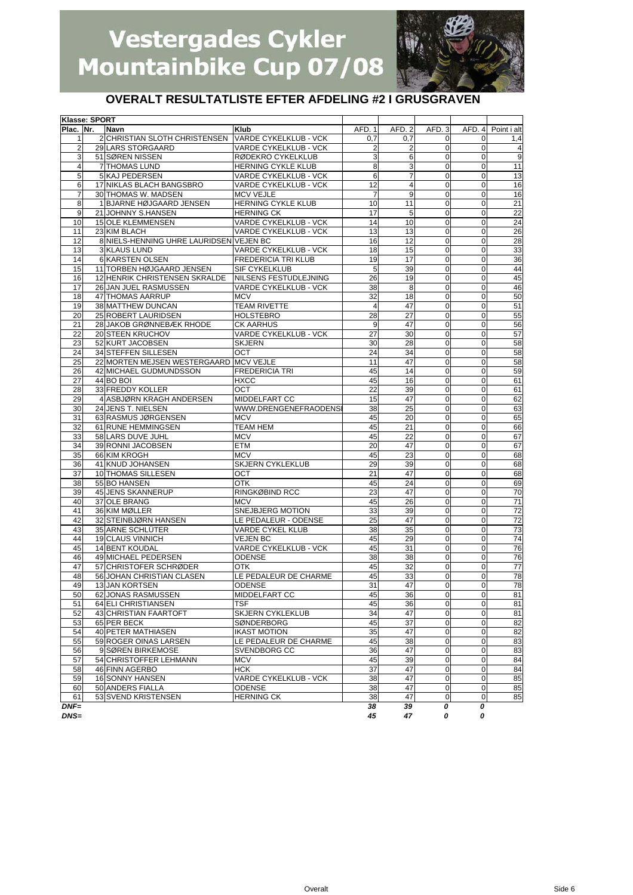

### **OVERALT RESULTATLISTE EFTER AFDELING #2 I GRUSGRAVEN**

| Klasse: SPORT  |                                           |                              |                |                |                               |                                           |                 |
|----------------|-------------------------------------------|------------------------------|----------------|----------------|-------------------------------|-------------------------------------------|-----------------|
| Plac. Nr.      | Navn                                      | Klub                         | AFD. 1         | AFD. 2         | AFD.3                         | AFD. 4                                    | Point i alt     |
| $\mathbf{1}$   | 2 CHRISTIAN SLOTH CHRISTENSEN             | VARDE CYKELKLUB - VCK        | 0,7            | 0,7            | 0                             | $\mathbf 0$                               | 1,4             |
| 2              | 29 LARS STORGAARD                         | VARDE CYKELKLUB - VCK        | $\overline{2}$ | 2              | 0                             | 0                                         | 4               |
| 3              | 51 SØREN NISSEN                           | RØDEKRO CYKELKLUB            | 3              | 6              | 0                             | $\Omega$                                  | $\overline{9}$  |
| $\overline{4}$ | 7 THOMAS LUND                             | HERNING CYKLE KLUB           | 8              | 3              | $\mathbf 0$                   | $\mathbf 0$                               | 11              |
| 5              | 5 KAJ PEDERSEN                            | VARDE CYKELKLUB - VCK        | 6              | 7              | 0                             | $\mathbf 0$                               | 13              |
| 6              | 17 NIKLAS BLACH BANGSBRO                  | VARDE CYKELKLUB - VCK        | 12             | $\overline{4}$ | $\pmb{0}$                     | $\mathbf 0$                               | 16              |
| $\overline{7}$ | 30 THOMAS W. MADSEN                       | <b>MCV VEJLE</b>             | $\overline{7}$ | 9              | $\mathbf 0$                   | $\mathbf 0$                               | 16              |
| 8              | 1 BJARNE HØJGAARD JENSEN                  | HERNING CYKLE KLUB           | 10             | 11             | $\mathbf 0$                   | $\mathbf 0$                               | 21              |
| 9              | 21 JOHNNY S.HANSEN                        | <b>HERNING CK</b>            | 17             | 5              | 0                             | 0                                         | $\overline{22}$ |
| 10             | <b>15 OLE KLEMMENSEN</b>                  | VARDE CYKELKLUB - VCK        | 14             | 10             | 0                             | 0                                         | $\overline{24}$ |
| 11             | 23 KIM BLACH                              | <b>VARDE CYKELKLUB - VCK</b> | 13             | 13             | $\mathbf 0$                   | $\mathbf{O}$                              | 26              |
| 12             | 8 NIELS-HENNING UHRE LAURIDSEN VEJEN BC   |                              | 16             | 12             | $\mathbf 0$                   | $\mathbf 0$                               | 28              |
|                | 3 KLAUS LUND                              |                              |                |                |                               |                                           |                 |
| 13             |                                           | <b>VARDE CYKELKLUB - VCK</b> | 18             | 15             | $\mathbf 0$                   | $\pmb{0}$                                 | 33              |
| 14             | 6 KARSTEN OLSEN                           | <b>FREDERICIA TRI KLUB</b>   | 19             | 17             | 0                             | $\mathbf 0$                               | 36              |
| 15             | 11 TORBEN HØJGAARD JENSEN                 | SIF CYKELKLUB                | 5              | 39             | $\mathbf 0$                   | $\mathbf 0$                               | 44              |
| 16             | 12 HENRIK CHRISTENSEN SKRALDE             | NILSENS FESTUDLEJNING        | 26             | 19             | 0                             | 0                                         | 45              |
| 17             | 26 JAN JUEL RASMUSSEN                     | VARDE CYKELKLUB - VCK        | 38             | 8              | $\mathbf 0$                   | $\mathbf 0$                               | 46              |
| 18             | 47 THOMAS AARRUP                          | <b>MCV</b>                   | 32             | 18             | $\overline{0}$                | $\mathbf 0$                               | 50              |
| 19             | 38 MATTHEW DUNCAN                         | <b>TEAM RIVETTE</b>          | $\overline{4}$ | 47             | $\mathbf 0$                   | $\mathbf 0$                               | 51              |
| 20             | 25 ROBERT LAURIDSEN                       | <b>HOLSTEBRO</b>             | 28             | 27             | $\mathbf 0$                   | 0                                         | 55              |
| 21             | 28 JAKOB GRØNNEBÆK RHODE                  | <b>CK AARHUS</b>             | 9              | 47             | 0                             | $\mathbf 0$                               | 56              |
| 22             | 20 STEEN KRUCHOV                          | VARDE CYKELKLUB - VCK        | 27             | 30             | 0                             | 0                                         | 57              |
| 23             | 52 KURT JACOBSEN                          | <b>SKJERN</b>                | 30             | 28             | 0                             | 0                                         | 58              |
| 24             | 34 STEFFEN SILLESEN                       | OCT                          | 24             | 34             | 0                             | $\mathbf 0$                               | 58              |
| 25             | 22 MORTEN MEJSEN WESTERGAARD MCV VEJLE    |                              | 11             | 47             | $\mathbf 0$                   | $\mathbf 0$                               | 58              |
| 26             | 42 MICHAEL GUDMUNDSSON                    | <b>FREDERICIA TRI</b>        | 45             | 14             | 0                             | $\mathbf 0$                               | 59              |
| 27             | 44 BO BOI                                 | <b>HXCC</b>                  | 45             | 16             | 0                             | $\mathbf 0$                               | 61              |
| 28             | 33 FREDDY KOLLER                          | ОСТ                          | 22             | 39             | $\mathbf 0$                   | $\mathbf 0$                               | 61              |
| 29             | 4 ASBJØRN KRAGH ANDERSEN                  | MIDDELFART CC                | 15             | 47             | 0                             | 0                                         | 62              |
|                |                                           | WWW.DRENGENEFRAODENS         |                | 25             |                               | $\mathbf 0$                               |                 |
| 30             | 24 JENS T. NIELSEN<br>63 RASMUS JØRGENSEN | <b>MCV</b>                   | 38             |                | $\mathbf 0$<br>$\mathbf 0$    | $\pmb{0}$                                 | 63              |
| 31             |                                           |                              | 45             | 20             |                               |                                           | 65              |
| 32             | 61 RUNE HEMMINGSEN                        | <b>TEAM HEM</b>              | 45             | 21             | $\mathbf 0$                   | $\mathbf 0$                               | 66              |
| 33             | 58 LARS DUVE JUHL                         | <b>MCV</b>                   | 45             | 22             | $\mathbf 0$                   | $\mathbf 0$                               | 67              |
| 34             | 39 RONNI JACOBSEN                         | <b>ETM</b>                   | 20             | 47             | 0                             | 0                                         | 67              |
| 35             | 66 KIM KROGH                              | <b>MCV</b>                   | 45             | 23             | 0                             | 0                                         | 68              |
| 36             | 41 KNUD JOHANSEN                          | SKJERN CYKLEKLUB             | 29             | 39             | $\pmb{0}$                     | $\mathbf 0$                               | 68              |
| 37             | 10 THOMAS SILLESEN                        | OCT                          | 21             | 47             | $\mathbf 0$                   | $\mathbf 0$                               | 68              |
| 38             | 55 BO HANSEN                              | OTK                          | 45             | 24             | $\mathbf 0$                   | $\mathbf 0$                               | 69              |
| 39             | 45 JENS SKANNERUP                         | RINGKØBIND RCC               | 23             | 47             | 0                             | 0                                         | 70              |
| 40             | 37 OLE BRANG                              | <b>MCV</b>                   | 45             | 26             | 0                             | $\mathbf 0$                               | 71              |
| 41             | 36 KIM MØLLER                             | SNEJBJERG MOTION             | 33             | 39             | 0                             | 0                                         | $\overline{72}$ |
| 42             | 32 STEINBJØRN HANSEN                      | LE PEDALEUR - ODENSE         | 25             | 47             | 0                             | $\mathbf 0$                               | 72              |
| 43             | 35 ARNE SCHLÜTER                          | VARDE CYKEL KLUB             | 38             | 35             | 0                             | $\mathbf 0$                               | 73              |
| 44             | 19 CLAUS VINNICH                          | <b>VEJEN BC</b>              | 45             | 29             | 0                             | $\mathbf 0$                               | 74              |
| 45             | 14 BENT KOUDAL                            | VARDE CYKELKLUB - VCK        | 45             | 31             | $\mathbf 0$                   | $\mathbf 0$                               | 76              |
| 46             | 49 MICHAEL PEDERSEN                       | ODENSE                       | 38             | 38             | 0                             | $\mathbf 0$                               | 76              |
| 47             | 57 CHRISTOFER SCHRØDER                    | OTK                          | 45             | 32             | 0                             | 0                                         | $\overline{77}$ |
| 48             | 56 JOHAN CHRISTIAN CLASEN                 | LE PEDALEUR DE CHARME        | 45             | 33             | 0                             | 0                                         | 78              |
| 49             | 13 JAN KORTSEN                            | ODENSE                       | 31             | 47             | $\pmb{0}$                     | $\mathbf{O}$                              | 78              |
| 50             | 62 JONAS RASMUSSEN                        | MIDDELFART CC                |                | 36             |                               |                                           |                 |
|                | 64 ELI CHRISTIANSEN                       |                              | 45             |                | $\overline{0}$<br>$\mathbf 0$ | $\overline{0}$<br>$\overline{\mathbf{0}}$ | 81              |
| 51             |                                           | TSF                          | 45             | 36             |                               |                                           | 81              |
| 52             | 43 CHRISTIAN FAARTOFT                     | SKJERN CYKLEKLUB             | 34             | 47             | 0                             | $\mathbf 0$                               | 81              |
| 53             | 65 PER BECK                               | <b>SØNDERBORG</b>            | 45             | 37             | $\mathbf 0$                   | $\overline{0}$                            | 82              |
| 54             | 40 PETER MATHIASEN                        | <b>IKAST MOTION</b>          | 35             | 47             | $\mathbf 0$                   | $\mathbf 0$                               | 82              |
| 55             | 59 ROGER OINAS LARSEN                     | LE PEDALEUR DE CHARME        | 45             | 38             | $\mathbf 0$                   | $\mathbf 0$                               | 83              |
| 56             | 9 SØREN BIRKEMOSE                         | SVENDBORG CC                 | 36             | 47             | $\pmb{0}$                     | $\overline{0}$                            | 83              |
| 57             | 54 CHRISTOFFER LEHMANN                    | <b>MCV</b>                   | 45             | 39             | $\mathbf 0$                   | $\mathbf 0$                               | 84              |
| 58             | 46 FINN AGERBO                            | HCK                          | 37             | 47             | $\mathbf 0$                   | $\overline{0}$                            | 84              |
| 59             | 16 SONNY HANSEN                           | VARDE CYKELKLUB - VCK        | 38             | 47             | 0                             | $\mathbf 0$                               | 85              |
| 60             | 50 ANDERS FIALLA                          | ODENSE                       | 38             | 47             | 0                             | $\overline{0}$                            | 85              |
| 61             | 53 SVEND KRISTENSEN                       | <b>HERNING CK</b>            | 38             | 47             | 0                             | $\mathbf 0$                               | 85              |
| $DNF=$         |                                           |                              | 38             | 39             | 0                             | 0                                         |                 |

*DNS= 45 47 0 0*

Overalt Side 6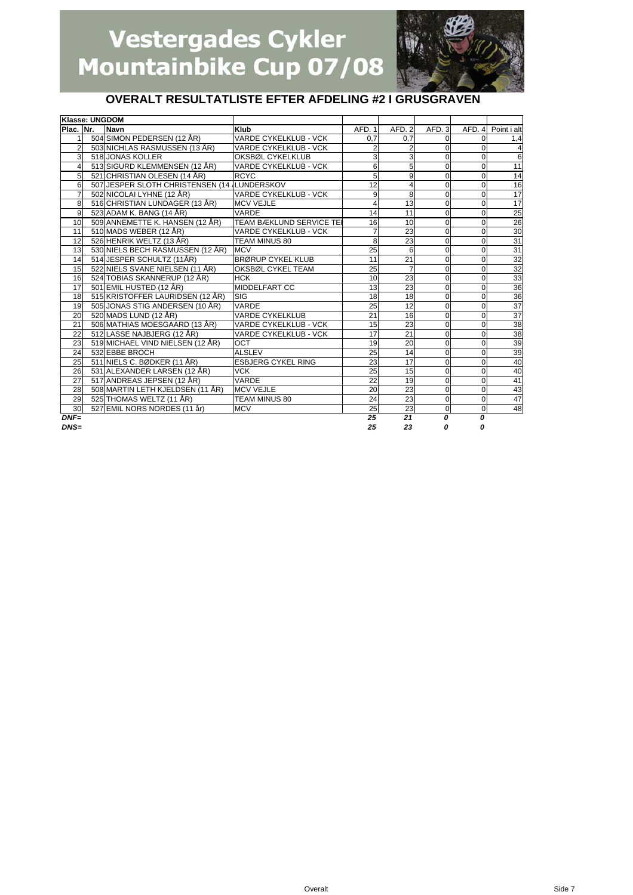

### **OVERALT RESULTATLISTE EFTER AFDELING #2 I GRUSGRAVEN**

|                | Klasse: UNGDOM |                                             |                              |                 |                 |             |                  |                 |
|----------------|----------------|---------------------------------------------|------------------------------|-----------------|-----------------|-------------|------------------|-----------------|
| Plac. Nr.      |                | <b>Navn</b>                                 | <b>Klub</b>                  | AFD. 1          | AFD.2           | AFD. 3      | AFD. 4           | Point i alt     |
|                |                | 504 SIMON PEDERSEN (12 ÅR)                  | VARDE CYKELKLUB - VCK        | 0.7             | 0,7             | $\Omega$    | 0                | 1,4             |
| $\overline{2}$ |                | 503 NICHLAS RASMUSSEN (13 ÅR)               | <b>VARDE CYKELKLUB - VCK</b> | $\overline{2}$  | $\overline{2}$  | 0           | 0                | 4               |
| 3              |                | 518 JONAS KOLLER                            | OKSBØL CYKELKLUB             | 3               | 3               | $\Omega$    | $\Omega$         | 6               |
| 4              |                | 513 SIGURD KLEMMENSEN (12 ÅR)               | <b>VARDE CYKELKLUB - VCK</b> | 6               | 5               | 0           | 0                | 11              |
| 5              |                | 521 CHRISTIAN OLESEN (14 ÅR)                | <b>RCYC</b>                  | 5               | 9               | 0           | $\mathbf 0$      | 14              |
| 6              |                | 507 JESPER SLOTH CHRISTENSEN (14 LUNDERSKOV |                              | 12              | $\overline{4}$  | 0           | 0                | 16              |
| 7              |                | 502 NICOLAI LYHNE (12 ÅR)                   | VARDE CYKELKLUB - VCK        | 9               | 8               | 0           | 0                | $\overline{17}$ |
| 8              |                | 516 CHRISTIAN LUNDAGER (13 ÅR)              | <b>MCV VEJLE</b>             | $\overline{4}$  | 13              | $\Omega$    | $\Omega$         | 17              |
| 9              |                | 523 ADAM K. BANG (14 ÅR)                    | <b>VARDE</b>                 | 14              | 11              | 0           | 0                | 25              |
| 10             |                | 509 ANNEMETTE K. HANSEN (12 ÅR)             | TEAM BÆKLUND SERVICE TE      | 16              | 10              | 0           | 0                | $\overline{26}$ |
| 11             |                | 510 MADS WEBER (12 ÅR)                      | <b>VARDE CYKELKLUB - VCK</b> | $\overline{7}$  | 23              | 0           | 0                | 30              |
| 12             |                | 526 HENRIK WELTZ (13 ÅR)                    | TEAM MINUS 80                | 8               | 23              | 0           | 0                | 31              |
| 13             |                | 530 NIELS BECH RASMUSSEN (12 ÅR)            | <b>MCV</b>                   | $\overline{25}$ | 6               | $\mathbf 0$ | $\mathbf 0$      | 31              |
| 14             |                | 514 JESPER SCHULTZ (11ÅR)                   | <b>BRØRUP CYKEL KLUB</b>     | 11              | 21              | 0           | $\Omega$         | 32              |
| 15             |                | 522 NIELS SVANE NIELSEN (11 ÅR)             | OKSBØL CYKEL TEAM            | 25              | $\overline{7}$  | 0           | 0                | 32              |
| 16             |                | 524 TOBIAS SKANNERUP (12 ÅR)                | <b>HCK</b>                   | 10              | 23              | 0           | $\mathbf 0$      | 33              |
| 17             |                | 501 EMIL HUSTED (12 ÅR)                     | <b>MIDDELFART CC</b>         | 13              | $\overline{23}$ | 0           | 0                | 36              |
| 18             |                | 515 KRISTOFFER LAURIDSEN (12 ÅR)            | <b>SIG</b>                   | 18              | 18              | 0           | 0                | $\frac{36}{37}$ |
| 19             |                | 505 JONAS STIG ANDERSEN (10 ÅR)             | VARDE                        | 25              | 12              | 0           | $\Omega$         |                 |
| 20             |                | 520 MADS LUND (12 ÅR)                       | <b>VARDE CYKELKLUB</b>       | 21              | 16              | 0           | 0                | 37              |
| 21             |                | 506 MATHIAS MOESGAARD (13 ÅR)               | <b>VARDE CYKELKLUB - VCK</b> | 15              | 23              | 0           | 0                | 38              |
| 22             |                | 512 LASSE NAJBJERG (12 ÅR)                  | <b>VARDE CYKELKLUB - VCK</b> | 17              | 21              | 0           | 0                | 38              |
| 23             |                | 519 MICHAEL VIND NIELSEN (12 ÅR)            | OCT                          | 19              | 20              | 0           | 0                | 39              |
| 24             |                | 532 EBBE BROCH                              | <b>ALSLEV</b>                | $\overline{25}$ | 14              | 0           | $\mathbf 0$      | 39              |
| 25             |                | 511 NIELS C. BØDKER (11 ÅR)                 | <b>ESBJERG CYKEL RING</b>    | 23              | 17              | 0           | $\Omega$         | 40              |
| 26             |                | 531 ALEXANDER LARSEN (12 ÅR)                | <b>VCK</b>                   | 25              | 15              | 0           | $\Omega$         | 40              |
| 27             |                | 517 ANDREAS JEPSEN (12 ÅR)                  | <b>VARDE</b>                 | 22              | 19              | $\mathbf 0$ | $\mathbf 0$      | 41              |
| 28             |                | 508 MARTIN LETH KJELDSEN (11 ÅR)            | <b>MCV VEJLE</b>             | 20              | 23              | 0           | $\Omega$         | 43              |
| 29             |                | 525 THOMAS WELTZ (11 ÅR)                    | <b>TEAM MINUS 80</b>         | 24              | 23              | $\mathbf 0$ | 0                | 47              |
| 30             |                | 527 EMIL NORS NORDES (11 år)                | <b>MCV</b>                   | 25              | 23              | 0           | $\mathbf{O}$     | 48              |
| $DNF=$         |                |                                             |                              | 25              | 21              | 0           | $\boldsymbol{0}$ |                 |
| $DNS=$         |                |                                             |                              | 25              | 23              | 0           | $\Omega$         |                 |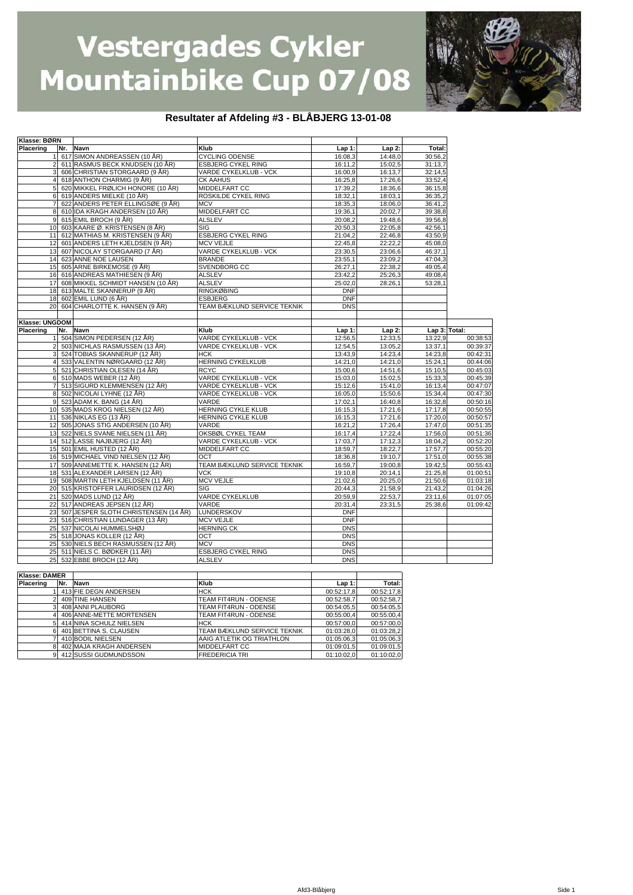

#### **Resultater af Afdeling #3 - BLÅBJERG 13-01-08**

| Klasse: BØRN         |     |                                                               |                                         |                    |                    |                    |                      |
|----------------------|-----|---------------------------------------------------------------|-----------------------------------------|--------------------|--------------------|--------------------|----------------------|
| Placering            | Nr. | Navn                                                          | Klub                                    | Lap 1:             | $Lap2$ :           | Total:             |                      |
|                      |     | 617 SIMON ANDREASSEN (10 ÅR)                                  | <b>CYCLING ODENSE</b>                   | 16:08.3            | 14:48,0            | 30:56,2            |                      |
| $\overline{c}$       |     | 611 RASMUS BECK KNUDSEN (10 ÅR)                               | <b>ESBJERG CYKEL RING</b>               | 16:11,2            | 15:02,5            | 31:13.7            |                      |
| 3                    |     | 606 CHRISTIAN STORGAARD (9 ÅR)                                | <b>VARDE CYKELKLUB - VCK</b>            | 16:00,9            | 16:13,7            | 32:14,5            |                      |
| 4                    |     | 618 ANTHON CHARMIG (9 ÅR)                                     | <b>CK AAHUS</b>                         | 16:25,8            | 17:26,6            | 33:52,4            |                      |
| 5                    |     | 620 MIKKEL FRØLICH HONORE (10 ÅR)                             | MIDDELFART CC                           | 17:39,2            | 18:36,6            | 36:15,8            |                      |
| 6                    |     | 619 ANDERS MIELKE (10 ÅR)                                     | ROSKILDE CYKEL RING                     | 18:32,1            | 18:03,1            | 36:35,2            |                      |
|                      |     | 622 ANDERS PETER ELLINGSØE (9 ÅR)                             | <b>MCV</b>                              | 18:35,3            | 18:06,0            | 36:41.2            |                      |
| 8                    |     | 610 IDA KRAGH ANDERSEN (10 ÅR)                                | MIDDELFART CC                           | 19:36,1            | 20:02,7            | 39:38,8            |                      |
| 9                    |     | 615 EMIL BROCH (9 ÅR)                                         | <b>ALSLEV</b>                           | 20:08,2            | 19:48,6            | 39:56.8            |                      |
| 10                   |     | 603 KAARE Ø. KRISTENSEN (8 ÅR)                                | SIG                                     | 20:50,3            | 22:05,8            | 42:56,1            |                      |
| 11                   |     | 612 MATHIAS M. KRISTENSEN (9 ÅR)                              | <b>ESBJERG CYKEL RING</b>               | 21:04.2            | 22:46.8            | 43:50.9            |                      |
| 12                   |     | 601 ANDERS LETH KJELDSEN (9 ÅR)                               | <b>MCV VEJLE</b>                        | 22:45,8            | 22:22,2            | 45:08,0            |                      |
| 13                   |     | 607 NICOLAY STORGAARD (7 ÅR)                                  | VARDE CYKELKLUB - VCK                   | 23:30,5            | 23:06,6            | 46:37,1            |                      |
| 14                   |     | 623 ANNE NOE LAUSEN                                           | <b>BRANDE</b>                           | 23:55,1            | 23:09.2            | 47:04.3            |                      |
| 15                   |     | 605 ARNE BIRKEMOSE (9 ÅR)                                     | SVENDBORG CC                            | 26:27,1            | 22:38,2            | 49:05.4            |                      |
| 16                   |     | 616 ANDREAS MATHIESEN (9 ÅR)                                  | <b>ALSLEV</b>                           | 23:42,2            | 25:26,3            | 49:08.4            |                      |
| 17                   |     | 608 MIKKEL SCHMIDT HANSEN (10 ÅR)                             | <b>ALSLEV</b>                           | 25:02,0            | 28:26,1            | 53:28,1            |                      |
| 18                   |     | 613 MALTE SKANNERUP (9 ÅR)                                    | <b>RINGKØBING</b>                       | <b>DNF</b>         |                    |                    |                      |
| 18                   |     | 602 EMIL LUND (6 ÅR)                                          | <b>ESBJERG</b>                          | <b>DNF</b>         |                    |                    |                      |
| 20                   |     | 604 CHARLOTTE K. HANSEN (9 ÅR)                                | TEAM BÆKLUND SERVICE TEKNIK             | <b>DNS</b>         |                    |                    |                      |
|                      |     |                                                               |                                         |                    |                    |                    |                      |
| Klasse: UNGDOM       |     |                                                               |                                         |                    |                    |                    |                      |
| <b>Placering</b>     |     | Nr. Navn                                                      | Klub                                    | Lap 1:             | $Lap2$ :           | Lap 3: Total:      |                      |
|                      |     | 504 SIMON PEDERSEN (12 ÅR)                                    | VARDE CYKELKLUB - VCK                   | 12:56,5            | 12:33,5            | 13:22.9            | 00:38:53             |
| $\overline{2}$<br>3  |     | 503 NICHLAS RASMUSSEN (13 ÅR)                                 | VARDE CYKELKLUB - VCK                   | 12:54,5            | 13:05,2            | 13:37,1            | 00:39:37             |
|                      |     | 524 TOBIAS SKANNERUP (12 ÅR)                                  | <b>HCK</b>                              | 13:43,9            | 14:23,4            | 14:23.8            | 00:42:31             |
| 4                    |     | 533 VALENTIN NØRGAARD (12 ÅR)<br>521 CHRISTIAN OLESEN (14 ÅR) | <b>HERNING CYKELKLUB</b><br><b>RCYC</b> | 14:21,0<br>15:00,6 | 14:21,0<br>14:51,6 | 15:24,1<br>15:10,5 | 00:44:06<br>00:45:03 |
| 6                    |     | 510 MADS WEBER (12 ÅR)                                        | VARDE CYKELKLUB - VCK                   | 15:03,0            | 15:02,5            | 15:33,3            | 00:45:39             |
| $\overline{7}$       |     | 513 SIGURD KLEMMENSEN (12 ÅR)                                 | VARDE CYKELKLUB - VCK                   | 15:12,6            | 15:41,0            | 16:13,4            | 00:47:07             |
| 8                    |     | 502 NICOLAI LYHNE (12 ÅR)                                     | VARDE CYKELKLUB - VCK                   | 16:05,0            | 15:50,6            | 15:34.4            | 00:47:30             |
| 9                    |     | 523 ADAM K. BANG (14 ÅR)                                      | VARDE                                   | 17:02,1            | 16:40,8            | 16:32,8            | 00:50:16             |
| 10                   |     | 535 MADS KROG NIELSEN (12 ÅR)                                 | HERNING CYKLE KLUB                      | 16:15,3            | 17:21,6            | 17:17.8            | 00:50:55             |
| 11                   |     | 536 NIKLAS EG (13 ÅR)                                         | HERNING CYKLE KLUB                      | 16:15,3            | 17:21,6            | 17:20,0            | 00:50:57             |
| 12                   |     | 505 JONAS STIG ANDERSEN (10 ÅR)                               | VARDE                                   | 16:21,2            | 17:26,4            | 17:47.0            | 00:51:35             |
| 13                   |     | 522 NIELS SVANE NIELSEN (11 ÅR)                               | OKSBØL CYKEL TEAM                       | 16:17,4            | 17:22,4            | 17:56,0            | 00:51:36             |
| 14                   |     | 512 LASSE NAJBJERG (12 ÅR)                                    | VARDE CYKELKLUB - VCK                   | 17:03,7            | 17:12,3            | 18:04,2            | 00:52:20             |
| 15                   |     | 501 EMIL HUSTED (12 ÅR)                                       | MIDDELFART CC                           | 18:59,7            | 18:22,7            | 17:57,7            | 00:55:20             |
| 16                   |     | 519 MICHAEL VIND NIELSEN (12 ÅR)                              | OCT                                     | 18:36,8            | 19:10,7            | 17:51,0            | 00:55:38             |
| 17                   |     | 509 ANNEMETTE K. HANSEN (12 ÅR)                               | TEAM BÆKLUND SERVICE TEKNIK             | 16:59,7            | 19:00,8            | 19:42,5            | 00:55:43             |
| 18                   |     | 531 ALEXANDER LARSEN (12 ÅR)                                  | VCK                                     | 19:10,8            | 20:14,1            | 21:25,8            | 01:00:51             |
| 19                   |     | 508 MARTIN LETH KJELDSEN (11 ÅR)                              | <b>MCV VEJLE</b>                        | 21:02,6            | 20:25,0            | 21:50,6            | 01:03:18             |
| 20                   |     | 515 KRISTOFFER LAURIDSEN (12 ÅR)                              | SIG                                     | 20:44,3            | 21:58,9            | 21:43,2            | 01:04:26             |
| 21                   |     | 520 MADS LUND (12 ÅR)                                         | <b>VARDE CYKELKLUB</b>                  | 20:59,9            | 22:53,7            | 23:11.6            | 01:07:05             |
| 22                   |     | 517 ANDREAS JEPSEN (12 ÅR)                                    | VARDE                                   | 20:31,4            | 23:31,5            | 25:38,6            | 01:09:42             |
| 23                   |     | 507 JESPER SLOTH CHRISTENSEN (14 ÅR)                          | LUNDERSKOV                              | <b>DNF</b>         |                    |                    |                      |
| 23                   |     | 516 CHRISTIAN LUNDAGER (13 ÅR)                                | MCV VEJLE                               | <b>DNF</b>         |                    |                    |                      |
| 25                   |     | 537 NICOLAI HUMMELSHØJ                                        | <b>HERNING CK</b>                       | <b>DNS</b>         |                    |                    |                      |
| 25                   |     | 518 JONAS KOLLER (12 ÅR)                                      | ОСТ                                     | <b>DNS</b>         |                    |                    |                      |
| 25                   |     | 530 NIELS BECH RASMUSSEN (12 ÅR)                              | <b>MCV</b>                              | <b>DNS</b>         |                    |                    |                      |
| 25                   |     | 511 NIELS C. BØDKER (11 ÅR)                                   | <b>ESBJERG CYKEL RING</b>               | <b>DNS</b>         |                    |                    |                      |
| 25                   |     | 532 EBBE BROCH (12 ÅR)                                        | <b>ALSLEV</b>                           | <b>DNS</b>         |                    |                    |                      |
|                      |     |                                                               |                                         |                    |                    |                    |                      |
| <b>Klasse: DAMER</b> |     |                                                               |                                         |                    |                    |                    |                      |
| Placering            | Nr. | Navn                                                          | Klub                                    | Lap 1:             | Total:             |                    |                      |
| 1                    |     | 413 FIE DEGN ANDERSEN                                         | нск                                     | 00:52:17,8         | 00:52:17,8         |                    |                      |
| $\overline{2}$       |     | 409 TINE HANSEN                                               | TEAM FIT4RUN - ODENSE                   | 00:52:58,7         | 00:52:58,7         |                    |                      |
| 3                    |     | 408 ANNI PLAUBORG                                             | TEAM FIT4RUN - ODENSE                   | 00:54:05,5         | 00:54:05,5         |                    |                      |
| 4                    |     | 406 ANNE-METTE MORTENSEN                                      | TEAM FIT4RUN - ODENSE                   | 00:55:00,4         | 00:55:00,4         |                    |                      |
| 5                    |     | 414 NINA SCHULZ NIELSEN                                       | <b>HCK</b>                              | 00:57:00,0         | 00:57:00,0         |                    |                      |
| 6                    |     | 401 BETTINA S. CLAUSEN                                        | TEAM BÆKLUND SERVICE TEKNIK             | 01:03:28,0         | 01:03:28,2         |                    |                      |
| 7                    |     | 410 BODIL NIELSEN                                             | AAIG ATLETIK OG TRIATHLON               | 01:05:06,3         | 01:05:06,3         |                    |                      |
| 8                    |     | 402 MAJA KRAGH ANDERSEN                                       | MIDDELFART CC                           | 01:09:01,5         | 01:09:01,5         |                    |                      |

7 410 BODIL NIELSEN AAIG ATLETIK OG TRIATHLON 01:05:06,3 01:05:06,3 8 402 MAJA KRAGH ANDERSEN MIDDELFART CC 01:09:01,5 01:09:01,5 9 412 SUSSI GUDMUNDSSON FREDERICIA TRI 01:10:02,0 01:10:02,0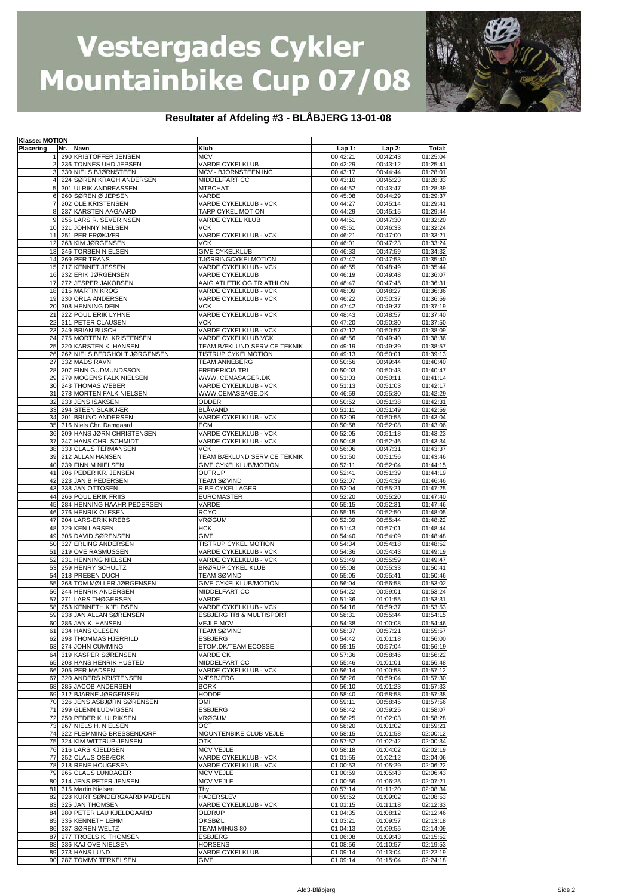

#### **Resultater af Afdeling #3 - BLÅBJERG 13-01-08**

| Klasse: MOTION |     |                              |                                     |          |          |          |
|----------------|-----|------------------------------|-------------------------------------|----------|----------|----------|
| Placering      | Nr. | Navn                         | Klub                                | $Lap1$ : | $Lap2$ : | Total:   |
| 11             |     | 290 KRISTOFFER JENSEN        | <b>MCV</b>                          | 00:42:21 | 00:42:43 | 01:25:04 |
| $\overline{2}$ |     | 236 TONNES UHD JEPSEN        | VARDE CYKELKLUB                     | 00:42:29 | 00:43:12 | 01:25:41 |
|                |     | 330 NIELS BJØRNSTEEN         |                                     |          | 00:44:44 | 01:28:01 |
| 3              |     |                              | MCV - BJORNSTEEN INC.               | 00:43:17 |          |          |
| 4 <sup>1</sup> |     | 224 SØREN KRAGH ANDERSEN     | MIDDELFART CC                       | 00:43:10 | 00:45:23 | 01:28:33 |
| 5              |     | 301 ULRIK ANDREASSEN         | <b>MTBCHAT</b>                      | 00:44:52 | 00:43:47 | 01:28:39 |
| 6              |     | 260 SØREN Ø JEPSEN           | VARDE                               | 00:45:08 | 00:44:29 | 01:29:37 |
| $\overline{7}$ | 202 | <b>OLE KRISTENSEN</b>        | VARDE CYKELKLUB - VCK               | 00:44:27 | 00:45:14 | 01:29:41 |
| 8              | 237 | <b>KARSTEN AAGAARD</b>       | TARP CYKEL MOTION                   | 00:44:29 | 00:45:15 | 01:29:44 |
| 9              | 255 | LARS R. SEVERINSEN           | VARDE CYKEL KLUB                    | 00:44:51 | 00:47:30 | 01:32:20 |
| 10             | 321 | JOHNNY NIELSEN               | <b>VCK</b>                          | 00:45:51 | 00:46:33 | 01:32:24 |
| 11             |     | 251 PER FRØKJÆR              | VARDE CYKELKLUB - VCK               | 00:46:21 | 00:47:00 | 01:33:21 |
|                |     |                              |                                     |          |          |          |
| 12             |     | 263 KIM JØRGENSEN            | VCK                                 | 00:46:01 | 00:47:23 | 01:33:24 |
| 13             |     | 246 TORBEN NIELSEN           | <b>GIVE CYKELKLUB</b>               | 00:46:33 | 00:47:59 | 01:34:32 |
| 14             |     | 269 PER TRANS                | <b>TJØRRINGCYKELMOTION</b>          | 00:47:47 | 00:47:53 | 01:35:40 |
| 15             |     | 217 KENNET JESSEN            | VARDE CYKELKLUB - VCK               | 00:46:55 | 00:48:49 | 01:35:44 |
| 16             |     | 232 ERIK JØRGENSEN           | VARDE CYKELKLUB                     | 00:46:19 | 00:49:48 | 01:36:07 |
| 17             |     | 272 JESPER JAKOBSEN          | AAIG ATLETIK OG TRIATHLON           | 00:48:47 | 00:47:45 | 01:36:31 |
| 18             |     | 215 MARTIN KROG              | VARDE CYKELKLUB - VCK               | 00:48:09 | 00:48:27 | 01:36:36 |
| 19             |     | 230 ORLA ANDERSEN            | VARDE CYKELKLUB - VCK               | 00:46:22 | 00:50:37 | 01:36:59 |
| 20             |     | 308 HENNING DEIN             | <b>VCK</b>                          | 00:47:42 | 00:49:37 | 01:37:19 |
|                |     |                              |                                     |          |          |          |
| 21             |     | 222 POUL ERIK LYHNE          | VARDE CYKELKLUB - VCK               | 00:48:43 | 00:48:57 | 01:37:40 |
| 22             |     | 311 PETER CLAUSEN            | <b>VCK</b>                          | 00:47:20 | 00:50:30 | 01:37:50 |
| 23             |     | 249 BRIAN BUSCH              | VARDE CYKELKLUB - VCK               | 00:47:12 | 00:50:57 | 01:38:09 |
| 24             |     | 275 MORTEN M. KRISTENSEN     | VARDE CYKELKLUB VCK                 | 00:48:56 | 00:49:40 | 01:38:36 |
| 25             |     | 220 KARSTEN K. HANSEN        | TEAM BÆKLUND SERVICE TEKNIK         | 00:49:19 | 00:49:39 | 01:38:57 |
| 26             |     | 262 NIELS BERGHOLT JØRGENSEN | TISTRUP CYKELMOTION                 | 00:49:13 | 00:50:01 | 01:39:13 |
| 27             |     | 332 MADS RAVN                | <b>TEAM ANNEBERG</b>                | 00:50:56 | 00:49:44 | 01:40:40 |
| 28             |     | 207 FINN GUDMUNDSSON         | FREDERICIA TRI                      | 00:50:03 | 00:50:43 | 01:40:47 |
| 29             |     | 279 MOGENS FALK NIELSEN      | WWW. CEMASAGER.DK                   | 00:51:03 | 00:50:11 | 01:41:14 |
|                |     | 243 THOMAS WEBER             | VARDE CYKELKLUB - VCK               |          |          |          |
| 30             |     |                              |                                     | 00:51:13 | 00:51:03 | 01:42:17 |
| 31             |     | 278 MORTEN FALK NIELSEN      | WWW.CEMASSAGE.DK                    | 00:46:59 | 00:55:30 | 01:42:29 |
| 32             | 233 | <b>JENS ISAKSEN</b>          | ODDER                               | 00:50:52 | 00:51:38 | 01:42:31 |
| 33             |     | 294 STEEN SLAIKJÆR           | BLÅVAND                             | 00:51:11 | 00:51:49 | 01:42:59 |
| 34             |     | 201 BRUNO ANDERSEN           | VARDE CYKELKLUB - VCK               | 00:52:09 | 00:50:55 | 01:43:04 |
| 35             |     | 316 Niels Chr. Damgaard      | <b>ECM</b>                          | 00:50:58 | 00:52:08 | 01:43:06 |
| 36             |     | 209 HANS JØRN CHRISTENSEN    | VARDE CYKELKLUB - VCK               | 00:52:05 | 00:51:18 | 01:43:23 |
| 37             |     | 247 HANS CHR. SCHMIDT        | VARDE CYKELKLUB - VCK               | 00:50:48 | 00:52:46 | 01:43:34 |
| 38             |     | 333 CLAUS TERMANSEN          | <b>VCK</b>                          | 00:56:06 | 00:47:31 | 01:43:37 |
|                |     |                              |                                     |          |          |          |
| 39             | 212 | <b>ALLAN HANSEN</b>          | TEAM BÆKLUND SERVICE TEKNIK         | 00:51:50 | 00:51:56 | 01:43:46 |
| 40             |     | 239 FINN M NIELSEN           | GIVE CYKELKLUB/MOTION               | 00:52:11 | 00:52:04 | 01:44:15 |
| 41             |     | 206 PEDER KR. JENSEN         | OUTRUP                              | 00:52:41 | 00:51:39 | 01:44:19 |
| 42             |     | 223 JAN B PEDERSEN           | TEAM SØVIND                         | 00:52:07 | 00:54:39 | 01:46:46 |
| 43             |     | 338 JAN OTTOSEN              | RIBE CYKELLAGER                     | 00:52:04 | 00:55:21 | 01:47:25 |
| 44             |     | 266 POUL ERIK FRIIS          | <b>EUROMASTER</b>                   | 00:52:20 | 00:55:20 | 01:47:40 |
| 45             |     | 284 HENNING HAAHR PEDERSEN   | VARDE                               | 00:55:15 | 00:52:31 | 01:47:46 |
| 46             |     | 276 HENRIK OLESEN            | <b>RCYC</b>                         | 00:55:15 | 00:52:50 | 01:48:05 |
| 47             |     | 204 LARS-ERIK KREBS          | <b>VRØGUM</b>                       | 00:52:39 | 00:55:44 | 01:48:22 |
| 48             |     | 329 KEN LARSEN               |                                     |          |          |          |
|                |     |                              | <b>HCK</b>                          | 00:51:43 | 00:57:01 | 01:48:44 |
| 49             |     | 305 DAVID SØRENSEN           | <b>GIVE</b>                         | 00:54:40 | 00:54:09 | 01:48:48 |
| 50             |     | 327 ERLING ANDERSEN          | TISTRUP CYKEL MOTION                | 00:54:34 | 00:54:18 | 01:48:52 |
| 51             |     | 219 OVE RASMUSSEN            | VARDE CYKELKLUB - VCK               | 00:54:36 | 00:54:43 | 01:49:19 |
| 52             |     | 231 HENNING NIELSEN          | VARDE CYKELKLUB - VCK               | 00:53:49 | 00:55:59 | 01:49:47 |
| 53             |     | 259 HENRY SCHULTZ            | BRØRUP CYKEL KLUB                   | 00:55:08 | 00:55:33 | 01:50:41 |
| 54             |     | 318 PREBEN DUCH              | TEAM SØVIND                         | 00:55:05 | 00:55:41 | 01:50:46 |
| 55             |     | 268 TOM MØLLER JØRGENSEN     | GIVE CYKELKLUB/MOTION               | 00:56:04 | 00:56:58 | 01:53:02 |
| 56             |     | 244 HENRIK ANDERSEN          | MIDDELFART CC                       | 00:54:22 | 00:59:01 | 01:53:24 |
|                |     |                              |                                     |          |          |          |
| 57             |     | 271 LARS THØGERSEN           | VARDE                               | 00:51:36 | 01:01:55 | 01:53:31 |
| 58             |     | 253 KENNETH KJELDSEN         | VARDE CYKELKLUB - VCK               | 00:54:16 | 00:59:37 | 01:53:53 |
|                |     | 59 238 JAN ALLAN SØRENSEN    | <b>ESBJERG TRI &amp; MULTISPORT</b> | 00:58:31 | 00:55:44 | 01:54:15 |
|                |     | 60 286 JAN K. HANSEN         | <b>VEJLE MCV</b>                    | 00:54:38 | 01:00:08 | 01:54:46 |
| 61             |     | 234 HANS OLESEN              | TEAM SØVIND                         | 00:58:37 | 00:57:21 | 01:55:57 |
| 62             |     | 298 THOMMAS HJERRILD         | <b>ESBJERG</b>                      | 00:54:42 | 01:01:18 | 01:56:00 |
| 63             |     | 274 JOHN CUMMING             | ETOM.DK/TEAM ECOSSE                 | 00:59:15 | 00:57:04 | 01:56:19 |
| 64             |     | 319 KASPER SØRENSEN          | <b>VARDE CK</b>                     | 00:57:36 | 00:58:46 | 01:56:22 |
| 65             |     | 208 HANS HENRIK HUSTED       | MIDDELFART CC                       | 00:55:46 | 01:01:01 | 01:56:48 |
|                |     | 66 205 PER MADSEN            | VARDE CYKELKLUB - VCK               | 00:56:14 | 01:00:58 | 01:57:12 |
|                |     |                              |                                     |          |          |          |
| 67             |     | 320 ANDERS KRISTENSEN        | NÆSBJERG                            | 00:58:26 | 00:59:04 | 01:57:30 |
| 68             |     | 285 JACOB ANDERSEN           | <b>BORK</b>                         | 00:56:10 | 01:01:23 | 01:57:33 |
| 69             |     | 312 BJARNE JØRGENSEN         | <b>HODDE</b>                        | 00:58:40 | 00:58:58 | 01:57:38 |
|                |     | 70 326 JENS ASBJØRN SØRENSEN | OMI                                 | 00:59:11 | 00:58:45 | 01:57:56 |
| 71             |     | 299 GLENN LUDVIGSEN          | <b>ESBJERG</b>                      | 00:58:42 | 00:59:25 | 01:58:07 |
| 72             |     | 250 PEDER K. ULRIKSEN        | <b>VRØGUM</b>                       | 00:56:25 | 01:02:03 | 01:58:28 |
| 73             |     | 267 NIELS H. NIELSEN         | OCT                                 | 00:58:20 | 01:01:02 | 01:59:21 |
| 74             |     | 322 FLEMMING BRESSENDORF     | MOUNTENBIKE CLUB VEJLE              | 00:58:15 | 01:01:58 | 02:00:12 |
| 75             |     | 324 KIM WITTRUP-JENSEN       | <b>OTK</b>                          | 00:57:52 | 01:02:42 | 02:00:34 |
|                |     |                              |                                     |          |          |          |
|                |     | 76 216 LARS KJELDSEN         | <b>MCV VEJLE</b>                    | 00:58:18 | 01:04:02 | 02:02:19 |
| 77             |     | 252 CLAUS OSBÆCK             | VARDE CYKELKLUB - VCK               | 01:01:55 | 01:02:12 | 02:04:06 |
| 78             |     | 218 RENE HOUGESEN            | VARDE CYKELKLUB - VCK               | 01:00:53 | 01:05:29 | 02:06:22 |
|                |     | 79 265 CLAUS LUNDAGER        | <b>MCV VEJLE</b>                    | 01:00:59 | 01:05:43 | 02:06:43 |
| 80             |     | 214 JENS PETER JENSEN        | <b>MCV VEJLE</b>                    | 01:00:56 | 01:06:25 | 02:07:21 |
| 81             |     | 315 Martin Nielsen           | Thy                                 | 00:57:14 | 01:11:20 | 02:08:34 |
| 82             |     | 228 KURT SØNDERGAARD MADSEN  | HADERSLEV                           | 00:59:52 | 01:09:02 | 02:08:53 |
| 83             |     | 325 JAN THOMSEN              | VARDE CYKELKLUB - VCK               | 01:01:15 | 01:11:18 | 02:12:33 |
| 84             |     | 280 PETER LAU KJELDGAARD     | <b>OLDRUP</b>                       | 01:04:35 | 01:08:12 | 02:12:46 |
| 85             |     | 335 KENNETH LEHM             | <b>OKSBØL</b>                       |          | 01:09:57 | 02:13:18 |
|                |     |                              |                                     | 01:03:21 |          |          |
| 86             |     | 337 SØREN WELTZ              | TEAM MINUS 80                       | 01:04:13 | 01:09:55 | 02:14:09 |
| 87             |     | 277 TROELS K. THOMSEN        | <b>ESBJERG</b>                      | 01:06:08 | 01:09:43 | 02:15:52 |
| 88             |     | 336 KAJ OVE NIELSEN          | <b>HORSENS</b>                      | 01:08:56 | 01:10:57 | 02:19:53 |
| 89             |     | 273 HANS LUND                | VARDE CYKELKLUB                     | 01:09:14 | 01:13:04 | 02:22:19 |
| 90             |     | 287 TOMMY TERKELSEN          | <b>GIVE</b>                         | 01:09:14 | 01:15:04 | 02:24:18 |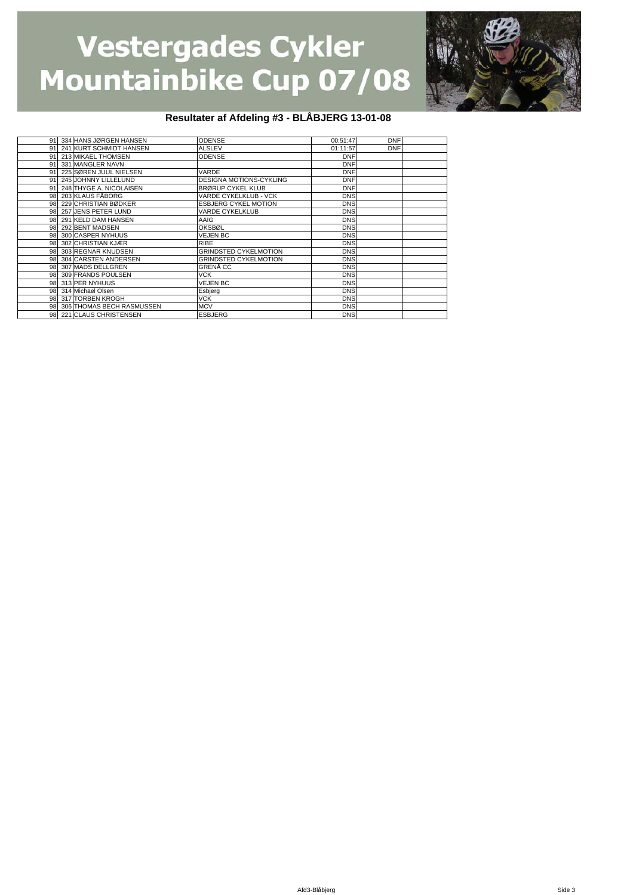

#### **Resultater af Afdeling #3 - BLÅBJERG 13-01-08**

|    | 91 334 HANS JØRGEN HANSEN    | <b>ODENSE</b>                  | 00:51:47   | <b>DNF</b> |  |
|----|------------------------------|--------------------------------|------------|------------|--|
|    | 91 241 KURT SCHMIDT HANSEN   | <b>ALSLEV</b>                  | 01:11:57   | <b>DNF</b> |  |
| 91 | 213 MIKAEL THOMSEN           | <b>ODENSE</b>                  | <b>DNF</b> |            |  |
| 91 | 331 MANGLER NAVN             |                                | <b>DNF</b> |            |  |
| 91 | 225 SØREN JUUL NIELSEN       | VARDE                          | <b>DNF</b> |            |  |
|    | 91 245 JOHNNY LILLELUND      | <b>DESIGNA MOTIONS-CYKLING</b> | <b>DNF</b> |            |  |
|    | 91 248 THYGE A. NICOLAISEN   | <b>BRØRUP CYKEL KLUB</b>       | <b>DNF</b> |            |  |
|    | 98 203 KLAUS FÅBORG          | VARDE CYKELKLUB - VCK          | <b>DNS</b> |            |  |
|    | 98 229 CHRISTIAN BØDKER      | <b>ESBJERG CYKEL MOTION</b>    | <b>DNS</b> |            |  |
| 98 | 257 JENS PETER LUND          | <b>VARDE CYKELKLUB</b>         | <b>DNS</b> |            |  |
|    | 98 291 KELD DAM HANSEN       | AAIG                           | <b>DNS</b> |            |  |
|    | 98 292 BENT MADSEN           | <b>OKSBØL</b>                  | <b>DNS</b> |            |  |
|    | 98 300 CASPER NYHUUS         | <b>VEJEN BC</b>                | <b>DNS</b> |            |  |
|    | 98 302 CHRISTIAN KJÆR        | <b>RIBE</b>                    | <b>DNS</b> |            |  |
|    | 98 303 REGNAR KNUDSEN        | GRINDSTED CYKELMOTION          | <b>DNS</b> |            |  |
|    | 98 304 CARSTEN ANDERSEN      | <b>GRINDSTED CYKELMOTION</b>   | <b>DNS</b> |            |  |
|    | 98 307 MADS DELLGREN         | GRENĂ CC                       | <b>DNS</b> |            |  |
|    | 98 309 FRANDS POULSEN        | <b>VCK</b>                     | <b>DNS</b> |            |  |
|    | 98 313 PER NYHUUS            | <b>VEJEN BC</b>                | <b>DNS</b> |            |  |
|    | 98 314 Michael Olsen         | Esbjerg                        | <b>DNS</b> |            |  |
|    | 98 317 TORBEN KROGH          | <b>VCK</b>                     | <b>DNS</b> |            |  |
|    | 98 306 THOMAS BECH RASMUSSEN | <b>MCV</b>                     | <b>DNS</b> |            |  |
|    | 98 221 CLAUS CHRISTENSEN     | <b>ESBJERG</b>                 | <b>DNS</b> |            |  |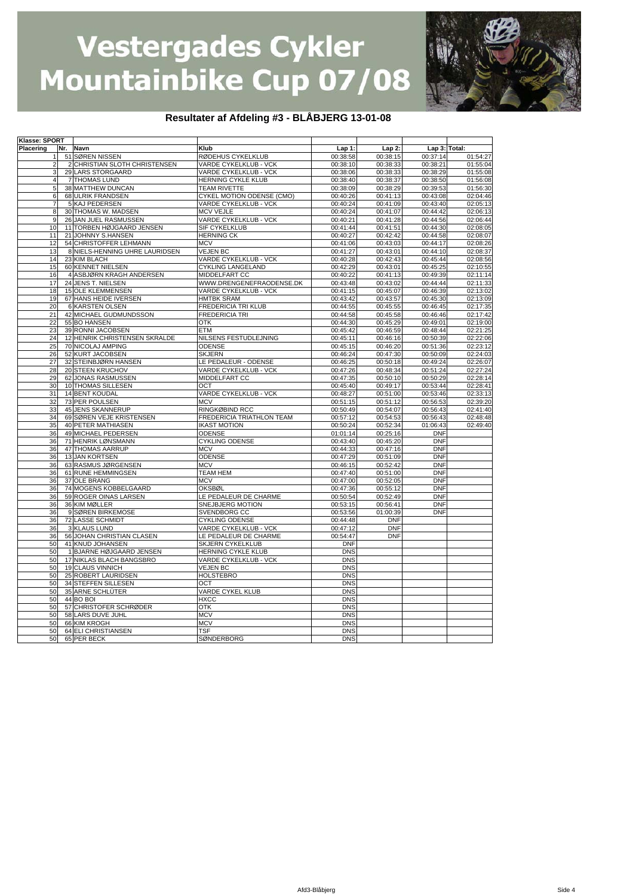

#### **Resultater af Afdeling #3 - BLÅBJERG 13-01-08**

| Klasse: SPORT  |                                |                              |            |            |               |                      |
|----------------|--------------------------------|------------------------------|------------|------------|---------------|----------------------|
| Placering      | Nr. Navn                       | Klub                         | Lap 1:     | $Lap2$ :   | Lap 3: Total: |                      |
| 1              | 51 SØREN NISSEN                | RØDEHUS CYKELKLUB            | 00:38:58   | 00:38:15   | 00:37:14      | 01:54:27             |
| 2              | 2 CHRISTIAN SLOTH CHRISTENSEN  | <b>VARDE CYKELKLUB - VCK</b> | 00:38:10   | 00:38:33   | 00:38:21      | 01:55:04             |
| 3              | 29 LARS STORGAARD              | VARDE CYKELKLUB - VCK        | 00:38:06   | 00:38:33   | 00:38:29      | 01:55:08             |
| 4              | <b>7 THOMAS LUND</b>           | HERNING CYKLE KLUB           | 00:38:40   | 00:38:37   | 00:38:50      | 01:56:08             |
| 5              | 38 MATTHEW DUNCAN              | <b>TEAM RIVETTE</b>          | 00:38:09   | 00:38:29   | 00:39:53      | 01:56:30             |
| 6              | 68 ULRIK FRANDSEN              | CYKEL MOTION ODENSE (CMO)    | 00:40:26   | 00:41:13   | 00:43:08      | 02:04:46             |
| $\overline{7}$ | 5 KAJ PEDERSEN                 | VARDE CYKELKLUB - VCK        | 00:40:24   | 00:41:09   | 00:43:40      | 02:05:13             |
| 8              | 30 THOMAS W. MADSEN            | <b>MCV VEJLE</b>             | 00:40:24   | 00:41:07   | 00:44:42      | 02:06:13             |
| 9              | 26 JAN JUEL RASMUSSEN          | VARDE CYKELKLUB - VCK        | 00:40:21   | 00:41:28   | 00:44:56      | 02:06:44             |
| 10             | 11 TORBEN HØJGAARD JENSEN      | SIF CYKELKLUB                | 00:41:44   | 00:41:51   | 00:44:30      | 02:08:05             |
| 11             | 21 JOHNNY S.HANSEN             | <b>HERNING CK</b>            | 00:40:27   | 00:42:42   | 00:44:58      | 02:08:07             |
| 12             | 54 CHRISTOFFER LEHMANN         | <b>MCV</b>                   | 00:41:06   | 00:43:03   | 00:44:17      | 02:08:26             |
| 13             | 8 NIELS-HENNING UHRE LAURIDSEN | <b>VEJEN BC</b>              | 00:41:27   | 00:43:01   | 00:44:10      | 02:08:37             |
| 14             | 23 KIM BLACH                   | VARDE CYKELKLUB - VCK        | 00:40:28   | 00:42:43   | 00:45:44      | 02:08:56             |
| 15             | 60 KENNET NIELSEN              | CYKLING LANGELAND            | 00:42:29   | 00:43:01   | 00:45:25      | 02:10:55             |
| 16             | 4 ASBJØRN KRAGH ANDERSEN       | MIDDELFART CC                | 00:40:22   | 00:41:13   | 00:49:39      | 02:11:14             |
| 17             | 24 JENS T. NIELSEN             | WWW.DRENGENEFRAODENSE.DK     | 00:43:48   | 00:43:02   | 00:44:44      | 02:11:33             |
| 18             | <b>15 OLE KLEMMENSEN</b>       | VARDE CYKELKLUB - VCK        | 00:41:15   | 00:45:07   | 00:46:39      | 02:13:02             |
| 19             | 67 HANS HEIDE IVERSEN          | <b>HMTBK SRAM</b>            | 00:43:42   | 00:43:57   | 00:45:30      | 02:13:09             |
| 20             | 6 KARSTEN OLSEN                | FREDERICIA TRI KLUB          | 00:44:55   | 00:45:55   | 00:46:45      | 02:17:35             |
| 21             | 42 MICHAEL GUDMUNDSSON         | FREDERICIA TRI               | 00:44:58   | 00:45:58   | 00:46:46      | 02:17:42             |
| 22             | 55 BO HANSEN                   | <b>OTK</b>                   | 00:44:30   | 00:45:29   | 00:49:01      | 02:19:00             |
| 23             | 39 RONNI JACOBSEN              | <b>ETM</b>                   | 00:45:42   | 00:46:59   | 00:48:44      | 02:21:25             |
| 24             | 12 HENRIK CHRISTENSEN SKRALDE  | NILSENS FESTUDLEJNING        | 00:45:11   | 00:46:16   | 00:50:39      | 02:22:06             |
| 25             | 70 NICOLAJ AMPING              |                              |            | 00:46:20   | 00:51:36      |                      |
|                |                                | ODENSE<br><b>SKJERN</b>      | 00:45:15   |            |               | 02:23:12<br>02:24:03 |
| 26             | 52 KURT JACOBSEN               |                              | 00:46:24   | 00:47:30   | 00:50:09      |                      |
| 27<br>28       | 32 STEINBJØRN HANSEN           | LE PEDALEUR - ODENSE         | 00:46:25   | 00:50:18   | 00:49:24      | 02:26:07             |
|                | 20 STEEN KRUCHOV               | VARDE CYKELKLUB - VCK        | 00:47:26   | 00:48:34   | 00:51:24      | 02:27:24             |
| 29             | 62 JONAS RASMUSSEN             | MIDDELFART CC                | 00:47:35   | 00:50:10   | 00:50:29      | 02:28:14             |
| 30             | 10 THOMAS SILLESEN             | OCT                          | 00:45:40   | 00:49:17   | 00:53:44      | 02:28:41             |
| 31             | 14 BENT KOUDAL                 | VARDE CYKELKLUB - VCK        | 00:48:27   | 00:51:00   | 00:53:46      | 02:33:13             |
| 32             | 73 PER POULSEN                 | <b>MCV</b>                   | 00:51:15   | 00:51:12   | 00:56:53      | 02:39:20             |
| 33             | 45 JENS SKANNERUP              | RINGKØBIND RCC               | 00:50:49   | 00:54:07   | 00:56:43      | 02:41:40             |
| 34             | 69 SØREN VEJE KRISTENSEN       | FREDERICIA TRIATHLON TEAM    | 00:57:12   | 00:54:53   | 00:56:43      | 02:48:48             |
| 35             | <b>40 PETER MATHIASEN</b>      | <b>IKAST MOTION</b>          | 00:50:24   | 00:52:34   | 01:06:43      | 02:49:40             |
| 36             | 49 MICHAEL PEDERSEN            | ODENSE                       | 01:01:14   | 00:25:16   | <b>DNF</b>    |                      |
| 36             | 71 HENRIK LØNSMANN             | <b>CYKLING ODENSE</b>        | 00:43:40   | 00:45:20   | <b>DNF</b>    |                      |
| 36             | 47 THOMAS AARRUP               | <b>MCV</b>                   | 00:44:33   | 00:47:16   | <b>DNF</b>    |                      |
| 36             | 13 JAN KORTSEN                 | ODENSE                       | 00:47:29   | 00:51:09   | <b>DNF</b>    |                      |
| 36             | 63 RASMUS JØRGENSEN            | <b>MCV</b>                   | 00:46:15   | 00:52:42   | <b>DNF</b>    |                      |
| 36             | 61 RUNE HEMMINGSEN             | <b>TEAM HEM</b>              | 00:47:40   | 00:51:00   | <b>DNF</b>    |                      |
| 36             | 37 OLE BRANG                   | <b>MCV</b>                   | 00:47:00   | 00:52:05   | <b>DNF</b>    |                      |
| 36             | 74 MOGENS KOBBELGAARD          | <b>OKSBØL</b>                | 00:47:36   | 00:55:12   | <b>DNF</b>    |                      |
| 36             | 59 ROGER OINAS LARSEN          | LE PEDALEUR DE CHARME        | 00:50:54   | 00:52:49   | <b>DNF</b>    |                      |
| 36             | 36 KIM MØLLER                  | SNEJBJERG MOTION             | 00:53:15   | 00:56:41   | <b>DNF</b>    |                      |
| 36             | 9 SØREN BIRKEMOSE              | SVENDBORG CC                 | 00:53:56   | 01:00:39   | <b>DNF</b>    |                      |
| 36             | 72 LASSE SCHMIDT               | CYKLING ODENSE               | 00:44:48   | <b>DNF</b> |               |                      |
| 36             | 3 KLAUS LUND                   | VARDE CYKELKLUB - VCK        | 00:47:12   | <b>DNF</b> |               |                      |
| 36             | 56 JOHAN CHRISTIAN CLASEN      | LE PEDALEUR DE CHARME        | 00:54:47   | <b>DNF</b> |               |                      |
| 50             | 41 KNUD JOHANSEN               | <b>SKJERN CYKELKLUB</b>      | <b>DNF</b> |            |               |                      |
| 50             | 1 BJARNE HØJGAARD JENSEN       | HERNING CYKLE KLUB           | <b>DNS</b> |            |               |                      |
| 50             | 17 NIKLAS BLACH BANGSBRO       | VARDE CYKELKLUB - VCK        | <b>DNS</b> |            |               |                      |
| 50             | 19 CLAUS VINNICH               | <b>VEJEN BC</b>              | <b>DNS</b> |            |               |                      |
| 50             | 25 ROBERT LAURIDSEN            | <b>HOLSTEBRO</b>             | <b>DNS</b> |            |               |                      |
| 50             | <b>34 STEFFEN SILLESEN</b>     | OCT                          | <b>DNS</b> |            |               |                      |
| 50             | 35 ARNE SCHLÜTER               | VARDE CYKEL KLUB             | <b>DNS</b> |            |               |                      |
| 50             | 44 BO BOI                      | <b>HXCC</b>                  | <b>DNS</b> |            |               |                      |
| 50             | 57 CHRISTOFER SCHRØDER         | <b>OTK</b>                   | <b>DNS</b> |            |               |                      |
| 50             | 58 LARS DUVE JUHL              | <b>MCV</b>                   | <b>DNS</b> |            |               |                      |
| 50             | 66 KIM KROGH                   | <b>MCV</b>                   | <b>DNS</b> |            |               |                      |
| 50             | 64 ELI CHRISTIANSEN            | <b>TSF</b>                   | <b>DNS</b> |            |               |                      |
| 50             | 65 PER BECK                    | SØNDERBORG                   | <b>DNS</b> |            |               |                      |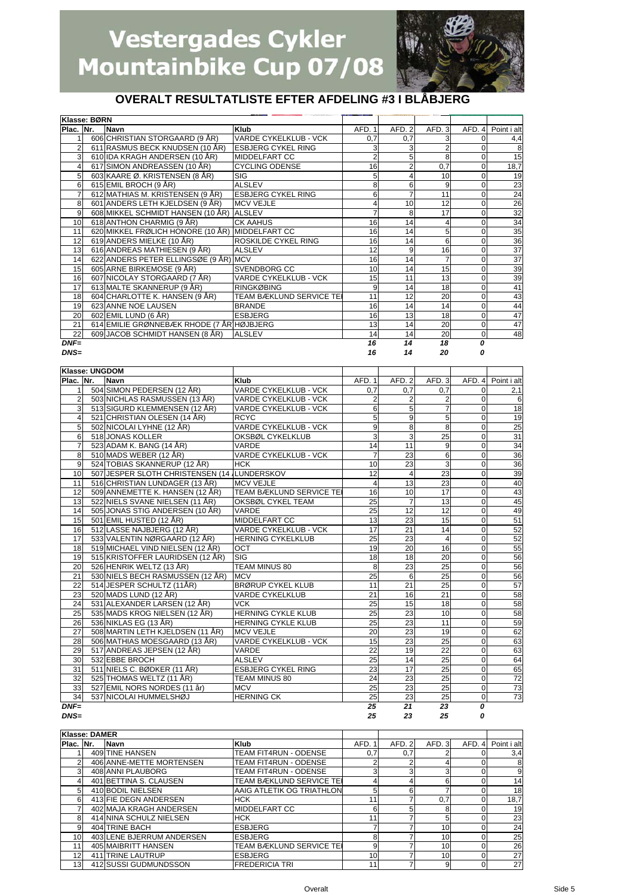

### **OVERALT RESULTATLISTE EFTER AFDELING #3 I BLÅBJERG**

|                 | Klasse: BØRN |                                                 |                              |        |        |                |              |                 |
|-----------------|--------------|-------------------------------------------------|------------------------------|--------|--------|----------------|--------------|-----------------|
| Plac. Nr.       |              | Navn                                            | Klub                         | AFD. 1 | AFD. 2 | AFD. 3         | AFD. 4       | Point i alt     |
|                 |              | 606 CHRISTIAN STORGAARD (9 ÅR)                  | <b>VARDE CYKELKLUB - VCK</b> | 0,7    | 0,7    | 3              | 0            | 4,4             |
|                 |              | 611 RASMUS BECK KNUDSEN (10 ÅR)                 | <b>IESBJERG CYKEL RING</b>   |        | 3      | $\overline{2}$ | $\Omega$     | 8               |
| $\overline{3}$  |              | 610 IDA KRAGH ANDERSEN (10 ÅR)                  | <b>MIDDELFART CC</b>         |        | 5      | 8              | $\mathbf 0$  | 15              |
|                 |              | 617 SIMON ANDREASSEN (10 ÅR)                    | <b>CYCLING ODENSE</b>        | 16     | 2      | 0,7            | 0            | 18,7            |
| 5               |              | 603 KAARE Ø. KRISTENSEN (8 ÅR)                  | <b>SIG</b>                   |        |        | 10             | $\Omega$     | 19              |
| 6               |              | 615 EMIL BROCH (9 ÅR)                           | <b>ALSLEV</b>                | 8      | 6      | 9              | $\Omega$     | 23              |
|                 |              | 612 MATHIAS M. KRISTENSEN (9 ÅR)                | <b>ESBJERG CYKEL RING</b>    | 6      |        | 11             | 0            | 24              |
| 8               |              | 601 ANDERS LETH KJELDSEN (9 ÅR)                 | <b>MCV VEJLE</b>             |        | 10     | 12             | $\Omega$     | 26              |
| 9               |              | 608 MIKKEL SCHMIDT HANSEN (10 ÅR) ALSLEV        |                              |        | 8      | 17             | 0            | 32              |
| 10              |              | 618 ANTHON CHARMIG (9 ÅR)                       | <b>CK AAHUS</b>              | 16     | 14     | 4              | $\mathbf 0$  | 34              |
| 11              |              | 620 MIKKEL FRØLICH HONORE (10 ÅR) MIDDELFART CC |                              | 16     | 14     | 5              | 0            | 35              |
| 12              |              | 619 ANDERS MIELKE (10 ÅR)                       | ROSKILDE CYKEL RING          | 16     | 14     | 6              | 0            | 36              |
| 13              |              | 616 ANDREAS MATHIESEN (9 ÅR)                    | <b>ALSLEV</b>                | 12     | 9      | 16             | 0            | $\overline{37}$ |
| 14              |              | 622 ANDERS PETER ELLINGSØE (9 ÅR) MCV           |                              | 16     | 14     |                | 0            | 37              |
| 15              |              | 605 ARNE BIRKEMOSE (9 ÅR)                       | <b>SVENDBORG CC</b>          | 10     | 14     | 15             | $\Omega$     | 39              |
| 16              |              | 607 NICOLAY STORGAARD (7 ÅR)                    | <b>VARDE CYKELKLUB - VCK</b> | 15     | 11     | 13             | $\mathbf 0$  | 39              |
| 17              |              | 613 MALTE SKANNERUP (9 ÅR)                      | <b>RINGKØBING</b>            | 9      | 14     | 18             | 0            | 41              |
| 18              |              | 604 CHARLOTTE K. HANSEN (9 ÅR)                  | TEAM BÆKLUND SERVICE TEI     | 11     | 12     | 20             | 0            | 43              |
| 19              |              | 623 ANNE NOE LAUSEN                             | <b>BRANDE</b>                | 16     | 14     | 14             | 0            | 44              |
| 20              |              | 602 EMIL LUND (6 ÅR)                            | <b>ESBJERG</b>               | 16     | 13     | 18             | $\mathbf 0$  | 47              |
| 21              |              | 614 EMILIE GRØNNEBÆK RHODE (7 ÅR HØJBJERG       |                              | 13     | 14     | 20             | $\mathbf 0$  | 47              |
| $\overline{22}$ |              | 609 JACOB SCHMIDT HANSEN (8 ÅR)                 | <b>ALSLEV</b>                | 14     | 14     | 20             | $\mathbf{O}$ | 48              |
| $DNF=$          |              |                                                 |                              | 16     | 14     | 18             | O            |                 |
| $DNS=$          |              |                                                 |                              | 16     | 14     | 20             | Ω            |                 |

|                | Klasse: UNGDOM |                                             |                                 |                 |                 |                 |                |                 |
|----------------|----------------|---------------------------------------------|---------------------------------|-----------------|-----------------|-----------------|----------------|-----------------|
| Plac. Nr.      |                | <b>Navn</b>                                 | Klub                            | AFD. 1          | AFD. 2          | AFD.3           | AFD. 4         | Point i alt     |
|                |                | 504 SIMON PEDERSEN (12 ÅR)                  | <b>VARDE CYKELKLUB - VCK</b>    | 0,7             | 0.7             | 0.7             | $\Omega$       | 2,1             |
| $\overline{2}$ |                | 503 NICHLAS RASMUSSEN (13 ÅR)               | VARDE CYKELKLUB - VCK           | $\overline{2}$  | 2               | $\overline{2}$  | $\Omega$       | 6               |
| 3              |                | 513 SIGURD KLEMMENSEN (12 ÅR)               | VARDE CYKELKLUB - VCK           | 6               | $\overline{5}$  | $\overline{7}$  | $\Omega$       | 18              |
| 4              |                | 521 CHRISTIAN OLESEN (14 ÅR)                | <b>RCYC</b>                     | 5               | $\overline{9}$  | 5               | $\Omega$       | 19              |
| 5              |                | 502 NICOLAI LYHNE (12 ÅR)                   | <b>VARDE CYKELKLUB - VCK</b>    | 9               | 8               | ø               | $\overline{0}$ | 25              |
| 6              |                | 518 JONAS KOLLER                            | OKSBØL CYKELKLUB                | 3               | 3               | 25              | $\overline{0}$ | 31              |
| $\overline{7}$ |                | 523 ADAM K. BANG (14 ÅR)                    | VARDE                           | 14              | 11              | 9               | $\overline{0}$ | 34              |
| 8              |                | 510 MADS WEBER (12 ÅR)                      | VARDE CYKELKLUB - VCK           | $\overline{7}$  | 23              | 6               | $\Omega$       | 36              |
| 9              |                | 524 TOBIAS SKANNERUP (12 ÅR)                | <b>HCK</b>                      | 10              | 23              | 3               | $\Omega$       | 36              |
| 10             |                | 507 JESPER SLOTH CHRISTENSEN (14 LUNDERSKOV |                                 | 12              | $\overline{4}$  | 23              | 0              | 39              |
| 11             |                | 516 CHRISTIAN LUNDAGER (13 ÅR)              | <b>MCV VEJLE</b>                | $\overline{4}$  | 13              | 23              | 0              | 40              |
| 12             |                | 509 ANNEMETTE K. HANSEN (12 ÅR)             | <b>TEAM BÆKLUND SERVICE TEI</b> | 16              | 10              | 17              | 0              | 43              |
| 13             |                | 522 NIELS SVANE NIELSEN (11 ÅR)             | OKSBØL CYKEL TEAM               | $\overline{25}$ | $\overline{7}$  | 13              | 0              | 45              |
| 14             |                | 505 JONAS STIG ANDERSEN (10 ÅR)             | <b>VARDE</b>                    | $\overline{25}$ | 12              | 12              | 0              | 49              |
| 15             |                | 501 EMIL HUSTED (12 ÅR)                     | MIDDELFART CC                   | 13              | 23              | 15              | 0              | 51              |
| 16             |                | 512 LASSE NAJBJERG (12 ÅR)                  | VARDE CYKELKLUB - VCK           | $\overline{17}$ | 21              | 14              | 0              | 52              |
| 17             |                | 533 VALENTIN NØRGAARD (12 ÅR)               | <b>HERNING CYKELKLUB</b>        | $\overline{25}$ | 23              | $\overline{4}$  | 0              | 52              |
| 18             |                | 519 MICHAEL VIND NIELSEN (12 ÅR)            | <b>OCT</b>                      | 19              | 20              | 16              | 0              | 55              |
| 19             |                | 515 KRISTOFFER LAURIDSEN (12 ÅR)            | <b>SIG</b>                      | 18              | 18              | 20              | $\Omega$       | 56              |
| 20             |                | 526 HENRIK WELTZ (13 ÅR)                    | TEAM MINUS 80                   | 8               | 23              | 25              | $\Omega$       | 56              |
| 21             |                | 530 NIELS BECH RASMUSSEN (12 ÅR)            | <b>MCV</b>                      | 25              | 6               | 25              | $\overline{0}$ | 56              |
| 22             |                | 514 JESPER SCHULTZ (11ÅR)                   | <b>BRØRUP CYKEL KLUB</b>        | 11              | $\overline{21}$ | 25              | $\overline{0}$ | 57              |
| 23             |                | 520 MADS LUND (12 ÅR)                       | <b>VARDE CYKELKLUB</b>          | 21              | 16              | 21              | $\overline{0}$ | 58              |
| 24             |                | 531 ALEXANDER LARSEN (12 ÅR)                | <b>VCK</b>                      | 25              | 15              | 18              | $\Omega$       | 58              |
| 25             |                | 535 MADS KROG NIELSEN (12 ÅR)               | <b>HERNING CYKLE KLUB</b>       | 25              | 23              | 10              | $\overline{0}$ | 58              |
| 26             |                | 536 NIKLAS EG (13 ÅR)                       | <b>HERNING CYKLE KLUB</b>       | 25              | 23              | 11              | $\Omega$       | 59              |
| 27             |                | 508 MARTIN LETH KJELDSEN (11 ÅR)            | <b>MCV VEJLE</b>                | 20              | 23              | 19              | $\overline{0}$ | 62              |
| 28             |                | 506 MATHIAS MOESGAARD (13 ÅR)               | VARDE CYKELKLUB - VCK           | 15              | 23              | 25              | $\overline{0}$ | 63              |
| 29             |                | 517 ANDREAS JEPSEN (12 ÅR)                  | VARDE                           | 22              | 19              | 22              | $\mathbf 0$    | 63              |
| 30             |                | 532 EBBE BROCH                              | <b>ALSLEV</b>                   | 25              | 14              | 25              | $\overline{0}$ | 64              |
| 31             |                | 511 NIELS C. BØDKER (11 ÅR)                 | <b>ESBJERG CYKEL RING</b>       | 23              | 17              | 25              | $\overline{0}$ | 65              |
| 32             |                | 525 THOMAS WELTZ (11 ÅR)                    | TEAM MINUS 80                   | $\overline{24}$ | $\overline{23}$ | 25              | $\overline{0}$ | $\overline{72}$ |
| 33             |                | 527 EMIL NORS NORDES (11 år)                | <b>MCV</b>                      | 25              | $\overline{23}$ | 25              | $\overline{0}$ | 73              |
| 34             |                | 537 NICOLAI HUMMELSHØJ                      | <b>HERNING CK</b>               | $\overline{25}$ | 23              | 25              | $\overline{0}$ | 73              |
| $DNF=$         |                |                                             |                                 | 25              | 21              | $\overline{23}$ | $\Omega$       |                 |

*DNS= 25 23 25 0*

|                 | Klasse: DAMER |                           |                                 |        |       |        |      |             |
|-----------------|---------------|---------------------------|---------------------------------|--------|-------|--------|------|-------------|
| Plac. Nr.       |               | <b>Navn</b>               | <b>Klub</b>                     | AFD. 1 | AFD.2 | AFD. 3 | AFD. | Point i alt |
|                 |               | 409 TINE HANSEN           | <b>TEAM FIT4RUN - ODENSE</b>    | 0,7    | 0,7   | ⌒      |      | 3,4         |
| $\sim$          |               | 406 ANNE-METTE MORTENSEN  | TEAM FIT4RUN - ODENSE           |        |       |        |      | 8           |
| 3               |               | 408 ANNI PLAUBORG         | TEAM FIT4RUN - ODENSE           | 3      |       | 3      |      | 9           |
|                 |               | 401 BETTINA S. CLAUSEN    | <b>TEAM BÆKLUND SERVICE TEI</b> |        |       | 6      |      | 14          |
| 5               |               | 410 BODIL NIELSEN         | AAIG ATLETIK OG TRIATHLON       | 5      |       |        |      | 18          |
| 6               |               | 413 FIE DEGN ANDERSEN     | <b>HCK</b>                      | 11     |       | 0,7    |      | 18,7        |
|                 |               | 402 MAJA KRAGH ANDERSEN   | <b>MIDDELFART CC</b>            | 6      |       | 8      |      | 19          |
| 8               |               | 414 NINA SCHULZ NIELSEN   | <b>HCK</b>                      | 11     |       | 5      |      | 23          |
| 9               |               | 404 TRINE BACH            | <b>ESBJERG</b>                  |        |       | 10     |      | 24          |
| 10 <sup>1</sup> |               | 403 LENE BJERRUM ANDERSEN | <b>ESBJERG</b>                  | 8      |       | 10     |      | 25          |
| 11              |               | 405 MAIBRITT HANSEN       | TEAM BÆKLUND SERVICE TEI        |        |       | 10     |      | 26          |
| 12 <sub>1</sub> |               | 411 TRINE LAUTRUP         | <b>ESBJERG</b>                  | 10     |       | 10     |      | 27          |
| 13 <sub>l</sub> |               | 412 SUSSI GUDMUNDSSON     | <b>FREDERICIA TRI</b>           | 11     |       | 9      |      | 27          |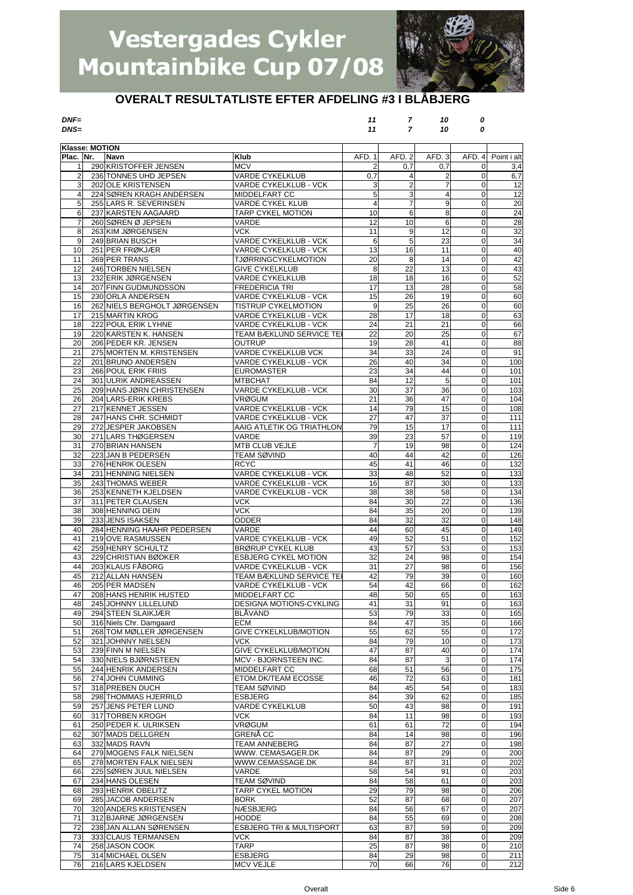

### **OVERALT RESULTATLISTE EFTER AFDELING #3 I BLÅBJERG**

*DNF= 11 7 10 0 DNS= 11 7 10 0*

| Klasse: MOTION |                                          |                                                     |                |          |                |                          |                 |
|----------------|------------------------------------------|-----------------------------------------------------|----------------|----------|----------------|--------------------------|-----------------|
| Plac. Nr.      | <b>Navn</b>                              | Klub                                                | AFD. 1         | AFD. 2   | AFD. 3         | AFD. 4                   | Point i alt     |
| 1              | 290 KRISTOFFER JENSEN                    | <b>MCV</b>                                          | 2              | 0.7      | 0.7            | 0                        | 3,4             |
| $\overline{2}$ | 236 TONNES UHD JEPSEN                    | VARDE CYKELKLUB                                     | 0,7            | 4        | 2              | 0                        | 6,7             |
| 3              | 202 OLE KRISTENSEN                       | VARDE CYKELKLUB - VCK                               | 3              | 2        | $\overline{7}$ | $\mathbf 0$              | 12              |
| $\overline{4}$ | 224 SØREN KRAGH ANDERSEN                 | MIDDELFART CC                                       | 5              | 3        | $\overline{4}$ | $\mathbf 0$              | 12              |
| 5              | 255 LARS R. SEVERINSEN                   | VARDE CYKEL KLUB                                    | $\overline{4}$ | 7        | 9              | $\mathbf 0$              | $\overline{20}$ |
| 6              | 237 KARSTEN AAGAARD                      | <b>TARP CYKEL MOTION</b>                            | 10             | 6        | 8              | $\mathbf 0$              | 24              |
| $\overline{7}$ | 260 SØREN Ø JEPSEN                       | VARDE                                               | 12             | 10       | 6              | $\mathbf 0$              | 28              |
| 8              | 263 KIM JØRGENSEN                        | VCK.                                                | 11             | 9        | 12             | 0                        | 32              |
| 9              | 249 BRIAN BUSCH                          | VARDE CYKELKLUB - VCK                               | 6              | 5        | 23             | 0                        | 34              |
| 10             | 251 PER FRØKJÆR                          | VARDE CYKELKLUB - VCK                               | 13             | 16       | 11             | 0                        | 40              |
| 11<br>12       | 269 PER TRANS<br>246 TORBEN NIELSEN      | <b>TJØRRINGCYKELMOTION</b><br><b>GIVE CYKELKLUB</b> | 20<br>8        | 8<br>22  | 14<br>13       | $\pmb{0}$<br>$\mathbf 0$ | 42<br>43        |
| 13             | 232 ERIK JØRGENSEN                       | VARDE CYKELKLUB                                     | 18             | 18       | 16             | 0                        | 52              |
| 14             | 207 FINN GUDMUNDSSON                     | FREDERICIA TRI                                      | 17             | 13       | 28             | 0                        | 58              |
| 15             | 230 ORLA ANDERSEN                        | VARDE CYKELKLUB - VCK                               | 15             | 26       | 19             | $\mathbf 0$              | 60              |
| 16             | 262 NIELS BERGHOLT JØRGENSEN             | <b>TISTRUP CYKELMOTION</b>                          | 9              | 25       | 26             | $\mathbf 0$              | 60              |
| 17             | 215 MARTIN KROG                          | VARDE CYKELKLUB - VCK                               | 28             | 17       | 18             | $\mathbf 0$              | 63              |
| 18             | 222 POUL ERIK LYHNE                      | VARDE CYKELKLUB - VCK                               | 24             | 21       | 21             | $\pmb{0}$                | 66              |
| 19             | 220 KARSTEN K. HANSEN                    | TEAM BÆKLUND SERVICE TEI                            | 22             | 20       | 25             | 0                        | 67              |
| 20             | 206 PEDER KR. JENSEN                     | OUTRUP                                              | 19             | 28       | 41             | 0                        | 88              |
| 21             | 275 MORTEN M. KRISTENSEN                 | VARDE CYKELKLUB VCK                                 | 34             | 33       | 24             | 0                        | 91              |
| 22             | 201 BRUNO ANDERSEN                       | <b>VARDE CYKELKLUB - VCK</b>                        | 26             | 40       | 34             | 0                        | 100             |
| 23             | 266 POUL ERIK FRIIS                      | <b>EUROMASTER</b>                                   | 23             | 34       | 44             | $\mathbf 0$              | 101             |
| 24             | 301 ULRIK ANDREASSEN                     | <b>MTBCHAT</b>                                      | 84             | 12       | 5              | 0                        | 101             |
| 25             | 209 HANS JØRN CHRISTENSEN                | VARDE CYKELKLUB - VCK                               | 30             | 37       | 36             | 0                        | 103             |
| 26             | 204 LARS-ERIK KREBS                      | VRØGUM                                              | 21             | 36       | 47             | 0                        | 104             |
| 27             | 217 KENNET JESSEN                        | VARDE CYKELKLUB - VCK                               | 14             | 79       | 15             | 0                        | 108             |
| 28             | 247 HANS CHR. SCHMIDT                    | VARDE CYKELKLUB - VCK                               | 27             | 47       | 37             | 0                        | 111             |
| 29             | 272 JESPER JAKOBSEN                      | AAIG ATLETIK OG TRIATHLON                           | 79             | 15       | 17             | $\mathbf 0$              | 111             |
| 30             | 271 LARS THØGERSEN                       | VARDE                                               | 39             | 23       | 57             | $\mathbf 0$              | 119             |
| 31             | 270 BRIAN HANSEN                         | <b>MTB CLUB VEJLE</b>                               | 7              | 19       | 98             | 0                        | 124             |
| 32             | 223 JAN B PEDERSEN                       | TEAM SØVIND                                         | 40             | 44       | 42             | 0                        | 126             |
| 33             | 276 HENRIK OLESEN                        | <b>RCYC</b>                                         | 45             | 41       | 46             | 0                        | 132             |
| 34<br>35       | 231 HENNING NIELSEN                      | VARDE CYKELKLUB - VCK<br>VARDE CYKELKLUB - VCK      | 33<br>16       | 48       | 52             | 0<br>0                   | 133             |
| 36             | 243 THOMAS WEBER<br>253 KENNETH KJELDSEN | VARDE CYKELKLUB - VCK                               | 38             | 87<br>38 | 30<br>58       | $\mathbf 0$              | 133<br>134      |
| 37             | 311 PETER CLAUSEN                        | VCK                                                 | 84             | 30       | 22             | $\pmb{0}$                | 136             |
| 38             | 308 HENNING DEIN                         | VCK                                                 | 84             | 35       | 20             | $\mathbf 0$              | 139             |
| 39             | 233 JENS ISAKSEN                         | ODDER                                               | 84             | 32       | 32             | 0                        | 148             |
| 40             | 284 HENNING HAAHR PEDERSEN               | VARDE                                               | 44             | 60       | 45             | 0                        | 149             |
| 41             | 219 OVE RASMUSSEN                        | VARDE CYKELKLUB - VCK                               | 49             | 52       | 51             | 0                        | 152             |
| 42             | 259 HENRY SCHULTZ                        | <b>BRØRUP CYKEL KLUB</b>                            | 43             | 57       | 53             | 0                        | 153             |
| 43             | 229 CHRISTIAN BØDKER                     | <b>ESBJERG CYKEL MOTION</b>                         | 32             | 24       | 98             | $\mathbf 0$              | 154             |
| 44             | 203 KLAUS FABORG                         | VARDE CYKELKLUB - VCK                               | 31             | 27       | 98             | 0                        | 156             |
| 45             | 212 ALLAN HANSEN                         | TEAM BÆKLUND SERVICE TEI                            | 42             | 79       | 39             | 0                        | 160             |
| 46             | 205 PER MADSEN                           | VARDE CYKELKLUB - VCK                               | 54             | 42       | 66             | 0                        | 162             |
| 47             | 208 HANS HENRIK HUSTED                   | MIDDELFART CC                                       | 48             | 50       | 65             | 0                        | 163             |
| 48             | 245 JOHNNY LILLELUND                     | <b>DESIGNA MOTIONS-CYKLING</b>                      | 41             | 31       | 91             | 0                        | 163             |
| 49             | 294 STEEN SLAIKJÆR                       | BLÅVAND                                             | 53             | 79       | 33             | 0                        | 165             |
| 50             | 316 Niels Chr. Damgaard                  | ECM                                                 | 84             | 47       | 35             | 0                        | 166             |
| 51             | 268 TOM MØLLER JØRGENSEN                 | <b>GIVE CYKELKLUB/MOTION</b>                        | 55             | 62       | 55             | 0                        | 172             |
| 52             | 321 JOHNNY NIELSEN                       | VCK                                                 | 84             | 79       | 10             | 0                        | 173             |
| 53             | 239 FINN M NIELSEN                       | <b>GIVE CYKELKLUB/MOTION</b>                        | 47             | 87       | 40             | $\mathbf 0$              | 174             |
| 54             | 330 NIELS BJØRNSTEEN                     | MCV - BJORNSTEEN INC.                               | 84             | 87       | 3              | $\mathbf 0$              | 174             |
| 55             | 244 HENRIK ANDERSEN                      | MIDDELFART CC                                       | 68             | 51       | 56             | 0                        | 175             |
| 56<br>57       | 274 JOHN CUMMING<br>318 PREBEN DUCH      | ETOM.DK/TEAM ECOSSE<br><b>TEAM SØVIND</b>           | 46<br>84       | 72<br>45 | 63<br>54       | $\pmb{0}$<br>0           | 181<br>183      |
| 58             | 298 THOMMAS HJERRILD                     | <b>ESBJERG</b>                                      | 84             | 39       | 62             | 0                        | 185             |
| 59             | 257 JENS PETER LUND                      | <b>VARDE CYKELKLUB</b>                              | 50             | 43       | 98             | 0                        | 191             |
| 60             | 317 TORBEN KROGH                         | <b>VCK</b>                                          | 84             | 11       | 98             | 0                        | 193             |
| 61             | 250 PEDER K. ULRIKSEN                    | <b>VRØGUM</b>                                       | 61             | 61       | 72             | 0                        | 194             |
| 62             | 307 MADS DELLGREN                        | GRENĂ CC                                            | 84             | 14       | 98             | 0                        | 196             |
| 63             | 332 MADS RAVN                            | <b>TEAM ANNEBERG</b>                                | 84             | 87       | 27             | $\mathbf 0$              | 198             |
| 64             | 279 MOGENS FALK NIELSEN                  | WWW. CEMASAGER.DK                                   | 84             | 87       | 29             | 0                        | 200             |
| 65             | 278 MORTEN FALK NIELSEN                  | WWW.CEMASSAGE.DK                                    | 84             | 87       | 31             | $\pmb{0}$                | 202             |
| 66             | 225 SØREN JUUL NIELSEN                   | VARDE                                               | 58             | 54       | 91             | $\mathbf 0$              | 203             |
| 67             | 234 HANS OLESEN                          | TEAM SØVIND                                         | 84             | 58       | 61             | $\mathbf 0$              | 203             |
| 68             | 293 HENRIK OBELITZ                       | TARP CYKEL MOTION                                   | 29             | 79       | 98             | 0                        | 206             |
| 69             | 285 JACOB ANDERSEN                       | BORK                                                | 52             | 87       | 68             | $\mathbf 0$              | 207             |
| 70             | 320 ANDERS KRISTENSEN                    | <b>NÆSBJERG</b>                                     | 84             | 56       | 67             | 0                        | 207             |
| 71             | 312 BJARNE JØRGENSEN                     | <b>HODDE</b>                                        | 84             | 55       | 69             | 0                        | 208             |
| 72             | 238 JAN ALLAN SØRENSEN                   | <b>ESBJERG TRI &amp; MULTISPORT</b>                 | 63             | 87       | 59             | 0                        | 209             |
| 73             | 333 CLAUS TERMANSEN                      | <b>VCK</b>                                          | 84             | 87       | 38             | 0                        | 209             |
| 74             | 258 JASON COOK                           | <b>TARP</b>                                         | 25             | 87       | 98             | $\mathbf 0$              | 210             |
| 75             | 314 MICHAEL OLSEN                        | <b>ESBJERG</b>                                      | 84             | 29       | 98             | $\pmb{0}$                | 211             |
| 76             | 216 LARS KJELDSEN                        | <b>MCV VEJLE</b>                                    | 70             | 66       | 76             | $\mathbf 0$              | 212             |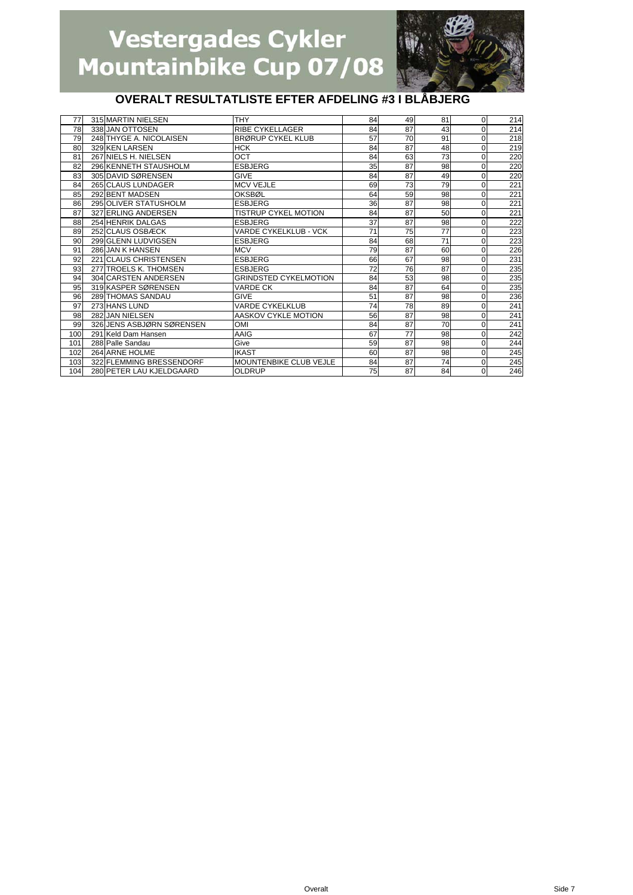

| 77  | 315 MARTIN NIELSEN        | <b>THY</b>                    | 84 | 49 | 81 | $\mathbf{0}$ | 214 |
|-----|---------------------------|-------------------------------|----|----|----|--------------|-----|
| 78  | 338 JAN OTTOSEN           | <b>RIBE CYKELLAGER</b>        | 84 | 87 | 43 | 0            | 214 |
| 79  | 248 THYGE A. NICOLAISEN   | <b>BRØRUP CYKEL KLUB</b>      | 57 | 70 | 91 | 0            | 218 |
| 80  | 329 KEN LARSEN            | <b>HCK</b>                    | 84 | 87 | 48 | 0            | 219 |
| 81  | 267 NIELS H. NIELSEN      | OCT                           | 84 | 63 | 73 | 0            | 220 |
| 82  | 296 KENNETH STAUSHOLM     | <b>ESBJERG</b>                | 35 | 87 | 98 | 0            | 220 |
| 83  | 305 DAVID SØRENSEN        | <b>GIVE</b>                   | 84 | 87 | 49 | 0            | 220 |
| 84  | 265 CLAUS LUNDAGER        | <b>MCV VEJLE</b>              | 69 | 73 | 79 | 0            | 221 |
| 85  | 292 BENT MADSEN           | OKSBØL                        | 64 | 59 | 98 | 0            | 221 |
| 86  | 295 OLIVER STATUSHOLM     | <b>ESBJERG</b>                | 36 | 87 | 98 | 0            | 221 |
| 87  | 327 ERLING ANDERSEN       | <b>TISTRUP CYKEL MOTION</b>   | 84 | 87 | 50 | 0            | 221 |
| 88  | <b>254 HENRIK DALGAS</b>  | <b>ESBJERG</b>                | 37 | 87 | 98 | 0            | 222 |
| 89  | 252 CLAUS OSBÆCK          | VARDE CYKELKLUB - VCK         | 71 | 75 | 77 | 0            | 223 |
| 90  | 299 GLENN LUDVIGSEN       | <b>ESBJERG</b>                | 84 | 68 | 71 | 0            | 223 |
| 91  | 286 JAN K HANSEN          | <b>MCV</b>                    | 79 | 87 | 60 | 0            | 226 |
| 92  | 221 CLAUS CHRISTENSEN     | <b>ESBJERG</b>                | 66 | 67 | 98 | 0            | 231 |
| 93  | 277 TROELS K. THOMSEN     | <b>ESBJERG</b>                | 72 | 76 | 87 | 0            | 235 |
| 94  | 304 CARSTEN ANDERSEN      | <b>GRINDSTED CYKELMOTION</b>  | 84 | 53 | 98 | 0            | 235 |
| 95  | 319 KASPER SØRENSEN       | <b>VARDE CK</b>               | 84 | 87 | 64 | 0            | 235 |
| 96  | <b>289 THOMAS SANDAU</b>  | <b>GIVE</b>                   | 51 | 87 | 98 | 0            | 236 |
| 97  | 273 HANS LUND             | <b>VARDE CYKELKLUB</b>        | 74 | 78 | 89 | 0            | 241 |
| 98  | 282 JAN NIELSEN           | AASKOV CYKLE MOTION           | 56 | 87 | 98 | 0            | 241 |
| 99  | 326 JENS ASBJØRN SØRENSEN | <b>OMI</b>                    | 84 | 87 | 70 | 0            | 241 |
| 100 | 291 Keld Dam Hansen       | AAIG                          | 67 | 77 | 98 | 0            | 242 |
| 101 | 288 Palle Sandau          | Give                          | 59 | 87 | 98 | 0            | 244 |
| 102 | 264 ARNE HOLME            | <b>IKAST</b>                  | 60 | 87 | 98 | 0            | 245 |
| 103 | 322 FLEMMING BRESSENDORF  | <b>MOUNTENBIKE CLUB VEJLE</b> | 84 | 87 | 74 | $\Omega$     | 245 |
| 104 | 280 PETER LAU KJELDGAARD  | <b>OLDRUP</b>                 | 75 | 87 | 84 | $\Omega$     | 246 |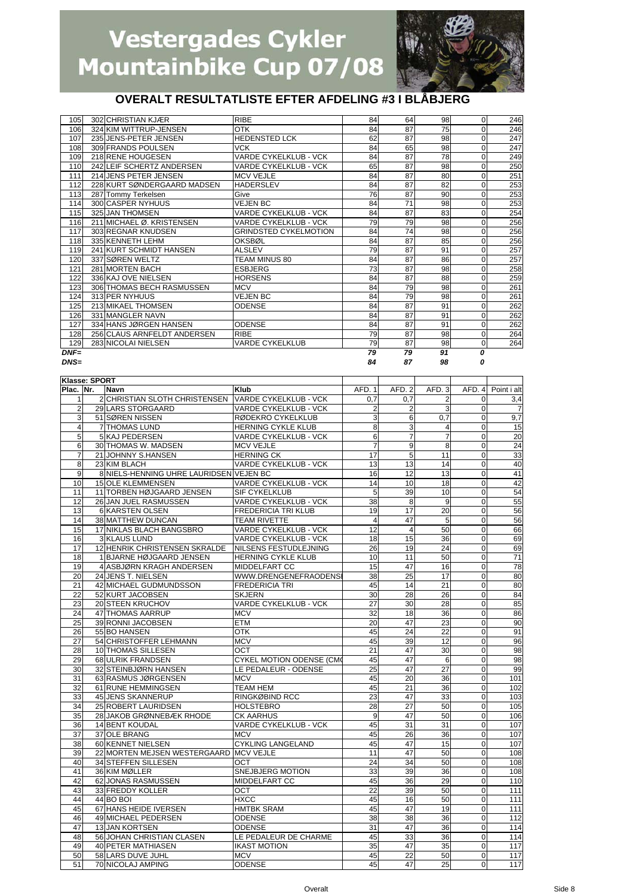

| $DNF=$<br>$DNS=$ |                             |                              | 79<br>84 | 79<br>87 | 91<br>98 | 0        |     |
|------------------|-----------------------------|------------------------------|----------|----------|----------|----------|-----|
|                  |                             |                              |          |          |          |          |     |
| 129              | 283 NICOLAI NIELSEN         | <b>VARDE CYKELKLUB</b>       | 79       | 87       | 98       | 0        | 264 |
| 128              | 256 CLAUS ARNFELDT ANDERSEN | <b>RIBE</b>                  | 79       | 87       | 98       | 0        | 264 |
| 127              | 334 HANS JØRGEN HANSEN      | <b>ODENSE</b>                | 84       | 87       | 91       | 0        | 262 |
| 126              | 331 MANGLER NAVN            |                              | 84       | 87       | 91       | 0        | 262 |
| 125              | 213 MIKAEL THOMSEN          | <b>ODENSE</b>                | 84       | 87       | 91       | 0        | 262 |
| 124              | 313 PER NYHUUS              | <b>VEJEN BC</b>              | 84       | 79       | 98       | 0        | 261 |
| 123              | 306 THOMAS BECH RASMUSSEN   | <b>MCV</b>                   | 84       | 79       | 98       | 0        | 261 |
| 122              | 336 KAJ OVE NIELSEN         | <b>HORSENS</b>               | 84       | 87       | 88       | 0        | 259 |
| 121              | 281 MORTEN BACH             | <b>ESBJERG</b>               | 73       | 87       | 98       | 0        | 258 |
| 120              | 337 SØREN WELTZ             | TEAM MINUS 80                | 84       | 87       | 86       | 0        | 257 |
| 119              | 241 KURT SCHMIDT HANSEN     | <b>ALSLEV</b>                | 79       | 87       | 91       | 0        | 257 |
| 118              | 335 KENNETH LEHM            | OKSBØL                       | 84       | 87       | 85       | 0        | 256 |
| 117              | 303 REGNAR KNUDSEN          | <b>GRINDSTED CYKELMOTION</b> | 84       | 74       | 98       | 0        | 256 |
| 116              | 211 MICHAEL Ø. KRISTENSEN   | <b>VARDE CYKELKLUB - VCK</b> | 79       | 79       | 98       | 0        | 256 |
| 115              | 325 JAN THOMSEN             | <b>VARDE CYKELKLUB - VCK</b> | 84       | 87       | 83       | 0        | 254 |
| 114              | 300 CASPER NYHUUS           | <b>VEJEN BC</b>              | 84       | 71       | 98       | 0        | 253 |
| 113              | 287 Tommy Terkelsen         | Give                         | 76       | 87       | 90       | 0        | 253 |
| 112              | 228 KURT SØNDERGAARD MADSEN | <b>HADERSLEV</b>             | 84       | 87       | 82       | 0        | 253 |
| 111              | 214 JENS PETER JENSEN       | <b>MCV VEJLE</b>             | 84       | 87       | 80       | 0        | 251 |
| 110              | 242 LEIF SCHERTZ ANDERSEN   | VARDE CYKELKLUB - VCK        | 65       | 87       | 98       | 0        | 250 |
| 109              | 218 RENE HOUGESEN           | VARDE CYKELKLUB - VCK        | 84       | 87       | 78       | 0        | 249 |
| 108              | 309 FRANDS POULSEN          | <b>VCK</b>                   | 84       | 65       | 98       | 0        | 247 |
| 107              | 235 JENS-PETER JENSEN       | <b>HEDENSTED LCK</b>         | 62       | 87       | 98       | 0        | 247 |
| 106              | 324 KIM WITTRUP-JENSEN      | OTK                          | 84       | 87       | 75       | $\Omega$ | 246 |
| 105              | 302 CHRISTIAN KJÆR          | <b>RIBE</b>                  | 84       | 64       | 98       | 0        | 246 |

|                | Klasse: SPORT |                                         |                                 |                |                 |                         |                |                 |
|----------------|---------------|-----------------------------------------|---------------------------------|----------------|-----------------|-------------------------|----------------|-----------------|
| Plac. Nr.      |               | Navn                                    | <b>Klub</b>                     | AFD. 1         | AFD.2           | AFD.3                   | AFD. 4         | Point i alt     |
| 1              |               | 2 CHRISTIAN SLOTH CHRISTENSEN           | VARDE CYKELKLUB - VCK           | 0.7            | 0.7             | $\overline{2}$          | $\overline{0}$ | 3,4             |
| $\overline{2}$ |               | 29 LARS STORGAARD                       | VARDE CYKELKLUB - VCK           | $\overline{2}$ | 2               | 3                       | $\Omega$       |                 |
| 3              |               | 51 SØREN NISSEN                         | RØDEKRO CYKELKLUB               | 3              | 6               | 0.7                     | $\mathbf 0$    | 9,7             |
| $\overline{4}$ |               | <b>7 THOMAS LUND</b>                    | HERNING CYKLE KLUB              | 8              | 3               | $\overline{\mathbf{4}}$ | $\Omega$       | 15              |
| 5              |               | 5 KAJ PEDERSEN                          | VARDE CYKELKLUB - VCK           | 6              | 7               | 7                       | 0              | 20              |
| 6              |               | 30 THOMAS W. MADSEN                     | <b>MCV VEJLE</b>                | 7              | 9               | 8                       | 0              | $\overline{24}$ |
| $\overline{7}$ |               | 21 JOHNNY S.HANSEN                      | <b>HERNING CK</b>               | 17             | 5               | 11                      | 0              | 33              |
| 8              |               | 23 KIM BLACH                            | VARDE CYKELKLUB - VCK           | 13             | 13              | 14                      | $\mathbf 0$    | 40              |
| 9              |               | 8 NIELS-HENNING UHRE LAURIDSEN VEJEN BC |                                 | 16             | 12              | 13                      | $\Omega$       | 41              |
| 10             |               | <b>15 OLE KLEMMENSEN</b>                | VARDE CYKELKLUB - VCK           | 14             | 10              | 18                      | 0              | 42              |
| 11             |               | 11 TORBEN HØJGAARD JENSEN               | SIF CYKELKLUB                   | 5              | 39              | 10                      | $\overline{0}$ | 54              |
| 12             |               | 26 JAN JUEL RASMUSSEN                   | VARDE CYKELKLUB - VCK           | 38             | 8               | 9                       | $\Omega$       | 55              |
| 13             |               | 6 KARSTEN OLSEN                         | FREDERICIA TRI KLUB             | 19             | 17              | 20                      | $\mathbf 0$    | 56              |
| 14             |               | 38 MATTHEW DUNCAN                       | <b>TEAM RIVETTE</b>             | $\overline{4}$ | 47              | 5                       | $\Omega$       | 56              |
| 15             |               | 17 NIKLAS BLACH BANGSBRO                | <b>VARDE CYKELKLUB - VCK</b>    | 12             | $\overline{4}$  | 50                      | $\mathbf 0$    | 66              |
| 16             |               | 3 KLAUS LUND                            | <b>VARDE CYKELKLUB - VCK</b>    | 18             | 15              | 36                      | $\overline{0}$ | 69              |
| 17             |               | 12 HENRIK CHRISTENSEN SKRALDE           | NILSENS FESTUDLEJNING           | 26             | 19              | 24                      | $\overline{0}$ | 69              |
| 18             |               | 1 BJARNE HØJGAARD JENSEN                | <b>HERNING CYKLE KLUB</b>       | 10             | 11              | 50                      | $\mathbf 0$    | 71              |
| 19             |               | 4 ASBJØRN KRAGH ANDERSEN                | MIDDELFART CC                   | 15             | 47              | 16                      | $\Omega$       | 78              |
| 20             |               | 24 JENS T. NIELSEN                      | WWW.DRENGENEFRAODENS            | 38             | 25              | 17                      | 0              | 80              |
| 21             |               | 42 MICHAEL GUDMUNDSSON                  | <b>FREDERICIA TRI</b>           | 45             | 14              | 21                      | $\Omega$       | 80              |
| 22             |               | 52 KURT JACOBSEN                        | <b>SKJERN</b>                   | 30             | 28              | 26                      | $\mathbf 0$    | 84              |
| 23             |               | 20 STEEN KRUCHOV                        | VARDE CYKELKLUB - VCK           | 27             | 30              | 28                      | $\mathbf 0$    | 85              |
| 24             |               | 47 THOMAS AARRUP                        | <b>MCV</b>                      | 32             | 18              | 36                      | 0              | 86              |
| 25             |               | 39 RONNI JACOBSEN                       | <b>ETM</b>                      | 20             | 47              | 23                      | 0              | 90              |
| 26             |               | 55 BO HANSEN                            | <b>OTK</b>                      | 45             | $\overline{24}$ | 22                      | 0              | 91              |
| 27             |               | 54 CHRISTOFFER LEHMANN                  | <b>MCV</b>                      | 45             | 39              | 12                      | $\mathbf 0$    | 96              |
| 28             |               | 10 THOMAS SILLESEN                      | OCT                             | 21             | 47              | 30                      | $\mathbf 0$    | 98              |
| 29             |               | 68 ULRIK FRANDSEN                       | <b>CYKEL MOTION ODENSE (CM)</b> | 45             | 47              | $6\phantom{1}$          | 0              | 98              |
| 30             |               | 32 STEINBJØRN HANSEN                    | LE PEDALEUR - ODENSE            | 25             | 47              | $\overline{27}$         | $\Omega$       | 99              |
| 31             |               | 63 RASMUS JØRGENSEN                     | <b>MCV</b>                      | 45             | 20              | 36                      | $\overline{0}$ | 101             |
| 32             |               | 61 RUNE HEMMINGSEN                      | <b>TEAM HEM</b>                 | 45             | 21              | 36                      | $\overline{0}$ | 102             |
| 33             |               | 45 JENS SKANNERUP                       | RINGKØBIND RCC                  | 23             | 47              | 33                      | 0              | 103             |
| 34             |               | 25 ROBERT LAURIDSEN                     | <b>HOLSTEBRO</b>                | 28             | 27              | 50                      | $\Omega$       | 105             |
| 35             |               | 28 JAKOB GRØNNEBÆK RHODE                | <b>CK AARHUS</b>                | 9              | 47              | 50                      | $\Omega$       | 106             |
| 36             |               | 14 BENT KOUDAL                          | VARDE CYKELKLUB - VCK           | 45             | 31              | 31                      | $\mathbf 0$    | 107             |
| 37             |               | 37 OLE BRANG                            | <b>MCV</b>                      | 45             | 26              | 36                      | $\Omega$       | 107             |
| 38             |               | 60 KENNET NIELSEN                       | CYKLING LANGELAND               | 45             | 47              | 15                      | 0              | 107             |
| 39             |               | 22 MORTEN MEJSEN WESTERGAARD MCV VEJLE  |                                 | 11             | 47              | 50                      | 0              | 108             |
| 40             |               | 34 STEFFEN SILLESEN                     | <b>OCT</b>                      | 24             | 34              | 50                      | $\Omega$       | 108             |
| 41             |               | 36 KIM MØLLER                           | SNEJBJERG MOTION                | 33             | 39              | 36                      | $\mathbf 0$    | 108             |
| 42             |               | 62 JONAS RASMUSSEN                      | MIDDELFART CC                   | 45             | 36              | 29                      | $\overline{0}$ | 110             |
| 43             |               | 33 FREDDY KOLLER                        | OCT                             | 22             | 39              | 50                      | 0              | 111             |
| 44             |               | 44 BO BOI                               | <b>HXCC</b>                     | 45             | 16              | 50                      | $\Omega$       | 111             |
| 45             |               | 67 HANS HEIDE IVERSEN                   | <b>HMTBK SRAM</b>               | 45             | 47              | 19                      | $\overline{0}$ | 111             |
| 46             |               | 49 MICHAEL PEDERSEN                     | <b>ODENSE</b>                   | 38             | 38              | 36                      | 0              | 112             |
| 47             |               | 13 JAN KORTSEN                          | <b>ODENSE</b>                   | 31             | 47              | 36                      | $\Omega$       | 114             |
| 48             |               | 56 JOHAN CHRISTIAN CLASEN               | LE PEDALEUR DE CHARME           | 45             | 33              | 36                      | 0              | 114             |
| 49             |               | <b>40 PETER MATHIASEN</b>               | <b>IKAST MOTION</b>             | 35             | 47              | 35                      | $\Omega$       | 117             |
| 50             |               | 58 LARS DUVE JUHL                       | <b>MCV</b>                      | 45             | 22              | 50                      | $\Omega$       | 117             |
| 51             |               | 70 NICOLAJ AMPING                       | <b>ODENSE</b>                   | 45             | 47              | 25                      | $\mathbf{O}$   | 117             |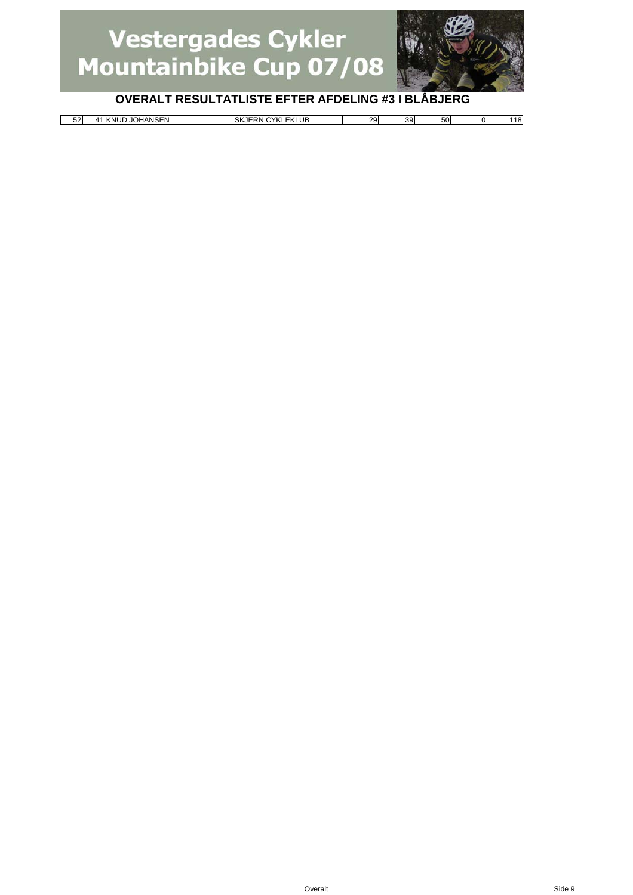

| $\rightarrow$ ANIC $\Gamma$ .<br><b>KLUB</b><br>$-0.$<br><b>YKL</b><br>$-1$<br>201<br>$\sim$<br>JOH<br>UF<br>'NΙ<br><b>SKJE</b><br>RN.<br>-ĸ<br><br>HANSEN<br>эυ<br>აყ<br>ےر<br>້<br>$\sim$ | 118<br>יי |
|---------------------------------------------------------------------------------------------------------------------------------------------------------------------------------------------|-----------|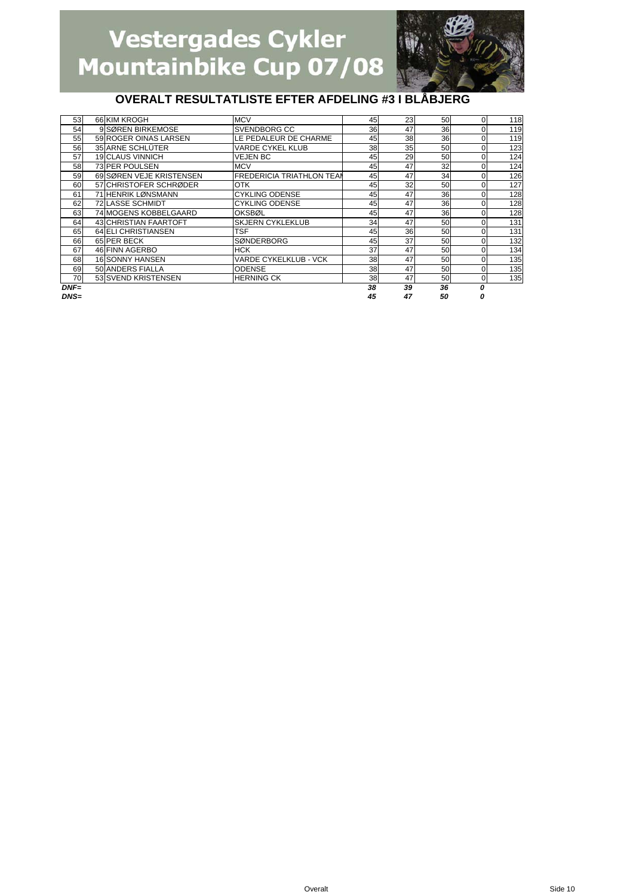

| 53     | 66 KIM KROGH             | <b>MCV</b>                       | 45 | 23 | 50 | 0        | 118 |
|--------|--------------------------|----------------------------------|----|----|----|----------|-----|
| 54     | 9 SØREN BIRKEMOSE        | <b>SVENDBORG CC</b>              | 36 | 47 | 36 | $\Omega$ | 119 |
| 55     | 59 ROGER OINAS LARSEN    | LE PEDALEUR DE CHARME            | 45 | 38 | 36 | 0        | 119 |
| 56     | 35 ARNE SCHLÜTER         | <b>VARDE CYKEL KLUB</b>          | 38 | 35 | 50 | $\Omega$ | 123 |
| 57     | <b>19 CLAUS VINNICH</b>  | <b>VEJEN BC</b>                  | 45 | 29 | 50 | 0        | 124 |
| 58     | 73 PER POULSEN           | <b>MCV</b>                       | 45 | 47 | 32 | 0        | 124 |
| 59     | 69 SØREN VEJE KRISTENSEN | <b>FREDERICIA TRIATHLON TEAM</b> | 45 | 47 | 34 | $\Omega$ | 126 |
| 60     | 57 CHRISTOFER SCHRØDER   | <b>OTK</b>                       | 45 | 32 | 50 | 0        | 127 |
| 61     | 71 HENRIK LØNSMANN       | <b>CYKLING ODENSE</b>            | 45 | 47 | 36 | $\Omega$ | 128 |
| 62     | <b>72 LASSE SCHMIDT</b>  | <b>CYKLING ODENSE</b>            | 45 | 47 | 36 | 0        | 128 |
| 63     | 74 MOGENS KOBBELGAARD    | OKSBØL                           | 45 | 47 | 36 | $\Omega$ | 128 |
| 64     | 43 CHRISTIAN FAARTOFT    | <b>SKJERN CYKLEKLUB</b>          | 34 | 47 | 50 | $\Omega$ | 131 |
| 65     | 64 ELI CHRISTIANSEN      | <b>TSF</b>                       | 45 | 36 | 50 | $\Omega$ | 131 |
| 66     | 65 PER BECK              | <b>SØNDERBORG</b>                | 45 | 37 | 50 | O        | 132 |
| 67     | 46 FINN AGERBO           | <b>HCK</b>                       | 37 | 47 | 50 | $\Omega$ | 134 |
| 68     | <b>16 SONNY HANSEN</b>   | VARDE CYKELKLUB - VCK            | 38 | 47 | 50 | 0        | 135 |
| 69     | 50 ANDERS FIALLA         | <b>ODENSE</b>                    | 38 | 47 | 50 | 0        | 135 |
| 70     | 53 SVEND KRISTENSEN      | <b>HERNING CK</b>                | 38 | 47 | 50 | 0        | 135 |
| $DNF=$ |                          |                                  | 38 | 39 | 36 | O        |     |
| $DNS=$ |                          |                                  | 45 | 47 | 50 |          |     |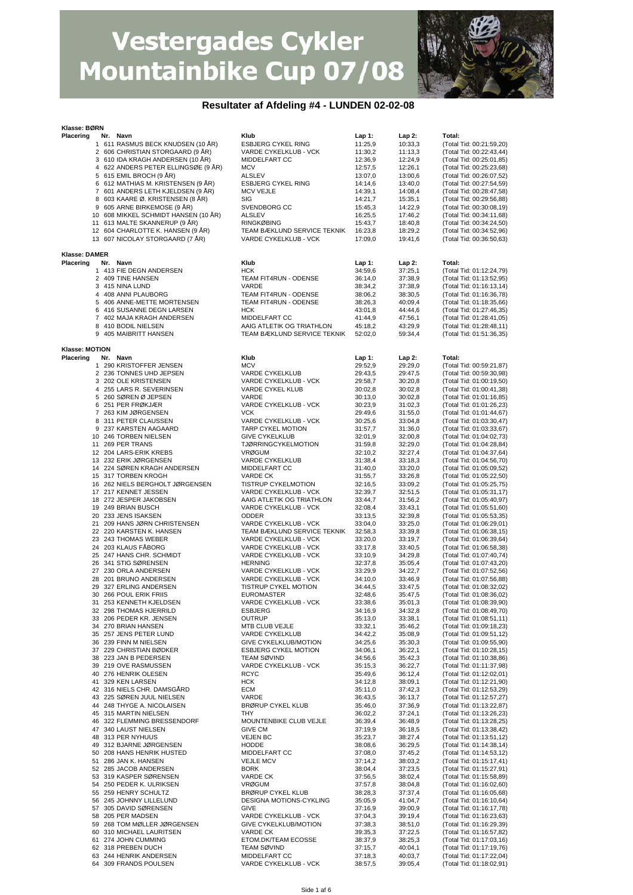

#### **Resultater af Afdeling #4 - LUNDEN 02-02-08**

| Klub<br>$Lap1$ :<br>Lap 2:<br>Nr. Navn<br>Total:<br>1 611 RASMUS BECK KNUDSEN (10 ÅR)<br><b>ESBJERG CYKEL RING</b><br>11:25,9<br>10:33,3<br>(Total Tid: 00:21:59,20)<br>2 606 CHRISTIAN STORGAARD (9 ÅR)<br>VARDE CYKELKLUB - VCK<br>11:30,2<br>11:13,3<br>(Total Tid: 00:22:43,44)<br>3 610 IDA KRAGH ANDERSEN (10 ÅR)<br>MIDDELFART CC<br>(Total Tid: 00:25:01,85)<br>12:36,9<br>12:24,9<br>4 622 ANDERS PETER ELLINGSØE (9 ÅR)<br><b>MCV</b><br>(Total Tid: 00:25:23,68)<br>12:57,5<br>12:26,1<br>5 615 EMIL BROCH (9 ÅR)<br>ALSLEV<br>13:00,6<br>(Total Tid: 00:26:07,52)<br>13:07,0<br>6 612 MATHIAS M. KRISTENSEN (9 ÅR)<br><b>ESBJERG CYKEL RING</b><br>(Total Tid: 00:27:54,59)<br>14:14,6<br>13:40,0<br>7 601 ANDERS LETH KJELDSEN (9 ÅR)<br>(Total Tid: 00:28:47,58)<br><b>MCV VEJLE</b><br>14:39,1<br>14:08,4<br>8 603 KAARE Ø. KRISTENSEN (8 ÅR)<br>SIG<br>(Total Tid: 00:29:56,88)<br>14:21,7<br>15:35,1<br>9 605 ARNE BIRKEMOSE (9 ÅR)<br>SVENDBORG CC<br>(Total Tid: 00:30:08,19)<br>15:45,3<br>14:22,9<br>10 608 MIKKEL SCHMIDT HANSEN (10 ÅR)<br><b>ALSLEV</b><br>16:25,5<br>17:46,2<br>11 613 MALTE SKANNERUP (9 ÅR)<br><b>RINGKØBING</b><br>15:43,7<br>18:40,8<br>12 604 CHARLOTTE K. HANSEN (9 ÅR)<br>TEAM BÆKLUND SERVICE TEKNIK<br>16:23,8<br>18:29,2<br>13 607 NICOLAY STORGAARD (7 ÅR)<br>VARDE CYKELKLUB - VCK<br>17:09,0<br>19:41,6<br>(Total Tid: 00:36:50,63)<br><b>Klasse: DAMER</b><br>Placering<br>Nr. Navn<br>Klub<br>Lap 1:<br>Lap 2:<br>Total:<br><b>HCK</b><br>1 413 FIE DEGN ANDERSEN<br>34:59,6<br>37:25,1<br>TEAM FIT4RUN - ODENSE<br>2 409 TINE HANSEN<br>36:14,0<br>37:38,9<br>VARDE<br>3 415 NINA LUND<br>37:38,9<br>38:34,2<br>TEAM FIT4RUN - ODENSE<br>4 408 ANNI PLAUBORG<br>38:06,2<br>38:30,5<br>(Total Tid: 01:16:36,78)<br>TEAM FIT4RUN - ODENSE<br>5 406 ANNE-METTE MORTENSEN<br>38:26,3<br>40:09,4<br>(Total Tid: 01:18:35,66)<br>(Total Tid: 01:27:46,35)<br>6 416 SUSANNE DEGN LARSEN<br>HCK<br>43:01,8<br>44:44,6<br>MIDDELFART CC<br>(Total Tid: 01:28:41,05)<br>7 402 MAJA KRAGH ANDERSEN<br>41:44,9<br>47:56,1<br>(Total Tid: 01:28:48,11)<br>8 410 BODIL NIELSEN<br>AAIG ATLETIK OG TRIATHLON<br>45:18,2<br>43:29,9<br>9 405 MAIBRITT HANSEN<br>TEAM BÆKLUND SERVICE TEKNIK<br>59:34,4<br>(Total Tid: 01:51:36,35)<br>52:02,0<br>Klasse: MOTION<br>Placering<br>Klub<br>Total:<br>Nr. Navn<br>Lap 1:<br>Lap 2:<br>1 290 KRISTOFFER JENSEN<br><b>MCV</b><br>29:52,9<br>29:29,0<br>(Total Tid: 00:59:21,87)<br>2 236 TONNES UHD JEPSEN<br>VARDE CYKELKLUB<br>29:43,5<br>(Total Tid: 00:59:30,98)<br>29:47,5<br>3 202 OLE KRISTENSEN<br>VARDE CYKELKLUB - VCK<br>30:20,8<br>(Total Tid: 01:00:19,50)<br>29:58,7<br>VARDE CYKEL KLUB<br>(Total Tid: 01:00:41,38)<br>4 255 LARS R. SEVERINSEN<br>30:02,8<br>30:02,8<br>5 260 SØREN Ø JEPSEN<br>VARDE<br>30:13,0<br>30:02,8<br>(Total Tid: 01:01:16,85)<br>6 251 PER FRØKJÆR<br>VARDE CYKELKLUB - VCK<br>(Total Tid: 01:01:26,23)<br>30:23,9<br>31:02,3<br>7 263 KIM JØRGENSEN<br><b>VCK</b><br>(Total Tid: 01:01:44,67)<br>29:49,6<br>31:55,0<br>8 311 PETER CLAUSSEN<br>VARDE CYKELKLUB - VCK<br>(Total Tid: 01:03:30,47)<br>30:25,6<br>33:04,8<br>9 237 KARSTEN AAGAARD<br>TARP CYKEL MOTION<br>31:36,0<br>31:57,7<br>10 246 TORBEN NIELSEN<br><b>GIVE CYKELKLUB</b><br>32:01,9<br>32:00,8<br>11 269 PER TRANS<br><b>TJØRRINGCYKELMOTION</b><br>31:59,8<br>32:29,0<br>12 204 LARS-ERIK KREBS<br><b>VRØGUM</b><br>32:10,2<br>32:27,4<br>13 232 ERIK JØRGENSEN<br>VARDE CYKELKLUB<br>31:38,4<br>33:18,3<br>14 224 SØREN KRAGH ANDERSEN<br>MIDDELFART CC<br>31:40,0<br>33:20,0<br>(Total Tid: 01:05:09,52)<br>15 317 TORBEN KROGH<br><b>VARDE CK</b><br>31:55,7<br>33:26,8<br>(Total Tid: 01:05:22,50)<br>16 262 NIELS BERGHOLT JØRGENSEN<br>TISTRUP CYKELMOTION<br>(Total Tid: 01:05:25,75)<br>32:16,5<br>33:09,2<br>17 217 KENNET JESSEN<br>VARDE CYKELKLUB - VCK<br>32:51,5<br>(Total Tid: 01:05:31,17)<br>32:39,7<br>18 272 JESPER JAKOBSEN<br>AAIG ATLETIK OG TRIATHLON<br>31:56,2<br>(Total Tid: 01:05:40,97)<br>33:44,7<br>VARDE CYKELKLUB - VCK<br>(Total Tid: 01:05:51,60)<br>19 249 BRIAN BUSCH<br>32:08,4<br>33:43,1<br>20 233 JENS ISAKSEN<br><b>ODDER</b><br>(Total Tid: 01:05:53,35)<br>33:13,5<br>32:39,8<br>21 209 HANS JØRN CHRISTENSEN<br>VARDE CYKELKLUB - VCK<br>(Total Tid: 01:06:29,01)<br>33:04,0<br>33:25,0<br>22 220 KARSTEN K. HANSEN<br>TEAM BÆKLUND SERVICE TEKNIK<br>32:58,3<br>(Total Tid: 01:06:38,15)<br>33:39,8<br>23 243 THOMAS WEBER<br>(Total Tid: 01:06:39,64)<br>VARDE CYKELKLUB - VCK<br>33:20,0<br>33:19,7<br>24 203 KLAUS FÅBORG<br>VARDE CYKELKLUB - VCK<br>(Total Tid: 01:06:58,38)<br>33:17,8<br>33:40,5<br>25 247 HANS CHR. SCHMIDT<br>VARDE CYKELKLUB - VCK<br>34:29,8<br>33:10,9<br>26 341 STIG SØRENSEN<br><b>HERNING</b><br>32:37,8<br>35:05,4<br>27 230 ORLA ANDERSEN<br>VARDE CYKELKLUB - VCK<br>33:29,9<br>34:22,7<br>28 201 BRUNO ANDERSEN<br>VARDE CYKELKLUB - VCK<br>(Total Tid: 01:07:56,88)<br>34:10,0<br>33:46,9<br>29 327 ERLING ANDERSEN<br>TISTRUP CYKEL MOTION<br>34:44,5<br>33:47,5<br>(Total Tid: 01:08:32,02)<br><b>EUROMASTER</b><br>30 266 POUL ERIK FRIIS<br>32:48,6<br>35:47,5<br>(Total Tid: 01:08:36,02)<br>VARDE CYKELKLUB - VCK<br>33:38,6<br>35:01,3<br>(Total Tid: 01:08:39,90)<br>31 253 KENNETH KJELDSEN<br>32 298 THOMAS HJERRILD<br><b>ESBJERG</b><br>34:16,9<br>34:32,8<br>(Total Tid: 01:08:49,70)<br>(Total Tid: 01:08:51,11)<br>33 206 PEDER KR. JENSEN<br>OUTRUP<br>35:13,0<br>33:38,1<br>34 270 BRIAN HANSEN<br>MTB CLUB VEJLE<br>33:32,1<br>35:46,2<br>(Total Tid: 01:09:18,23)<br>(Total Tid: 01:09:51,12)<br>35 257 JENS PETER LUND<br><b>VARDE CYKELKLUB</b><br>34:42,2<br>35:08,9<br>(Total Tid: 01:09:55,90)<br>36 239 FINN M NIELSEN<br><b>GIVE CYKELKLUB/MOTION</b><br>34:25,6<br>35:30,3<br>37 229 CHRISTIAN BØDKER<br><b>ESBJERG CYKEL MOTION</b><br>34:06,1<br>36:22,1<br>38 223 JAN B PEDERSEN<br><b>TEAM SØVIND</b><br>34:56,6<br>35:42,3<br>39 219 OVE RASMUSSEN<br>VARDE CYKELKLUB - VCK<br>35:15,3<br>36:22,7<br>40 276 HENRIK OLESEN<br><b>RCYC</b><br>35:49,6<br>36:12,4<br>41 329 KEN LARSEN<br><b>HCK</b><br>(Total Tid: 01:12:21,90)<br>34:12,8<br>38:09,1<br>42 316 NIELS CHR. DAMSGÅRD<br>ECM<br>35:11,0<br>37:42,3<br>(Total Tid: 01:12:53,29)<br>43 225 SØREN JUUL NIELSEN<br>VARDE<br>36:43,5<br>36:13,7<br>(Total Tid: 01:12:57,27)<br>44 248 THYGE A. NICOLAISEN<br>BRØRUP CYKEL KLUB<br>(Total Tid: 01:13:22,87)<br>35:46,0<br>37:36,9<br>(Total Tid: 01:13:26,23)<br>45 315 MARTIN NIELSEN<br>THY<br>36:02,2<br>37:24,1<br>46 322 FLEMMING BRESSENDORF<br>MOUNTENBIKE CLUB VEJLE<br>36:39,4<br>36:48,9<br>(Total Tid: 01:13:28,25)<br>(Total Tid: 01:13:38,42)<br>47 340 LAUST NIELSEN<br><b>GIVE CM</b><br>37:19,9<br>36:18,5<br>(Total Tid: 01:13:51,12)<br>48 313 PER NYHUUS<br><b>VEJEN BC</b><br>38:27,4<br>35:23,7<br>49 312 BJARNE JØRGENSEN<br>HODDE<br>38:08,6<br>36:29,5<br>(Total Tid: 01:14:38,14)<br>50 208 HANS HENRIK HUSTED<br>MIDDELFART CC<br>37:08,0<br>37:45,2<br>(Total Tid: 01:14:53,12)<br>51 286 JAN K. HANSEN<br><b>VEJLE MCV</b><br>37:14,2<br>38:03,2<br>52 285 JACOB ANDERSEN<br><b>BORK</b><br>38:04,4<br>37:23,5<br>53 319 KASPER SØRENSEN<br>VARDE CK<br>37:56,5<br>38:02,4<br>54 250 PEDER K. ULRIKSEN<br><b>VRØGUM</b><br>37:57,8<br>38:04,8<br>55 259 HENRY SCHULTZ<br>BRØRUP CYKEL KLUB<br>38:28,3<br>37:37,4<br>56 245 JOHNNY LILLELUND<br>DESIGNA MOTIONS-CYKLING<br>35:05,9<br>41:04,7<br>57 305 DAVID SØRENSEN<br>GIVE<br>37:16,9<br>39:00,9<br>(Total Tid: 01:16:23,63)<br>58 205 PER MADSEN<br>VARDE CYKELKLUB - VCK<br>37:04,3<br>39:19,4<br>59 268 TOM MØLLER JØRGENSEN<br>GIVE CYKELKLUB/MOTION<br>37:38,3<br>38:51,0<br>(Total Tid: 01:16:29,39)<br>(Total Tid: 01:16:57,82)<br>60 310 MICHAEL LAURITSEN<br><b>VARDE CK</b><br>39:35,3<br>37:22,5<br>(Total Tid: 01:17:03,16)<br>61 274 JOHN CUMMING<br>ETOM.DK/TEAM ECOSSE<br>38:37,9<br>38:25,3<br>62 318 PREBEN DUCH<br><b>TEAM SØVIND</b><br>(Total Tid: 01:17:19,76)<br>37:15,7<br>40:04,1<br>(Total Tid: 01:17:22,04)<br>63 244 HENRIK ANDERSEN<br>MIDDELFART CC<br>37:18,3<br>40:03,7<br>64 309 FRANDS POULSEN<br>VARDE CYKELKLUB - VCK<br>38:57,5<br>39:05,4 | Klasse: BØRN |  |  |  |                          |
|-----------------------------------------------------------------------------------------------------------------------------------------------------------------------------------------------------------------------------------------------------------------------------------------------------------------------------------------------------------------------------------------------------------------------------------------------------------------------------------------------------------------------------------------------------------------------------------------------------------------------------------------------------------------------------------------------------------------------------------------------------------------------------------------------------------------------------------------------------------------------------------------------------------------------------------------------------------------------------------------------------------------------------------------------------------------------------------------------------------------------------------------------------------------------------------------------------------------------------------------------------------------------------------------------------------------------------------------------------------------------------------------------------------------------------------------------------------------------------------------------------------------------------------------------------------------------------------------------------------------------------------------------------------------------------------------------------------------------------------------------------------------------------------------------------------------------------------------------------------------------------------------------------------------------------------------------------------------------------------------------------------------------------------------------------------------------------------------------------------------------------------------------------------------------------------------------------------------------------------------------------------------------------------------------------------------------------------------------------------------------------------------------------------------------------------------------------------------------------------------------------------------------------------------------------------------------------------------------------------------------------------------------------------------------------------------------------------------------------------------------------------------------------------------------------------------------------------------------------------------------------------------------------------------------------------------------------------------------------------------------------------------------------------------------------------------------------------------------------------------------------------------------------------------------------------------------------------------------------------------------------------------------------------------------------------------------------------------------------------------------------------------------------------------------------------------------------------------------------------------------------------------------------------------------------------------------------------------------------------------------------------------------------------------------------------------------------------------------------------------------------------------------------------------------------------------------------------------------------------------------------------------------------------------------------------------------------------------------------------------------------------------------------------------------------------------------------------------------------------------------------------------------------------------------------------------------------------------------------------------------------------------------------------------------------------------------------------------------------------------------------------------------------------------------------------------------------------------------------------------------------------------------------------------------------------------------------------------------------------------------------------------------------------------------------------------------------------------------------------------------------------------------------------------------------------------------------------------------------------------------------------------------------------------------------------------------------------------------------------------------------------------------------------------------------------------------------------------------------------------------------------------------------------------------------------------------------------------------------------------------------------------------------------------------------------------------------------------------------------------------------------------------------------------------------------------------------------------------------------------------------------------------------------------------------------------------------------------------------------------------------------------------------------------------------------------------------------------------------------------------------------------------------------------------------------------------------------------------------------------------------------------------------------------------------------------------------------------------------------------------------------------------------------------------------------------------------------------------------------------------------------------------------------------------------------------------------------------------------------------------------------------------------------------------------------------------------------------------------------------------------------------------------------------------------------------------------------------------------------------------------------------------------------------------------------------------------------------------------------------------------------------------------------------------------------------------------------------------------------------------------------------------------------------------------------------------------------------------------------------------------------------------------------------------------------------------------------------------------------------------------------------------------------------------------------------------------------------------------------------------------------------------------------------------------------------------------------------------------------------------------------------------------------------------------------------------------------------------------------------------------------------------------------------------------------------------------------------------------------------------------------------------------------------------------------------------------------------------------------------------------------------------------------------------------------------------------------------------------------------------------------------------------------------------------------------------------------------------------------------------------------------------------------------------------------------------------------------------------------------------------------------------------------------------------------------------------------------------------------------------------------------------------------------------------------------|--------------|--|--|--|--------------------------|
|                                                                                                                                                                                                                                                                                                                                                                                                                                                                                                                                                                                                                                                                                                                                                                                                                                                                                                                                                                                                                                                                                                                                                                                                                                                                                                                                                                                                                                                                                                                                                                                                                                                                                                                                                                                                                                                                                                                                                                                                                                                                                                                                                                                                                                                                                                                                                                                                                                                                                                                                                                                                                                                                                                                                                                                                                                                                                                                                                                                                                                                                                                                                                                                                                                                                                                                                                                                                                                                                                                                                                                                                                                                                                                                                                                                                                                                                                                                                                                                                                                                                                                                                                                                                                                                                                                                                                                                                                                                                                                                                                                                                                                                                                                                                                                                                                                                                                                                                                                                                                                                                                                                                                                                                                                                                                                                                                                                                                                                                                                                                                                                                                                                                                                                                                                                                                                                                                                                                                                                                                                                                                                                                                                                                                                                                                                                                                                                                                                                                                                                                                                                                                                                                                                                                                                                                                                                                                                                                                                                                                                                                                                                                                                                                                                                                                                                                                                                                                                                                                                                                                                                                                                                                                                                                                                                                                                                                                                                                                                                                                                                                                                                                                                                         | Placering    |  |  |  |                          |
|                                                                                                                                                                                                                                                                                                                                                                                                                                                                                                                                                                                                                                                                                                                                                                                                                                                                                                                                                                                                                                                                                                                                                                                                                                                                                                                                                                                                                                                                                                                                                                                                                                                                                                                                                                                                                                                                                                                                                                                                                                                                                                                                                                                                                                                                                                                                                                                                                                                                                                                                                                                                                                                                                                                                                                                                                                                                                                                                                                                                                                                                                                                                                                                                                                                                                                                                                                                                                                                                                                                                                                                                                                                                                                                                                                                                                                                                                                                                                                                                                                                                                                                                                                                                                                                                                                                                                                                                                                                                                                                                                                                                                                                                                                                                                                                                                                                                                                                                                                                                                                                                                                                                                                                                                                                                                                                                                                                                                                                                                                                                                                                                                                                                                                                                                                                                                                                                                                                                                                                                                                                                                                                                                                                                                                                                                                                                                                                                                                                                                                                                                                                                                                                                                                                                                                                                                                                                                                                                                                                                                                                                                                                                                                                                                                                                                                                                                                                                                                                                                                                                                                                                                                                                                                                                                                                                                                                                                                                                                                                                                                                                                                                                                                                         |              |  |  |  |                          |
|                                                                                                                                                                                                                                                                                                                                                                                                                                                                                                                                                                                                                                                                                                                                                                                                                                                                                                                                                                                                                                                                                                                                                                                                                                                                                                                                                                                                                                                                                                                                                                                                                                                                                                                                                                                                                                                                                                                                                                                                                                                                                                                                                                                                                                                                                                                                                                                                                                                                                                                                                                                                                                                                                                                                                                                                                                                                                                                                                                                                                                                                                                                                                                                                                                                                                                                                                                                                                                                                                                                                                                                                                                                                                                                                                                                                                                                                                                                                                                                                                                                                                                                                                                                                                                                                                                                                                                                                                                                                                                                                                                                                                                                                                                                                                                                                                                                                                                                                                                                                                                                                                                                                                                                                                                                                                                                                                                                                                                                                                                                                                                                                                                                                                                                                                                                                                                                                                                                                                                                                                                                                                                                                                                                                                                                                                                                                                                                                                                                                                                                                                                                                                                                                                                                                                                                                                                                                                                                                                                                                                                                                                                                                                                                                                                                                                                                                                                                                                                                                                                                                                                                                                                                                                                                                                                                                                                                                                                                                                                                                                                                                                                                                                                                         |              |  |  |  |                          |
|                                                                                                                                                                                                                                                                                                                                                                                                                                                                                                                                                                                                                                                                                                                                                                                                                                                                                                                                                                                                                                                                                                                                                                                                                                                                                                                                                                                                                                                                                                                                                                                                                                                                                                                                                                                                                                                                                                                                                                                                                                                                                                                                                                                                                                                                                                                                                                                                                                                                                                                                                                                                                                                                                                                                                                                                                                                                                                                                                                                                                                                                                                                                                                                                                                                                                                                                                                                                                                                                                                                                                                                                                                                                                                                                                                                                                                                                                                                                                                                                                                                                                                                                                                                                                                                                                                                                                                                                                                                                                                                                                                                                                                                                                                                                                                                                                                                                                                                                                                                                                                                                                                                                                                                                                                                                                                                                                                                                                                                                                                                                                                                                                                                                                                                                                                                                                                                                                                                                                                                                                                                                                                                                                                                                                                                                                                                                                                                                                                                                                                                                                                                                                                                                                                                                                                                                                                                                                                                                                                                                                                                                                                                                                                                                                                                                                                                                                                                                                                                                                                                                                                                                                                                                                                                                                                                                                                                                                                                                                                                                                                                                                                                                                                                         |              |  |  |  |                          |
|                                                                                                                                                                                                                                                                                                                                                                                                                                                                                                                                                                                                                                                                                                                                                                                                                                                                                                                                                                                                                                                                                                                                                                                                                                                                                                                                                                                                                                                                                                                                                                                                                                                                                                                                                                                                                                                                                                                                                                                                                                                                                                                                                                                                                                                                                                                                                                                                                                                                                                                                                                                                                                                                                                                                                                                                                                                                                                                                                                                                                                                                                                                                                                                                                                                                                                                                                                                                                                                                                                                                                                                                                                                                                                                                                                                                                                                                                                                                                                                                                                                                                                                                                                                                                                                                                                                                                                                                                                                                                                                                                                                                                                                                                                                                                                                                                                                                                                                                                                                                                                                                                                                                                                                                                                                                                                                                                                                                                                                                                                                                                                                                                                                                                                                                                                                                                                                                                                                                                                                                                                                                                                                                                                                                                                                                                                                                                                                                                                                                                                                                                                                                                                                                                                                                                                                                                                                                                                                                                                                                                                                                                                                                                                                                                                                                                                                                                                                                                                                                                                                                                                                                                                                                                                                                                                                                                                                                                                                                                                                                                                                                                                                                                                                         |              |  |  |  |                          |
|                                                                                                                                                                                                                                                                                                                                                                                                                                                                                                                                                                                                                                                                                                                                                                                                                                                                                                                                                                                                                                                                                                                                                                                                                                                                                                                                                                                                                                                                                                                                                                                                                                                                                                                                                                                                                                                                                                                                                                                                                                                                                                                                                                                                                                                                                                                                                                                                                                                                                                                                                                                                                                                                                                                                                                                                                                                                                                                                                                                                                                                                                                                                                                                                                                                                                                                                                                                                                                                                                                                                                                                                                                                                                                                                                                                                                                                                                                                                                                                                                                                                                                                                                                                                                                                                                                                                                                                                                                                                                                                                                                                                                                                                                                                                                                                                                                                                                                                                                                                                                                                                                                                                                                                                                                                                                                                                                                                                                                                                                                                                                                                                                                                                                                                                                                                                                                                                                                                                                                                                                                                                                                                                                                                                                                                                                                                                                                                                                                                                                                                                                                                                                                                                                                                                                                                                                                                                                                                                                                                                                                                                                                                                                                                                                                                                                                                                                                                                                                                                                                                                                                                                                                                                                                                                                                                                                                                                                                                                                                                                                                                                                                                                                                                         |              |  |  |  |                          |
|                                                                                                                                                                                                                                                                                                                                                                                                                                                                                                                                                                                                                                                                                                                                                                                                                                                                                                                                                                                                                                                                                                                                                                                                                                                                                                                                                                                                                                                                                                                                                                                                                                                                                                                                                                                                                                                                                                                                                                                                                                                                                                                                                                                                                                                                                                                                                                                                                                                                                                                                                                                                                                                                                                                                                                                                                                                                                                                                                                                                                                                                                                                                                                                                                                                                                                                                                                                                                                                                                                                                                                                                                                                                                                                                                                                                                                                                                                                                                                                                                                                                                                                                                                                                                                                                                                                                                                                                                                                                                                                                                                                                                                                                                                                                                                                                                                                                                                                                                                                                                                                                                                                                                                                                                                                                                                                                                                                                                                                                                                                                                                                                                                                                                                                                                                                                                                                                                                                                                                                                                                                                                                                                                                                                                                                                                                                                                                                                                                                                                                                                                                                                                                                                                                                                                                                                                                                                                                                                                                                                                                                                                                                                                                                                                                                                                                                                                                                                                                                                                                                                                                                                                                                                                                                                                                                                                                                                                                                                                                                                                                                                                                                                                                                         |              |  |  |  |                          |
|                                                                                                                                                                                                                                                                                                                                                                                                                                                                                                                                                                                                                                                                                                                                                                                                                                                                                                                                                                                                                                                                                                                                                                                                                                                                                                                                                                                                                                                                                                                                                                                                                                                                                                                                                                                                                                                                                                                                                                                                                                                                                                                                                                                                                                                                                                                                                                                                                                                                                                                                                                                                                                                                                                                                                                                                                                                                                                                                                                                                                                                                                                                                                                                                                                                                                                                                                                                                                                                                                                                                                                                                                                                                                                                                                                                                                                                                                                                                                                                                                                                                                                                                                                                                                                                                                                                                                                                                                                                                                                                                                                                                                                                                                                                                                                                                                                                                                                                                                                                                                                                                                                                                                                                                                                                                                                                                                                                                                                                                                                                                                                                                                                                                                                                                                                                                                                                                                                                                                                                                                                                                                                                                                                                                                                                                                                                                                                                                                                                                                                                                                                                                                                                                                                                                                                                                                                                                                                                                                                                                                                                                                                                                                                                                                                                                                                                                                                                                                                                                                                                                                                                                                                                                                                                                                                                                                                                                                                                                                                                                                                                                                                                                                                                         |              |  |  |  |                          |
|                                                                                                                                                                                                                                                                                                                                                                                                                                                                                                                                                                                                                                                                                                                                                                                                                                                                                                                                                                                                                                                                                                                                                                                                                                                                                                                                                                                                                                                                                                                                                                                                                                                                                                                                                                                                                                                                                                                                                                                                                                                                                                                                                                                                                                                                                                                                                                                                                                                                                                                                                                                                                                                                                                                                                                                                                                                                                                                                                                                                                                                                                                                                                                                                                                                                                                                                                                                                                                                                                                                                                                                                                                                                                                                                                                                                                                                                                                                                                                                                                                                                                                                                                                                                                                                                                                                                                                                                                                                                                                                                                                                                                                                                                                                                                                                                                                                                                                                                                                                                                                                                                                                                                                                                                                                                                                                                                                                                                                                                                                                                                                                                                                                                                                                                                                                                                                                                                                                                                                                                                                                                                                                                                                                                                                                                                                                                                                                                                                                                                                                                                                                                                                                                                                                                                                                                                                                                                                                                                                                                                                                                                                                                                                                                                                                                                                                                                                                                                                                                                                                                                                                                                                                                                                                                                                                                                                                                                                                                                                                                                                                                                                                                                                                         |              |  |  |  |                          |
|                                                                                                                                                                                                                                                                                                                                                                                                                                                                                                                                                                                                                                                                                                                                                                                                                                                                                                                                                                                                                                                                                                                                                                                                                                                                                                                                                                                                                                                                                                                                                                                                                                                                                                                                                                                                                                                                                                                                                                                                                                                                                                                                                                                                                                                                                                                                                                                                                                                                                                                                                                                                                                                                                                                                                                                                                                                                                                                                                                                                                                                                                                                                                                                                                                                                                                                                                                                                                                                                                                                                                                                                                                                                                                                                                                                                                                                                                                                                                                                                                                                                                                                                                                                                                                                                                                                                                                                                                                                                                                                                                                                                                                                                                                                                                                                                                                                                                                                                                                                                                                                                                                                                                                                                                                                                                                                                                                                                                                                                                                                                                                                                                                                                                                                                                                                                                                                                                                                                                                                                                                                                                                                                                                                                                                                                                                                                                                                                                                                                                                                                                                                                                                                                                                                                                                                                                                                                                                                                                                                                                                                                                                                                                                                                                                                                                                                                                                                                                                                                                                                                                                                                                                                                                                                                                                                                                                                                                                                                                                                                                                                                                                                                                                                         |              |  |  |  | (Total Tid: 00:34:11,68) |
|                                                                                                                                                                                                                                                                                                                                                                                                                                                                                                                                                                                                                                                                                                                                                                                                                                                                                                                                                                                                                                                                                                                                                                                                                                                                                                                                                                                                                                                                                                                                                                                                                                                                                                                                                                                                                                                                                                                                                                                                                                                                                                                                                                                                                                                                                                                                                                                                                                                                                                                                                                                                                                                                                                                                                                                                                                                                                                                                                                                                                                                                                                                                                                                                                                                                                                                                                                                                                                                                                                                                                                                                                                                                                                                                                                                                                                                                                                                                                                                                                                                                                                                                                                                                                                                                                                                                                                                                                                                                                                                                                                                                                                                                                                                                                                                                                                                                                                                                                                                                                                                                                                                                                                                                                                                                                                                                                                                                                                                                                                                                                                                                                                                                                                                                                                                                                                                                                                                                                                                                                                                                                                                                                                                                                                                                                                                                                                                                                                                                                                                                                                                                                                                                                                                                                                                                                                                                                                                                                                                                                                                                                                                                                                                                                                                                                                                                                                                                                                                                                                                                                                                                                                                                                                                                                                                                                                                                                                                                                                                                                                                                                                                                                                                         |              |  |  |  | (Total Tid: 00:34:24,50) |
|                                                                                                                                                                                                                                                                                                                                                                                                                                                                                                                                                                                                                                                                                                                                                                                                                                                                                                                                                                                                                                                                                                                                                                                                                                                                                                                                                                                                                                                                                                                                                                                                                                                                                                                                                                                                                                                                                                                                                                                                                                                                                                                                                                                                                                                                                                                                                                                                                                                                                                                                                                                                                                                                                                                                                                                                                                                                                                                                                                                                                                                                                                                                                                                                                                                                                                                                                                                                                                                                                                                                                                                                                                                                                                                                                                                                                                                                                                                                                                                                                                                                                                                                                                                                                                                                                                                                                                                                                                                                                                                                                                                                                                                                                                                                                                                                                                                                                                                                                                                                                                                                                                                                                                                                                                                                                                                                                                                                                                                                                                                                                                                                                                                                                                                                                                                                                                                                                                                                                                                                                                                                                                                                                                                                                                                                                                                                                                                                                                                                                                                                                                                                                                                                                                                                                                                                                                                                                                                                                                                                                                                                                                                                                                                                                                                                                                                                                                                                                                                                                                                                                                                                                                                                                                                                                                                                                                                                                                                                                                                                                                                                                                                                                                                         |              |  |  |  | (Total Tid: 00:34:52,96) |
|                                                                                                                                                                                                                                                                                                                                                                                                                                                                                                                                                                                                                                                                                                                                                                                                                                                                                                                                                                                                                                                                                                                                                                                                                                                                                                                                                                                                                                                                                                                                                                                                                                                                                                                                                                                                                                                                                                                                                                                                                                                                                                                                                                                                                                                                                                                                                                                                                                                                                                                                                                                                                                                                                                                                                                                                                                                                                                                                                                                                                                                                                                                                                                                                                                                                                                                                                                                                                                                                                                                                                                                                                                                                                                                                                                                                                                                                                                                                                                                                                                                                                                                                                                                                                                                                                                                                                                                                                                                                                                                                                                                                                                                                                                                                                                                                                                                                                                                                                                                                                                                                                                                                                                                                                                                                                                                                                                                                                                                                                                                                                                                                                                                                                                                                                                                                                                                                                                                                                                                                                                                                                                                                                                                                                                                                                                                                                                                                                                                                                                                                                                                                                                                                                                                                                                                                                                                                                                                                                                                                                                                                                                                                                                                                                                                                                                                                                                                                                                                                                                                                                                                                                                                                                                                                                                                                                                                                                                                                                                                                                                                                                                                                                                                         |              |  |  |  |                          |
|                                                                                                                                                                                                                                                                                                                                                                                                                                                                                                                                                                                                                                                                                                                                                                                                                                                                                                                                                                                                                                                                                                                                                                                                                                                                                                                                                                                                                                                                                                                                                                                                                                                                                                                                                                                                                                                                                                                                                                                                                                                                                                                                                                                                                                                                                                                                                                                                                                                                                                                                                                                                                                                                                                                                                                                                                                                                                                                                                                                                                                                                                                                                                                                                                                                                                                                                                                                                                                                                                                                                                                                                                                                                                                                                                                                                                                                                                                                                                                                                                                                                                                                                                                                                                                                                                                                                                                                                                                                                                                                                                                                                                                                                                                                                                                                                                                                                                                                                                                                                                                                                                                                                                                                                                                                                                                                                                                                                                                                                                                                                                                                                                                                                                                                                                                                                                                                                                                                                                                                                                                                                                                                                                                                                                                                                                                                                                                                                                                                                                                                                                                                                                                                                                                                                                                                                                                                                                                                                                                                                                                                                                                                                                                                                                                                                                                                                                                                                                                                                                                                                                                                                                                                                                                                                                                                                                                                                                                                                                                                                                                                                                                                                                                                         |              |  |  |  |                          |
|                                                                                                                                                                                                                                                                                                                                                                                                                                                                                                                                                                                                                                                                                                                                                                                                                                                                                                                                                                                                                                                                                                                                                                                                                                                                                                                                                                                                                                                                                                                                                                                                                                                                                                                                                                                                                                                                                                                                                                                                                                                                                                                                                                                                                                                                                                                                                                                                                                                                                                                                                                                                                                                                                                                                                                                                                                                                                                                                                                                                                                                                                                                                                                                                                                                                                                                                                                                                                                                                                                                                                                                                                                                                                                                                                                                                                                                                                                                                                                                                                                                                                                                                                                                                                                                                                                                                                                                                                                                                                                                                                                                                                                                                                                                                                                                                                                                                                                                                                                                                                                                                                                                                                                                                                                                                                                                                                                                                                                                                                                                                                                                                                                                                                                                                                                                                                                                                                                                                                                                                                                                                                                                                                                                                                                                                                                                                                                                                                                                                                                                                                                                                                                                                                                                                                                                                                                                                                                                                                                                                                                                                                                                                                                                                                                                                                                                                                                                                                                                                                                                                                                                                                                                                                                                                                                                                                                                                                                                                                                                                                                                                                                                                                                                         |              |  |  |  |                          |
|                                                                                                                                                                                                                                                                                                                                                                                                                                                                                                                                                                                                                                                                                                                                                                                                                                                                                                                                                                                                                                                                                                                                                                                                                                                                                                                                                                                                                                                                                                                                                                                                                                                                                                                                                                                                                                                                                                                                                                                                                                                                                                                                                                                                                                                                                                                                                                                                                                                                                                                                                                                                                                                                                                                                                                                                                                                                                                                                                                                                                                                                                                                                                                                                                                                                                                                                                                                                                                                                                                                                                                                                                                                                                                                                                                                                                                                                                                                                                                                                                                                                                                                                                                                                                                                                                                                                                                                                                                                                                                                                                                                                                                                                                                                                                                                                                                                                                                                                                                                                                                                                                                                                                                                                                                                                                                                                                                                                                                                                                                                                                                                                                                                                                                                                                                                                                                                                                                                                                                                                                                                                                                                                                                                                                                                                                                                                                                                                                                                                                                                                                                                                                                                                                                                                                                                                                                                                                                                                                                                                                                                                                                                                                                                                                                                                                                                                                                                                                                                                                                                                                                                                                                                                                                                                                                                                                                                                                                                                                                                                                                                                                                                                                                                         |              |  |  |  | (Total Tid: 01:12:24,79) |
|                                                                                                                                                                                                                                                                                                                                                                                                                                                                                                                                                                                                                                                                                                                                                                                                                                                                                                                                                                                                                                                                                                                                                                                                                                                                                                                                                                                                                                                                                                                                                                                                                                                                                                                                                                                                                                                                                                                                                                                                                                                                                                                                                                                                                                                                                                                                                                                                                                                                                                                                                                                                                                                                                                                                                                                                                                                                                                                                                                                                                                                                                                                                                                                                                                                                                                                                                                                                                                                                                                                                                                                                                                                                                                                                                                                                                                                                                                                                                                                                                                                                                                                                                                                                                                                                                                                                                                                                                                                                                                                                                                                                                                                                                                                                                                                                                                                                                                                                                                                                                                                                                                                                                                                                                                                                                                                                                                                                                                                                                                                                                                                                                                                                                                                                                                                                                                                                                                                                                                                                                                                                                                                                                                                                                                                                                                                                                                                                                                                                                                                                                                                                                                                                                                                                                                                                                                                                                                                                                                                                                                                                                                                                                                                                                                                                                                                                                                                                                                                                                                                                                                                                                                                                                                                                                                                                                                                                                                                                                                                                                                                                                                                                                                                         |              |  |  |  | (Total Tid: 01:13:52,95) |
|                                                                                                                                                                                                                                                                                                                                                                                                                                                                                                                                                                                                                                                                                                                                                                                                                                                                                                                                                                                                                                                                                                                                                                                                                                                                                                                                                                                                                                                                                                                                                                                                                                                                                                                                                                                                                                                                                                                                                                                                                                                                                                                                                                                                                                                                                                                                                                                                                                                                                                                                                                                                                                                                                                                                                                                                                                                                                                                                                                                                                                                                                                                                                                                                                                                                                                                                                                                                                                                                                                                                                                                                                                                                                                                                                                                                                                                                                                                                                                                                                                                                                                                                                                                                                                                                                                                                                                                                                                                                                                                                                                                                                                                                                                                                                                                                                                                                                                                                                                                                                                                                                                                                                                                                                                                                                                                                                                                                                                                                                                                                                                                                                                                                                                                                                                                                                                                                                                                                                                                                                                                                                                                                                                                                                                                                                                                                                                                                                                                                                                                                                                                                                                                                                                                                                                                                                                                                                                                                                                                                                                                                                                                                                                                                                                                                                                                                                                                                                                                                                                                                                                                                                                                                                                                                                                                                                                                                                                                                                                                                                                                                                                                                                                                         |              |  |  |  | (Total Tid: 01:16:13,14) |
|                                                                                                                                                                                                                                                                                                                                                                                                                                                                                                                                                                                                                                                                                                                                                                                                                                                                                                                                                                                                                                                                                                                                                                                                                                                                                                                                                                                                                                                                                                                                                                                                                                                                                                                                                                                                                                                                                                                                                                                                                                                                                                                                                                                                                                                                                                                                                                                                                                                                                                                                                                                                                                                                                                                                                                                                                                                                                                                                                                                                                                                                                                                                                                                                                                                                                                                                                                                                                                                                                                                                                                                                                                                                                                                                                                                                                                                                                                                                                                                                                                                                                                                                                                                                                                                                                                                                                                                                                                                                                                                                                                                                                                                                                                                                                                                                                                                                                                                                                                                                                                                                                                                                                                                                                                                                                                                                                                                                                                                                                                                                                                                                                                                                                                                                                                                                                                                                                                                                                                                                                                                                                                                                                                                                                                                                                                                                                                                                                                                                                                                                                                                                                                                                                                                                                                                                                                                                                                                                                                                                                                                                                                                                                                                                                                                                                                                                                                                                                                                                                                                                                                                                                                                                                                                                                                                                                                                                                                                                                                                                                                                                                                                                                                                         |              |  |  |  |                          |
|                                                                                                                                                                                                                                                                                                                                                                                                                                                                                                                                                                                                                                                                                                                                                                                                                                                                                                                                                                                                                                                                                                                                                                                                                                                                                                                                                                                                                                                                                                                                                                                                                                                                                                                                                                                                                                                                                                                                                                                                                                                                                                                                                                                                                                                                                                                                                                                                                                                                                                                                                                                                                                                                                                                                                                                                                                                                                                                                                                                                                                                                                                                                                                                                                                                                                                                                                                                                                                                                                                                                                                                                                                                                                                                                                                                                                                                                                                                                                                                                                                                                                                                                                                                                                                                                                                                                                                                                                                                                                                                                                                                                                                                                                                                                                                                                                                                                                                                                                                                                                                                                                                                                                                                                                                                                                                                                                                                                                                                                                                                                                                                                                                                                                                                                                                                                                                                                                                                                                                                                                                                                                                                                                                                                                                                                                                                                                                                                                                                                                                                                                                                                                                                                                                                                                                                                                                                                                                                                                                                                                                                                                                                                                                                                                                                                                                                                                                                                                                                                                                                                                                                                                                                                                                                                                                                                                                                                                                                                                                                                                                                                                                                                                                                         |              |  |  |  |                          |
|                                                                                                                                                                                                                                                                                                                                                                                                                                                                                                                                                                                                                                                                                                                                                                                                                                                                                                                                                                                                                                                                                                                                                                                                                                                                                                                                                                                                                                                                                                                                                                                                                                                                                                                                                                                                                                                                                                                                                                                                                                                                                                                                                                                                                                                                                                                                                                                                                                                                                                                                                                                                                                                                                                                                                                                                                                                                                                                                                                                                                                                                                                                                                                                                                                                                                                                                                                                                                                                                                                                                                                                                                                                                                                                                                                                                                                                                                                                                                                                                                                                                                                                                                                                                                                                                                                                                                                                                                                                                                                                                                                                                                                                                                                                                                                                                                                                                                                                                                                                                                                                                                                                                                                                                                                                                                                                                                                                                                                                                                                                                                                                                                                                                                                                                                                                                                                                                                                                                                                                                                                                                                                                                                                                                                                                                                                                                                                                                                                                                                                                                                                                                                                                                                                                                                                                                                                                                                                                                                                                                                                                                                                                                                                                                                                                                                                                                                                                                                                                                                                                                                                                                                                                                                                                                                                                                                                                                                                                                                                                                                                                                                                                                                                                         |              |  |  |  |                          |
|                                                                                                                                                                                                                                                                                                                                                                                                                                                                                                                                                                                                                                                                                                                                                                                                                                                                                                                                                                                                                                                                                                                                                                                                                                                                                                                                                                                                                                                                                                                                                                                                                                                                                                                                                                                                                                                                                                                                                                                                                                                                                                                                                                                                                                                                                                                                                                                                                                                                                                                                                                                                                                                                                                                                                                                                                                                                                                                                                                                                                                                                                                                                                                                                                                                                                                                                                                                                                                                                                                                                                                                                                                                                                                                                                                                                                                                                                                                                                                                                                                                                                                                                                                                                                                                                                                                                                                                                                                                                                                                                                                                                                                                                                                                                                                                                                                                                                                                                                                                                                                                                                                                                                                                                                                                                                                                                                                                                                                                                                                                                                                                                                                                                                                                                                                                                                                                                                                                                                                                                                                                                                                                                                                                                                                                                                                                                                                                                                                                                                                                                                                                                                                                                                                                                                                                                                                                                                                                                                                                                                                                                                                                                                                                                                                                                                                                                                                                                                                                                                                                                                                                                                                                                                                                                                                                                                                                                                                                                                                                                                                                                                                                                                                                         |              |  |  |  |                          |
|                                                                                                                                                                                                                                                                                                                                                                                                                                                                                                                                                                                                                                                                                                                                                                                                                                                                                                                                                                                                                                                                                                                                                                                                                                                                                                                                                                                                                                                                                                                                                                                                                                                                                                                                                                                                                                                                                                                                                                                                                                                                                                                                                                                                                                                                                                                                                                                                                                                                                                                                                                                                                                                                                                                                                                                                                                                                                                                                                                                                                                                                                                                                                                                                                                                                                                                                                                                                                                                                                                                                                                                                                                                                                                                                                                                                                                                                                                                                                                                                                                                                                                                                                                                                                                                                                                                                                                                                                                                                                                                                                                                                                                                                                                                                                                                                                                                                                                                                                                                                                                                                                                                                                                                                                                                                                                                                                                                                                                                                                                                                                                                                                                                                                                                                                                                                                                                                                                                                                                                                                                                                                                                                                                                                                                                                                                                                                                                                                                                                                                                                                                                                                                                                                                                                                                                                                                                                                                                                                                                                                                                                                                                                                                                                                                                                                                                                                                                                                                                                                                                                                                                                                                                                                                                                                                                                                                                                                                                                                                                                                                                                                                                                                                                         |              |  |  |  |                          |
|                                                                                                                                                                                                                                                                                                                                                                                                                                                                                                                                                                                                                                                                                                                                                                                                                                                                                                                                                                                                                                                                                                                                                                                                                                                                                                                                                                                                                                                                                                                                                                                                                                                                                                                                                                                                                                                                                                                                                                                                                                                                                                                                                                                                                                                                                                                                                                                                                                                                                                                                                                                                                                                                                                                                                                                                                                                                                                                                                                                                                                                                                                                                                                                                                                                                                                                                                                                                                                                                                                                                                                                                                                                                                                                                                                                                                                                                                                                                                                                                                                                                                                                                                                                                                                                                                                                                                                                                                                                                                                                                                                                                                                                                                                                                                                                                                                                                                                                                                                                                                                                                                                                                                                                                                                                                                                                                                                                                                                                                                                                                                                                                                                                                                                                                                                                                                                                                                                                                                                                                                                                                                                                                                                                                                                                                                                                                                                                                                                                                                                                                                                                                                                                                                                                                                                                                                                                                                                                                                                                                                                                                                                                                                                                                                                                                                                                                                                                                                                                                                                                                                                                                                                                                                                                                                                                                                                                                                                                                                                                                                                                                                                                                                                                         |              |  |  |  |                          |
|                                                                                                                                                                                                                                                                                                                                                                                                                                                                                                                                                                                                                                                                                                                                                                                                                                                                                                                                                                                                                                                                                                                                                                                                                                                                                                                                                                                                                                                                                                                                                                                                                                                                                                                                                                                                                                                                                                                                                                                                                                                                                                                                                                                                                                                                                                                                                                                                                                                                                                                                                                                                                                                                                                                                                                                                                                                                                                                                                                                                                                                                                                                                                                                                                                                                                                                                                                                                                                                                                                                                                                                                                                                                                                                                                                                                                                                                                                                                                                                                                                                                                                                                                                                                                                                                                                                                                                                                                                                                                                                                                                                                                                                                                                                                                                                                                                                                                                                                                                                                                                                                                                                                                                                                                                                                                                                                                                                                                                                                                                                                                                                                                                                                                                                                                                                                                                                                                                                                                                                                                                                                                                                                                                                                                                                                                                                                                                                                                                                                                                                                                                                                                                                                                                                                                                                                                                                                                                                                                                                                                                                                                                                                                                                                                                                                                                                                                                                                                                                                                                                                                                                                                                                                                                                                                                                                                                                                                                                                                                                                                                                                                                                                                                                         |              |  |  |  |                          |
|                                                                                                                                                                                                                                                                                                                                                                                                                                                                                                                                                                                                                                                                                                                                                                                                                                                                                                                                                                                                                                                                                                                                                                                                                                                                                                                                                                                                                                                                                                                                                                                                                                                                                                                                                                                                                                                                                                                                                                                                                                                                                                                                                                                                                                                                                                                                                                                                                                                                                                                                                                                                                                                                                                                                                                                                                                                                                                                                                                                                                                                                                                                                                                                                                                                                                                                                                                                                                                                                                                                                                                                                                                                                                                                                                                                                                                                                                                                                                                                                                                                                                                                                                                                                                                                                                                                                                                                                                                                                                                                                                                                                                                                                                                                                                                                                                                                                                                                                                                                                                                                                                                                                                                                                                                                                                                                                                                                                                                                                                                                                                                                                                                                                                                                                                                                                                                                                                                                                                                                                                                                                                                                                                                                                                                                                                                                                                                                                                                                                                                                                                                                                                                                                                                                                                                                                                                                                                                                                                                                                                                                                                                                                                                                                                                                                                                                                                                                                                                                                                                                                                                                                                                                                                                                                                                                                                                                                                                                                                                                                                                                                                                                                                                                         |              |  |  |  |                          |
|                                                                                                                                                                                                                                                                                                                                                                                                                                                                                                                                                                                                                                                                                                                                                                                                                                                                                                                                                                                                                                                                                                                                                                                                                                                                                                                                                                                                                                                                                                                                                                                                                                                                                                                                                                                                                                                                                                                                                                                                                                                                                                                                                                                                                                                                                                                                                                                                                                                                                                                                                                                                                                                                                                                                                                                                                                                                                                                                                                                                                                                                                                                                                                                                                                                                                                                                                                                                                                                                                                                                                                                                                                                                                                                                                                                                                                                                                                                                                                                                                                                                                                                                                                                                                                                                                                                                                                                                                                                                                                                                                                                                                                                                                                                                                                                                                                                                                                                                                                                                                                                                                                                                                                                                                                                                                                                                                                                                                                                                                                                                                                                                                                                                                                                                                                                                                                                                                                                                                                                                                                                                                                                                                                                                                                                                                                                                                                                                                                                                                                                                                                                                                                                                                                                                                                                                                                                                                                                                                                                                                                                                                                                                                                                                                                                                                                                                                                                                                                                                                                                                                                                                                                                                                                                                                                                                                                                                                                                                                                                                                                                                                                                                                                                         |              |  |  |  |                          |
|                                                                                                                                                                                                                                                                                                                                                                                                                                                                                                                                                                                                                                                                                                                                                                                                                                                                                                                                                                                                                                                                                                                                                                                                                                                                                                                                                                                                                                                                                                                                                                                                                                                                                                                                                                                                                                                                                                                                                                                                                                                                                                                                                                                                                                                                                                                                                                                                                                                                                                                                                                                                                                                                                                                                                                                                                                                                                                                                                                                                                                                                                                                                                                                                                                                                                                                                                                                                                                                                                                                                                                                                                                                                                                                                                                                                                                                                                                                                                                                                                                                                                                                                                                                                                                                                                                                                                                                                                                                                                                                                                                                                                                                                                                                                                                                                                                                                                                                                                                                                                                                                                                                                                                                                                                                                                                                                                                                                                                                                                                                                                                                                                                                                                                                                                                                                                                                                                                                                                                                                                                                                                                                                                                                                                                                                                                                                                                                                                                                                                                                                                                                                                                                                                                                                                                                                                                                                                                                                                                                                                                                                                                                                                                                                                                                                                                                                                                                                                                                                                                                                                                                                                                                                                                                                                                                                                                                                                                                                                                                                                                                                                                                                                                                         |              |  |  |  |                          |
|                                                                                                                                                                                                                                                                                                                                                                                                                                                                                                                                                                                                                                                                                                                                                                                                                                                                                                                                                                                                                                                                                                                                                                                                                                                                                                                                                                                                                                                                                                                                                                                                                                                                                                                                                                                                                                                                                                                                                                                                                                                                                                                                                                                                                                                                                                                                                                                                                                                                                                                                                                                                                                                                                                                                                                                                                                                                                                                                                                                                                                                                                                                                                                                                                                                                                                                                                                                                                                                                                                                                                                                                                                                                                                                                                                                                                                                                                                                                                                                                                                                                                                                                                                                                                                                                                                                                                                                                                                                                                                                                                                                                                                                                                                                                                                                                                                                                                                                                                                                                                                                                                                                                                                                                                                                                                                                                                                                                                                                                                                                                                                                                                                                                                                                                                                                                                                                                                                                                                                                                                                                                                                                                                                                                                                                                                                                                                                                                                                                                                                                                                                                                                                                                                                                                                                                                                                                                                                                                                                                                                                                                                                                                                                                                                                                                                                                                                                                                                                                                                                                                                                                                                                                                                                                                                                                                                                                                                                                                                                                                                                                                                                                                                                                         |              |  |  |  |                          |
|                                                                                                                                                                                                                                                                                                                                                                                                                                                                                                                                                                                                                                                                                                                                                                                                                                                                                                                                                                                                                                                                                                                                                                                                                                                                                                                                                                                                                                                                                                                                                                                                                                                                                                                                                                                                                                                                                                                                                                                                                                                                                                                                                                                                                                                                                                                                                                                                                                                                                                                                                                                                                                                                                                                                                                                                                                                                                                                                                                                                                                                                                                                                                                                                                                                                                                                                                                                                                                                                                                                                                                                                                                                                                                                                                                                                                                                                                                                                                                                                                                                                                                                                                                                                                                                                                                                                                                                                                                                                                                                                                                                                                                                                                                                                                                                                                                                                                                                                                                                                                                                                                                                                                                                                                                                                                                                                                                                                                                                                                                                                                                                                                                                                                                                                                                                                                                                                                                                                                                                                                                                                                                                                                                                                                                                                                                                                                                                                                                                                                                                                                                                                                                                                                                                                                                                                                                                                                                                                                                                                                                                                                                                                                                                                                                                                                                                                                                                                                                                                                                                                                                                                                                                                                                                                                                                                                                                                                                                                                                                                                                                                                                                                                                                         |              |  |  |  |                          |
|                                                                                                                                                                                                                                                                                                                                                                                                                                                                                                                                                                                                                                                                                                                                                                                                                                                                                                                                                                                                                                                                                                                                                                                                                                                                                                                                                                                                                                                                                                                                                                                                                                                                                                                                                                                                                                                                                                                                                                                                                                                                                                                                                                                                                                                                                                                                                                                                                                                                                                                                                                                                                                                                                                                                                                                                                                                                                                                                                                                                                                                                                                                                                                                                                                                                                                                                                                                                                                                                                                                                                                                                                                                                                                                                                                                                                                                                                                                                                                                                                                                                                                                                                                                                                                                                                                                                                                                                                                                                                                                                                                                                                                                                                                                                                                                                                                                                                                                                                                                                                                                                                                                                                                                                                                                                                                                                                                                                                                                                                                                                                                                                                                                                                                                                                                                                                                                                                                                                                                                                                                                                                                                                                                                                                                                                                                                                                                                                                                                                                                                                                                                                                                                                                                                                                                                                                                                                                                                                                                                                                                                                                                                                                                                                                                                                                                                                                                                                                                                                                                                                                                                                                                                                                                                                                                                                                                                                                                                                                                                                                                                                                                                                                                                         |              |  |  |  |                          |
|                                                                                                                                                                                                                                                                                                                                                                                                                                                                                                                                                                                                                                                                                                                                                                                                                                                                                                                                                                                                                                                                                                                                                                                                                                                                                                                                                                                                                                                                                                                                                                                                                                                                                                                                                                                                                                                                                                                                                                                                                                                                                                                                                                                                                                                                                                                                                                                                                                                                                                                                                                                                                                                                                                                                                                                                                                                                                                                                                                                                                                                                                                                                                                                                                                                                                                                                                                                                                                                                                                                                                                                                                                                                                                                                                                                                                                                                                                                                                                                                                                                                                                                                                                                                                                                                                                                                                                                                                                                                                                                                                                                                                                                                                                                                                                                                                                                                                                                                                                                                                                                                                                                                                                                                                                                                                                                                                                                                                                                                                                                                                                                                                                                                                                                                                                                                                                                                                                                                                                                                                                                                                                                                                                                                                                                                                                                                                                                                                                                                                                                                                                                                                                                                                                                                                                                                                                                                                                                                                                                                                                                                                                                                                                                                                                                                                                                                                                                                                                                                                                                                                                                                                                                                                                                                                                                                                                                                                                                                                                                                                                                                                                                                                                                         |              |  |  |  |                          |
|                                                                                                                                                                                                                                                                                                                                                                                                                                                                                                                                                                                                                                                                                                                                                                                                                                                                                                                                                                                                                                                                                                                                                                                                                                                                                                                                                                                                                                                                                                                                                                                                                                                                                                                                                                                                                                                                                                                                                                                                                                                                                                                                                                                                                                                                                                                                                                                                                                                                                                                                                                                                                                                                                                                                                                                                                                                                                                                                                                                                                                                                                                                                                                                                                                                                                                                                                                                                                                                                                                                                                                                                                                                                                                                                                                                                                                                                                                                                                                                                                                                                                                                                                                                                                                                                                                                                                                                                                                                                                                                                                                                                                                                                                                                                                                                                                                                                                                                                                                                                                                                                                                                                                                                                                                                                                                                                                                                                                                                                                                                                                                                                                                                                                                                                                                                                                                                                                                                                                                                                                                                                                                                                                                                                                                                                                                                                                                                                                                                                                                                                                                                                                                                                                                                                                                                                                                                                                                                                                                                                                                                                                                                                                                                                                                                                                                                                                                                                                                                                                                                                                                                                                                                                                                                                                                                                                                                                                                                                                                                                                                                                                                                                                                                         |              |  |  |  |                          |
|                                                                                                                                                                                                                                                                                                                                                                                                                                                                                                                                                                                                                                                                                                                                                                                                                                                                                                                                                                                                                                                                                                                                                                                                                                                                                                                                                                                                                                                                                                                                                                                                                                                                                                                                                                                                                                                                                                                                                                                                                                                                                                                                                                                                                                                                                                                                                                                                                                                                                                                                                                                                                                                                                                                                                                                                                                                                                                                                                                                                                                                                                                                                                                                                                                                                                                                                                                                                                                                                                                                                                                                                                                                                                                                                                                                                                                                                                                                                                                                                                                                                                                                                                                                                                                                                                                                                                                                                                                                                                                                                                                                                                                                                                                                                                                                                                                                                                                                                                                                                                                                                                                                                                                                                                                                                                                                                                                                                                                                                                                                                                                                                                                                                                                                                                                                                                                                                                                                                                                                                                                                                                                                                                                                                                                                                                                                                                                                                                                                                                                                                                                                                                                                                                                                                                                                                                                                                                                                                                                                                                                                                                                                                                                                                                                                                                                                                                                                                                                                                                                                                                                                                                                                                                                                                                                                                                                                                                                                                                                                                                                                                                                                                                                                         |              |  |  |  | (Total Tid: 01:03:33,67) |
|                                                                                                                                                                                                                                                                                                                                                                                                                                                                                                                                                                                                                                                                                                                                                                                                                                                                                                                                                                                                                                                                                                                                                                                                                                                                                                                                                                                                                                                                                                                                                                                                                                                                                                                                                                                                                                                                                                                                                                                                                                                                                                                                                                                                                                                                                                                                                                                                                                                                                                                                                                                                                                                                                                                                                                                                                                                                                                                                                                                                                                                                                                                                                                                                                                                                                                                                                                                                                                                                                                                                                                                                                                                                                                                                                                                                                                                                                                                                                                                                                                                                                                                                                                                                                                                                                                                                                                                                                                                                                                                                                                                                                                                                                                                                                                                                                                                                                                                                                                                                                                                                                                                                                                                                                                                                                                                                                                                                                                                                                                                                                                                                                                                                                                                                                                                                                                                                                                                                                                                                                                                                                                                                                                                                                                                                                                                                                                                                                                                                                                                                                                                                                                                                                                                                                                                                                                                                                                                                                                                                                                                                                                                                                                                                                                                                                                                                                                                                                                                                                                                                                                                                                                                                                                                                                                                                                                                                                                                                                                                                                                                                                                                                                                                         |              |  |  |  | (Total Tid: 01:04:02,73) |
|                                                                                                                                                                                                                                                                                                                                                                                                                                                                                                                                                                                                                                                                                                                                                                                                                                                                                                                                                                                                                                                                                                                                                                                                                                                                                                                                                                                                                                                                                                                                                                                                                                                                                                                                                                                                                                                                                                                                                                                                                                                                                                                                                                                                                                                                                                                                                                                                                                                                                                                                                                                                                                                                                                                                                                                                                                                                                                                                                                                                                                                                                                                                                                                                                                                                                                                                                                                                                                                                                                                                                                                                                                                                                                                                                                                                                                                                                                                                                                                                                                                                                                                                                                                                                                                                                                                                                                                                                                                                                                                                                                                                                                                                                                                                                                                                                                                                                                                                                                                                                                                                                                                                                                                                                                                                                                                                                                                                                                                                                                                                                                                                                                                                                                                                                                                                                                                                                                                                                                                                                                                                                                                                                                                                                                                                                                                                                                                                                                                                                                                                                                                                                                                                                                                                                                                                                                                                                                                                                                                                                                                                                                                                                                                                                                                                                                                                                                                                                                                                                                                                                                                                                                                                                                                                                                                                                                                                                                                                                                                                                                                                                                                                                                                         |              |  |  |  | (Total Tid: 01:04:28,84) |
|                                                                                                                                                                                                                                                                                                                                                                                                                                                                                                                                                                                                                                                                                                                                                                                                                                                                                                                                                                                                                                                                                                                                                                                                                                                                                                                                                                                                                                                                                                                                                                                                                                                                                                                                                                                                                                                                                                                                                                                                                                                                                                                                                                                                                                                                                                                                                                                                                                                                                                                                                                                                                                                                                                                                                                                                                                                                                                                                                                                                                                                                                                                                                                                                                                                                                                                                                                                                                                                                                                                                                                                                                                                                                                                                                                                                                                                                                                                                                                                                                                                                                                                                                                                                                                                                                                                                                                                                                                                                                                                                                                                                                                                                                                                                                                                                                                                                                                                                                                                                                                                                                                                                                                                                                                                                                                                                                                                                                                                                                                                                                                                                                                                                                                                                                                                                                                                                                                                                                                                                                                                                                                                                                                                                                                                                                                                                                                                                                                                                                                                                                                                                                                                                                                                                                                                                                                                                                                                                                                                                                                                                                                                                                                                                                                                                                                                                                                                                                                                                                                                                                                                                                                                                                                                                                                                                                                                                                                                                                                                                                                                                                                                                                                                         |              |  |  |  | (Total Tid: 01:04:37,64) |
|                                                                                                                                                                                                                                                                                                                                                                                                                                                                                                                                                                                                                                                                                                                                                                                                                                                                                                                                                                                                                                                                                                                                                                                                                                                                                                                                                                                                                                                                                                                                                                                                                                                                                                                                                                                                                                                                                                                                                                                                                                                                                                                                                                                                                                                                                                                                                                                                                                                                                                                                                                                                                                                                                                                                                                                                                                                                                                                                                                                                                                                                                                                                                                                                                                                                                                                                                                                                                                                                                                                                                                                                                                                                                                                                                                                                                                                                                                                                                                                                                                                                                                                                                                                                                                                                                                                                                                                                                                                                                                                                                                                                                                                                                                                                                                                                                                                                                                                                                                                                                                                                                                                                                                                                                                                                                                                                                                                                                                                                                                                                                                                                                                                                                                                                                                                                                                                                                                                                                                                                                                                                                                                                                                                                                                                                                                                                                                                                                                                                                                                                                                                                                                                                                                                                                                                                                                                                                                                                                                                                                                                                                                                                                                                                                                                                                                                                                                                                                                                                                                                                                                                                                                                                                                                                                                                                                                                                                                                                                                                                                                                                                                                                                                                         |              |  |  |  | (Total Tid: 01:04:56,70) |
|                                                                                                                                                                                                                                                                                                                                                                                                                                                                                                                                                                                                                                                                                                                                                                                                                                                                                                                                                                                                                                                                                                                                                                                                                                                                                                                                                                                                                                                                                                                                                                                                                                                                                                                                                                                                                                                                                                                                                                                                                                                                                                                                                                                                                                                                                                                                                                                                                                                                                                                                                                                                                                                                                                                                                                                                                                                                                                                                                                                                                                                                                                                                                                                                                                                                                                                                                                                                                                                                                                                                                                                                                                                                                                                                                                                                                                                                                                                                                                                                                                                                                                                                                                                                                                                                                                                                                                                                                                                                                                                                                                                                                                                                                                                                                                                                                                                                                                                                                                                                                                                                                                                                                                                                                                                                                                                                                                                                                                                                                                                                                                                                                                                                                                                                                                                                                                                                                                                                                                                                                                                                                                                                                                                                                                                                                                                                                                                                                                                                                                                                                                                                                                                                                                                                                                                                                                                                                                                                                                                                                                                                                                                                                                                                                                                                                                                                                                                                                                                                                                                                                                                                                                                                                                                                                                                                                                                                                                                                                                                                                                                                                                                                                                                         |              |  |  |  |                          |
|                                                                                                                                                                                                                                                                                                                                                                                                                                                                                                                                                                                                                                                                                                                                                                                                                                                                                                                                                                                                                                                                                                                                                                                                                                                                                                                                                                                                                                                                                                                                                                                                                                                                                                                                                                                                                                                                                                                                                                                                                                                                                                                                                                                                                                                                                                                                                                                                                                                                                                                                                                                                                                                                                                                                                                                                                                                                                                                                                                                                                                                                                                                                                                                                                                                                                                                                                                                                                                                                                                                                                                                                                                                                                                                                                                                                                                                                                                                                                                                                                                                                                                                                                                                                                                                                                                                                                                                                                                                                                                                                                                                                                                                                                                                                                                                                                                                                                                                                                                                                                                                                                                                                                                                                                                                                                                                                                                                                                                                                                                                                                                                                                                                                                                                                                                                                                                                                                                                                                                                                                                                                                                                                                                                                                                                                                                                                                                                                                                                                                                                                                                                                                                                                                                                                                                                                                                                                                                                                                                                                                                                                                                                                                                                                                                                                                                                                                                                                                                                                                                                                                                                                                                                                                                                                                                                                                                                                                                                                                                                                                                                                                                                                                                                         |              |  |  |  |                          |
|                                                                                                                                                                                                                                                                                                                                                                                                                                                                                                                                                                                                                                                                                                                                                                                                                                                                                                                                                                                                                                                                                                                                                                                                                                                                                                                                                                                                                                                                                                                                                                                                                                                                                                                                                                                                                                                                                                                                                                                                                                                                                                                                                                                                                                                                                                                                                                                                                                                                                                                                                                                                                                                                                                                                                                                                                                                                                                                                                                                                                                                                                                                                                                                                                                                                                                                                                                                                                                                                                                                                                                                                                                                                                                                                                                                                                                                                                                                                                                                                                                                                                                                                                                                                                                                                                                                                                                                                                                                                                                                                                                                                                                                                                                                                                                                                                                                                                                                                                                                                                                                                                                                                                                                                                                                                                                                                                                                                                                                                                                                                                                                                                                                                                                                                                                                                                                                                                                                                                                                                                                                                                                                                                                                                                                                                                                                                                                                                                                                                                                                                                                                                                                                                                                                                                                                                                                                                                                                                                                                                                                                                                                                                                                                                                                                                                                                                                                                                                                                                                                                                                                                                                                                                                                                                                                                                                                                                                                                                                                                                                                                                                                                                                                                         |              |  |  |  |                          |
|                                                                                                                                                                                                                                                                                                                                                                                                                                                                                                                                                                                                                                                                                                                                                                                                                                                                                                                                                                                                                                                                                                                                                                                                                                                                                                                                                                                                                                                                                                                                                                                                                                                                                                                                                                                                                                                                                                                                                                                                                                                                                                                                                                                                                                                                                                                                                                                                                                                                                                                                                                                                                                                                                                                                                                                                                                                                                                                                                                                                                                                                                                                                                                                                                                                                                                                                                                                                                                                                                                                                                                                                                                                                                                                                                                                                                                                                                                                                                                                                                                                                                                                                                                                                                                                                                                                                                                                                                                                                                                                                                                                                                                                                                                                                                                                                                                                                                                                                                                                                                                                                                                                                                                                                                                                                                                                                                                                                                                                                                                                                                                                                                                                                                                                                                                                                                                                                                                                                                                                                                                                                                                                                                                                                                                                                                                                                                                                                                                                                                                                                                                                                                                                                                                                                                                                                                                                                                                                                                                                                                                                                                                                                                                                                                                                                                                                                                                                                                                                                                                                                                                                                                                                                                                                                                                                                                                                                                                                                                                                                                                                                                                                                                                                         |              |  |  |  |                          |
|                                                                                                                                                                                                                                                                                                                                                                                                                                                                                                                                                                                                                                                                                                                                                                                                                                                                                                                                                                                                                                                                                                                                                                                                                                                                                                                                                                                                                                                                                                                                                                                                                                                                                                                                                                                                                                                                                                                                                                                                                                                                                                                                                                                                                                                                                                                                                                                                                                                                                                                                                                                                                                                                                                                                                                                                                                                                                                                                                                                                                                                                                                                                                                                                                                                                                                                                                                                                                                                                                                                                                                                                                                                                                                                                                                                                                                                                                                                                                                                                                                                                                                                                                                                                                                                                                                                                                                                                                                                                                                                                                                                                                                                                                                                                                                                                                                                                                                                                                                                                                                                                                                                                                                                                                                                                                                                                                                                                                                                                                                                                                                                                                                                                                                                                                                                                                                                                                                                                                                                                                                                                                                                                                                                                                                                                                                                                                                                                                                                                                                                                                                                                                                                                                                                                                                                                                                                                                                                                                                                                                                                                                                                                                                                                                                                                                                                                                                                                                                                                                                                                                                                                                                                                                                                                                                                                                                                                                                                                                                                                                                                                                                                                                                                         |              |  |  |  |                          |
|                                                                                                                                                                                                                                                                                                                                                                                                                                                                                                                                                                                                                                                                                                                                                                                                                                                                                                                                                                                                                                                                                                                                                                                                                                                                                                                                                                                                                                                                                                                                                                                                                                                                                                                                                                                                                                                                                                                                                                                                                                                                                                                                                                                                                                                                                                                                                                                                                                                                                                                                                                                                                                                                                                                                                                                                                                                                                                                                                                                                                                                                                                                                                                                                                                                                                                                                                                                                                                                                                                                                                                                                                                                                                                                                                                                                                                                                                                                                                                                                                                                                                                                                                                                                                                                                                                                                                                                                                                                                                                                                                                                                                                                                                                                                                                                                                                                                                                                                                                                                                                                                                                                                                                                                                                                                                                                                                                                                                                                                                                                                                                                                                                                                                                                                                                                                                                                                                                                                                                                                                                                                                                                                                                                                                                                                                                                                                                                                                                                                                                                                                                                                                                                                                                                                                                                                                                                                                                                                                                                                                                                                                                                                                                                                                                                                                                                                                                                                                                                                                                                                                                                                                                                                                                                                                                                                                                                                                                                                                                                                                                                                                                                                                                                         |              |  |  |  |                          |
|                                                                                                                                                                                                                                                                                                                                                                                                                                                                                                                                                                                                                                                                                                                                                                                                                                                                                                                                                                                                                                                                                                                                                                                                                                                                                                                                                                                                                                                                                                                                                                                                                                                                                                                                                                                                                                                                                                                                                                                                                                                                                                                                                                                                                                                                                                                                                                                                                                                                                                                                                                                                                                                                                                                                                                                                                                                                                                                                                                                                                                                                                                                                                                                                                                                                                                                                                                                                                                                                                                                                                                                                                                                                                                                                                                                                                                                                                                                                                                                                                                                                                                                                                                                                                                                                                                                                                                                                                                                                                                                                                                                                                                                                                                                                                                                                                                                                                                                                                                                                                                                                                                                                                                                                                                                                                                                                                                                                                                                                                                                                                                                                                                                                                                                                                                                                                                                                                                                                                                                                                                                                                                                                                                                                                                                                                                                                                                                                                                                                                                                                                                                                                                                                                                                                                                                                                                                                                                                                                                                                                                                                                                                                                                                                                                                                                                                                                                                                                                                                                                                                                                                                                                                                                                                                                                                                                                                                                                                                                                                                                                                                                                                                                                                         |              |  |  |  |                          |
|                                                                                                                                                                                                                                                                                                                                                                                                                                                                                                                                                                                                                                                                                                                                                                                                                                                                                                                                                                                                                                                                                                                                                                                                                                                                                                                                                                                                                                                                                                                                                                                                                                                                                                                                                                                                                                                                                                                                                                                                                                                                                                                                                                                                                                                                                                                                                                                                                                                                                                                                                                                                                                                                                                                                                                                                                                                                                                                                                                                                                                                                                                                                                                                                                                                                                                                                                                                                                                                                                                                                                                                                                                                                                                                                                                                                                                                                                                                                                                                                                                                                                                                                                                                                                                                                                                                                                                                                                                                                                                                                                                                                                                                                                                                                                                                                                                                                                                                                                                                                                                                                                                                                                                                                                                                                                                                                                                                                                                                                                                                                                                                                                                                                                                                                                                                                                                                                                                                                                                                                                                                                                                                                                                                                                                                                                                                                                                                                                                                                                                                                                                                                                                                                                                                                                                                                                                                                                                                                                                                                                                                                                                                                                                                                                                                                                                                                                                                                                                                                                                                                                                                                                                                                                                                                                                                                                                                                                                                                                                                                                                                                                                                                                                                         |              |  |  |  |                          |
|                                                                                                                                                                                                                                                                                                                                                                                                                                                                                                                                                                                                                                                                                                                                                                                                                                                                                                                                                                                                                                                                                                                                                                                                                                                                                                                                                                                                                                                                                                                                                                                                                                                                                                                                                                                                                                                                                                                                                                                                                                                                                                                                                                                                                                                                                                                                                                                                                                                                                                                                                                                                                                                                                                                                                                                                                                                                                                                                                                                                                                                                                                                                                                                                                                                                                                                                                                                                                                                                                                                                                                                                                                                                                                                                                                                                                                                                                                                                                                                                                                                                                                                                                                                                                                                                                                                                                                                                                                                                                                                                                                                                                                                                                                                                                                                                                                                                                                                                                                                                                                                                                                                                                                                                                                                                                                                                                                                                                                                                                                                                                                                                                                                                                                                                                                                                                                                                                                                                                                                                                                                                                                                                                                                                                                                                                                                                                                                                                                                                                                                                                                                                                                                                                                                                                                                                                                                                                                                                                                                                                                                                                                                                                                                                                                                                                                                                                                                                                                                                                                                                                                                                                                                                                                                                                                                                                                                                                                                                                                                                                                                                                                                                                                                         |              |  |  |  |                          |
|                                                                                                                                                                                                                                                                                                                                                                                                                                                                                                                                                                                                                                                                                                                                                                                                                                                                                                                                                                                                                                                                                                                                                                                                                                                                                                                                                                                                                                                                                                                                                                                                                                                                                                                                                                                                                                                                                                                                                                                                                                                                                                                                                                                                                                                                                                                                                                                                                                                                                                                                                                                                                                                                                                                                                                                                                                                                                                                                                                                                                                                                                                                                                                                                                                                                                                                                                                                                                                                                                                                                                                                                                                                                                                                                                                                                                                                                                                                                                                                                                                                                                                                                                                                                                                                                                                                                                                                                                                                                                                                                                                                                                                                                                                                                                                                                                                                                                                                                                                                                                                                                                                                                                                                                                                                                                                                                                                                                                                                                                                                                                                                                                                                                                                                                                                                                                                                                                                                                                                                                                                                                                                                                                                                                                                                                                                                                                                                                                                                                                                                                                                                                                                                                                                                                                                                                                                                                                                                                                                                                                                                                                                                                                                                                                                                                                                                                                                                                                                                                                                                                                                                                                                                                                                                                                                                                                                                                                                                                                                                                                                                                                                                                                                                         |              |  |  |  |                          |
|                                                                                                                                                                                                                                                                                                                                                                                                                                                                                                                                                                                                                                                                                                                                                                                                                                                                                                                                                                                                                                                                                                                                                                                                                                                                                                                                                                                                                                                                                                                                                                                                                                                                                                                                                                                                                                                                                                                                                                                                                                                                                                                                                                                                                                                                                                                                                                                                                                                                                                                                                                                                                                                                                                                                                                                                                                                                                                                                                                                                                                                                                                                                                                                                                                                                                                                                                                                                                                                                                                                                                                                                                                                                                                                                                                                                                                                                                                                                                                                                                                                                                                                                                                                                                                                                                                                                                                                                                                                                                                                                                                                                                                                                                                                                                                                                                                                                                                                                                                                                                                                                                                                                                                                                                                                                                                                                                                                                                                                                                                                                                                                                                                                                                                                                                                                                                                                                                                                                                                                                                                                                                                                                                                                                                                                                                                                                                                                                                                                                                                                                                                                                                                                                                                                                                                                                                                                                                                                                                                                                                                                                                                                                                                                                                                                                                                                                                                                                                                                                                                                                                                                                                                                                                                                                                                                                                                                                                                                                                                                                                                                                                                                                                                                         |              |  |  |  | (Total Tid: 01:07:40,74) |
|                                                                                                                                                                                                                                                                                                                                                                                                                                                                                                                                                                                                                                                                                                                                                                                                                                                                                                                                                                                                                                                                                                                                                                                                                                                                                                                                                                                                                                                                                                                                                                                                                                                                                                                                                                                                                                                                                                                                                                                                                                                                                                                                                                                                                                                                                                                                                                                                                                                                                                                                                                                                                                                                                                                                                                                                                                                                                                                                                                                                                                                                                                                                                                                                                                                                                                                                                                                                                                                                                                                                                                                                                                                                                                                                                                                                                                                                                                                                                                                                                                                                                                                                                                                                                                                                                                                                                                                                                                                                                                                                                                                                                                                                                                                                                                                                                                                                                                                                                                                                                                                                                                                                                                                                                                                                                                                                                                                                                                                                                                                                                                                                                                                                                                                                                                                                                                                                                                                                                                                                                                                                                                                                                                                                                                                                                                                                                                                                                                                                                                                                                                                                                                                                                                                                                                                                                                                                                                                                                                                                                                                                                                                                                                                                                                                                                                                                                                                                                                                                                                                                                                                                                                                                                                                                                                                                                                                                                                                                                                                                                                                                                                                                                                                         |              |  |  |  | (Total Tid: 01:07:43,20) |
|                                                                                                                                                                                                                                                                                                                                                                                                                                                                                                                                                                                                                                                                                                                                                                                                                                                                                                                                                                                                                                                                                                                                                                                                                                                                                                                                                                                                                                                                                                                                                                                                                                                                                                                                                                                                                                                                                                                                                                                                                                                                                                                                                                                                                                                                                                                                                                                                                                                                                                                                                                                                                                                                                                                                                                                                                                                                                                                                                                                                                                                                                                                                                                                                                                                                                                                                                                                                                                                                                                                                                                                                                                                                                                                                                                                                                                                                                                                                                                                                                                                                                                                                                                                                                                                                                                                                                                                                                                                                                                                                                                                                                                                                                                                                                                                                                                                                                                                                                                                                                                                                                                                                                                                                                                                                                                                                                                                                                                                                                                                                                                                                                                                                                                                                                                                                                                                                                                                                                                                                                                                                                                                                                                                                                                                                                                                                                                                                                                                                                                                                                                                                                                                                                                                                                                                                                                                                                                                                                                                                                                                                                                                                                                                                                                                                                                                                                                                                                                                                                                                                                                                                                                                                                                                                                                                                                                                                                                                                                                                                                                                                                                                                                                                         |              |  |  |  | (Total Tid: 01:07:52,56) |
|                                                                                                                                                                                                                                                                                                                                                                                                                                                                                                                                                                                                                                                                                                                                                                                                                                                                                                                                                                                                                                                                                                                                                                                                                                                                                                                                                                                                                                                                                                                                                                                                                                                                                                                                                                                                                                                                                                                                                                                                                                                                                                                                                                                                                                                                                                                                                                                                                                                                                                                                                                                                                                                                                                                                                                                                                                                                                                                                                                                                                                                                                                                                                                                                                                                                                                                                                                                                                                                                                                                                                                                                                                                                                                                                                                                                                                                                                                                                                                                                                                                                                                                                                                                                                                                                                                                                                                                                                                                                                                                                                                                                                                                                                                                                                                                                                                                                                                                                                                                                                                                                                                                                                                                                                                                                                                                                                                                                                                                                                                                                                                                                                                                                                                                                                                                                                                                                                                                                                                                                                                                                                                                                                                                                                                                                                                                                                                                                                                                                                                                                                                                                                                                                                                                                                                                                                                                                                                                                                                                                                                                                                                                                                                                                                                                                                                                                                                                                                                                                                                                                                                                                                                                                                                                                                                                                                                                                                                                                                                                                                                                                                                                                                                                         |              |  |  |  |                          |
|                                                                                                                                                                                                                                                                                                                                                                                                                                                                                                                                                                                                                                                                                                                                                                                                                                                                                                                                                                                                                                                                                                                                                                                                                                                                                                                                                                                                                                                                                                                                                                                                                                                                                                                                                                                                                                                                                                                                                                                                                                                                                                                                                                                                                                                                                                                                                                                                                                                                                                                                                                                                                                                                                                                                                                                                                                                                                                                                                                                                                                                                                                                                                                                                                                                                                                                                                                                                                                                                                                                                                                                                                                                                                                                                                                                                                                                                                                                                                                                                                                                                                                                                                                                                                                                                                                                                                                                                                                                                                                                                                                                                                                                                                                                                                                                                                                                                                                                                                                                                                                                                                                                                                                                                                                                                                                                                                                                                                                                                                                                                                                                                                                                                                                                                                                                                                                                                                                                                                                                                                                                                                                                                                                                                                                                                                                                                                                                                                                                                                                                                                                                                                                                                                                                                                                                                                                                                                                                                                                                                                                                                                                                                                                                                                                                                                                                                                                                                                                                                                                                                                                                                                                                                                                                                                                                                                                                                                                                                                                                                                                                                                                                                                                                         |              |  |  |  |                          |
|                                                                                                                                                                                                                                                                                                                                                                                                                                                                                                                                                                                                                                                                                                                                                                                                                                                                                                                                                                                                                                                                                                                                                                                                                                                                                                                                                                                                                                                                                                                                                                                                                                                                                                                                                                                                                                                                                                                                                                                                                                                                                                                                                                                                                                                                                                                                                                                                                                                                                                                                                                                                                                                                                                                                                                                                                                                                                                                                                                                                                                                                                                                                                                                                                                                                                                                                                                                                                                                                                                                                                                                                                                                                                                                                                                                                                                                                                                                                                                                                                                                                                                                                                                                                                                                                                                                                                                                                                                                                                                                                                                                                                                                                                                                                                                                                                                                                                                                                                                                                                                                                                                                                                                                                                                                                                                                                                                                                                                                                                                                                                                                                                                                                                                                                                                                                                                                                                                                                                                                                                                                                                                                                                                                                                                                                                                                                                                                                                                                                                                                                                                                                                                                                                                                                                                                                                                                                                                                                                                                                                                                                                                                                                                                                                                                                                                                                                                                                                                                                                                                                                                                                                                                                                                                                                                                                                                                                                                                                                                                                                                                                                                                                                                                         |              |  |  |  |                          |
|                                                                                                                                                                                                                                                                                                                                                                                                                                                                                                                                                                                                                                                                                                                                                                                                                                                                                                                                                                                                                                                                                                                                                                                                                                                                                                                                                                                                                                                                                                                                                                                                                                                                                                                                                                                                                                                                                                                                                                                                                                                                                                                                                                                                                                                                                                                                                                                                                                                                                                                                                                                                                                                                                                                                                                                                                                                                                                                                                                                                                                                                                                                                                                                                                                                                                                                                                                                                                                                                                                                                                                                                                                                                                                                                                                                                                                                                                                                                                                                                                                                                                                                                                                                                                                                                                                                                                                                                                                                                                                                                                                                                                                                                                                                                                                                                                                                                                                                                                                                                                                                                                                                                                                                                                                                                                                                                                                                                                                                                                                                                                                                                                                                                                                                                                                                                                                                                                                                                                                                                                                                                                                                                                                                                                                                                                                                                                                                                                                                                                                                                                                                                                                                                                                                                                                                                                                                                                                                                                                                                                                                                                                                                                                                                                                                                                                                                                                                                                                                                                                                                                                                                                                                                                                                                                                                                                                                                                                                                                                                                                                                                                                                                                                                         |              |  |  |  |                          |
|                                                                                                                                                                                                                                                                                                                                                                                                                                                                                                                                                                                                                                                                                                                                                                                                                                                                                                                                                                                                                                                                                                                                                                                                                                                                                                                                                                                                                                                                                                                                                                                                                                                                                                                                                                                                                                                                                                                                                                                                                                                                                                                                                                                                                                                                                                                                                                                                                                                                                                                                                                                                                                                                                                                                                                                                                                                                                                                                                                                                                                                                                                                                                                                                                                                                                                                                                                                                                                                                                                                                                                                                                                                                                                                                                                                                                                                                                                                                                                                                                                                                                                                                                                                                                                                                                                                                                                                                                                                                                                                                                                                                                                                                                                                                                                                                                                                                                                                                                                                                                                                                                                                                                                                                                                                                                                                                                                                                                                                                                                                                                                                                                                                                                                                                                                                                                                                                                                                                                                                                                                                                                                                                                                                                                                                                                                                                                                                                                                                                                                                                                                                                                                                                                                                                                                                                                                                                                                                                                                                                                                                                                                                                                                                                                                                                                                                                                                                                                                                                                                                                                                                                                                                                                                                                                                                                                                                                                                                                                                                                                                                                                                                                                                                         |              |  |  |  |                          |
|                                                                                                                                                                                                                                                                                                                                                                                                                                                                                                                                                                                                                                                                                                                                                                                                                                                                                                                                                                                                                                                                                                                                                                                                                                                                                                                                                                                                                                                                                                                                                                                                                                                                                                                                                                                                                                                                                                                                                                                                                                                                                                                                                                                                                                                                                                                                                                                                                                                                                                                                                                                                                                                                                                                                                                                                                                                                                                                                                                                                                                                                                                                                                                                                                                                                                                                                                                                                                                                                                                                                                                                                                                                                                                                                                                                                                                                                                                                                                                                                                                                                                                                                                                                                                                                                                                                                                                                                                                                                                                                                                                                                                                                                                                                                                                                                                                                                                                                                                                                                                                                                                                                                                                                                                                                                                                                                                                                                                                                                                                                                                                                                                                                                                                                                                                                                                                                                                                                                                                                                                                                                                                                                                                                                                                                                                                                                                                                                                                                                                                                                                                                                                                                                                                                                                                                                                                                                                                                                                                                                                                                                                                                                                                                                                                                                                                                                                                                                                                                                                                                                                                                                                                                                                                                                                                                                                                                                                                                                                                                                                                                                                                                                                                                         |              |  |  |  |                          |
|                                                                                                                                                                                                                                                                                                                                                                                                                                                                                                                                                                                                                                                                                                                                                                                                                                                                                                                                                                                                                                                                                                                                                                                                                                                                                                                                                                                                                                                                                                                                                                                                                                                                                                                                                                                                                                                                                                                                                                                                                                                                                                                                                                                                                                                                                                                                                                                                                                                                                                                                                                                                                                                                                                                                                                                                                                                                                                                                                                                                                                                                                                                                                                                                                                                                                                                                                                                                                                                                                                                                                                                                                                                                                                                                                                                                                                                                                                                                                                                                                                                                                                                                                                                                                                                                                                                                                                                                                                                                                                                                                                                                                                                                                                                                                                                                                                                                                                                                                                                                                                                                                                                                                                                                                                                                                                                                                                                                                                                                                                                                                                                                                                                                                                                                                                                                                                                                                                                                                                                                                                                                                                                                                                                                                                                                                                                                                                                                                                                                                                                                                                                                                                                                                                                                                                                                                                                                                                                                                                                                                                                                                                                                                                                                                                                                                                                                                                                                                                                                                                                                                                                                                                                                                                                                                                                                                                                                                                                                                                                                                                                                                                                                                                                         |              |  |  |  |                          |
|                                                                                                                                                                                                                                                                                                                                                                                                                                                                                                                                                                                                                                                                                                                                                                                                                                                                                                                                                                                                                                                                                                                                                                                                                                                                                                                                                                                                                                                                                                                                                                                                                                                                                                                                                                                                                                                                                                                                                                                                                                                                                                                                                                                                                                                                                                                                                                                                                                                                                                                                                                                                                                                                                                                                                                                                                                                                                                                                                                                                                                                                                                                                                                                                                                                                                                                                                                                                                                                                                                                                                                                                                                                                                                                                                                                                                                                                                                                                                                                                                                                                                                                                                                                                                                                                                                                                                                                                                                                                                                                                                                                                                                                                                                                                                                                                                                                                                                                                                                                                                                                                                                                                                                                                                                                                                                                                                                                                                                                                                                                                                                                                                                                                                                                                                                                                                                                                                                                                                                                                                                                                                                                                                                                                                                                                                                                                                                                                                                                                                                                                                                                                                                                                                                                                                                                                                                                                                                                                                                                                                                                                                                                                                                                                                                                                                                                                                                                                                                                                                                                                                                                                                                                                                                                                                                                                                                                                                                                                                                                                                                                                                                                                                                                         |              |  |  |  |                          |
|                                                                                                                                                                                                                                                                                                                                                                                                                                                                                                                                                                                                                                                                                                                                                                                                                                                                                                                                                                                                                                                                                                                                                                                                                                                                                                                                                                                                                                                                                                                                                                                                                                                                                                                                                                                                                                                                                                                                                                                                                                                                                                                                                                                                                                                                                                                                                                                                                                                                                                                                                                                                                                                                                                                                                                                                                                                                                                                                                                                                                                                                                                                                                                                                                                                                                                                                                                                                                                                                                                                                                                                                                                                                                                                                                                                                                                                                                                                                                                                                                                                                                                                                                                                                                                                                                                                                                                                                                                                                                                                                                                                                                                                                                                                                                                                                                                                                                                                                                                                                                                                                                                                                                                                                                                                                                                                                                                                                                                                                                                                                                                                                                                                                                                                                                                                                                                                                                                                                                                                                                                                                                                                                                                                                                                                                                                                                                                                                                                                                                                                                                                                                                                                                                                                                                                                                                                                                                                                                                                                                                                                                                                                                                                                                                                                                                                                                                                                                                                                                                                                                                                                                                                                                                                                                                                                                                                                                                                                                                                                                                                                                                                                                                                                         |              |  |  |  | (Total Tid: 01:10:28,15) |
|                                                                                                                                                                                                                                                                                                                                                                                                                                                                                                                                                                                                                                                                                                                                                                                                                                                                                                                                                                                                                                                                                                                                                                                                                                                                                                                                                                                                                                                                                                                                                                                                                                                                                                                                                                                                                                                                                                                                                                                                                                                                                                                                                                                                                                                                                                                                                                                                                                                                                                                                                                                                                                                                                                                                                                                                                                                                                                                                                                                                                                                                                                                                                                                                                                                                                                                                                                                                                                                                                                                                                                                                                                                                                                                                                                                                                                                                                                                                                                                                                                                                                                                                                                                                                                                                                                                                                                                                                                                                                                                                                                                                                                                                                                                                                                                                                                                                                                                                                                                                                                                                                                                                                                                                                                                                                                                                                                                                                                                                                                                                                                                                                                                                                                                                                                                                                                                                                                                                                                                                                                                                                                                                                                                                                                                                                                                                                                                                                                                                                                                                                                                                                                                                                                                                                                                                                                                                                                                                                                                                                                                                                                                                                                                                                                                                                                                                                                                                                                                                                                                                                                                                                                                                                                                                                                                                                                                                                                                                                                                                                                                                                                                                                                                         |              |  |  |  | (Total Tid: 01:10:38,86) |
|                                                                                                                                                                                                                                                                                                                                                                                                                                                                                                                                                                                                                                                                                                                                                                                                                                                                                                                                                                                                                                                                                                                                                                                                                                                                                                                                                                                                                                                                                                                                                                                                                                                                                                                                                                                                                                                                                                                                                                                                                                                                                                                                                                                                                                                                                                                                                                                                                                                                                                                                                                                                                                                                                                                                                                                                                                                                                                                                                                                                                                                                                                                                                                                                                                                                                                                                                                                                                                                                                                                                                                                                                                                                                                                                                                                                                                                                                                                                                                                                                                                                                                                                                                                                                                                                                                                                                                                                                                                                                                                                                                                                                                                                                                                                                                                                                                                                                                                                                                                                                                                                                                                                                                                                                                                                                                                                                                                                                                                                                                                                                                                                                                                                                                                                                                                                                                                                                                                                                                                                                                                                                                                                                                                                                                                                                                                                                                                                                                                                                                                                                                                                                                                                                                                                                                                                                                                                                                                                                                                                                                                                                                                                                                                                                                                                                                                                                                                                                                                                                                                                                                                                                                                                                                                                                                                                                                                                                                                                                                                                                                                                                                                                                                                         |              |  |  |  | (Total Tid: 01:11:37,98) |
|                                                                                                                                                                                                                                                                                                                                                                                                                                                                                                                                                                                                                                                                                                                                                                                                                                                                                                                                                                                                                                                                                                                                                                                                                                                                                                                                                                                                                                                                                                                                                                                                                                                                                                                                                                                                                                                                                                                                                                                                                                                                                                                                                                                                                                                                                                                                                                                                                                                                                                                                                                                                                                                                                                                                                                                                                                                                                                                                                                                                                                                                                                                                                                                                                                                                                                                                                                                                                                                                                                                                                                                                                                                                                                                                                                                                                                                                                                                                                                                                                                                                                                                                                                                                                                                                                                                                                                                                                                                                                                                                                                                                                                                                                                                                                                                                                                                                                                                                                                                                                                                                                                                                                                                                                                                                                                                                                                                                                                                                                                                                                                                                                                                                                                                                                                                                                                                                                                                                                                                                                                                                                                                                                                                                                                                                                                                                                                                                                                                                                                                                                                                                                                                                                                                                                                                                                                                                                                                                                                                                                                                                                                                                                                                                                                                                                                                                                                                                                                                                                                                                                                                                                                                                                                                                                                                                                                                                                                                                                                                                                                                                                                                                                                                         |              |  |  |  | (Total Tid: 01:12:02,01) |
|                                                                                                                                                                                                                                                                                                                                                                                                                                                                                                                                                                                                                                                                                                                                                                                                                                                                                                                                                                                                                                                                                                                                                                                                                                                                                                                                                                                                                                                                                                                                                                                                                                                                                                                                                                                                                                                                                                                                                                                                                                                                                                                                                                                                                                                                                                                                                                                                                                                                                                                                                                                                                                                                                                                                                                                                                                                                                                                                                                                                                                                                                                                                                                                                                                                                                                                                                                                                                                                                                                                                                                                                                                                                                                                                                                                                                                                                                                                                                                                                                                                                                                                                                                                                                                                                                                                                                                                                                                                                                                                                                                                                                                                                                                                                                                                                                                                                                                                                                                                                                                                                                                                                                                                                                                                                                                                                                                                                                                                                                                                                                                                                                                                                                                                                                                                                                                                                                                                                                                                                                                                                                                                                                                                                                                                                                                                                                                                                                                                                                                                                                                                                                                                                                                                                                                                                                                                                                                                                                                                                                                                                                                                                                                                                                                                                                                                                                                                                                                                                                                                                                                                                                                                                                                                                                                                                                                                                                                                                                                                                                                                                                                                                                                                         |              |  |  |  |                          |
|                                                                                                                                                                                                                                                                                                                                                                                                                                                                                                                                                                                                                                                                                                                                                                                                                                                                                                                                                                                                                                                                                                                                                                                                                                                                                                                                                                                                                                                                                                                                                                                                                                                                                                                                                                                                                                                                                                                                                                                                                                                                                                                                                                                                                                                                                                                                                                                                                                                                                                                                                                                                                                                                                                                                                                                                                                                                                                                                                                                                                                                                                                                                                                                                                                                                                                                                                                                                                                                                                                                                                                                                                                                                                                                                                                                                                                                                                                                                                                                                                                                                                                                                                                                                                                                                                                                                                                                                                                                                                                                                                                                                                                                                                                                                                                                                                                                                                                                                                                                                                                                                                                                                                                                                                                                                                                                                                                                                                                                                                                                                                                                                                                                                                                                                                                                                                                                                                                                                                                                                                                                                                                                                                                                                                                                                                                                                                                                                                                                                                                                                                                                                                                                                                                                                                                                                                                                                                                                                                                                                                                                                                                                                                                                                                                                                                                                                                                                                                                                                                                                                                                                                                                                                                                                                                                                                                                                                                                                                                                                                                                                                                                                                                                                         |              |  |  |  |                          |
|                                                                                                                                                                                                                                                                                                                                                                                                                                                                                                                                                                                                                                                                                                                                                                                                                                                                                                                                                                                                                                                                                                                                                                                                                                                                                                                                                                                                                                                                                                                                                                                                                                                                                                                                                                                                                                                                                                                                                                                                                                                                                                                                                                                                                                                                                                                                                                                                                                                                                                                                                                                                                                                                                                                                                                                                                                                                                                                                                                                                                                                                                                                                                                                                                                                                                                                                                                                                                                                                                                                                                                                                                                                                                                                                                                                                                                                                                                                                                                                                                                                                                                                                                                                                                                                                                                                                                                                                                                                                                                                                                                                                                                                                                                                                                                                                                                                                                                                                                                                                                                                                                                                                                                                                                                                                                                                                                                                                                                                                                                                                                                                                                                                                                                                                                                                                                                                                                                                                                                                                                                                                                                                                                                                                                                                                                                                                                                                                                                                                                                                                                                                                                                                                                                                                                                                                                                                                                                                                                                                                                                                                                                                                                                                                                                                                                                                                                                                                                                                                                                                                                                                                                                                                                                                                                                                                                                                                                                                                                                                                                                                                                                                                                                                         |              |  |  |  |                          |
|                                                                                                                                                                                                                                                                                                                                                                                                                                                                                                                                                                                                                                                                                                                                                                                                                                                                                                                                                                                                                                                                                                                                                                                                                                                                                                                                                                                                                                                                                                                                                                                                                                                                                                                                                                                                                                                                                                                                                                                                                                                                                                                                                                                                                                                                                                                                                                                                                                                                                                                                                                                                                                                                                                                                                                                                                                                                                                                                                                                                                                                                                                                                                                                                                                                                                                                                                                                                                                                                                                                                                                                                                                                                                                                                                                                                                                                                                                                                                                                                                                                                                                                                                                                                                                                                                                                                                                                                                                                                                                                                                                                                                                                                                                                                                                                                                                                                                                                                                                                                                                                                                                                                                                                                                                                                                                                                                                                                                                                                                                                                                                                                                                                                                                                                                                                                                                                                                                                                                                                                                                                                                                                                                                                                                                                                                                                                                                                                                                                                                                                                                                                                                                                                                                                                                                                                                                                                                                                                                                                                                                                                                                                                                                                                                                                                                                                                                                                                                                                                                                                                                                                                                                                                                                                                                                                                                                                                                                                                                                                                                                                                                                                                                                                         |              |  |  |  |                          |
|                                                                                                                                                                                                                                                                                                                                                                                                                                                                                                                                                                                                                                                                                                                                                                                                                                                                                                                                                                                                                                                                                                                                                                                                                                                                                                                                                                                                                                                                                                                                                                                                                                                                                                                                                                                                                                                                                                                                                                                                                                                                                                                                                                                                                                                                                                                                                                                                                                                                                                                                                                                                                                                                                                                                                                                                                                                                                                                                                                                                                                                                                                                                                                                                                                                                                                                                                                                                                                                                                                                                                                                                                                                                                                                                                                                                                                                                                                                                                                                                                                                                                                                                                                                                                                                                                                                                                                                                                                                                                                                                                                                                                                                                                                                                                                                                                                                                                                                                                                                                                                                                                                                                                                                                                                                                                                                                                                                                                                                                                                                                                                                                                                                                                                                                                                                                                                                                                                                                                                                                                                                                                                                                                                                                                                                                                                                                                                                                                                                                                                                                                                                                                                                                                                                                                                                                                                                                                                                                                                                                                                                                                                                                                                                                                                                                                                                                                                                                                                                                                                                                                                                                                                                                                                                                                                                                                                                                                                                                                                                                                                                                                                                                                                                         |              |  |  |  |                          |
|                                                                                                                                                                                                                                                                                                                                                                                                                                                                                                                                                                                                                                                                                                                                                                                                                                                                                                                                                                                                                                                                                                                                                                                                                                                                                                                                                                                                                                                                                                                                                                                                                                                                                                                                                                                                                                                                                                                                                                                                                                                                                                                                                                                                                                                                                                                                                                                                                                                                                                                                                                                                                                                                                                                                                                                                                                                                                                                                                                                                                                                                                                                                                                                                                                                                                                                                                                                                                                                                                                                                                                                                                                                                                                                                                                                                                                                                                                                                                                                                                                                                                                                                                                                                                                                                                                                                                                                                                                                                                                                                                                                                                                                                                                                                                                                                                                                                                                                                                                                                                                                                                                                                                                                                                                                                                                                                                                                                                                                                                                                                                                                                                                                                                                                                                                                                                                                                                                                                                                                                                                                                                                                                                                                                                                                                                                                                                                                                                                                                                                                                                                                                                                                                                                                                                                                                                                                                                                                                                                                                                                                                                                                                                                                                                                                                                                                                                                                                                                                                                                                                                                                                                                                                                                                                                                                                                                                                                                                                                                                                                                                                                                                                                                                         |              |  |  |  |                          |
|                                                                                                                                                                                                                                                                                                                                                                                                                                                                                                                                                                                                                                                                                                                                                                                                                                                                                                                                                                                                                                                                                                                                                                                                                                                                                                                                                                                                                                                                                                                                                                                                                                                                                                                                                                                                                                                                                                                                                                                                                                                                                                                                                                                                                                                                                                                                                                                                                                                                                                                                                                                                                                                                                                                                                                                                                                                                                                                                                                                                                                                                                                                                                                                                                                                                                                                                                                                                                                                                                                                                                                                                                                                                                                                                                                                                                                                                                                                                                                                                                                                                                                                                                                                                                                                                                                                                                                                                                                                                                                                                                                                                                                                                                                                                                                                                                                                                                                                                                                                                                                                                                                                                                                                                                                                                                                                                                                                                                                                                                                                                                                                                                                                                                                                                                                                                                                                                                                                                                                                                                                                                                                                                                                                                                                                                                                                                                                                                                                                                                                                                                                                                                                                                                                                                                                                                                                                                                                                                                                                                                                                                                                                                                                                                                                                                                                                                                                                                                                                                                                                                                                                                                                                                                                                                                                                                                                                                                                                                                                                                                                                                                                                                                                                         |              |  |  |  |                          |
|                                                                                                                                                                                                                                                                                                                                                                                                                                                                                                                                                                                                                                                                                                                                                                                                                                                                                                                                                                                                                                                                                                                                                                                                                                                                                                                                                                                                                                                                                                                                                                                                                                                                                                                                                                                                                                                                                                                                                                                                                                                                                                                                                                                                                                                                                                                                                                                                                                                                                                                                                                                                                                                                                                                                                                                                                                                                                                                                                                                                                                                                                                                                                                                                                                                                                                                                                                                                                                                                                                                                                                                                                                                                                                                                                                                                                                                                                                                                                                                                                                                                                                                                                                                                                                                                                                                                                                                                                                                                                                                                                                                                                                                                                                                                                                                                                                                                                                                                                                                                                                                                                                                                                                                                                                                                                                                                                                                                                                                                                                                                                                                                                                                                                                                                                                                                                                                                                                                                                                                                                                                                                                                                                                                                                                                                                                                                                                                                                                                                                                                                                                                                                                                                                                                                                                                                                                                                                                                                                                                                                                                                                                                                                                                                                                                                                                                                                                                                                                                                                                                                                                                                                                                                                                                                                                                                                                                                                                                                                                                                                                                                                                                                                                                         |              |  |  |  |                          |
|                                                                                                                                                                                                                                                                                                                                                                                                                                                                                                                                                                                                                                                                                                                                                                                                                                                                                                                                                                                                                                                                                                                                                                                                                                                                                                                                                                                                                                                                                                                                                                                                                                                                                                                                                                                                                                                                                                                                                                                                                                                                                                                                                                                                                                                                                                                                                                                                                                                                                                                                                                                                                                                                                                                                                                                                                                                                                                                                                                                                                                                                                                                                                                                                                                                                                                                                                                                                                                                                                                                                                                                                                                                                                                                                                                                                                                                                                                                                                                                                                                                                                                                                                                                                                                                                                                                                                                                                                                                                                                                                                                                                                                                                                                                                                                                                                                                                                                                                                                                                                                                                                                                                                                                                                                                                                                                                                                                                                                                                                                                                                                                                                                                                                                                                                                                                                                                                                                                                                                                                                                                                                                                                                                                                                                                                                                                                                                                                                                                                                                                                                                                                                                                                                                                                                                                                                                                                                                                                                                                                                                                                                                                                                                                                                                                                                                                                                                                                                                                                                                                                                                                                                                                                                                                                                                                                                                                                                                                                                                                                                                                                                                                                                                                         |              |  |  |  |                          |
|                                                                                                                                                                                                                                                                                                                                                                                                                                                                                                                                                                                                                                                                                                                                                                                                                                                                                                                                                                                                                                                                                                                                                                                                                                                                                                                                                                                                                                                                                                                                                                                                                                                                                                                                                                                                                                                                                                                                                                                                                                                                                                                                                                                                                                                                                                                                                                                                                                                                                                                                                                                                                                                                                                                                                                                                                                                                                                                                                                                                                                                                                                                                                                                                                                                                                                                                                                                                                                                                                                                                                                                                                                                                                                                                                                                                                                                                                                                                                                                                                                                                                                                                                                                                                                                                                                                                                                                                                                                                                                                                                                                                                                                                                                                                                                                                                                                                                                                                                                                                                                                                                                                                                                                                                                                                                                                                                                                                                                                                                                                                                                                                                                                                                                                                                                                                                                                                                                                                                                                                                                                                                                                                                                                                                                                                                                                                                                                                                                                                                                                                                                                                                                                                                                                                                                                                                                                                                                                                                                                                                                                                                                                                                                                                                                                                                                                                                                                                                                                                                                                                                                                                                                                                                                                                                                                                                                                                                                                                                                                                                                                                                                                                                                                         |              |  |  |  | (Total Tid: 01:15:17,41) |
|                                                                                                                                                                                                                                                                                                                                                                                                                                                                                                                                                                                                                                                                                                                                                                                                                                                                                                                                                                                                                                                                                                                                                                                                                                                                                                                                                                                                                                                                                                                                                                                                                                                                                                                                                                                                                                                                                                                                                                                                                                                                                                                                                                                                                                                                                                                                                                                                                                                                                                                                                                                                                                                                                                                                                                                                                                                                                                                                                                                                                                                                                                                                                                                                                                                                                                                                                                                                                                                                                                                                                                                                                                                                                                                                                                                                                                                                                                                                                                                                                                                                                                                                                                                                                                                                                                                                                                                                                                                                                                                                                                                                                                                                                                                                                                                                                                                                                                                                                                                                                                                                                                                                                                                                                                                                                                                                                                                                                                                                                                                                                                                                                                                                                                                                                                                                                                                                                                                                                                                                                                                                                                                                                                                                                                                                                                                                                                                                                                                                                                                                                                                                                                                                                                                                                                                                                                                                                                                                                                                                                                                                                                                                                                                                                                                                                                                                                                                                                                                                                                                                                                                                                                                                                                                                                                                                                                                                                                                                                                                                                                                                                                                                                                                         |              |  |  |  | (Total Tid: 01:15:27,91) |
|                                                                                                                                                                                                                                                                                                                                                                                                                                                                                                                                                                                                                                                                                                                                                                                                                                                                                                                                                                                                                                                                                                                                                                                                                                                                                                                                                                                                                                                                                                                                                                                                                                                                                                                                                                                                                                                                                                                                                                                                                                                                                                                                                                                                                                                                                                                                                                                                                                                                                                                                                                                                                                                                                                                                                                                                                                                                                                                                                                                                                                                                                                                                                                                                                                                                                                                                                                                                                                                                                                                                                                                                                                                                                                                                                                                                                                                                                                                                                                                                                                                                                                                                                                                                                                                                                                                                                                                                                                                                                                                                                                                                                                                                                                                                                                                                                                                                                                                                                                                                                                                                                                                                                                                                                                                                                                                                                                                                                                                                                                                                                                                                                                                                                                                                                                                                                                                                                                                                                                                                                                                                                                                                                                                                                                                                                                                                                                                                                                                                                                                                                                                                                                                                                                                                                                                                                                                                                                                                                                                                                                                                                                                                                                                                                                                                                                                                                                                                                                                                                                                                                                                                                                                                                                                                                                                                                                                                                                                                                                                                                                                                                                                                                                                         |              |  |  |  | (Total Tid: 01:15:58,89) |
|                                                                                                                                                                                                                                                                                                                                                                                                                                                                                                                                                                                                                                                                                                                                                                                                                                                                                                                                                                                                                                                                                                                                                                                                                                                                                                                                                                                                                                                                                                                                                                                                                                                                                                                                                                                                                                                                                                                                                                                                                                                                                                                                                                                                                                                                                                                                                                                                                                                                                                                                                                                                                                                                                                                                                                                                                                                                                                                                                                                                                                                                                                                                                                                                                                                                                                                                                                                                                                                                                                                                                                                                                                                                                                                                                                                                                                                                                                                                                                                                                                                                                                                                                                                                                                                                                                                                                                                                                                                                                                                                                                                                                                                                                                                                                                                                                                                                                                                                                                                                                                                                                                                                                                                                                                                                                                                                                                                                                                                                                                                                                                                                                                                                                                                                                                                                                                                                                                                                                                                                                                                                                                                                                                                                                                                                                                                                                                                                                                                                                                                                                                                                                                                                                                                                                                                                                                                                                                                                                                                                                                                                                                                                                                                                                                                                                                                                                                                                                                                                                                                                                                                                                                                                                                                                                                                                                                                                                                                                                                                                                                                                                                                                                                                         |              |  |  |  | (Total Tid: 01:16:02,60) |
|                                                                                                                                                                                                                                                                                                                                                                                                                                                                                                                                                                                                                                                                                                                                                                                                                                                                                                                                                                                                                                                                                                                                                                                                                                                                                                                                                                                                                                                                                                                                                                                                                                                                                                                                                                                                                                                                                                                                                                                                                                                                                                                                                                                                                                                                                                                                                                                                                                                                                                                                                                                                                                                                                                                                                                                                                                                                                                                                                                                                                                                                                                                                                                                                                                                                                                                                                                                                                                                                                                                                                                                                                                                                                                                                                                                                                                                                                                                                                                                                                                                                                                                                                                                                                                                                                                                                                                                                                                                                                                                                                                                                                                                                                                                                                                                                                                                                                                                                                                                                                                                                                                                                                                                                                                                                                                                                                                                                                                                                                                                                                                                                                                                                                                                                                                                                                                                                                                                                                                                                                                                                                                                                                                                                                                                                                                                                                                                                                                                                                                                                                                                                                                                                                                                                                                                                                                                                                                                                                                                                                                                                                                                                                                                                                                                                                                                                                                                                                                                                                                                                                                                                                                                                                                                                                                                                                                                                                                                                                                                                                                                                                                                                                                                         |              |  |  |  | (Total Tid: 01:16:05,68) |
|                                                                                                                                                                                                                                                                                                                                                                                                                                                                                                                                                                                                                                                                                                                                                                                                                                                                                                                                                                                                                                                                                                                                                                                                                                                                                                                                                                                                                                                                                                                                                                                                                                                                                                                                                                                                                                                                                                                                                                                                                                                                                                                                                                                                                                                                                                                                                                                                                                                                                                                                                                                                                                                                                                                                                                                                                                                                                                                                                                                                                                                                                                                                                                                                                                                                                                                                                                                                                                                                                                                                                                                                                                                                                                                                                                                                                                                                                                                                                                                                                                                                                                                                                                                                                                                                                                                                                                                                                                                                                                                                                                                                                                                                                                                                                                                                                                                                                                                                                                                                                                                                                                                                                                                                                                                                                                                                                                                                                                                                                                                                                                                                                                                                                                                                                                                                                                                                                                                                                                                                                                                                                                                                                                                                                                                                                                                                                                                                                                                                                                                                                                                                                                                                                                                                                                                                                                                                                                                                                                                                                                                                                                                                                                                                                                                                                                                                                                                                                                                                                                                                                                                                                                                                                                                                                                                                                                                                                                                                                                                                                                                                                                                                                                                         |              |  |  |  | (Total Tid: 01:16:10,64) |
|                                                                                                                                                                                                                                                                                                                                                                                                                                                                                                                                                                                                                                                                                                                                                                                                                                                                                                                                                                                                                                                                                                                                                                                                                                                                                                                                                                                                                                                                                                                                                                                                                                                                                                                                                                                                                                                                                                                                                                                                                                                                                                                                                                                                                                                                                                                                                                                                                                                                                                                                                                                                                                                                                                                                                                                                                                                                                                                                                                                                                                                                                                                                                                                                                                                                                                                                                                                                                                                                                                                                                                                                                                                                                                                                                                                                                                                                                                                                                                                                                                                                                                                                                                                                                                                                                                                                                                                                                                                                                                                                                                                                                                                                                                                                                                                                                                                                                                                                                                                                                                                                                                                                                                                                                                                                                                                                                                                                                                                                                                                                                                                                                                                                                                                                                                                                                                                                                                                                                                                                                                                                                                                                                                                                                                                                                                                                                                                                                                                                                                                                                                                                                                                                                                                                                                                                                                                                                                                                                                                                                                                                                                                                                                                                                                                                                                                                                                                                                                                                                                                                                                                                                                                                                                                                                                                                                                                                                                                                                                                                                                                                                                                                                                                         |              |  |  |  | (Total Tid: 01:16:17,78) |
|                                                                                                                                                                                                                                                                                                                                                                                                                                                                                                                                                                                                                                                                                                                                                                                                                                                                                                                                                                                                                                                                                                                                                                                                                                                                                                                                                                                                                                                                                                                                                                                                                                                                                                                                                                                                                                                                                                                                                                                                                                                                                                                                                                                                                                                                                                                                                                                                                                                                                                                                                                                                                                                                                                                                                                                                                                                                                                                                                                                                                                                                                                                                                                                                                                                                                                                                                                                                                                                                                                                                                                                                                                                                                                                                                                                                                                                                                                                                                                                                                                                                                                                                                                                                                                                                                                                                                                                                                                                                                                                                                                                                                                                                                                                                                                                                                                                                                                                                                                                                                                                                                                                                                                                                                                                                                                                                                                                                                                                                                                                                                                                                                                                                                                                                                                                                                                                                                                                                                                                                                                                                                                                                                                                                                                                                                                                                                                                                                                                                                                                                                                                                                                                                                                                                                                                                                                                                                                                                                                                                                                                                                                                                                                                                                                                                                                                                                                                                                                                                                                                                                                                                                                                                                                                                                                                                                                                                                                                                                                                                                                                                                                                                                                                         |              |  |  |  |                          |
|                                                                                                                                                                                                                                                                                                                                                                                                                                                                                                                                                                                                                                                                                                                                                                                                                                                                                                                                                                                                                                                                                                                                                                                                                                                                                                                                                                                                                                                                                                                                                                                                                                                                                                                                                                                                                                                                                                                                                                                                                                                                                                                                                                                                                                                                                                                                                                                                                                                                                                                                                                                                                                                                                                                                                                                                                                                                                                                                                                                                                                                                                                                                                                                                                                                                                                                                                                                                                                                                                                                                                                                                                                                                                                                                                                                                                                                                                                                                                                                                                                                                                                                                                                                                                                                                                                                                                                                                                                                                                                                                                                                                                                                                                                                                                                                                                                                                                                                                                                                                                                                                                                                                                                                                                                                                                                                                                                                                                                                                                                                                                                                                                                                                                                                                                                                                                                                                                                                                                                                                                                                                                                                                                                                                                                                                                                                                                                                                                                                                                                                                                                                                                                                                                                                                                                                                                                                                                                                                                                                                                                                                                                                                                                                                                                                                                                                                                                                                                                                                                                                                                                                                                                                                                                                                                                                                                                                                                                                                                                                                                                                                                                                                                                                         |              |  |  |  |                          |
|                                                                                                                                                                                                                                                                                                                                                                                                                                                                                                                                                                                                                                                                                                                                                                                                                                                                                                                                                                                                                                                                                                                                                                                                                                                                                                                                                                                                                                                                                                                                                                                                                                                                                                                                                                                                                                                                                                                                                                                                                                                                                                                                                                                                                                                                                                                                                                                                                                                                                                                                                                                                                                                                                                                                                                                                                                                                                                                                                                                                                                                                                                                                                                                                                                                                                                                                                                                                                                                                                                                                                                                                                                                                                                                                                                                                                                                                                                                                                                                                                                                                                                                                                                                                                                                                                                                                                                                                                                                                                                                                                                                                                                                                                                                                                                                                                                                                                                                                                                                                                                                                                                                                                                                                                                                                                                                                                                                                                                                                                                                                                                                                                                                                                                                                                                                                                                                                                                                                                                                                                                                                                                                                                                                                                                                                                                                                                                                                                                                                                                                                                                                                                                                                                                                                                                                                                                                                                                                                                                                                                                                                                                                                                                                                                                                                                                                                                                                                                                                                                                                                                                                                                                                                                                                                                                                                                                                                                                                                                                                                                                                                                                                                                                                         |              |  |  |  |                          |
|                                                                                                                                                                                                                                                                                                                                                                                                                                                                                                                                                                                                                                                                                                                                                                                                                                                                                                                                                                                                                                                                                                                                                                                                                                                                                                                                                                                                                                                                                                                                                                                                                                                                                                                                                                                                                                                                                                                                                                                                                                                                                                                                                                                                                                                                                                                                                                                                                                                                                                                                                                                                                                                                                                                                                                                                                                                                                                                                                                                                                                                                                                                                                                                                                                                                                                                                                                                                                                                                                                                                                                                                                                                                                                                                                                                                                                                                                                                                                                                                                                                                                                                                                                                                                                                                                                                                                                                                                                                                                                                                                                                                                                                                                                                                                                                                                                                                                                                                                                                                                                                                                                                                                                                                                                                                                                                                                                                                                                                                                                                                                                                                                                                                                                                                                                                                                                                                                                                                                                                                                                                                                                                                                                                                                                                                                                                                                                                                                                                                                                                                                                                                                                                                                                                                                                                                                                                                                                                                                                                                                                                                                                                                                                                                                                                                                                                                                                                                                                                                                                                                                                                                                                                                                                                                                                                                                                                                                                                                                                                                                                                                                                                                                                                         |              |  |  |  |                          |
|                                                                                                                                                                                                                                                                                                                                                                                                                                                                                                                                                                                                                                                                                                                                                                                                                                                                                                                                                                                                                                                                                                                                                                                                                                                                                                                                                                                                                                                                                                                                                                                                                                                                                                                                                                                                                                                                                                                                                                                                                                                                                                                                                                                                                                                                                                                                                                                                                                                                                                                                                                                                                                                                                                                                                                                                                                                                                                                                                                                                                                                                                                                                                                                                                                                                                                                                                                                                                                                                                                                                                                                                                                                                                                                                                                                                                                                                                                                                                                                                                                                                                                                                                                                                                                                                                                                                                                                                                                                                                                                                                                                                                                                                                                                                                                                                                                                                                                                                                                                                                                                                                                                                                                                                                                                                                                                                                                                                                                                                                                                                                                                                                                                                                                                                                                                                                                                                                                                                                                                                                                                                                                                                                                                                                                                                                                                                                                                                                                                                                                                                                                                                                                                                                                                                                                                                                                                                                                                                                                                                                                                                                                                                                                                                                                                                                                                                                                                                                                                                                                                                                                                                                                                                                                                                                                                                                                                                                                                                                                                                                                                                                                                                                                                         |              |  |  |  |                          |
|                                                                                                                                                                                                                                                                                                                                                                                                                                                                                                                                                                                                                                                                                                                                                                                                                                                                                                                                                                                                                                                                                                                                                                                                                                                                                                                                                                                                                                                                                                                                                                                                                                                                                                                                                                                                                                                                                                                                                                                                                                                                                                                                                                                                                                                                                                                                                                                                                                                                                                                                                                                                                                                                                                                                                                                                                                                                                                                                                                                                                                                                                                                                                                                                                                                                                                                                                                                                                                                                                                                                                                                                                                                                                                                                                                                                                                                                                                                                                                                                                                                                                                                                                                                                                                                                                                                                                                                                                                                                                                                                                                                                                                                                                                                                                                                                                                                                                                                                                                                                                                                                                                                                                                                                                                                                                                                                                                                                                                                                                                                                                                                                                                                                                                                                                                                                                                                                                                                                                                                                                                                                                                                                                                                                                                                                                                                                                                                                                                                                                                                                                                                                                                                                                                                                                                                                                                                                                                                                                                                                                                                                                                                                                                                                                                                                                                                                                                                                                                                                                                                                                                                                                                                                                                                                                                                                                                                                                                                                                                                                                                                                                                                                                                                         |              |  |  |  | (Total Tid: 01:18:02,91) |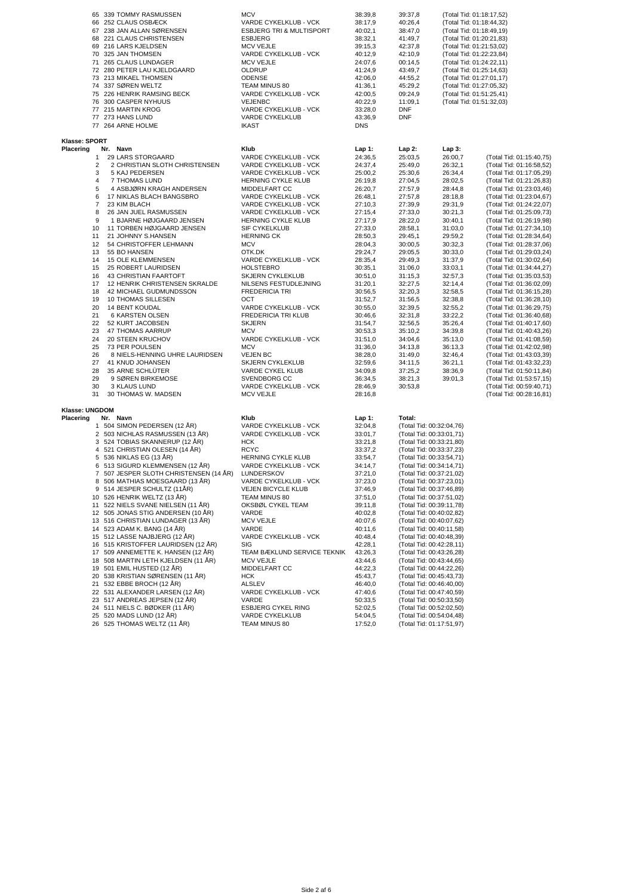|                | 65 339 TOMMY RASMUSSEN                                                  | <b>MCV</b>                                       | 38:39,8            | 39:37,8                                              | (Total Tid: 01:18:17,52)                             |                                                      |
|----------------|-------------------------------------------------------------------------|--------------------------------------------------|--------------------|------------------------------------------------------|------------------------------------------------------|------------------------------------------------------|
|                | 66 252 CLAUS OSBÆCK                                                     | VARDE CYKELKLUB - VCK                            | 38:17,9            | 40:26,4                                              | (Total Tid: 01:18:44,32)                             |                                                      |
|                | 67 238 JAN ALLAN SØRENSEN                                               | <b>ESBJERG TRI &amp; MULTISPORT</b>              | 40:02,1            | 38:47,0                                              | (Total Tid: 01:18:49,19)                             |                                                      |
|                | 68 221 CLAUS CHRISTENSEN                                                | <b>ESBJERG</b>                                   | 38:32,1            | 41:49,7                                              | (Total Tid: 01:20:21,83)                             |                                                      |
|                | 69 216 LARS KJELDSEN<br>70 325 JAN THOMSEN                              | <b>MCV VEJLE</b><br>VARDE CYKELKLUB - VCK        | 39:15,3<br>40:12,9 | 42:37,8<br>42:10,9                                   | (Total Tid: 01:21:53,02)<br>(Total Tid: 01:22:23,84) |                                                      |
|                | 71 265 CLAUS LUNDAGER                                                   | <b>MCV VEJLE</b>                                 | 24:07,6            | 00:14,5                                              | (Total Tid: 01:24:22,11)                             |                                                      |
|                | 72 280 PETER LAU KJELDGAARD                                             | OLDRUP                                           | 41:24,9            | 43:49,7                                              | (Total Tid: 01:25:14,63)                             |                                                      |
|                | 73 213 MIKAEL THOMSEN                                                   | <b>ODENSE</b>                                    | 42:06,0            | 44:55,2                                              | (Total Tid: 01:27:01,17)                             |                                                      |
|                | 74 337 SØREN WELTZ                                                      | TEAM MINUS 80                                    | 41:36,1            | 45:29,2                                              | (Total Tid: 01:27:05,32)                             |                                                      |
|                | 75 226 HENRIK RAMSING BECK                                              | VARDE CYKELKLUB - VCK                            | 42:00,5            | 09:24,9                                              | (Total Tid: 01:51:25,41)                             |                                                      |
|                | 76 300 CASPER NYHUUS                                                    | VEJENBC                                          | 40:22,9            | 11:09,1                                              | (Total Tid: 01:51:32,03)                             |                                                      |
|                | 77 215 MARTIN KROG<br>77 273 HANS LUND                                  | VARDE CYKELKLUB - VCK<br><b>VARDE CYKELKLUB</b>  | 33:28,0<br>43:36,9 | DNF<br><b>DNF</b>                                    |                                                      |                                                      |
|                | 77 264 ARNE HOLME                                                       | <b>IKAST</b>                                     | <b>DNS</b>         |                                                      |                                                      |                                                      |
| Klasse: SPORT  |                                                                         |                                                  |                    |                                                      |                                                      |                                                      |
| Placering      | Nr. Navn                                                                | Klub                                             | $Lap1$ :           | Lap 2:                                               | Lap 3:                                               |                                                      |
| 1              | 29 LARS STORGAARD                                                       | VARDE CYKELKLUB - VCK                            | 24:36,5            | 25:03,5                                              | 26:00,7                                              | (Total Tid: 01:15:40,75)                             |
| 2              | 2 CHRISTIAN SLOTH CHRISTENSEN                                           | VARDE CYKELKLUB - VCK                            | 24:37,4            | 25:49,0                                              | 26:32,1                                              | (Total Tid: 01:16:58,52)                             |
| 3              | 5 KAJ PEDERSEN                                                          | VARDE CYKELKLUB - VCK                            | 25:00,2            | 25:30,6                                              | 26:34,4                                              | (Total Tid: 01:17:05,29)                             |
| 4<br>5         | 7 THOMAS LUND                                                           | HERNING CYKLE KLUB                               | 26:19,8            | 27:04,5                                              | 28:02,5                                              | (Total Tid: 01:21:26,83)                             |
| 6              | 4 ASBJØRN KRAGH ANDERSEN<br>17 NIKLAS BLACH BANGSBRO                    | MIDDELFART CC<br>VARDE CYKELKLUB - VCK           | 26:20,7<br>26:48,1 | 27:57,9<br>27:57,8                                   | 28:44,8<br>28:18,8                                   | (Total Tid: 01:23:03,46)<br>(Total Tid: 01:23:04,67) |
| 7              | 23 KIM BLACH                                                            | VARDE CYKELKLUB - VCK                            | 27:10,3            | 27:39,9                                              | 29:31,9                                              | (Total Tid: 01:24:22,07)                             |
| 8              | 26 JAN JUEL RASMUSSEN                                                   | VARDE CYKELKLUB - VCK                            | 27:15,4            | 27:33,0                                              | 30:21,3                                              | (Total Tid: 01:25:09,73)                             |
| 9              | 1 BJARNE HØJGAARD JENSEN                                                | HERNING CYKLE KLUB                               | 27:17,9            | 28:22,0                                              | 30:40,1                                              | (Total Tid: 01:26:19,98)                             |
| 10             | 11 TORBEN HØJGAARD JENSEN                                               | SIF CYKELKLUB                                    | 27:33,0            | 28:58,1                                              | 31:03,0                                              | (Total Tid: 01:27:34,10)                             |
| 11             | 21 JOHNNY S.HANSEN                                                      | <b>HERNING CK</b>                                | 28:50,3            | 29:45,1                                              | 29:59,2                                              | (Total Tid: 01:28:34,64)                             |
| 12             | 54 CHRISTOFFER LEHMANN                                                  | <b>MCV</b>                                       | 28:04,3            | 30:00,5                                              | 30:32,3                                              | (Total Tid: 01:28:37,06)                             |
| 13             | 55 BO HANSEN                                                            | OTK.DK                                           | 29:24,7            | 29:05,5                                              | 30:33,0                                              | (Total Tid: 01:29:03,24)                             |
| 14             | 15 OLE KLEMMENSEN                                                       | VARDE CYKELKLUB - VCK                            | 28:35,4            | 29:49,3                                              | 31:37,9                                              | (Total Tid: 01:30:02,64)                             |
| 15<br>16       | 25 ROBERT LAURIDSEN                                                     | <b>HOLSTEBRO</b>                                 | 30:35,1            | 31:06,0                                              | 33:03,1                                              | (Total Tid: 01:34:44,27)                             |
| 17             | 43 CHRISTIAN FAARTOFT<br>12 HENRIK CHRISTENSEN SKRALDE                  | <b>SKJERN CYKLEKLUB</b><br>NILSENS FESTUDLEJNING | 30:51,0<br>31:20,1 | 31:15,3<br>32:27,5                                   | 32:57,3<br>32:14,4                                   | (Total Tid: 01:35:03,53)<br>(Total Tid: 01:36:02,09) |
| 18             | 42 MICHAEL GUDMUNDSSON                                                  | <b>FREDERICIA TRI</b>                            | 30:56,5            | 32:20,3                                              | 32:58,5                                              | (Total Tid: 01:36:15,28)                             |
| 19             | 10 THOMAS SILLESEN                                                      | ост                                              | 31:52,7            | 31:56,5                                              | 32:38,8                                              | (Total Tid: 01:36:28,10)                             |
| 20             | <b>14 BENT KOUDAL</b>                                                   | VARDE CYKELKLUB - VCK                            | 30:55,0            | 32:39,5                                              | 32:55,2                                              | (Total Tid: 01:36:29,75)                             |
| 21             | 6 KARSTEN OLSEN                                                         | FREDERICIA TRI KLUB                              | 30:46,6            | 32:31,8                                              | 33:22,2                                              | (Total Tid: 01:36:40,68)                             |
| 22             | 52 KURT JACOBSEN                                                        | <b>SKJERN</b>                                    | 31:54,7            | 32:56,5                                              | 35:26,4                                              | (Total Tid: 01:40:17,60)                             |
| 23             | 47 THOMAS AARRUP                                                        | MCV                                              | 30:53,3            | 35:10,2                                              | 34:39,8                                              | (Total Tid: 01:40:43,26)                             |
| 24             | 20 STEEN KRUCHOV                                                        | VARDE CYKELKLUB - VCK                            | 31:51,0            | 34:04,6                                              | 35:13,0                                              | (Total Tid: 01:41:08,59)                             |
| 25<br>26       | 73 PER POULSEN<br>8 NIELS-HENNING UHRE LAURIDSEN                        | <b>MCV</b><br><b>VEJEN BC</b>                    | 31:36,0<br>38:28,0 | 34:13,8<br>31:49,0                                   | 36:13,3<br>32:46,4                                   | (Total Tid: 01:42:02,98)<br>(Total Tid: 01:43:03,39) |
| 27             | 41 KNUD JOHANSEN                                                        | <b>SKJERN CYKLEKLUB</b>                          | 32:59,6            | 34:11,5                                              | 36:21,1                                              | (Total Tid: 01:43:32,23)                             |
| 28             | 35 ARNE SCHLÜTER                                                        | VARDE CYKEL KLUB                                 | 34:09,8            | 37:25,2                                              | 38:36,9                                              | (Total Tid: 01:50:11,84)                             |
| 29             | 9 SØREN BIRKEMOSE                                                       | SVENDBORG CC                                     | 36:34,5            | 38:21,3                                              | 39:01,3                                              | (Total Tid: 01:53:57,15)                             |
| 30             | 3 KLAUS LUND                                                            | VARDE CYKELKLUB - VCK                            | 28:46,9            | 30:53,8                                              |                                                      | (Total Tid: 00:59:40,71)                             |
| 31             | 30 THOMAS W. MADSEN                                                     | <b>MCV VEJLE</b>                                 | 28:16,8            |                                                      |                                                      | (Total Tid: 00:28:16,81)                             |
| Klasse: UNGDOM |                                                                         |                                                  |                    |                                                      |                                                      |                                                      |
| Placering      | Nr. Navn                                                                | Klub                                             | $Lap1$ :           | Total:                                               |                                                      |                                                      |
|                | 1 504 SIMON PEDERSEN (12 ÅR)                                            | VARDE CYKELKLUB - VCK                            | 32:04,8            | (Total Tid: 00:32:04,76)                             |                                                      |                                                      |
|                | 2 503 NICHLAS RASMUSSEN (13 ÅR)                                         | VARDE CYKELKLUB - VCK                            | 33:01,7            | (Total Tid: 00:33:01,71)                             |                                                      |                                                      |
|                | 3 524 TOBIAS SKANNERUP (12 ÅR)<br>4 521 CHRISTIAN OLESEN (14 ÅR)        | <b>HCK</b><br><b>RCYC</b>                        | 33:21,8<br>33:37,2 | (Total Tid: 00:33:21,80)<br>(Total Tid: 00:33:37,23) |                                                      |                                                      |
|                | 5 536 NIKLAS EG (13 ÅR)                                                 | HERNING CYKLE KLUB                               | 33:54,7            | (Total Tid: 00:33:54,71)                             |                                                      |                                                      |
|                | 6 513 SIGURD KLEMMENSEN (12 ÅR)                                         | VARDE CYKELKLUB - VCK                            | 34:14,7            | (Total Tid: 00:34:14,71)                             |                                                      |                                                      |
|                | 7 507 JESPER SLOTH CHRISTENSEN (14 ÅR)                                  | LUNDERSKOV                                       | 37:21,0            | (Total Tid: 00:37:21,02)                             |                                                      |                                                      |
|                | 8 506 MATHIAS MOESGAARD (13 ÅR)                                         | VARDE CYKELKLUB - VCK                            | 37:23,0            | (Total Tid: 00:37:23,01)                             |                                                      |                                                      |
|                | 9 514 JESPER SCHULTZ (11ÅR)                                             | VEJEN BICYCLE KLUB                               | 37:46,9            | (Total Tid: 00:37:46,89)                             |                                                      |                                                      |
|                | 10 526 HENRIK WELTZ (13 ÅR)                                             | TEAM MINUS 80                                    | 37:51,0            | (Total Tid: 00:37:51,02)                             |                                                      |                                                      |
|                | 11 522 NIELS SVANE NIELSEN (11 ÅR)                                      | OKSBØL CYKEL TEAM                                | 39:11,8            | (Total Tid: 00:39:11,78)                             |                                                      |                                                      |
|                | 12 505 JONAS STIG ANDERSEN (10 ÅR)<br>13 516 CHRISTIAN LUNDAGER (13 ÅR) | VARDE                                            | 40:02,8            | (Total Tid: 00:40:02,82)<br>(Total Tid: 00:40:07,62) |                                                      |                                                      |
| 14             | 523 ADAM K. BANG (14 ÅR)                                                | <b>MCV VEJLE</b><br>VARDE                        | 40:07,6<br>40:11,6 | (Total Tid: 00:40:11,58)                             |                                                      |                                                      |
|                | 15 512 LASSE NAJBJERG (12 ÅR)                                           | VARDE CYKELKLUB - VCK                            | 40:48,4            | (Total Tid: 00:40:48,39)                             |                                                      |                                                      |
|                | 16 515 KRISTOFFER LAURIDSEN (12 ÅR)                                     | SIG                                              | 42:28,1            | (Total Tid: 00:42:28,11)                             |                                                      |                                                      |
|                | 17 509 ANNEMETTE K. HANSEN (12 ÅR)                                      | TEAM BÆKLUND SERVICE TEKNIK                      | 43:26,3            | (Total Tid: 00:43:26,28)                             |                                                      |                                                      |
| 18             | 508 MARTIN LETH KJELDSEN (11 ÅR)                                        | <b>MCV VEJLE</b>                                 | 43:44,6            | (Total Tid: 00:43:44,65)                             |                                                      |                                                      |
|                | 19 501 EMIL HUSTED (12 ÅR)                                              | MIDDELFART CC                                    | 44:22,3            | (Total Tid: 00:44:22,26)                             |                                                      |                                                      |
|                | 20 538 KRISTIAN SØRENSEN (11 ÅR)                                        | <b>HCK</b>                                       | 45:43,7            | (Total Tid: 00:45:43,73)                             |                                                      |                                                      |
|                | 21 532 EBBE BROCH (12 ÅR)                                               | ALSLEV                                           | 46:40,0            | (Total Tid: 00:46:40,00)                             |                                                      |                                                      |
|                | 22 531 ALEXANDER LARSEN (12 ÅR)                                         | VARDE CYKELKLUB - VCK                            | 47:40,6            | (Total Tid: 00:47:40,59)                             |                                                      |                                                      |
|                | 23 517 ANDREAS JEPSEN (12 ÅR)<br>24 511 NIELS C. BØDKER (11 ÅR)         | VARDE<br><b>ESBJERG CYKEL RING</b>               | 50:33,5<br>52:02,5 | (Total Tid: 00:50:33,50)<br>(Total Tid: 00:52:02,50) |                                                      |                                                      |
|                | 25 520 MADS LUND (12 ÅR)                                                | VARDE CYKELKLUB                                  | 54:04,5            | (Total Tid: 00:54:04,48)                             |                                                      |                                                      |
|                | 26 525 THOMAS WELTZ (11 ÅR)                                             | TEAM MINUS 80                                    | 17:52,0            | (Total Tid: 01:17:51,97)                             |                                                      |                                                      |
|                |                                                                         |                                                  |                    |                                                      |                                                      |                                                      |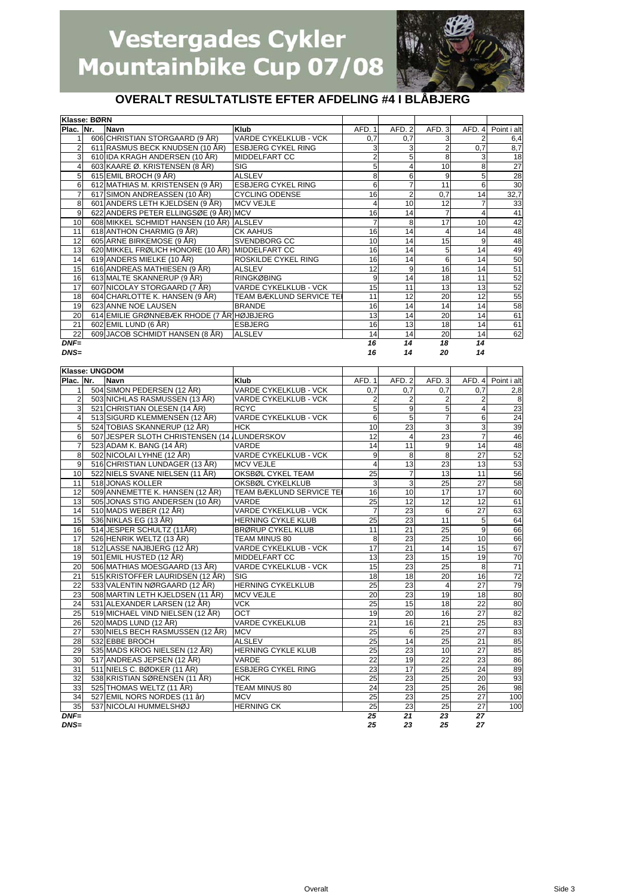

#### **OVERALT RESULTATLISTE EFTER AFDELING #4 I BLÅBJERG**

|                 | Klasse: BØRN |                                                 |                                 |        |                |                |        |                 |
|-----------------|--------------|-------------------------------------------------|---------------------------------|--------|----------------|----------------|--------|-----------------|
| Plac. Nr.       |              | <b>Navn</b>                                     | Klub                            | AFD. 1 | AFD.2          | AFD. 3         | AFD. 4 | Point i alt     |
|                 |              | 606 CHRISTIAN STORGAARD (9 ÅR)                  | <b>VARDE CYKELKLUB - VCK</b>    | 0,7    | 0,7            | 3              |        | 6,4             |
|                 |              | 611 RASMUS BECK KNUDSEN (10 ÅR)                 | <b>ESBJERG CYKEL RING</b>       |        | 3              | $\overline{2}$ | 0,7    | 8,7             |
| 3               |              | 610 IDA KRAGH ANDERSEN (10 ÅR)                  | <b>MIDDELFART CC</b>            |        | 5              | 8              | 3      | 18              |
|                 |              | 603 KAARE Ø. KRISTENSEN (8 ÅR)                  | <b>SIG</b>                      | 5      |                | 10             | 8      | $\overline{27}$ |
| 5               |              | 615 EMIL BROCH (9 ÅR)                           | <b>ALSLEV</b>                   | 8      | 6              | 9              | 5      | $\overline{28}$ |
| 6               |              | 612 MATHIAS M. KRISTENSEN (9 ÅR)                | <b>ESBJERG CYKEL RING</b>       | 6      |                | 11             | 6      | 30              |
|                 |              | 617 SIMON ANDREASSEN (10 ÅR)                    | <b>CYCLING ODENSE</b>           | 16     | $\overline{2}$ | 0,7            | 14     | 32,7            |
| 8               |              | 601 ANDERS LETH KJELDSEN (9 ÅR)                 | <b>MCV VEJLE</b>                |        | 10             | 12             |        | 33              |
| 9               |              | 622 ANDERS PETER ELLINGSØE (9 ÅR) MCV           |                                 | 16     | 14             | 7              | 4      | 41              |
| 10              |              | 608 MIKKEL SCHMIDT HANSEN (10 ÅR) ALSLEV        |                                 |        | 8              | 17             | 10     | 42              |
| 11              |              | 618 ANTHON CHARMIG (9 ÅR)                       | <b>CK AAHUS</b>                 | 16     | 14             | 4              | 14     | 48              |
| 12              |              | 605 ARNE BIRKEMOSE (9 ÅR)                       | <b>SVENDBORG CC</b>             | 10     | 14             | 15             | 9      | 48              |
| 13              |              | 620 MIKKEL FRØLICH HONORE (10 ÅR) MIDDELFART CC |                                 | 16     | 14             | 5              | 14     | 49              |
| 14              |              | 619 ANDERS MIELKE (10 ÅR)                       | <b>ROSKILDE CYKEL RING</b>      | 16     | 14             | 6              | 14     | 50              |
| 15              |              | 616 ANDREAS MATHIESEN (9 ÅR)                    | <b>ALSLEV</b>                   | 12     | 9              | 16             | 14     | 51              |
| 16              |              | 613 MALTE SKANNERUP (9 ÅR)                      | <b>RINGKØBING</b>               | 9      | 14             | 18             | 11     | 52              |
| 17              |              | 607 NICOLAY STORGAARD (7 ÅR)                    | <b>VARDE CYKELKLUB - VCK</b>    | 15     | 11             | 13             | 13     | 52              |
| 18              |              | 604 CHARLOTTE K. HANSEN (9 ÅR)                  | <b>TEAM BÆKLUND SERVICE TEI</b> | 11     | 12             | 20             | 12     | 55              |
| 19              |              | 623 ANNE NOE LAUSEN                             | <b>BRANDE</b>                   | 16     | 14             | 14             | 14     | 58              |
| 20              |              | 614 EMILIE GRØNNEBÆK RHODE (7 ÅR) HØJBJERG      |                                 | 13     | 14             | 20             | 14     | 61              |
| 21              |              | 602 EMIL LUND (6 ÅR)                            | <b>ESBJERG</b>                  | 16     | 13             | 18             | 14     | 61              |
| $\overline{22}$ |              | 609 JACOB SCHMIDT HANSEN (8 ÅR)                 | <b>ALSLEV</b>                   | 14     | 14             | 20             | 14     | 62              |
| $DNF=$          |              |                                                 |                                 | 16     | 14             | 18             | 14     |                 |
| $DNS=$          |              |                                                 |                                 | 16     | 14             | 20             | 14     |                 |

**Klasse: UNGDOM Plac. Nr. Navn Klub** AFD. 1 AFD. 2 AFD. 3 AFD. 4 Point i alt 1 504 SIMON PEDERSEN (12 ÅR) VARDE CYKELKLUB - VCK 0 0,7 0,7 0,7 0,7 2,8<br>1 503 NICHLAS RASMUSSEN (13 ÅR) VARDE CYKELKLUB - VCK 2 2 2 2 2 2 503 NICHLAS RASMUSSEN (13 ÅR) VARDE CYKELKLUB - VCK 2 2 2<br>2 521 CHRISTIAN OLESEN (14 ÅR) RCYC 521 CHRISTIAN OLESEN (14 ÅR) RCYC 5 9 5 4 23 4 513 SIGURD KLEMMENSEN (12 ÅR) VARDE CYKELKLUB - VCK 6 5 7 6 24<br>5 524 TOBIAS SKANNERUP (12 ÅR) HCK 10 10 23 3 3 3 524 TOBIAS SKANNERUP (12 ÅR) HCK 10 23 3 3 3 3 3 3 3 39 39 3 3 4 3 4 3 39 39 4 5 31 39 39 4 5 31 39 4 5 39 4 5 4 5 39 4 5 39 4 5 39 4 5 39 4 5 39 4 5 39 4 5 39 4 5 39 4 5 39 4 5 39 4 5 39 4 5 39 4 5 39 4 5 39 4 5 39 4 5 39 6 62 JESPER SLOTH CHRISTENSEN (14 ÅLUNDERSKOV 12 12 4 7 523 ADAM K. BANG (14 ÅR) VARDE 14 14 11 9 14 14 1523 ADAM K. BANG (14 ÅR) 8 502 NICOLAI LYHNE (12 ÅR) VARDE CYKELKLUB - VCK 9 8 8 8 27 52 9 516 CHRISTIAN LUNDAGER (13 ÅR) MCV VEJLE  $\begin{vmatrix} 4 & 13 & 23 & 13 \end{vmatrix}$  13 13 10 522 NIELS SVANE NIELSEN (11 ÅR) OKSBØL CYKEL TEAM 25 7 13 11 56<br>11 518 JONAS KOLLER OKSBØL CYKELKLUB 3 3 25 27 58 11 518 JONAS KOLLER OKSBØL CYKELKLUB 3 3 25 27 58 509 ANNEMETTE K. HANSEN (12 ÅR) 13 505 JONAS STIG ANDERSEN (10 ÅR) VARDE 12 25 12 12 12 12 61<br>14 510 MADS WEBER (12 ÅR) VARDE CYKELKLUB - VCK 7 23 6 27 63 14 510 MADS WEBER (12 ÅR) VARDE CYKELKLUB - VCK | 7 23 6 27 63 15 536 NIKLAS EG (13 ÅR) HERNING CYKLE KLUB 25 23 11 5 64 16 514 JESPER SCHULTZ (11ÅR) BRØRUP CYKEL KLUB 11 21 25 9 66 17 526 HENRIK WELTZ (13 ÅR) TEAM MINUS 80 8 23 25 10 66 18 512 LASSE NAJBJERG (12 ÅR) VARDE CYKELKLUB - VCK | 17 21 14 15 15 67 19 501 EMIL HUSTED (12 ÅR) MIDDELFART CC 13 13 23 15 19 70<br>20 506 MATHIAS MOESGAARD (13 ÅR) VARDE CYKELKLUB - VCK 15 23 25 8 71 20 506 MATHIAS MOESGAARD (13 ÅR) VARDE CYKELKLUB - VCK 15 23 25 8 71<br>21 515 KRISTOFFER LAURIDSEN (12 ÅR) SIG 18 18 18 20 16 72 21 515 KRISTOFFER LAURIDSEN (12 ÁR) SIG 18 18 18 18 20 16 72<br>22 533 VALENTIN NØRGAARD (12 ÅR) HERNING CYKELKLUB 25 23 4 27 79 22 533 VALENTIN NØRGAARD (12 ÅR) HERNING CYKELKLUB 25 23 4 27 79 23 508 MARTIN LETH KJELDSEN (11 ÅR) MCV VEJLE 20 23 19 19 18 80 24 531 ALEXANDER LARSEN (12 ÅR) VCK 25 15 15 18 22 80 25 519 MICHAEL VIND NIELSEN (12 ÅR) OCT 19 19 20 16 27 82 26 520 MADS LUND (12 ÅR) VARDE CYKELKLUB 21 16 21 25 83<br>27 530 NIELS BECH RASMUSSEN (12 ÅR) MCV 25 6 25 27 83 530 NIELS BECH RASMUSSEN (12 ÅR) 28 532 EBBE BROCH ALSLEV 25 14 25 21 85 29 535 MADS KROG NIELSEN (12 ÅR) HERNING CYKLE KLUB 25 23 10 27 85<br>30 517 ANDREAS JEPSEN (12 ÅR) VARDE 22 19 22 23 86 30 517 ANDREAS JEPSEN (12 ÅR) VARDE 22 19 22 23 86<br>31 511 ANDREAS JEPSEN (12 ÅR) VARDE 22 19 22 23 86<br>31 511 NIELS C. BØDKER (11 ÅR) ESBJERG CYKEL RING 23 17 25 24 89 311 NIELS C. BØDKER (11 ÅR) 32 538 KRISTIAN SØRENSEN (11 ÅR) HCK 25 23 25 25 20 93<br>33 525 THOMAS WELTZ (11 ÅR) TEAM MINITS 80 24 23 25 26 98 33 525 THOMAS WELTZ (11 ÅR) TEAM MINUS 80 24 23 25 26 98 34 527 EMIL NORS NORDES (11 år) MCV 25 23 25 27 100 35 537 NICOLAI HUMMELSHØJ HERNING CK 25 23 25 27 100 *DNF= 25 21 23 27 DNS= 25 23 25 27*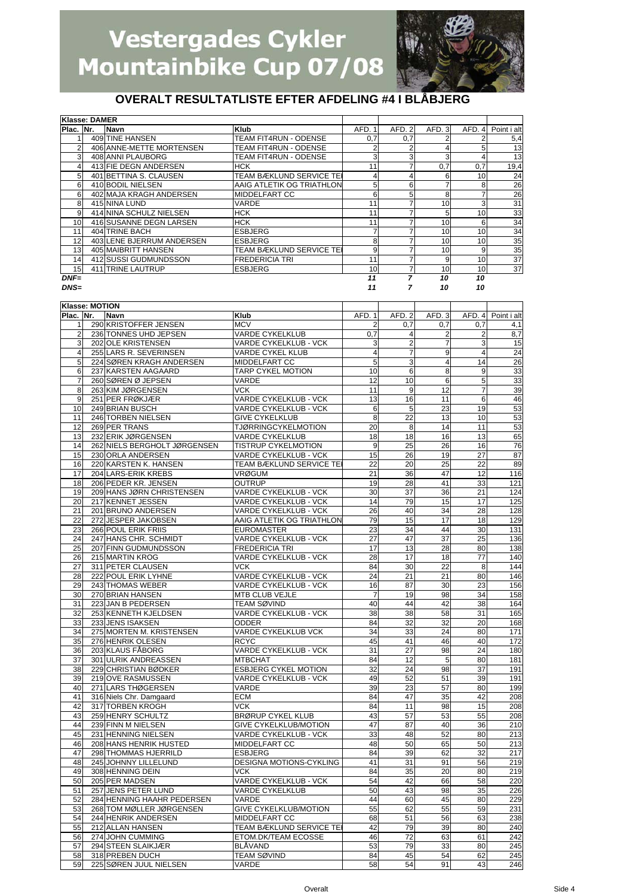

|                 | Klasse: DAMER |                           |                                 |        |        |        |                        |             |
|-----------------|---------------|---------------------------|---------------------------------|--------|--------|--------|------------------------|-------------|
| Plac. INr.      |               | <b>Navn</b>               | Klub                            | AFD. 1 | AFD. 2 | AFD. 3 | AFD.<br>$\overline{4}$ | Point i alt |
|                 |               | 409 TINE HANSEN           | TEAM FIT4RUN - ODENSE           | 0,7    | 0,7    |        |                        | 5,4         |
|                 |               | 406 ANNE-METTE MORTENSEN  | TEAM FIT4RUN - ODENSE           |        | 2      |        | 5                      | 13          |
| 3               |               | 408 ANNI PLAUBORG         | TEAM FIT4RUN - ODENSE           | 3      | 3      | 3      |                        | 13          |
|                 |               | 413 FIE DEGN ANDERSEN     | <b>HCK</b>                      | 11     |        | 0,7    | 0,7                    | 19,4        |
| 5               |               | 401 BETTINA S. CLAUSEN    | TEAM BÆKLUND SERVICE TEI        |        | 4      | 6      | 10                     | 24          |
| 6               |               | 410 BODIL NIELSEN         | AAIG ATLETIK OG TRIATHLON       | 5      | 6      |        | 8                      | 26          |
| 6               |               | 402 MAJA KRAGH ANDERSEN   | MIDDELFART CC                   | 6      | 5      | 8      |                        | 26          |
| 8               |               | 415 NINA LUND             | VARDE                           | 11     |        | 10     | 3                      | 31          |
| 9               |               | 414 NINA SCHULZ NIELSEN   | <b>HCK</b>                      | 11     |        | 5      | 10                     | 33          |
| 10 <sup>1</sup> |               | 416 SUSANNE DEGN LARSEN   | <b>HCK</b>                      | 11     |        | 10     | 6                      | 34          |
| 11              |               | 404 TRINE BACH            | <b>ESBJERG</b>                  |        |        | 10     | 10                     | 34          |
| 12              |               | 403 LENE BJERRUM ANDERSEN | <b>ESBJERG</b>                  | 8      |        | 10     | 10                     | 35          |
| 13              |               | 405 MAIBRITT HANSEN       | <b>TEAM BÆKLUND SERVICE TEI</b> | 9      |        | 10     | 9                      | 35          |
| 14              |               | 412 SUSSI GUDMUNDSSON     | <b>FREDERICIA TRI</b>           | 11     |        | 9      | 10                     | 37          |
| 15              |               | 411 TRINE LAUTRUP         | <b>ESBJERG</b>                  | 10     | 7      | 10     | 10                     | 37          |
| $DNF=$          |               |                           |                                 | 11     | 7      | 10     | 10                     |             |
| $DNS=$          |               |                           |                                 | 11     |        | 10     | 10                     |             |

|                | Klasse: MOTION |                              |                                                |                 |                |                |                         |                    |
|----------------|----------------|------------------------------|------------------------------------------------|-----------------|----------------|----------------|-------------------------|--------------------|
| Plac. INr.     |                | Navn                         | Klub                                           | AFD. 1          | AFD. 2         | AFD.3          |                         | AFD. 4 Point i alt |
| 1              |                | 290 KRISTOFFER JENSEN        | <b>MCV</b>                                     | $\overline{2}$  | 0,7            | 0,7            | 0,7                     | 4,1                |
| $\overline{c}$ |                | 236 TONNES UHD JEPSEN        | <b>VARDE CYKELKLUB</b>                         | 0,7             | 4              | $\overline{2}$ | $\overline{\mathbf{c}}$ | 8,7                |
| 3              |                | 202 OLE KRISTENSEN           | VARDE CYKELKLUB - VCK                          | 3               | $\overline{2}$ | 7              | 3                       | 15                 |
| 4              |                | 255 LARS R. SEVERINSEN       | VARDE CYKEL KLUB                               | $\overline{4}$  | 7              | 9              | 4                       | 24                 |
| 5              |                | 224 SØREN KRAGH ANDERSEN     | MIDDELFART CC                                  | 5               | 3              | $\overline{4}$ | 14                      | $\overline{26}$    |
| 6              |                | 237 KARSTEN AAGAARD          | TARP CYKEL MOTION                              | 10              | 6              | 8              | 9                       | 33                 |
| 7              |                | 260 SØREN Ø JEPSEN           | VARDE                                          | 12              | 10             | 6              | 5                       | 33                 |
| 8              |                | 263 KIM JØRGENSEN            | VCK                                            | 11              | 9              | 12             | $\overline{7}$          | 39                 |
| 9              |                | 251 PER FRØKJÆR              |                                                | 13              | 16             | 11             | 6                       | 46                 |
|                |                | 249 BRIAN BUSCH              | VARDE CYKELKLUB - VCK                          |                 |                |                |                         |                    |
| 10<br>11       |                | 246 TORBEN NIELSEN           | VARDE CYKELKLUB - VCK<br><b>GIVE CYKELKLUB</b> | 6<br>8          | 5<br>22        | 23             | 19<br>10                | 53<br>53           |
|                |                |                              |                                                |                 |                | 13             |                         |                    |
| 12             |                | 269 PER TRANS                | <b>TJØRRINGCYKELMOTION</b>                     | 20              | 8              | 14             | 11                      | 53                 |
| 13             |                | 232 ERIK JØRGENSEN           | <b>VARDE CYKELKLUB</b>                         | 18              | 18             | 16             | 13                      | 65                 |
| 14             |                | 262 NIELS BERGHOLT JØRGENSEN | <b>TISTRUP CYKELMOTION</b>                     | 9               | 25             | 26             | 16                      | 76                 |
| 15             |                | 230 ORLA ANDERSEN            | VARDE CYKELKLUB - VCK                          | 15              | 26             | 19             | 27                      | 87                 |
| 16             |                | 220 KARSTEN K. HANSEN        | TEAM BÆKLUND SERVICE TEI                       | 22              | 20             | 25             | 22                      | 89                 |
| 17             |                | 204 LARS-ERIK KREBS          | <b>VRØGUM</b>                                  | 21              | 36             | 47             | 12                      | 116                |
| 18             |                | 206 PEDER KR. JENSEN         | <b>OUTRUP</b>                                  | 19              | 28             | 41             | 33                      | 121                |
| 19             |                | 209 HANS JØRN CHRISTENSEN    | VARDE CYKELKLUB - VCK                          | 30              | 37             | 36             | 21                      | 124                |
| 20             |                | 217 KENNET JESSEN            | VARDE CYKELKLUB - VCK                          | 14              | 79             | 15             | 17                      | 125                |
| 21             |                | 201 BRUNO ANDERSEN           | VARDE CYKELKLUB - VCK                          | 26              | 40             | 34             | 28                      | 128                |
| 22             |                | 272 JESPER JAKOBSEN          | AAIG ATLETIK OG TRIATHLON                      | 79              | 15             | 17             | 18                      | 129                |
| 23             |                | 266 POUL ERIK FRIIS          | EUROMASTER                                     | 23              | 34             | 44             | 30                      | 131                |
| 24             |                | 247 HANS CHR. SCHMIDT        | VARDE CYKELKLUB - VCK                          | $\overline{27}$ | 47             | 37             | 25                      | 136                |
| 25             |                | 207 FINN GUDMUNDSSON         | FREDERICIA TRI                                 | 17              | 13             | 28             | 80                      | 138                |
| 26             |                | 215 MARTIN KROG              | VARDE CYKELKLUB - VCK                          | 28              | 17             | 18             | 77                      | 140                |
| 27             |                | 311 PETER CLAUSEN            | <b>VCK</b>                                     | 84              | 30             | 22             | 8                       | 144                |
| 28             |                | 222 POUL ERIK LYHNE          | VARDE CYKELKLUB - VCK                          | 24              | 21             | 21             | 80                      | 146                |
| 29             |                | 243 THOMAS WEBER             | VARDE CYKELKLUB - VCK                          | 16              | 87             | 30             | 23                      | 156                |
| 30             |                | 270 BRIAN HANSEN             | MTB CLUB VEJLE                                 | $\overline{7}$  | 19             | 98             | 34                      | 158                |
| 31             |                | 223 JAN B PEDERSEN           | TEAM SØVIND                                    | 40              | 44             | 42             | 38                      | 164                |
| 32             |                | 253 KENNETH KJELDSEN         | VARDE CYKELKLUB - VCK                          | 38              | 38             | 58             | 31                      | 165                |
| 33             |                | 233 JENS ISAKSEN             | <b>ODDER</b>                                   | 84              | 32             | 32             | 20                      | 168                |
| 34             |                | 275 MORTEN M. KRISTENSEN     | VARDE CYKELKLUB VCK                            | 34              | 33             | 24             | 80                      | 171                |
| 35             |                | 276 HENRIK OLESEN            | RCYC                                           | 45              | 41             | 46             | 40                      | 172                |
| 36             |                | 203 KLAUS FÅBORG             | VARDE CYKELKLUB - VCK                          | 31              | 27             | 98             | 24                      | 180                |
| 37             |                | 301 ULRIK ANDREASSEN         | <b>MTBCHAT</b>                                 | 84              | 12             | 5              | 80                      | 181                |
| 38             |                | 229 CHRISTIAN BØDKER         | <b>ESBJERG CYKEL MOTION</b>                    | 32              | 24             | 98             | 37                      | 191                |
| 39             |                | 219 OVE RASMUSSEN            | VARDE CYKELKLUB - VCK                          | 49              | 52             | 51             | 39                      | 191                |
| 40             |                | 271 LARS THØGERSEN           | VARDE                                          | 39              | 23             | 57             | 80                      | 199                |
|                |                |                              |                                                |                 |                |                |                         |                    |
| 41             |                | 316 Niels Chr. Damgaard      | ECM                                            | 84              | 47             | 35             | 42                      | 208                |
| 42             |                | 317 TORBEN KROGH             | VCK.                                           | 84              | 11             | 98             | 15                      | 208                |
| 43             |                | 259 HENRY SCHULTZ            | <b>BRØRUP CYKEL KLUB</b>                       | 43              | 57             | 53             | 55                      | 208                |
| 44             |                | 239 FINN M NIELSEN           | GIVE CYKELKLUB/MOTION                          | 47              | 87             | 40             | 36                      | 210                |
| 45             |                | 231 HENNING NIELSEN          | VARDE CYKELKLUB - VCK                          | 33              | 48             | 52             | 80                      | 213                |
| 46             |                | 208 HANS HENRIK HUSTED       | MIDDELFART CC                                  | 48              | 50             | 65             | 50                      | 213                |
| 47             |                | 298 THOMMAS HJERRILD         | ESBJERG                                        | 84              | 39             | 62             | 32                      | 217                |
| 48             |                | 245 JOHNNY LILLELUND         | DESIGNA MOTIONS-CYKLING                        | 41              | 31             | 91             | 56                      | 219                |
| 49             |                | 308 HENNING DEIN             | VCK                                            | 84              | 35             | 20             | 80                      | 219                |
| 50             |                | 205 PER MADSEN               | <b>VARDE CYKELKLUB - VCK</b>                   | 54              | 42             | 66             | 58                      | 220                |
| 51             |                | 257 JENS PETER LUND          | <b>VARDE CYKELKLUB</b>                         | 50              | 43             | 98             | 35                      | 226                |
| 52             |                | 284 HENNING HAAHR PEDERSEN   | VARDE                                          | 44              | 60             | 45             | 80                      | 229                |
| 53             |                | 268 TOM MØLLER JØRGENSEN     | <b>GIVE CYKELKLUB/MOTION</b>                   | 55              | 62             | 55             | 59                      | 231                |
| 54             |                | 244 HENRIK ANDERSEN          | MIDDELFART CC                                  | 68              | 51             | 56             | 63                      | 238                |
| 55             |                | 212 ALLAN HANSEN             | <b>TEAM BÆKLUND SERVICE TEI</b>                | 42              | 79             | 39             | 80                      | 240                |
| 56             |                | 274 JOHN CUMMING             | ETOM.DK/TEAM ECOSSE                            | 46              | 72             | 63             | 61                      | 242                |
| 57             |                | 294 STEEN SLAIKJÆR           | BLÅVAND                                        | 53              | 79             | 33             | 80                      | 245                |
| 58             |                | 318 PREBEN DUCH              | TEAM SØVIND                                    | 84              | 45             | 54             | 62                      | 245                |
| 59             |                | 225 SØREN JUUL NIELSEN       | VARDE                                          | 58              | 54             | 91             | 43                      | 246                |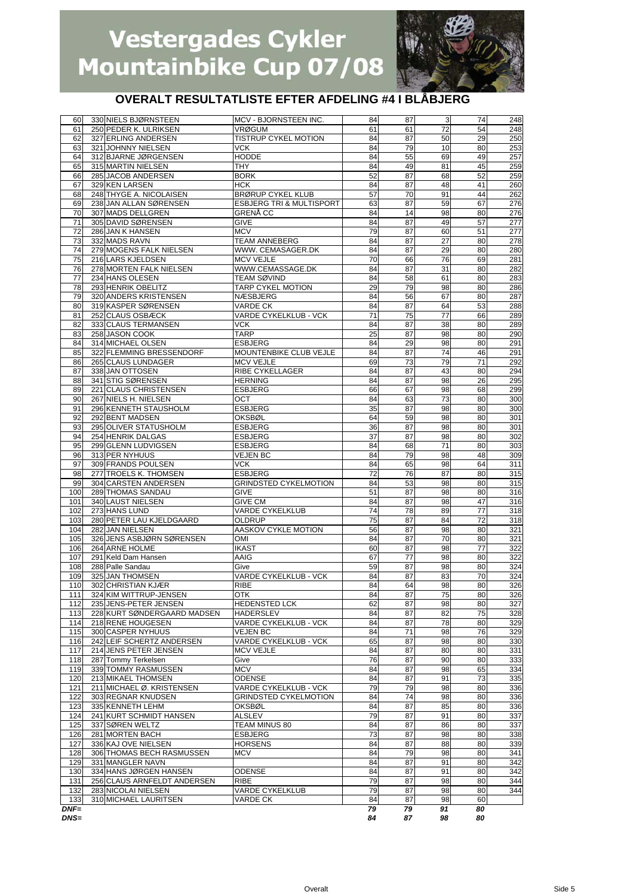

| 60            | 330 NIELS BJØRNSTEEN                               | MCV - BJORNSTEEN INC.                     | 84              | 87       | 3        | 74       | 248        |
|---------------|----------------------------------------------------|-------------------------------------------|-----------------|----------|----------|----------|------------|
| 61            | 250 PEDER K. ULRIKSEN                              | <b>VRØGUM</b>                             | 61              | 61       | 72       | 54       | 248        |
| 62            | 327 ERLING ANDERSEN                                | <b>TISTRUP CYKEL MOTION</b>               | 84              | 87       | 50       | 29       | 250        |
| 63            | 321 JOHNNY NIELSEN                                 | <b>VCK</b>                                | 84              | 79       | 10       | 80       | 253        |
| 64            | 312 BJARNE JØRGENSEN                               | <b>HODDE</b>                              | 84              | 55       | 69       | 49       | 257        |
| 65<br>66      | 315 MARTIN NIELSEN                                 | THY<br><b>BORK</b>                        | 84              | 49<br>87 | 81<br>68 | 45<br>52 | 259        |
| 67            | 285 JACOB ANDERSEN<br>329 KEN LARSEN               | <b>HCK</b>                                | 52<br>84        | 87       | 48       | 41       | 259<br>260 |
| 68            | 248 THYGE A. NICOLAISEN                            | <b>BRØRUP CYKEL KLUB</b>                  | 57              | 70       | 91       | 44       | 262        |
| 69            | 238 JAN ALLAN SØRENSEN                             | <b>ESBJERG TRI &amp; MULTISPORT</b>       | 63              | 87       | 59       | 67       | 276        |
| 70            | 307 MADS DELLGREN                                  | <b>GRENĂ CC</b>                           | 84              | 14       | 98       | 80       | 276        |
| 71            | 305 DAVID SØRENSEN                                 | <b>GIVE</b>                               | 84              | 87       | 49       | 57       | 277        |
| 72            | 286 JAN K HANSEN                                   | <b>MCV</b>                                | 79              | 87       | 60       | 51       | 277        |
| 73            | 332 MADS RAVN                                      | <b>TEAM ANNEBERG</b>                      | 84              | 87       | 27       | 80       | 278        |
| 74            | 279 MOGENS FALK NIELSEN                            | WWW. CEMASAGER.DK                         | 84              | 87       | 29       | 80       | 280        |
| 75            | 216 LARS KJELDSEN                                  | <b>MCV VEJLE</b>                          | 70              | 66       | 76       | 69       | 281        |
| 76            | 278 MORTEN FALK NIELSEN                            | WWW.CEMASSAGE.DK                          | 84              | 87       | 31       | 80       | 282        |
| 77            | 234 HANS OLESEN                                    | TEAM SØVIND                               | 84              | 58       | 61       | 80       | 283        |
| 78            | 293 HENRIK OBELITZ                                 | TARP CYKEL MOTION                         | 29              | 79       | 98       | 80       | 286        |
| 79            | 320 ANDERS KRISTENSEN                              | <b>NÆSBJERG</b>                           | 84              | 56       | 67       | 80       | 287        |
| 80            | 319 KASPER SØRENSEN                                | VARDE CK                                  | 84              | 87       | 64       | 53       | 288        |
| 81            | 252 CLAUS OSBÆCK                                   | VARDE CYKELKLUB - VCK                     | 71              | 75       | 77       | 66       | 289        |
| 82<br>83      | 333 CLAUS TERMANSEN<br>258 JASON COOK              | VCK<br><b>TARP</b>                        | 84<br>25        | 87<br>87 | 38<br>98 | 80<br>80 | 289<br>290 |
| 84            | 314 MICHAEL OLSEN                                  | <b>ESBJERG</b>                            | 84              | 29       | 98       | 80       | 291        |
| 85            | 322 FLEMMING BRESSENDORF                           | MOUNTENBIKE CLUB VEJLE                    | 84              | 87       | 74       | 46       | 291        |
| 86            | 265 CLAUS LUNDAGER                                 | <b>MCV VEJLE</b>                          | 69              | 73       | 79       | 71       | 292        |
| 87            | 338 JAN OTTOSEN                                    | RIBE CYKELLAGER                           | 84              | 87       | 43       | 80       | 294        |
| 88            | 341 STIG SØRENSEN                                  | <b>HERNING</b>                            | 84              | 87       | 98       | 26       | 295        |
| 89            | 221 CLAUS CHRISTENSEN                              | <b>ESBJERG</b>                            | 66              | 67       | 98       | 68       | 299        |
| 90            | 267 NIELS H. NIELSEN                               | OCT                                       | 84              | 63       | 73       | 80       | 300        |
| 91            | 296 KENNETH STAUSHOLM                              | <b>ESBJERG</b>                            | 35              | 87       | 98       | 80       | 300        |
| 92            | 292 BENT MADSEN                                    | <b>OKSBØL</b>                             | 64              | 59       | 98       | 80       | 301        |
| 93            | 295 OLIVER STATUSHOLM                              | <b>ESBJERG</b>                            | 36              | 87       | 98       | 80       | 301        |
| 94            | 254 HENRIK DALGAS                                  | <b>ESBJERG</b>                            | 37              | 87       | 98       | 80       | 302        |
| 95            | 299 GLENN LUDVIGSEN                                | <b>ESBJERG</b>                            | 84              | 68       | 71       | 80       | 303        |
| 96            | 313 PER NYHUUS                                     | <b>VEJEN BC</b>                           | 84              | 79       | 98       | 48       | 309        |
| 97            | 309 FRANDS POULSEN                                 | VCK                                       | 84              | 65       | 98       | 64       | 311        |
| 98            | 277 TROELS K. THOMSEN                              | <b>ESBJERG</b>                            | 72              | 76       | 87       | 80       | 315        |
| 99<br>100     | 304 CARSTEN ANDERSEN<br>289 THOMAS SANDAU          | <b>GRINDSTED CYKELMOTION</b><br>GIVE      | 84<br>51        | 53<br>87 | 98<br>98 | 80<br>80 | 315<br>316 |
| 101           | 340 LAUST NIELSEN                                  | <b>GIVE CM</b>                            | 84              | 87       | 98       | 47       | 316        |
| 102           | 273 HANS LUND                                      | <b>VARDE CYKELKLUB</b>                    | $\overline{74}$ | 78       | 89       | 77       | 318        |
| 103           | 280 PETER LAU KJELDGAARD                           | OLDRUP                                    | 75              | 87       | 84       | 72       | 318        |
| 104           | 282 JAN NIELSEN                                    | AASKOV CYKLE MOTION                       | 56              | 87       | 98       | 80       | 321        |
| 105           | 326 JENS ASBJØRN SØRENSEN                          | OMI                                       | 84              | 87       | 70       | 80       | 321        |
| 106           | 264 ARNE HOLME                                     | <b>IKAST</b>                              | 60              | 87       | 98       | 77       | 322        |
| 107           | 291 Keld Dam Hansen                                | AAIG                                      | 67              | 77       | 98       | 80       | 322        |
| 108           | 288 Palle Sandau                                   | Give                                      | 59              | 87       | 98       | 80       | 324        |
| 109           | 325 JAN THOMSEN                                    | <b>VARDE CYKELKLUB - VCK</b>              | 84              | 87       | 83       | 70       | 324        |
| 110           | 302 CHRISTIAN KJÆR                                 | <b>RIBE</b>                               | 84              | 64       | 98       | 80       | 326        |
| 111           | 324 KIM WITTRUP-JENSEN                             | OTK                                       | 84              | 87       | 75       | 80       | 326        |
| 112           | 235 JENS-PETER JENSEN                              | <b>HEDENSTED LCK</b>                      | 62              | 87       | 98       | 80       | 327        |
| 113           | 228 KURT SØNDERGAARD MADSEN                        | <b>HADERSLEV</b>                          | 84              | 87       | 82       | 75       | 328        |
| 114           | 218 RENE HOUGESEN                                  | VARDE CYKELKLUB - VCK                     | 84              | 87       | 78       | 80       | 329        |
| 115           | 300 CASPER NYHUUS                                  | <b>VEJEN BC</b>                           | 84              | 71       | 98       | 76       | 329        |
| 116<br>117    | 242 LEIF SCHERTZ ANDERSEN<br>214 JENS PETER JENSEN | VARDE CYKELKLUB - VCK<br><b>MCV VEJLE</b> | 65<br>84        | 87<br>87 | 98<br>80 | 80<br>80 | 330<br>331 |
| 118           | 287 Tommy Terkelsen                                | Give                                      | 76              | 87       | 90       | 80       | 333        |
| 119           | 339 TOMMY RASMUSSEN                                | <b>MCV</b>                                | 84              | 87       | 98       | 65       | 334        |
| 120           | 213 MIKAEL THOMSEN                                 | ODENSE                                    | 84              | 87       | 91       | 73       | 335        |
| 121           | 211 MICHAEL Ø. KRISTENSEN                          | VARDE CYKELKLUB - VCK                     | 79              | 79       | 98       | 80       | 336        |
| 122           | 303 REGNAR KNUDSEN                                 | <b>GRINDSTED CYKELMOTION</b>              | 84              | 74       | 98       | 80       | 336        |
| 123           | 335 KENNETH LEHM                                   | <b>OKSBØL</b>                             | 84              | 87       | 85       | 80       | 336        |
| 124           | 241 KURT SCHMIDT HANSEN                            | <b>ALSLEV</b>                             | 79              | 87       | 91       | 80       | 337        |
| 125           | 337 SØREN WELTZ                                    | TEAM MINUS 80                             | 84              | 87       | 86       | 80       | 337        |
| 126           | 281 MORTEN BACH                                    | <b>ESBJERG</b>                            | 73              | 87       | 98       | 80       | 338        |
| 127           | 336 KAJ OVE NIELSEN                                | <b>HORSENS</b>                            | 84              | 87       | 88       | 80       | 339        |
| 128           | 306 THOMAS BECH RASMUSSEN                          | <b>MCV</b>                                | 84              | 79       | 98       | 80       | 341        |
| 129           | 331 MANGLER NAVN                                   |                                           | 84              | 87       | 91       | 80       | 342        |
| 130           | 334 HANS JØRGEN HANSEN                             | <b>ODENSE</b>                             | 84              | 87       | 91       | 80       | 342        |
| 131           | 256 CLAUS ARNFELDT ANDERSEN                        | <b>RIBE</b>                               | 79              | 87       | 98       | 80       | 344        |
| 132           | 283 NICOLAI NIELSEN                                | <b>VARDE CYKELKLUB</b><br>VARDE CK        | 79              | 87       | 98       | 80<br>60 | 344        |
| 133<br>$DNF=$ | 310 MICHAEL LAURITSEN                              |                                           | 84<br>79        | 87<br>79 | 98<br>91 | 80       |            |
| $DNS=$        |                                                    |                                           | 84              | 87       | 98       | 80       |            |
|               |                                                    |                                           |                 |          |          |          |            |